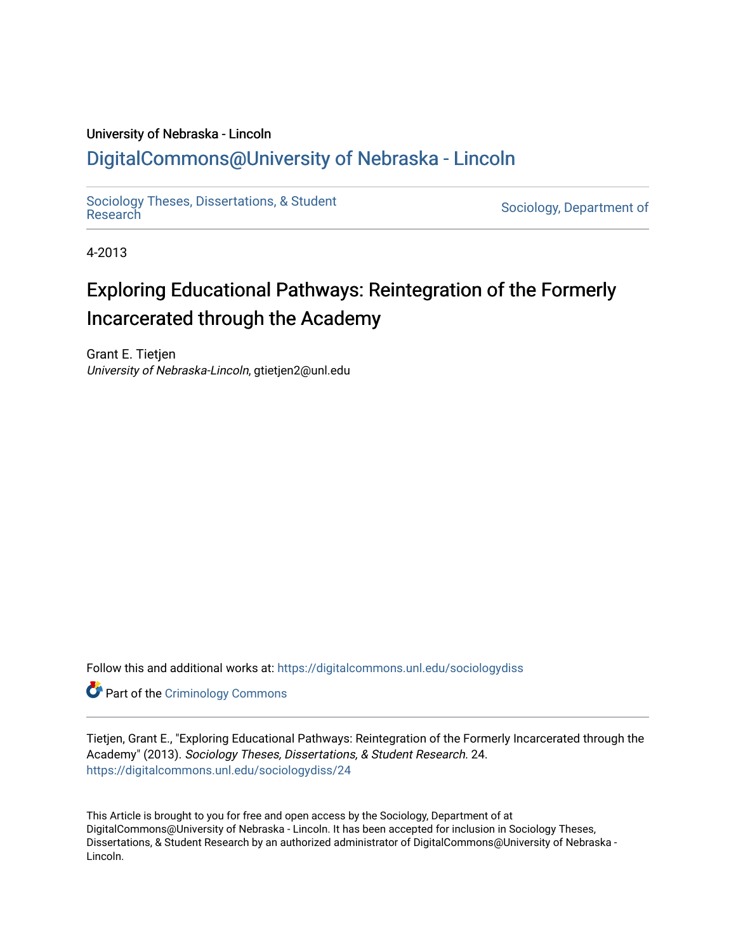# University of Nebraska - Lincoln [DigitalCommons@University of Nebraska - Lincoln](https://digitalcommons.unl.edu/)

[Sociology Theses, Dissertations, & Student](https://digitalcommons.unl.edu/sociologydiss)

Sociology, Department of

4-2013

# Exploring Educational Pathways: Reintegration of the Formerly Incarcerated through the Academy

Grant E. Tietjen University of Nebraska-Lincoln, gtietjen2@unl.edu

Follow this and additional works at: [https://digitalcommons.unl.edu/sociologydiss](https://digitalcommons.unl.edu/sociologydiss?utm_source=digitalcommons.unl.edu%2Fsociologydiss%2F24&utm_medium=PDF&utm_campaign=PDFCoverPages) 

**Part of the Criminology Commons** 

Tietjen, Grant E., "Exploring Educational Pathways: Reintegration of the Formerly Incarcerated through the Academy" (2013). Sociology Theses, Dissertations, & Student Research. 24. [https://digitalcommons.unl.edu/sociologydiss/24](https://digitalcommons.unl.edu/sociologydiss/24?utm_source=digitalcommons.unl.edu%2Fsociologydiss%2F24&utm_medium=PDF&utm_campaign=PDFCoverPages)

This Article is brought to you for free and open access by the Sociology, Department of at DigitalCommons@University of Nebraska - Lincoln. It has been accepted for inclusion in Sociology Theses, Dissertations, & Student Research by an authorized administrator of DigitalCommons@University of Nebraska -Lincoln.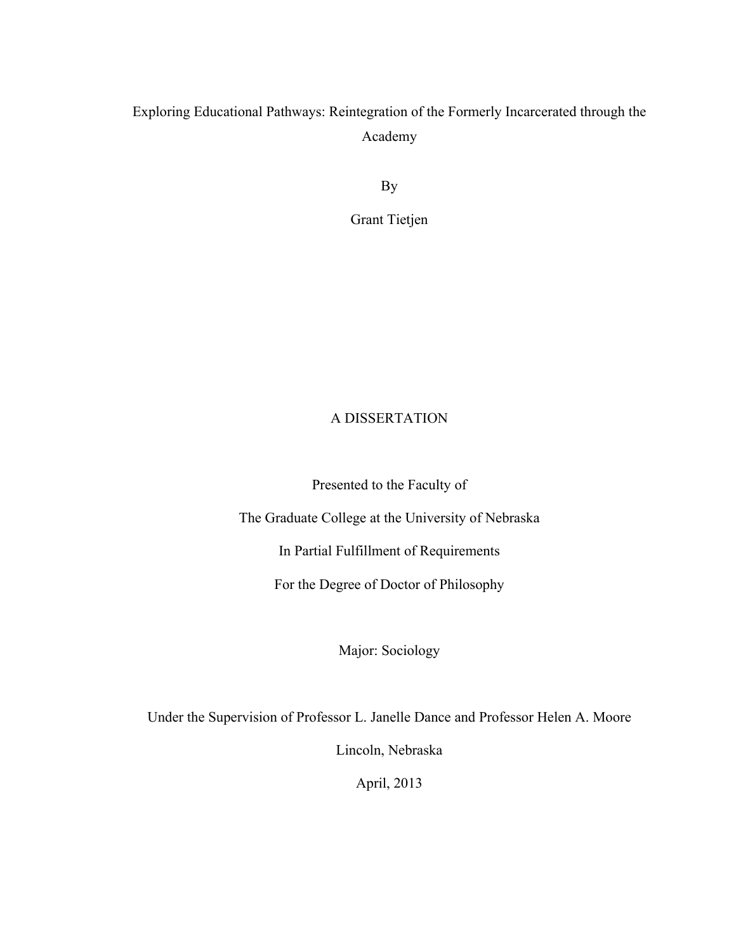# Exploring Educational Pathways: Reintegration of the Formerly Incarcerated through the Academy

By

Grant Tietjen

# A DISSERTATION

Presented to the Faculty of

The Graduate College at the University of Nebraska

In Partial Fulfillment of Requirements

For the Degree of Doctor of Philosophy

Major: Sociology

Under the Supervision of Professor L. Janelle Dance and Professor Helen A. Moore

Lincoln, Nebraska

April, 2013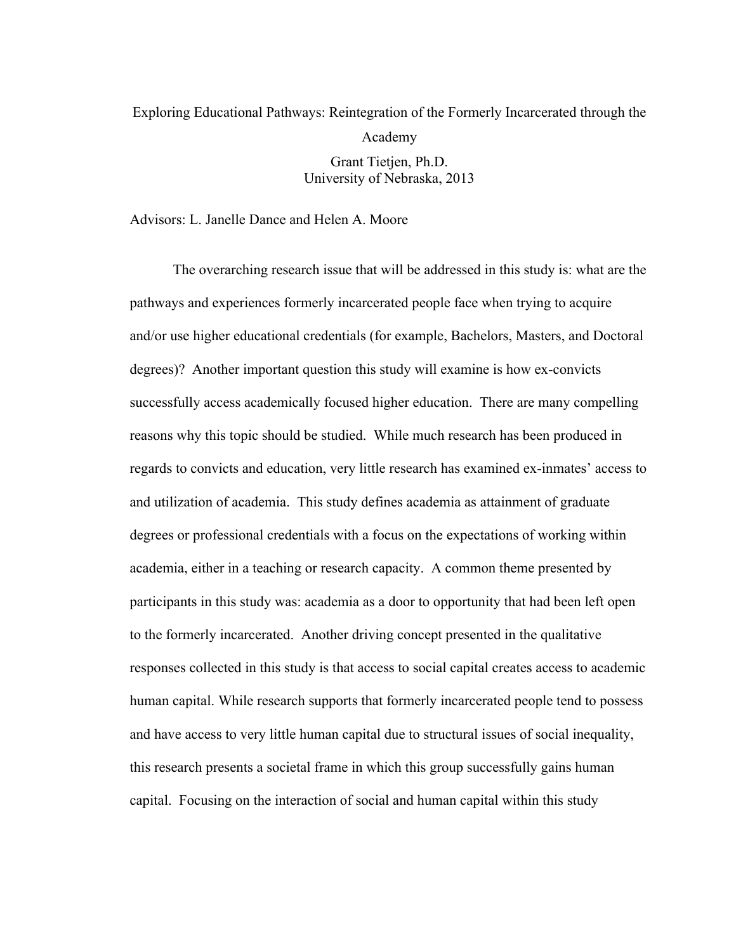# Exploring Educational Pathways: Reintegration of the Formerly Incarcerated through the Academy

Grant Tietjen, Ph.D. University of Nebraska, 2013

Advisors: L. Janelle Dance and Helen A. Moore

The overarching research issue that will be addressed in this study is: what are the pathways and experiences formerly incarcerated people face when trying to acquire and/or use higher educational credentials (for example, Bachelors, Masters, and Doctoral degrees)? Another important question this study will examine is how ex-convicts successfully access academically focused higher education. There are many compelling reasons why this topic should be studied. While much research has been produced in regards to convicts and education, very little research has examined ex-inmates' access to and utilization of academia. This study defines academia as attainment of graduate degrees or professional credentials with a focus on the expectations of working within academia, either in a teaching or research capacity. A common theme presented by participants in this study was: academia as a door to opportunity that had been left open to the formerly incarcerated. Another driving concept presented in the qualitative responses collected in this study is that access to social capital creates access to academic human capital. While research supports that formerly incarcerated people tend to possess and have access to very little human capital due to structural issues of social inequality, this research presents a societal frame in which this group successfully gains human capital. Focusing on the interaction of social and human capital within this study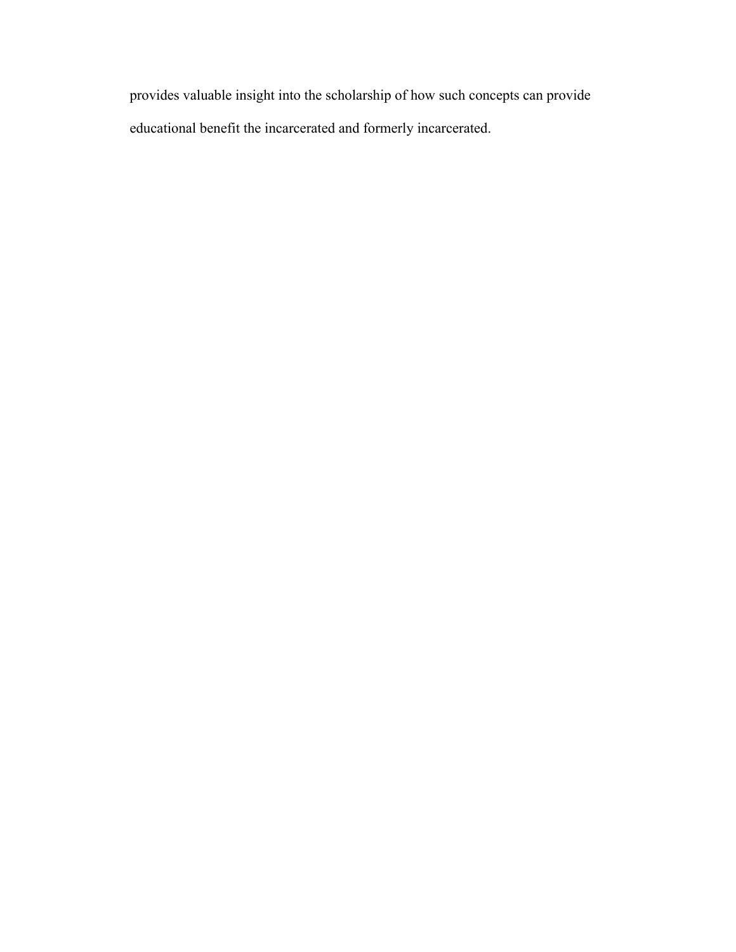provides valuable insight into the scholarship of how such concepts can provide educational benefit the incarcerated and formerly incarcerated.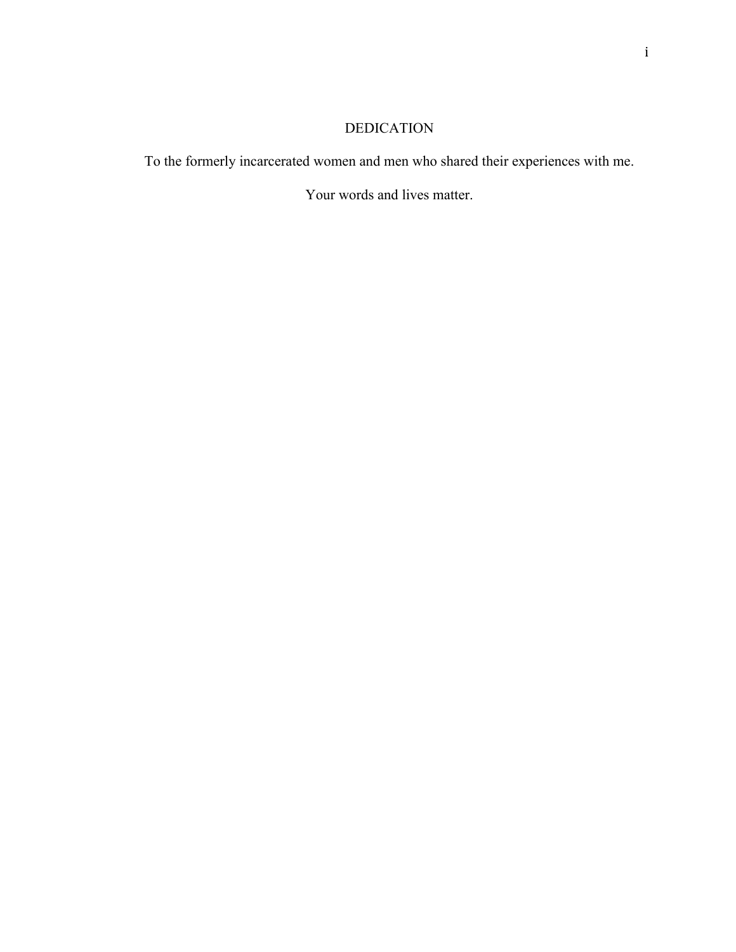# DEDICATION

To the formerly incarcerated women and men who shared their experiences with me.

Your words and lives matter.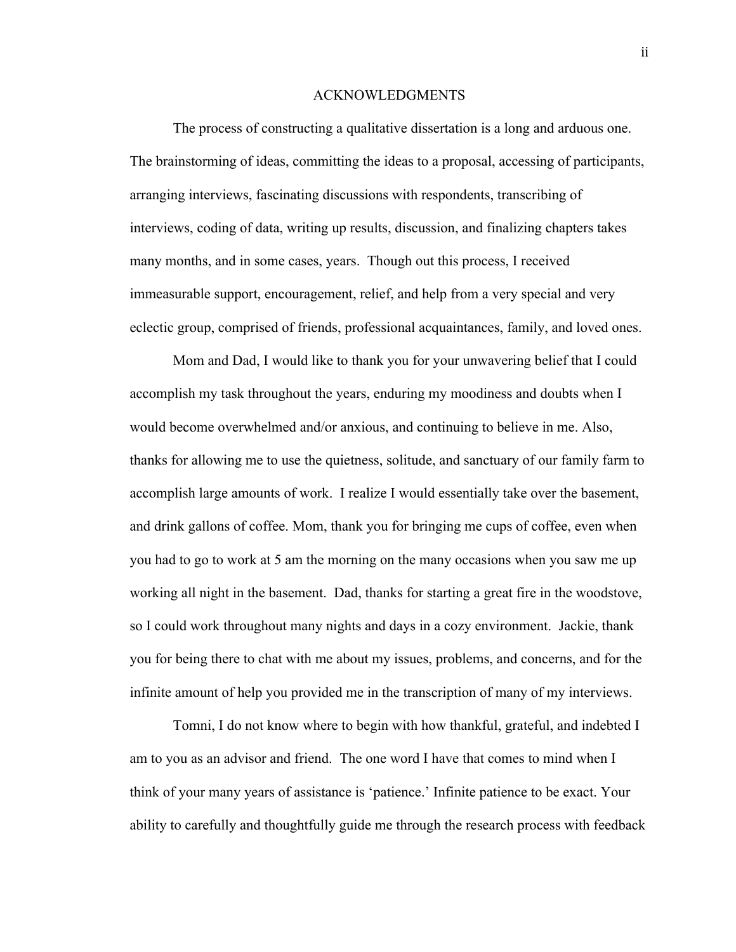### ACKNOWLEDGMENTS

The process of constructing a qualitative dissertation is a long and arduous one. The brainstorming of ideas, committing the ideas to a proposal, accessing of participants, arranging interviews, fascinating discussions with respondents, transcribing of interviews, coding of data, writing up results, discussion, and finalizing chapters takes many months, and in some cases, years. Though out this process, I received immeasurable support, encouragement, relief, and help from a very special and very eclectic group, comprised of friends, professional acquaintances, family, and loved ones.

 Mom and Dad, I would like to thank you for your unwavering belief that I could accomplish my task throughout the years, enduring my moodiness and doubts when I would become overwhelmed and/or anxious, and continuing to believe in me. Also, thanks for allowing me to use the quietness, solitude, and sanctuary of our family farm to accomplish large amounts of work. I realize I would essentially take over the basement, and drink gallons of coffee. Mom, thank you for bringing me cups of coffee, even when you had to go to work at 5 am the morning on the many occasions when you saw me up working all night in the basement. Dad, thanks for starting a great fire in the woodstove, so I could work throughout many nights and days in a cozy environment. Jackie, thank you for being there to chat with me about my issues, problems, and concerns, and for the infinite amount of help you provided me in the transcription of many of my interviews.

Tomni, I do not know where to begin with how thankful, grateful, and indebted I am to you as an advisor and friend. The one word I have that comes to mind when I think of your many years of assistance is 'patience.' Infinite patience to be exact. Your ability to carefully and thoughtfully guide me through the research process with feedback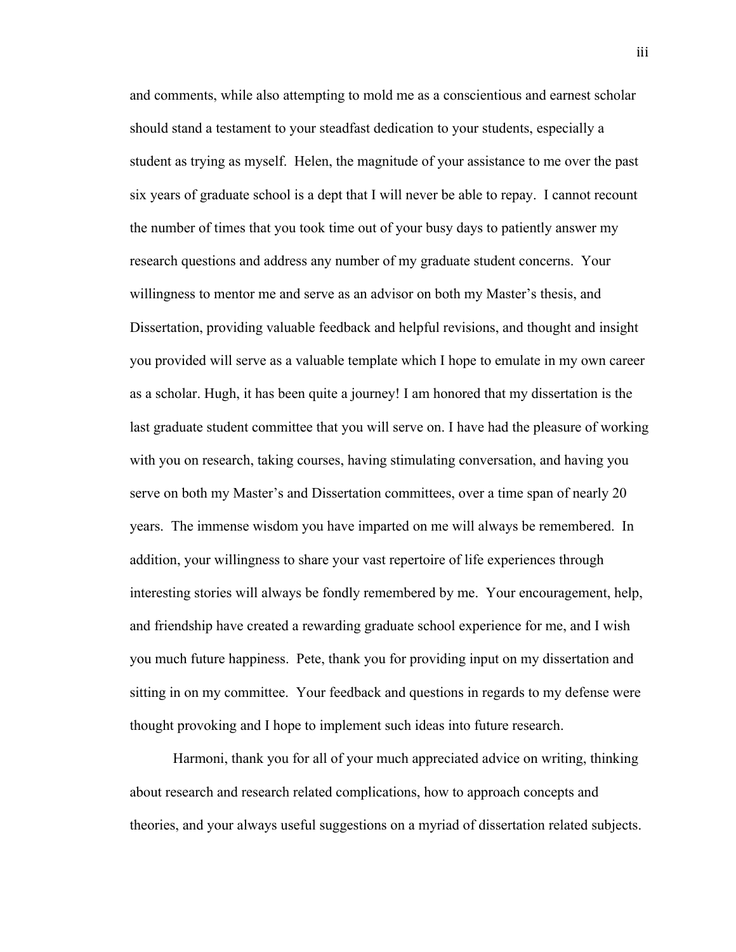and comments, while also attempting to mold me as a conscientious and earnest scholar should stand a testament to your steadfast dedication to your students, especially a student as trying as myself. Helen, the magnitude of your assistance to me over the past six years of graduate school is a dept that I will never be able to repay. I cannot recount the number of times that you took time out of your busy days to patiently answer my research questions and address any number of my graduate student concerns. Your willingness to mentor me and serve as an advisor on both my Master's thesis, and Dissertation, providing valuable feedback and helpful revisions, and thought and insight you provided will serve as a valuable template which I hope to emulate in my own career as a scholar. Hugh, it has been quite a journey! I am honored that my dissertation is the last graduate student committee that you will serve on. I have had the pleasure of working with you on research, taking courses, having stimulating conversation, and having you serve on both my Master's and Dissertation committees, over a time span of nearly 20 years. The immense wisdom you have imparted on me will always be remembered. In addition, your willingness to share your vast repertoire of life experiences through interesting stories will always be fondly remembered by me. Your encouragement, help, and friendship have created a rewarding graduate school experience for me, and I wish you much future happiness. Pete, thank you for providing input on my dissertation and sitting in on my committee. Your feedback and questions in regards to my defense were thought provoking and I hope to implement such ideas into future research.

Harmoni, thank you for all of your much appreciated advice on writing, thinking about research and research related complications, how to approach concepts and theories, and your always useful suggestions on a myriad of dissertation related subjects.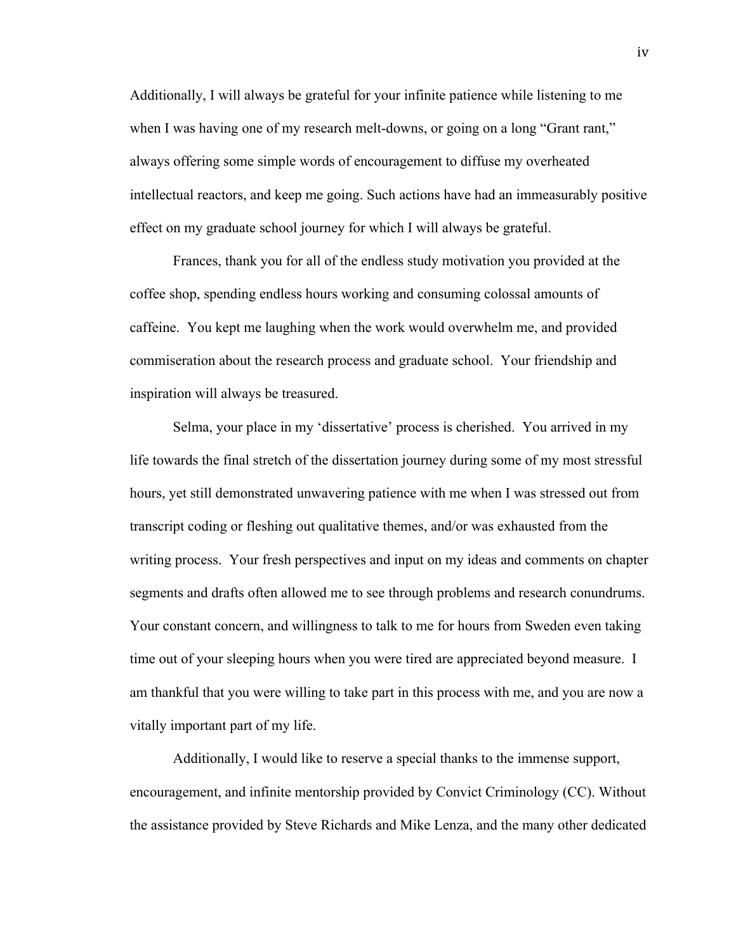Additionally, I will always be grateful for your infinite patience while listening to me when I was having one of my research melt-downs, or going on a long "Grant rant," always offering some simple words of encouragement to diffuse my overheated intellectual reactors, and keep me going. Such actions have had an immeasurably positive effect on my graduate school journey for which I will always be grateful.

Frances, thank you for all of the endless study motivation you provided at the coffee shop, spending endless hours working and consuming colossal amounts of caffeine. You kept me laughing when the work would overwhelm me, and provided commiseration about the research process and graduate school. Your friendship and inspiration will always be treasured.

Selma, your place in my 'dissertative' process is cherished. You arrived in my life towards the final stretch of the dissertation journey during some of my most stressful hours, yet still demonstrated unwavering patience with me when I was stressed out from transcript coding or fleshing out qualitative themes, and/or was exhausted from the writing process. Your fresh perspectives and input on my ideas and comments on chapter segments and drafts often allowed me to see through problems and research conundrums. Your constant concern, and willingness to talk to me for hours from Sweden even taking time out of your sleeping hours when you were tired are appreciated beyond measure. I am thankful that you were willing to take part in this process with me, and you are now a vitally important part of my life.

Additionally, I would like to reserve a special thanks to the immense support, encouragement, and infinite mentorship provided by Convict Criminology (CC). Without the assistance provided by Steve Richards and Mike Lenza, and the many other dedicated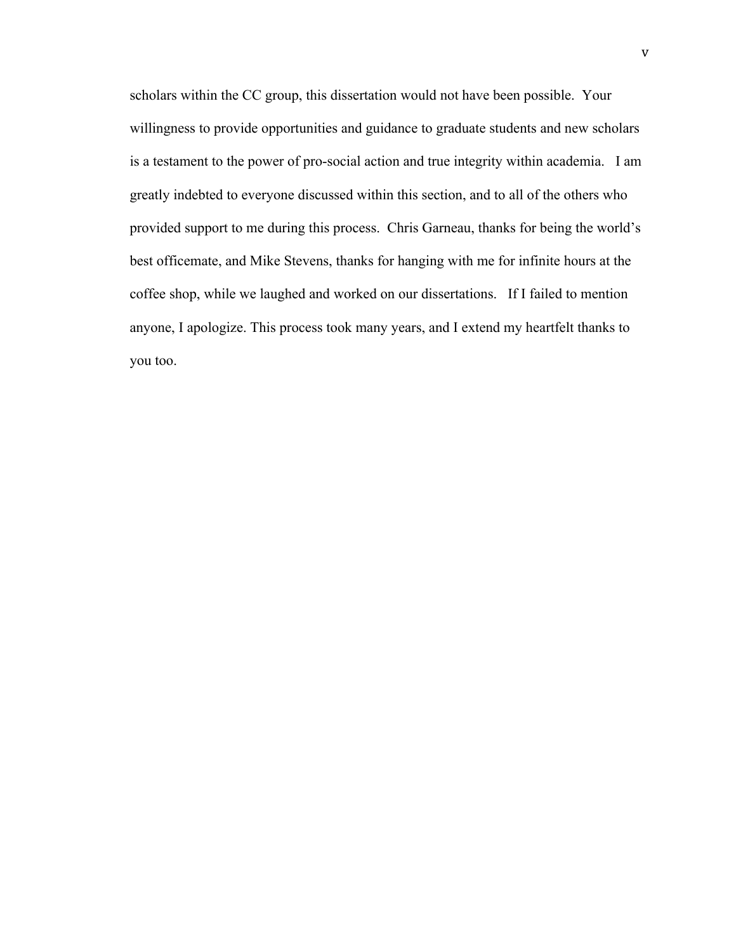scholars within the CC group, this dissertation would not have been possible. Your willingness to provide opportunities and guidance to graduate students and new scholars is a testament to the power of pro-social action and true integrity within academia. I am greatly indebted to everyone discussed within this section, and to all of the others who provided support to me during this process. Chris Garneau, thanks for being the world's best officemate, and Mike Stevens, thanks for hanging with me for infinite hours at the coffee shop, while we laughed and worked on our dissertations. If I failed to mention anyone, I apologize. This process took many years, and I extend my heartfelt thanks to you too.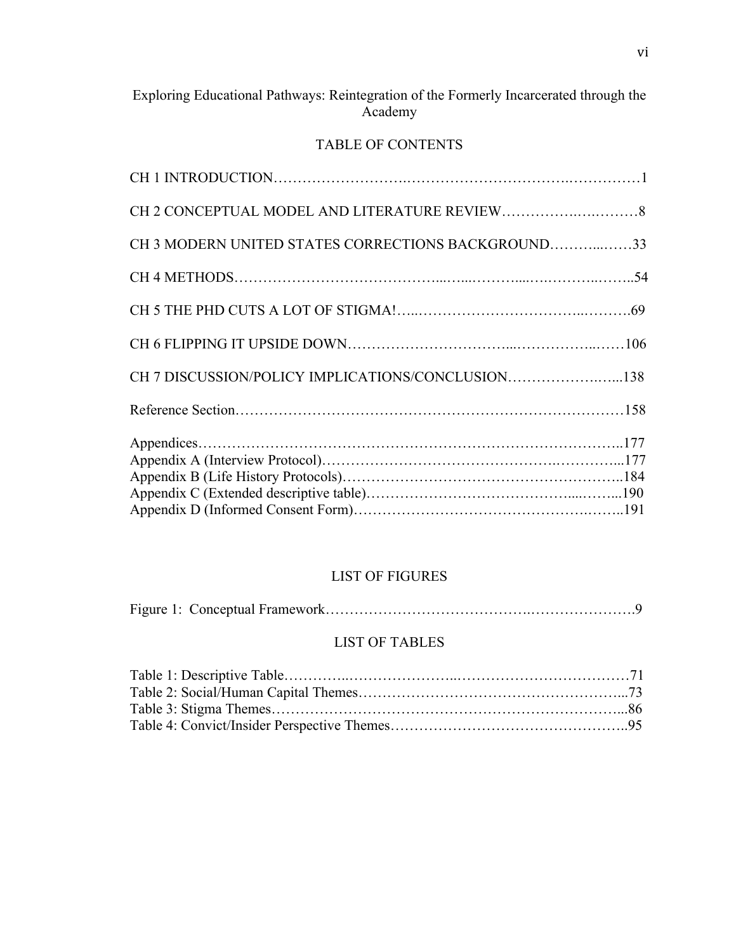# Exploring Educational Pathways: Reintegration of the Formerly Incarcerated through the Academy

# TABLE OF CONTENTS

| CH 3 MODERN UNITED STATES CORRECTIONS BACKGROUND33 |  |
|----------------------------------------------------|--|
|                                                    |  |
|                                                    |  |
|                                                    |  |
| CH 7 DISCUSSION/POLICY IMPLICATIONS/CONCLUSION138  |  |
|                                                    |  |
|                                                    |  |
|                                                    |  |
|                                                    |  |

## LIST OF FIGURES

|--|--|

# LIST OF TABLES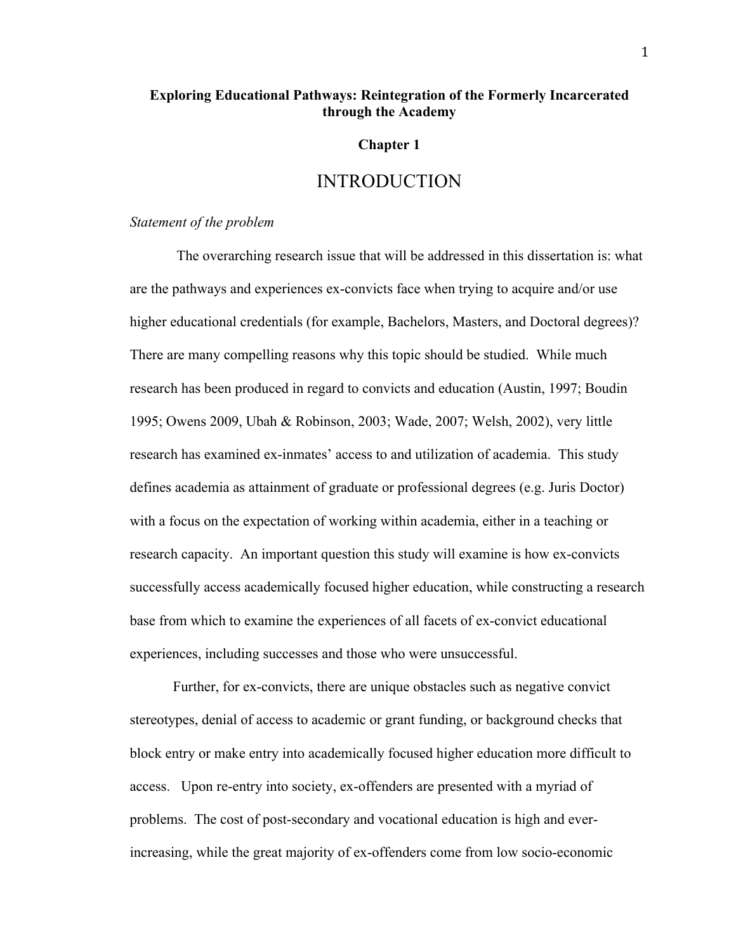## **Exploring Educational Pathways: Reintegration of the Formerly Incarcerated through the Academy**

### **Chapter 1**

## INTRODUCTION

## *Statement of the problem*

The overarching research issue that will be addressed in this dissertation is: what are the pathways and experiences ex-convicts face when trying to acquire and/or use higher educational credentials (for example, Bachelors, Masters, and Doctoral degrees)? There are many compelling reasons why this topic should be studied. While much research has been produced in regard to convicts and education (Austin, 1997; Boudin 1995; Owens 2009, Ubah & Robinson, 2003; Wade, 2007; Welsh, 2002), very little research has examined ex-inmates' access to and utilization of academia. This study defines academia as attainment of graduate or professional degrees (e.g. Juris Doctor) with a focus on the expectation of working within academia, either in a teaching or research capacity. An important question this study will examine is how ex-convicts successfully access academically focused higher education, while constructing a research base from which to examine the experiences of all facets of ex-convict educational experiences, including successes and those who were unsuccessful.

Further, for ex-convicts, there are unique obstacles such as negative convict stereotypes, denial of access to academic or grant funding, or background checks that block entry or make entry into academically focused higher education more difficult to access. Upon re-entry into society, ex-offenders are presented with a myriad of problems. The cost of post-secondary and vocational education is high and everincreasing, while the great majority of ex-offenders come from low socio-economic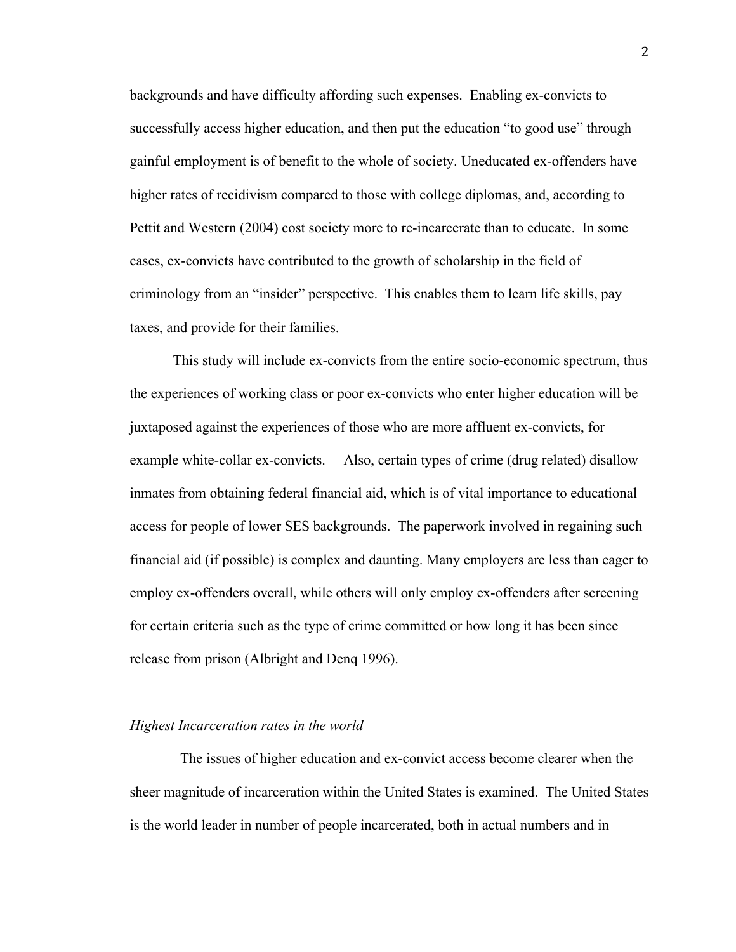backgrounds and have difficulty affording such expenses. Enabling ex-convicts to successfully access higher education, and then put the education "to good use" through gainful employment is of benefit to the whole of society. Uneducated ex-offenders have higher rates of recidivism compared to those with college diplomas, and, according to Pettit and Western (2004) cost society more to re-incarcerate than to educate. In some cases, ex-convicts have contributed to the growth of scholarship in the field of criminology from an "insider" perspective. This enables them to learn life skills, pay taxes, and provide for their families.

This study will include ex-convicts from the entire socio-economic spectrum, thus the experiences of working class or poor ex-convicts who enter higher education will be juxtaposed against the experiences of those who are more affluent ex-convicts, for example white-collar ex-convicts. Also, certain types of crime (drug related) disallow inmates from obtaining federal financial aid, which is of vital importance to educational access for people of lower SES backgrounds. The paperwork involved in regaining such financial aid (if possible) is complex and daunting. Many employers are less than eager to employ ex-offenders overall, while others will only employ ex-offenders after screening for certain criteria such as the type of crime committed or how long it has been since release from prison (Albright and Denq 1996).

#### *Highest Incarceration rates in the world*

The issues of higher education and ex-convict access become clearer when the sheer magnitude of incarceration within the United States is examined. The United States is the world leader in number of people incarcerated, both in actual numbers and in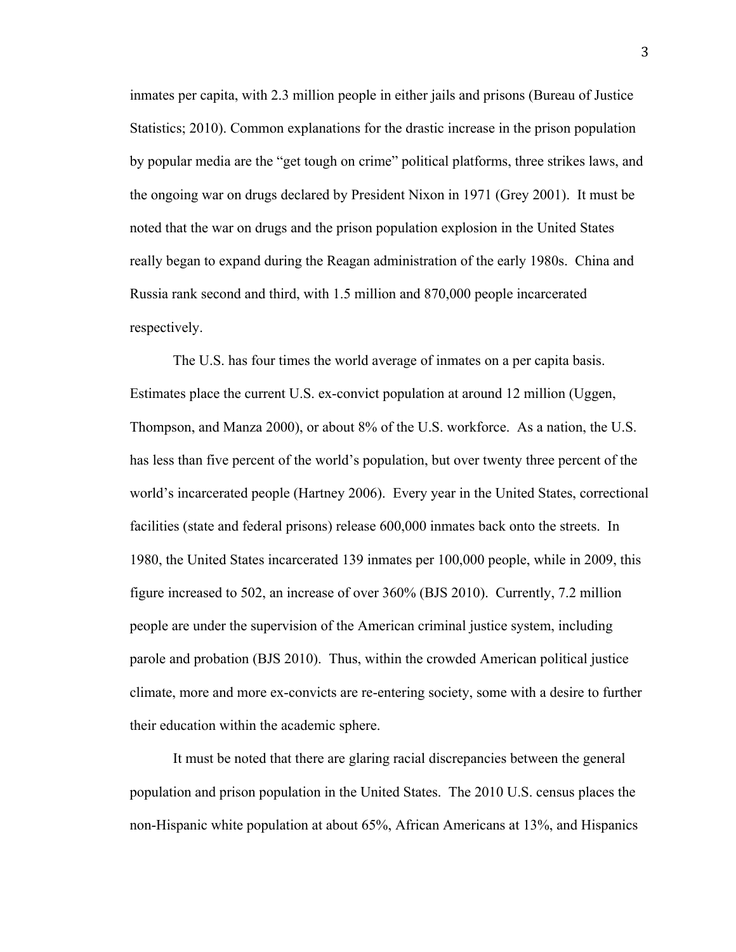inmates per capita, with 2.3 million people in either jails and prisons (Bureau of Justice Statistics; 2010). Common explanations for the drastic increase in the prison population by popular media are the "get tough on crime" political platforms, three strikes laws, and the ongoing war on drugs declared by President Nixon in 1971 (Grey 2001). It must be noted that the war on drugs and the prison population explosion in the United States really began to expand during the Reagan administration of the early 1980s. China and Russia rank second and third, with 1.5 million and 870,000 people incarcerated respectively.

The U.S. has four times the world average of inmates on a per capita basis. Estimates place the current U.S. ex-convict population at around 12 million (Uggen, Thompson, and Manza 2000), or about 8% of the U.S. workforce. As a nation, the U.S. has less than five percent of the world's population, but over twenty three percent of the world's incarcerated people (Hartney 2006). Every year in the United States, correctional facilities (state and federal prisons) release 600,000 inmates back onto the streets. In 1980, the United States incarcerated 139 inmates per 100,000 people, while in 2009, this figure increased to 502, an increase of over 360% (BJS 2010). Currently, 7.2 million people are under the supervision of the American criminal justice system, including parole and probation (BJS 2010). Thus, within the crowded American political justice climate, more and more ex-convicts are re-entering society, some with a desire to further their education within the academic sphere.

It must be noted that there are glaring racial discrepancies between the general population and prison population in the United States. The 2010 U.S. census places the non-Hispanic white population at about 65%, African Americans at 13%, and Hispanics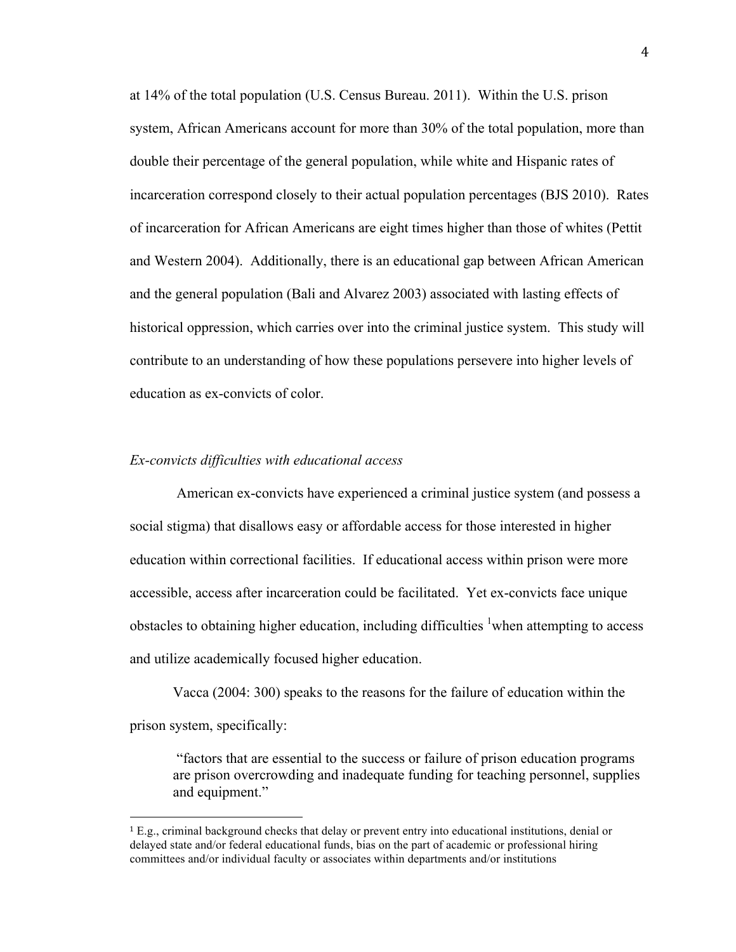at 14% of the total population (U.S. Census Bureau. 2011). Within the U.S. prison system, African Americans account for more than 30% of the total population, more than double their percentage of the general population, while white and Hispanic rates of incarceration correspond closely to their actual population percentages (BJS 2010). Rates of incarceration for African Americans are eight times higher than those of whites (Pettit and Western 2004). Additionally, there is an educational gap between African American and the general population (Bali and Alvarez 2003) associated with lasting effects of historical oppression, which carries over into the criminal justice system. This study will contribute to an understanding of how these populations persevere into higher levels of education as ex-convicts of color.

#### *Ex-convicts difficulties with educational access*

!!!!!!!!!!!!!!!!!!!!!!!!!!!!!!!!!!!!!!!!!!!!!!!!!!!!!!!

American ex-convicts have experienced a criminal justice system (and possess a social stigma) that disallows easy or affordable access for those interested in higher education within correctional facilities. If educational access within prison were more accessible, access after incarceration could be facilitated. Yet ex-convicts face unique obstacles to obtaining higher education, including difficulties  $\frac{1}{1}$  when attempting to access and utilize academically focused higher education.

Vacca (2004: 300) speaks to the reasons for the failure of education within the prison system, specifically:

"factors that are essential to the success or failure of prison education programs are prison overcrowding and inadequate funding for teaching personnel, supplies and equipment."

<sup>1</sup> E.g., criminal background checks that delay or prevent entry into educational institutions, denial or delayed state and/or federal educational funds, bias on the part of academic or professional hiring committees and/or individual faculty or associates within departments and/or institutions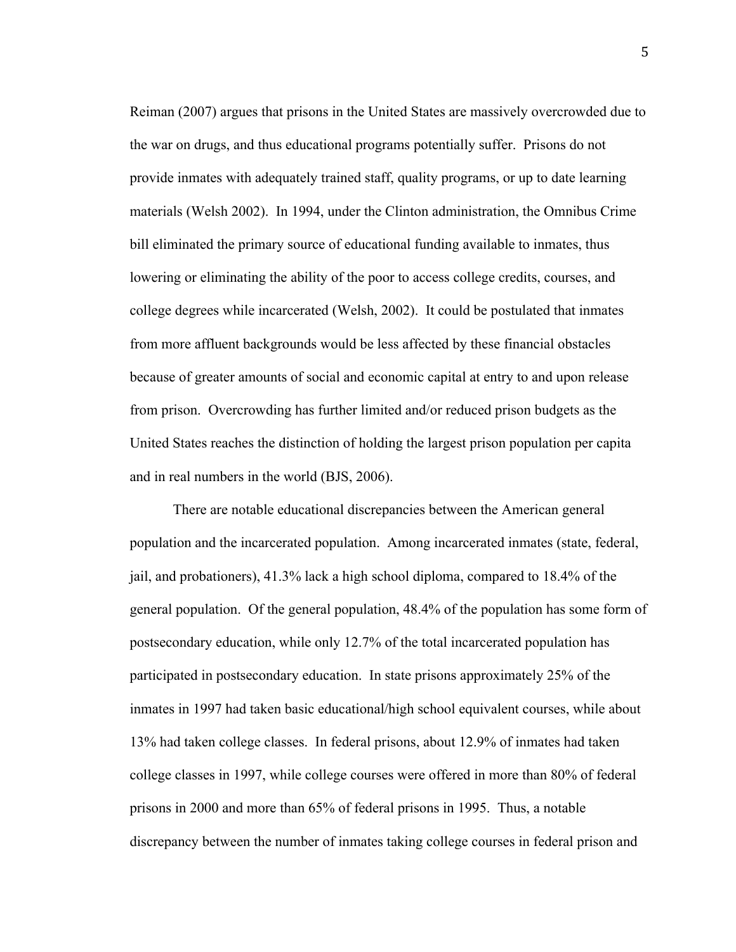Reiman (2007) argues that prisons in the United States are massively overcrowded due to the war on drugs, and thus educational programs potentially suffer. Prisons do not provide inmates with adequately trained staff, quality programs, or up to date learning materials (Welsh 2002). In 1994, under the Clinton administration, the Omnibus Crime bill eliminated the primary source of educational funding available to inmates, thus lowering or eliminating the ability of the poor to access college credits, courses, and college degrees while incarcerated (Welsh, 2002). It could be postulated that inmates from more affluent backgrounds would be less affected by these financial obstacles because of greater amounts of social and economic capital at entry to and upon release from prison. Overcrowding has further limited and/or reduced prison budgets as the United States reaches the distinction of holding the largest prison population per capita and in real numbers in the world (BJS, 2006).

There are notable educational discrepancies between the American general population and the incarcerated population. Among incarcerated inmates (state, federal, jail, and probationers), 41.3% lack a high school diploma, compared to 18.4% of the general population. Of the general population, 48.4% of the population has some form of postsecondary education, while only 12.7% of the total incarcerated population has participated in postsecondary education. In state prisons approximately 25% of the inmates in 1997 had taken basic educational/high school equivalent courses, while about 13% had taken college classes. In federal prisons, about 12.9% of inmates had taken college classes in 1997, while college courses were offered in more than 80% of federal prisons in 2000 and more than 65% of federal prisons in 1995. Thus, a notable discrepancy between the number of inmates taking college courses in federal prison and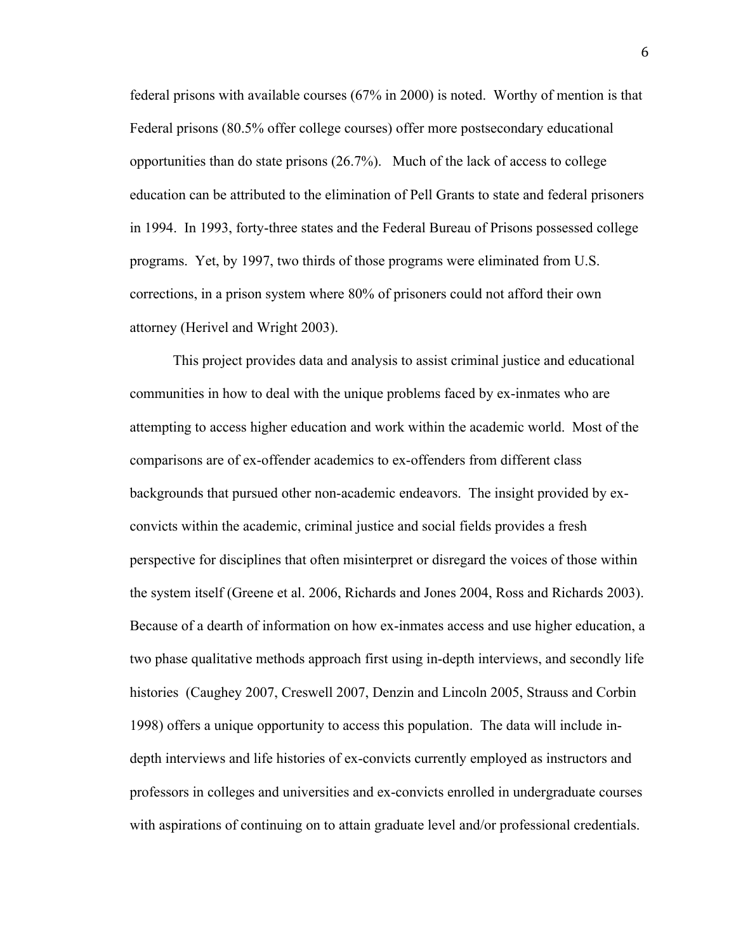federal prisons with available courses (67% in 2000) is noted. Worthy of mention is that Federal prisons (80.5% offer college courses) offer more postsecondary educational opportunities than do state prisons (26.7%). Much of the lack of access to college education can be attributed to the elimination of Pell Grants to state and federal prisoners in 1994. In 1993, forty-three states and the Federal Bureau of Prisons possessed college programs. Yet, by 1997, two thirds of those programs were eliminated from U.S. corrections, in a prison system where 80% of prisoners could not afford their own attorney (Herivel and Wright 2003).

This project provides data and analysis to assist criminal justice and educational communities in how to deal with the unique problems faced by ex-inmates who are attempting to access higher education and work within the academic world. Most of the comparisons are of ex-offender academics to ex-offenders from different class backgrounds that pursued other non-academic endeavors. The insight provided by exconvicts within the academic, criminal justice and social fields provides a fresh perspective for disciplines that often misinterpret or disregard the voices of those within the system itself (Greene et al. 2006, Richards and Jones 2004, Ross and Richards 2003). Because of a dearth of information on how ex-inmates access and use higher education, a two phase qualitative methods approach first using in-depth interviews, and secondly life histories (Caughey 2007, Creswell 2007, Denzin and Lincoln 2005, Strauss and Corbin 1998) offers a unique opportunity to access this population. The data will include indepth interviews and life histories of ex-convicts currently employed as instructors and professors in colleges and universities and ex-convicts enrolled in undergraduate courses with aspirations of continuing on to attain graduate level and/or professional credentials.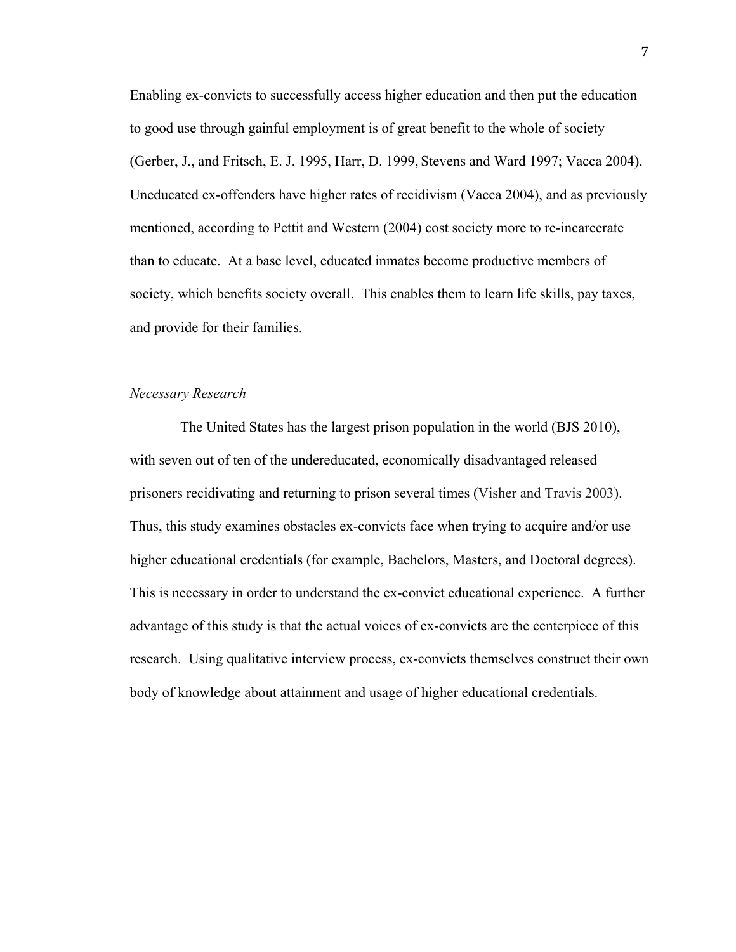Enabling ex-convicts to successfully access higher education and then put the education to good use through gainful employment is of great benefit to the whole of society (Gerber, J., and Fritsch, E. J. 1995, Harr, D. 1999, Stevens and Ward 1997; Vacca 2004). Uneducated ex-offenders have higher rates of recidivism (Vacca 2004), and as previously mentioned, according to Pettit and Western (2004) cost society more to re-incarcerate than to educate. At a base level, educated inmates become productive members of society, which benefits society overall. This enables them to learn life skills, pay taxes, and provide for their families.

## *Necessary Research*

The United States has the largest prison population in the world (BJS 2010), with seven out of ten of the undereducated, economically disadvantaged released prisoners recidivating and returning to prison several times (Visher and Travis 2003). Thus, this study examines obstacles ex-convicts face when trying to acquire and/or use higher educational credentials (for example, Bachelors, Masters, and Doctoral degrees). This is necessary in order to understand the ex-convict educational experience. A further advantage of this study is that the actual voices of ex-convicts are the centerpiece of this research. Using qualitative interview process, ex-convicts themselves construct their own body of knowledge about attainment and usage of higher educational credentials.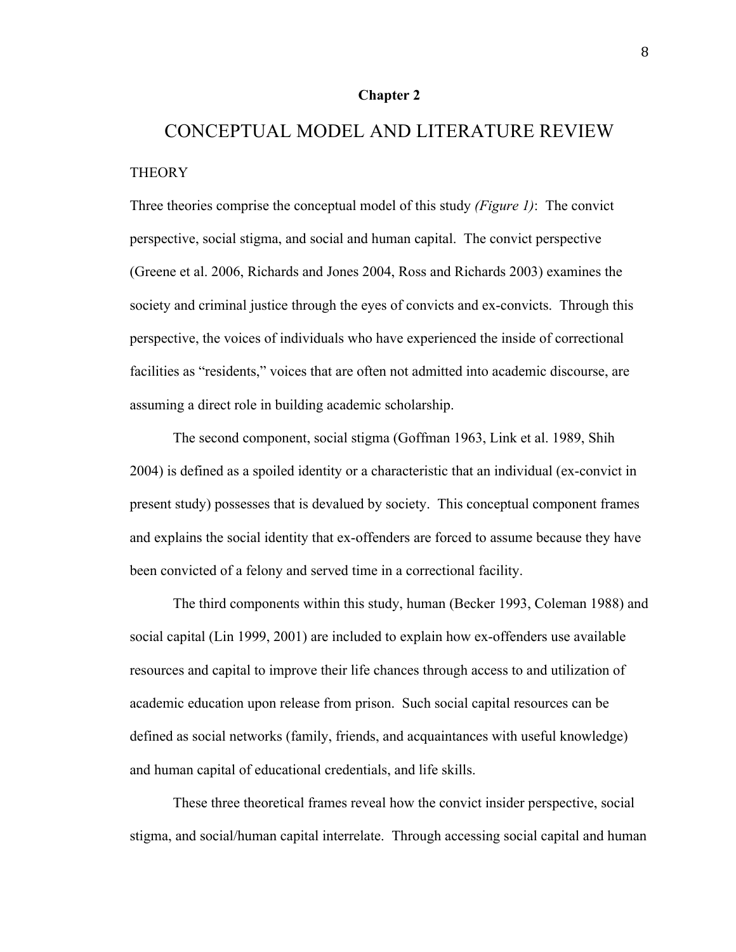#### **Chapter 2**

# CONCEPTUAL MODEL AND LITERATURE REVIEW **THEORY**

Three theories comprise the conceptual model of this study *(Figure 1)*: The convict perspective, social stigma, and social and human capital. The convict perspective (Greene et al. 2006, Richards and Jones 2004, Ross and Richards 2003) examines the society and criminal justice through the eyes of convicts and ex-convicts. Through this perspective, the voices of individuals who have experienced the inside of correctional facilities as "residents," voices that are often not admitted into academic discourse, are assuming a direct role in building academic scholarship.

The second component, social stigma (Goffman 1963, Link et al. 1989, Shih 2004) is defined as a spoiled identity or a characteristic that an individual (ex-convict in present study) possesses that is devalued by society. This conceptual component frames and explains the social identity that ex-offenders are forced to assume because they have been convicted of a felony and served time in a correctional facility.

The third components within this study, human (Becker 1993, Coleman 1988) and social capital (Lin 1999, 2001) are included to explain how ex-offenders use available resources and capital to improve their life chances through access to and utilization of academic education upon release from prison. Such social capital resources can be defined as social networks (family, friends, and acquaintances with useful knowledge) and human capital of educational credentials, and life skills.

These three theoretical frames reveal how the convict insider perspective, social stigma, and social/human capital interrelate. Through accessing social capital and human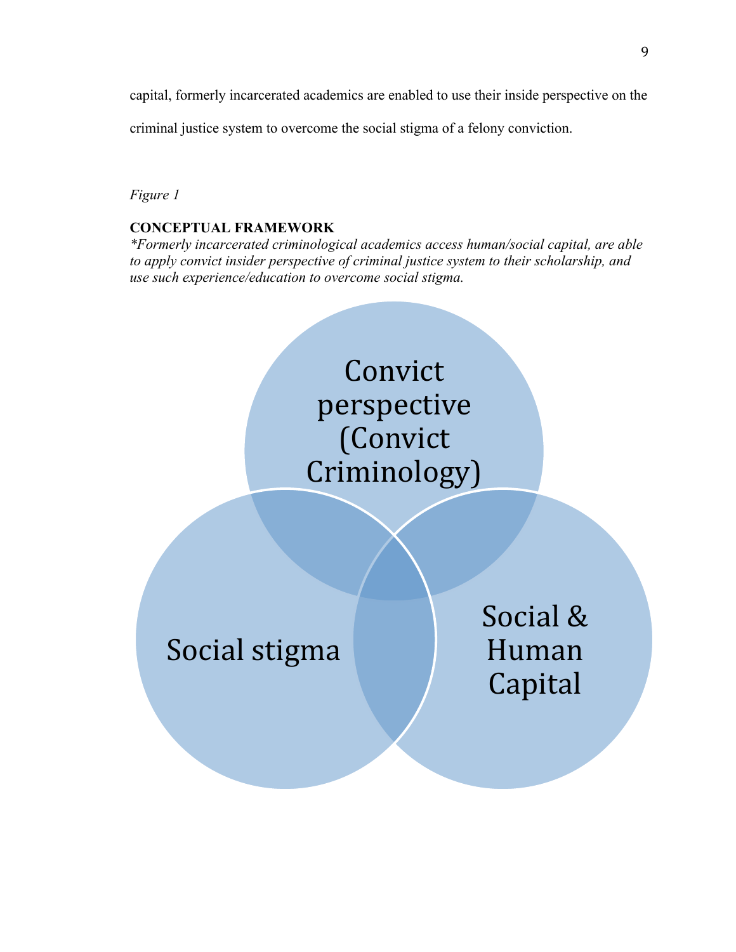capital, formerly incarcerated academics are enabled to use their inside perspective on the

criminal justice system to overcome the social stigma of a felony conviction.

## *Figure 1*

## **CONCEPTUAL FRAMEWORK**

*\*Formerly incarcerated criminological academics access human/social capital, are able to apply convict insider perspective of criminal justice system to their scholarship, and use such experience/education to overcome social stigma.*

> **Convict** perspective! (Convict! Criminology)

Social stigma

Social & Human! **Capital**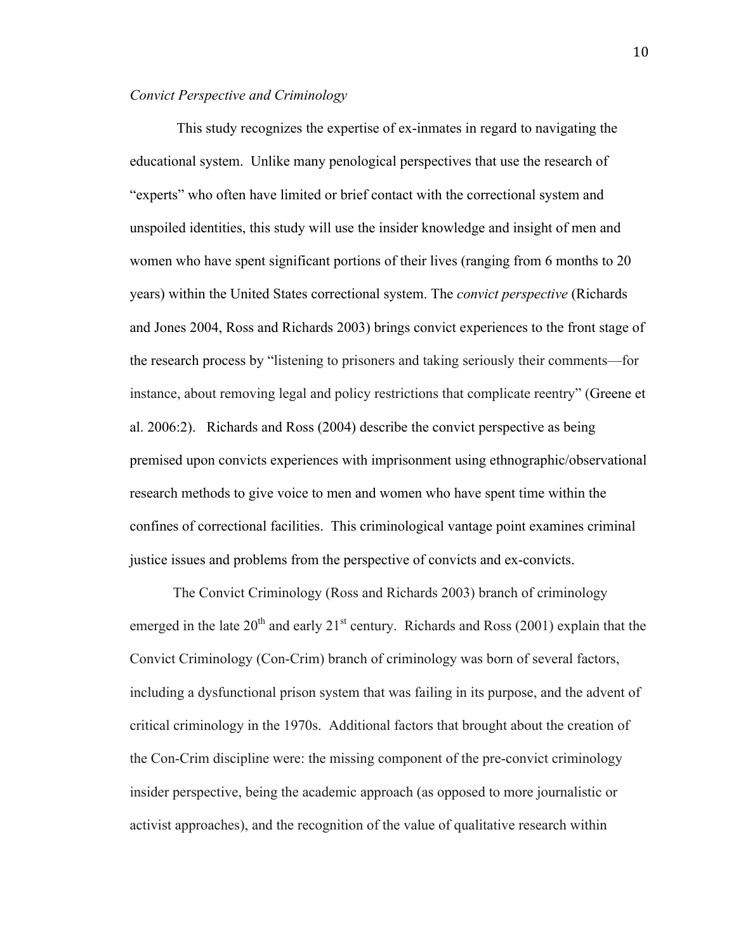## *Convict Perspective and Criminology*

This study recognizes the expertise of ex-inmates in regard to navigating the educational system. Unlike many penological perspectives that use the research of "experts" who often have limited or brief contact with the correctional system and unspoiled identities, this study will use the insider knowledge and insight of men and women who have spent significant portions of their lives (ranging from 6 months to 20 years) within the United States correctional system. The *convict perspective* (Richards and Jones 2004, Ross and Richards 2003) brings convict experiences to the front stage of the research process by "listening to prisoners and taking seriously their comments—for instance, about removing legal and policy restrictions that complicate reentry" (Greene et al. 2006:2). Richards and Ross (2004) describe the convict perspective as being premised upon convicts experiences with imprisonment using ethnographic/observational research methods to give voice to men and women who have spent time within the confines of correctional facilities. This criminological vantage point examines criminal justice issues and problems from the perspective of convicts and ex-convicts.

The Convict Criminology (Ross and Richards 2003) branch of criminology emerged in the late  $20^{th}$  and early  $21^{st}$  century. Richards and Ross (2001) explain that the Convict Criminology (Con-Crim) branch of criminology was born of several factors, including a dysfunctional prison system that was failing in its purpose, and the advent of critical criminology in the 1970s. Additional factors that brought about the creation of the Con-Crim discipline were: the missing component of the pre-convict criminology insider perspective, being the academic approach (as opposed to more journalistic or activist approaches), and the recognition of the value of qualitative research within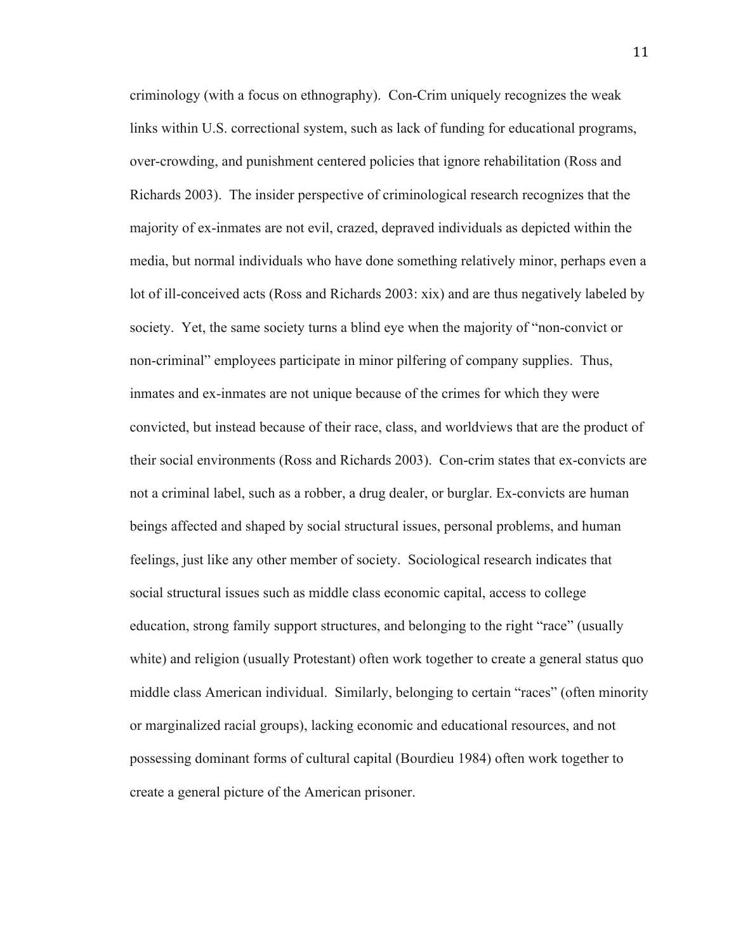criminology (with a focus on ethnography). Con-Crim uniquely recognizes the weak links within U.S. correctional system, such as lack of funding for educational programs, over-crowding, and punishment centered policies that ignore rehabilitation (Ross and Richards 2003). The insider perspective of criminological research recognizes that the majority of ex-inmates are not evil, crazed, depraved individuals as depicted within the media, but normal individuals who have done something relatively minor, perhaps even a lot of ill-conceived acts (Ross and Richards 2003: xix) and are thus negatively labeled by society. Yet, the same society turns a blind eye when the majority of "non-convict or non-criminal" employees participate in minor pilfering of company supplies. Thus, inmates and ex-inmates are not unique because of the crimes for which they were convicted, but instead because of their race, class, and worldviews that are the product of their social environments (Ross and Richards 2003). Con-crim states that ex-convicts are not a criminal label, such as a robber, a drug dealer, or burglar. Ex-convicts are human beings affected and shaped by social structural issues, personal problems, and human feelings, just like any other member of society. Sociological research indicates that social structural issues such as middle class economic capital, access to college education, strong family support structures, and belonging to the right "race" (usually white) and religion (usually Protestant) often work together to create a general status quo middle class American individual. Similarly, belonging to certain "races" (often minority or marginalized racial groups), lacking economic and educational resources, and not possessing dominant forms of cultural capital (Bourdieu 1984) often work together to create a general picture of the American prisoner.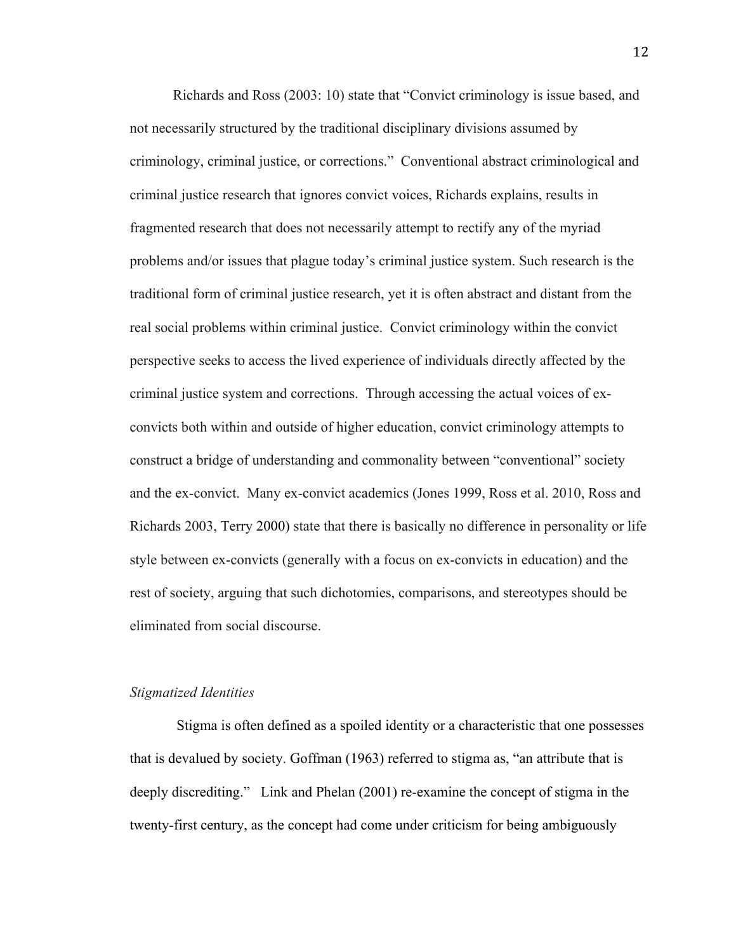Richards and Ross (2003: 10) state that "Convict criminology is issue based, and not necessarily structured by the traditional disciplinary divisions assumed by criminology, criminal justice, or corrections." Conventional abstract criminological and criminal justice research that ignores convict voices, Richards explains, results in fragmented research that does not necessarily attempt to rectify any of the myriad problems and/or issues that plague today's criminal justice system. Such research is the traditional form of criminal justice research, yet it is often abstract and distant from the real social problems within criminal justice. Convict criminology within the convict perspective seeks to access the lived experience of individuals directly affected by the criminal justice system and corrections. Through accessing the actual voices of exconvicts both within and outside of higher education, convict criminology attempts to construct a bridge of understanding and commonality between "conventional" society and the ex-convict. Many ex-convict academics (Jones 1999, Ross et al. 2010, Ross and Richards 2003, Terry 2000) state that there is basically no difference in personality or life style between ex-convicts (generally with a focus on ex-convicts in education) and the rest of society, arguing that such dichotomies, comparisons, and stereotypes should be eliminated from social discourse.

#### *Stigmatized Identities*

Stigma is often defined as a spoiled identity or a characteristic that one possesses that is devalued by society. Goffman (1963) referred to stigma as, "an attribute that is deeply discrediting." Link and Phelan (2001) re-examine the concept of stigma in the twenty-first century, as the concept had come under criticism for being ambiguously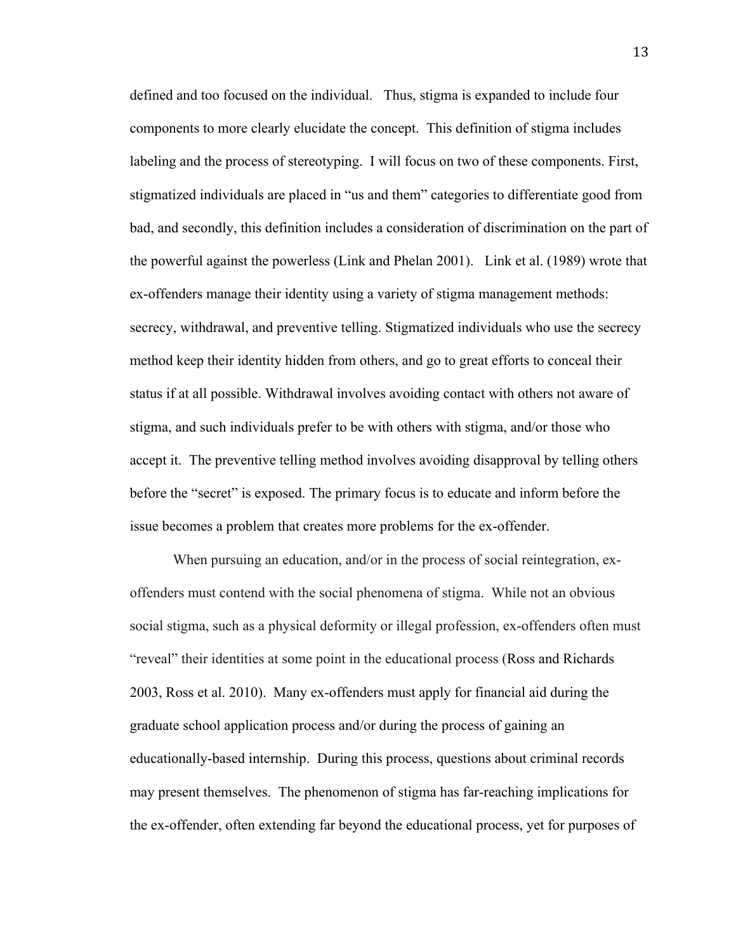defined and too focused on the individual. Thus, stigma is expanded to include four components to more clearly elucidate the concept. This definition of stigma includes labeling and the process of stereotyping. I will focus on two of these components. First, stigmatized individuals are placed in "us and them" categories to differentiate good from bad, and secondly, this definition includes a consideration of discrimination on the part of the powerful against the powerless (Link and Phelan 2001). Link et al. (1989) wrote that ex-offenders manage their identity using a variety of stigma management methods: secrecy, withdrawal, and preventive telling. Stigmatized individuals who use the secrecy method keep their identity hidden from others, and go to great efforts to conceal their status if at all possible. Withdrawal involves avoiding contact with others not aware of stigma, and such individuals prefer to be with others with stigma, and/or those who accept it. The preventive telling method involves avoiding disapproval by telling others before the "secret" is exposed. The primary focus is to educate and inform before the issue becomes a problem that creates more problems for the ex-offender.

When pursuing an education, and/or in the process of social reintegration, exoffenders must contend with the social phenomena of stigma. While not an obvious social stigma, such as a physical deformity or illegal profession, ex-offenders often must "reveal" their identities at some point in the educational process (Ross and Richards 2003, Ross et al. 2010). Many ex-offenders must apply for financial aid during the graduate school application process and/or during the process of gaining an educationally-based internship. During this process, questions about criminal records may present themselves. The phenomenon of stigma has far-reaching implications for the ex-offender, often extending far beyond the educational process, yet for purposes of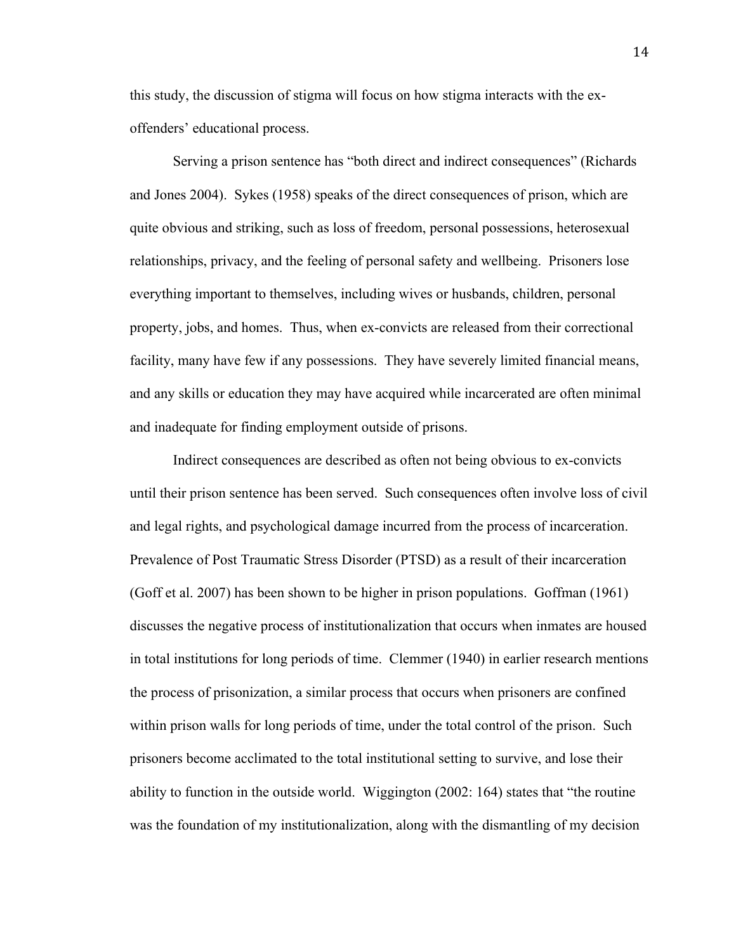this study, the discussion of stigma will focus on how stigma interacts with the exoffenders' educational process.

Serving a prison sentence has "both direct and indirect consequences" (Richards and Jones 2004). Sykes (1958) speaks of the direct consequences of prison, which are quite obvious and striking, such as loss of freedom, personal possessions, heterosexual relationships, privacy, and the feeling of personal safety and wellbeing. Prisoners lose everything important to themselves, including wives or husbands, children, personal property, jobs, and homes. Thus, when ex-convicts are released from their correctional facility, many have few if any possessions. They have severely limited financial means, and any skills or education they may have acquired while incarcerated are often minimal and inadequate for finding employment outside of prisons.

Indirect consequences are described as often not being obvious to ex-convicts until their prison sentence has been served. Such consequences often involve loss of civil and legal rights, and psychological damage incurred from the process of incarceration. Prevalence of Post Traumatic Stress Disorder (PTSD) as a result of their incarceration (Goff et al. 2007) has been shown to be higher in prison populations. Goffman (1961) discusses the negative process of institutionalization that occurs when inmates are housed in total institutions for long periods of time. Clemmer (1940) in earlier research mentions the process of prisonization, a similar process that occurs when prisoners are confined within prison walls for long periods of time, under the total control of the prison. Such prisoners become acclimated to the total institutional setting to survive, and lose their ability to function in the outside world. Wiggington (2002: 164) states that "the routine was the foundation of my institutionalization, along with the dismantling of my decision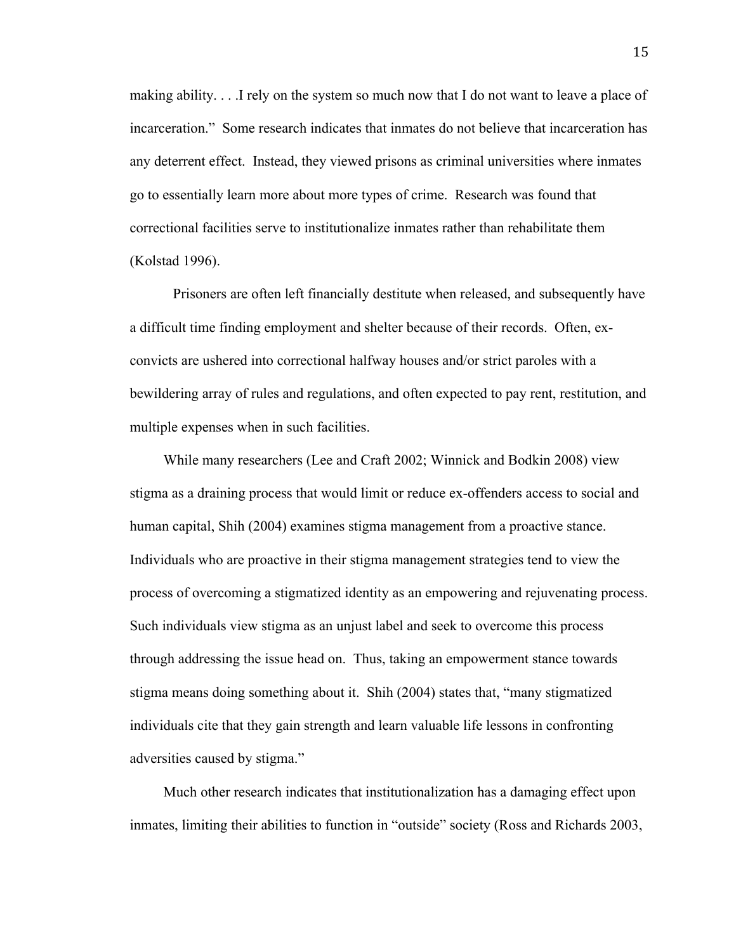making ability. . . .I rely on the system so much now that I do not want to leave a place of incarceration." Some research indicates that inmates do not believe that incarceration has any deterrent effect. Instead, they viewed prisons as criminal universities where inmates go to essentially learn more about more types of crime. Research was found that correctional facilities serve to institutionalize inmates rather than rehabilitate them (Kolstad 1996).

Prisoners are often left financially destitute when released, and subsequently have a difficult time finding employment and shelter because of their records. Often, exconvicts are ushered into correctional halfway houses and/or strict paroles with a bewildering array of rules and regulations, and often expected to pay rent, restitution, and multiple expenses when in such facilities.

While many researchers (Lee and Craft 2002; Winnick and Bodkin 2008) view stigma as a draining process that would limit or reduce ex-offenders access to social and human capital, Shih (2004) examines stigma management from a proactive stance. Individuals who are proactive in their stigma management strategies tend to view the process of overcoming a stigmatized identity as an empowering and rejuvenating process. Such individuals view stigma as an unjust label and seek to overcome this process through addressing the issue head on. Thus, taking an empowerment stance towards stigma means doing something about it. Shih (2004) states that, "many stigmatized individuals cite that they gain strength and learn valuable life lessons in confronting adversities caused by stigma."

Much other research indicates that institutionalization has a damaging effect upon inmates, limiting their abilities to function in "outside" society (Ross and Richards 2003,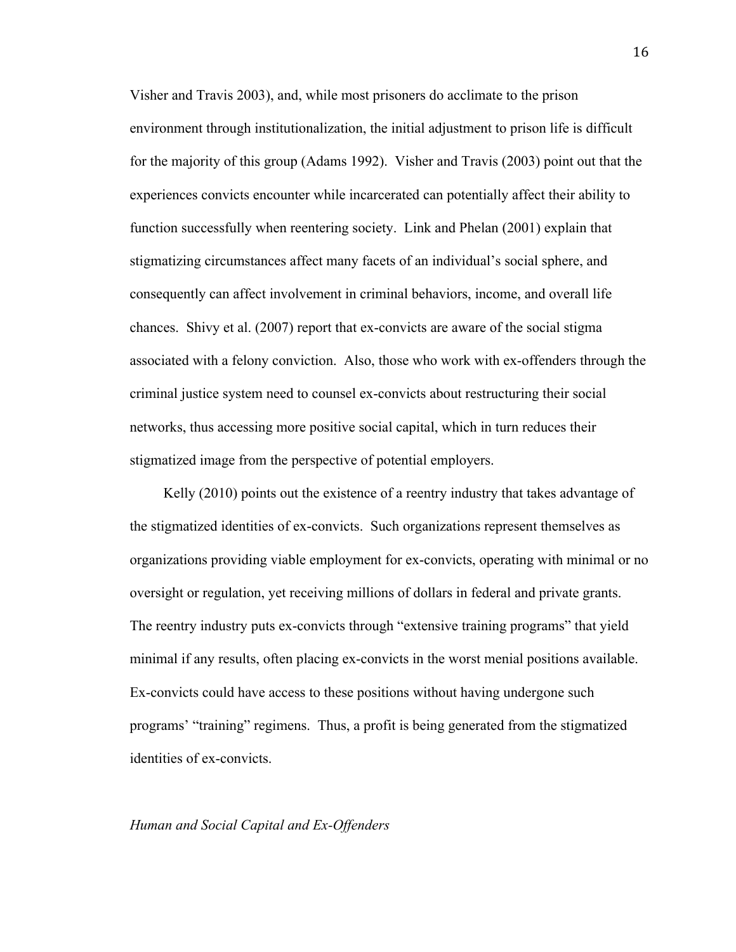Visher and Travis 2003), and, while most prisoners do acclimate to the prison environment through institutionalization, the initial adjustment to prison life is difficult for the majority of this group (Adams 1992). Visher and Travis (2003) point out that the experiences convicts encounter while incarcerated can potentially affect their ability to function successfully when reentering society. Link and Phelan (2001) explain that stigmatizing circumstances affect many facets of an individual's social sphere, and consequently can affect involvement in criminal behaviors, income, and overall life chances. Shivy et al. (2007) report that ex-convicts are aware of the social stigma associated with a felony conviction. Also, those who work with ex-offenders through the criminal justice system need to counsel ex-convicts about restructuring their social networks, thus accessing more positive social capital, which in turn reduces their stigmatized image from the perspective of potential employers.

Kelly (2010) points out the existence of a reentry industry that takes advantage of the stigmatized identities of ex-convicts. Such organizations represent themselves as organizations providing viable employment for ex-convicts, operating with minimal or no oversight or regulation, yet receiving millions of dollars in federal and private grants. The reentry industry puts ex-convicts through "extensive training programs" that yield minimal if any results, often placing ex-convicts in the worst menial positions available. Ex-convicts could have access to these positions without having undergone such programs' "training" regimens. Thus, a profit is being generated from the stigmatized identities of ex-convicts.

#### *Human and Social Capital and Ex-Offenders*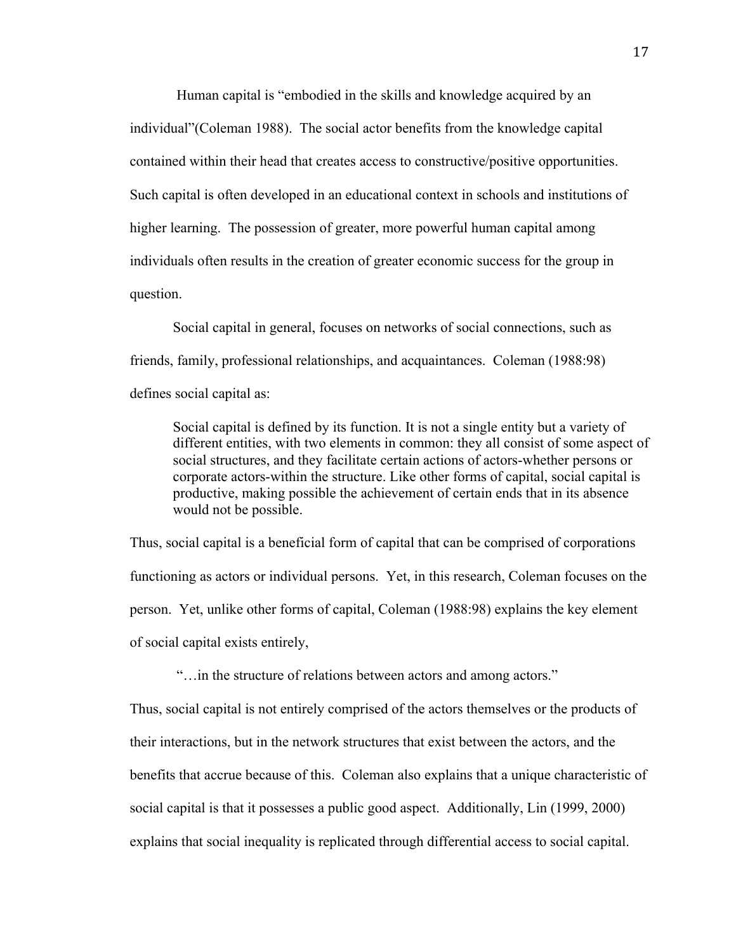Human capital is "embodied in the skills and knowledge acquired by an individual"(Coleman 1988). The social actor benefits from the knowledge capital contained within their head that creates access to constructive/positive opportunities. Such capital is often developed in an educational context in schools and institutions of higher learning. The possession of greater, more powerful human capital among individuals often results in the creation of greater economic success for the group in question.

Social capital in general, focuses on networks of social connections, such as friends, family, professional relationships, and acquaintances. Coleman (1988:98) defines social capital as:

Social capital is defined by its function. It is not a single entity but a variety of different entities, with two elements in common: they all consist of some aspect of social structures, and they facilitate certain actions of actors-whether persons or corporate actors-within the structure. Like other forms of capital, social capital is productive, making possible the achievement of certain ends that in its absence would not be possible.

Thus, social capital is a beneficial form of capital that can be comprised of corporations functioning as actors or individual persons. Yet, in this research, Coleman focuses on the person. Yet, unlike other forms of capital, Coleman (1988:98) explains the key element of social capital exists entirely,

"…in the structure of relations between actors and among actors."

Thus, social capital is not entirely comprised of the actors themselves or the products of their interactions, but in the network structures that exist between the actors, and the benefits that accrue because of this. Coleman also explains that a unique characteristic of social capital is that it possesses a public good aspect. Additionally, Lin (1999, 2000) explains that social inequality is replicated through differential access to social capital.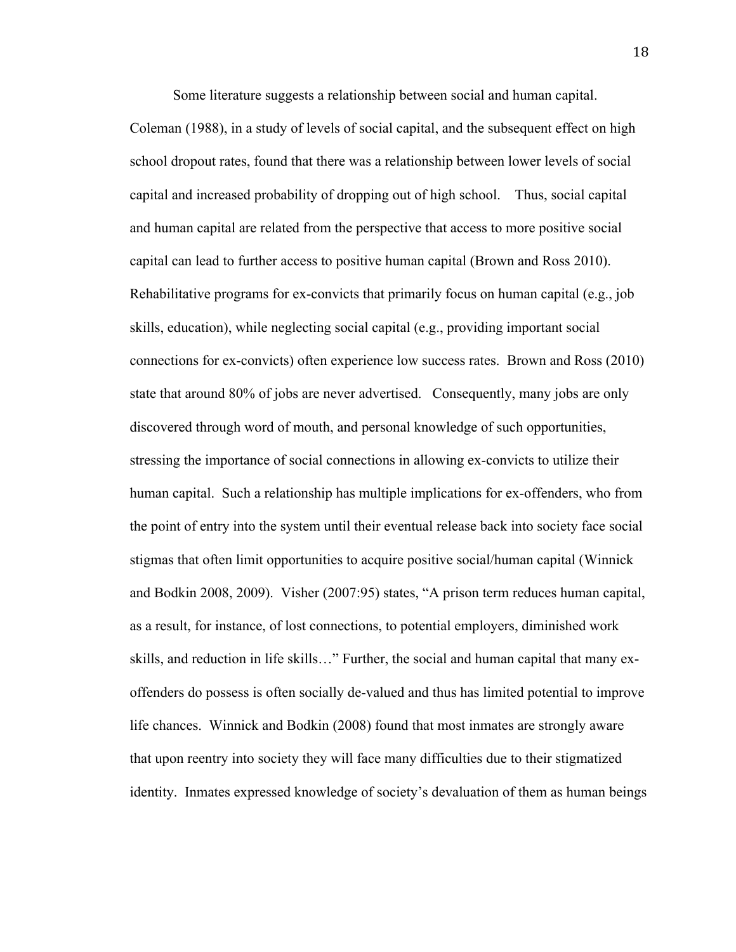Some literature suggests a relationship between social and human capital.

Coleman (1988), in a study of levels of social capital, and the subsequent effect on high school dropout rates, found that there was a relationship between lower levels of social capital and increased probability of dropping out of high school. Thus, social capital and human capital are related from the perspective that access to more positive social capital can lead to further access to positive human capital (Brown and Ross 2010). Rehabilitative programs for ex-convicts that primarily focus on human capital (e.g., job skills, education), while neglecting social capital (e.g., providing important social connections for ex-convicts) often experience low success rates. Brown and Ross (2010) state that around 80% of jobs are never advertised. Consequently, many jobs are only discovered through word of mouth, and personal knowledge of such opportunities, stressing the importance of social connections in allowing ex-convicts to utilize their human capital. Such a relationship has multiple implications for ex-offenders, who from the point of entry into the system until their eventual release back into society face social stigmas that often limit opportunities to acquire positive social/human capital (Winnick and Bodkin 2008, 2009). Visher (2007:95) states, "A prison term reduces human capital, as a result, for instance, of lost connections, to potential employers, diminished work skills, and reduction in life skills…" Further, the social and human capital that many exoffenders do possess is often socially de-valued and thus has limited potential to improve life chances. Winnick and Bodkin (2008) found that most inmates are strongly aware that upon reentry into society they will face many difficulties due to their stigmatized identity. Inmates expressed knowledge of society's devaluation of them as human beings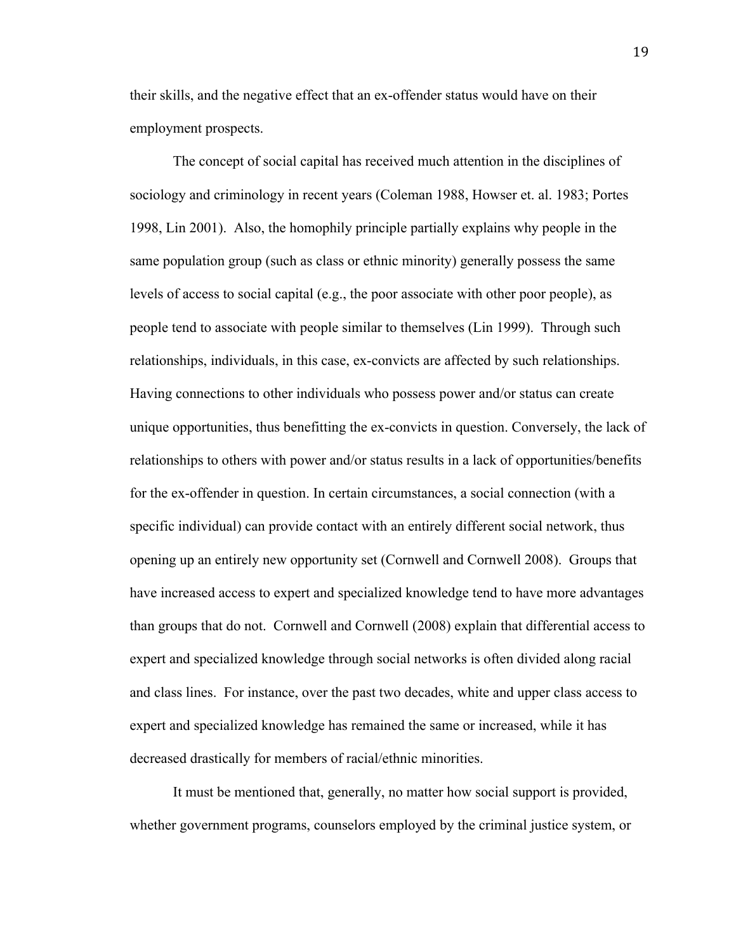their skills, and the negative effect that an ex-offender status would have on their employment prospects.

The concept of social capital has received much attention in the disciplines of sociology and criminology in recent years (Coleman 1988, Howser et. al. 1983; Portes 1998, Lin 2001). Also, the homophily principle partially explains why people in the same population group (such as class or ethnic minority) generally possess the same levels of access to social capital (e.g., the poor associate with other poor people), as people tend to associate with people similar to themselves (Lin 1999). Through such relationships, individuals, in this case, ex-convicts are affected by such relationships. Having connections to other individuals who possess power and/or status can create unique opportunities, thus benefitting the ex-convicts in question. Conversely, the lack of relationships to others with power and/or status results in a lack of opportunities/benefits for the ex-offender in question. In certain circumstances, a social connection (with a specific individual) can provide contact with an entirely different social network, thus opening up an entirely new opportunity set (Cornwell and Cornwell 2008). Groups that have increased access to expert and specialized knowledge tend to have more advantages than groups that do not. Cornwell and Cornwell (2008) explain that differential access to expert and specialized knowledge through social networks is often divided along racial and class lines. For instance, over the past two decades, white and upper class access to expert and specialized knowledge has remained the same or increased, while it has decreased drastically for members of racial/ethnic minorities.

It must be mentioned that, generally, no matter how social support is provided, whether government programs, counselors employed by the criminal justice system, or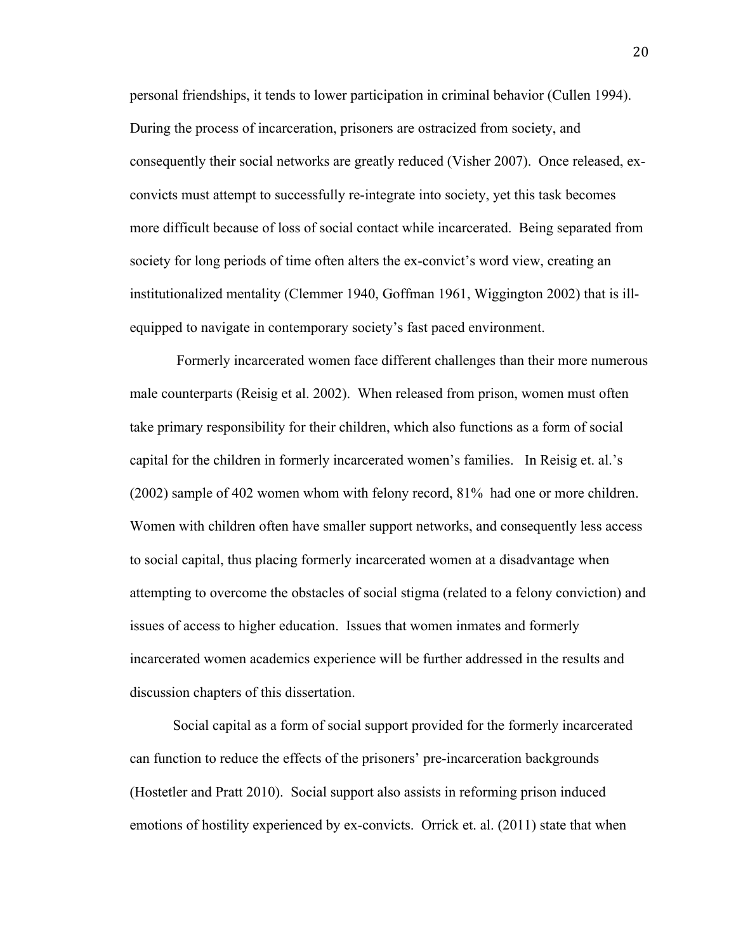personal friendships, it tends to lower participation in criminal behavior (Cullen 1994). During the process of incarceration, prisoners are ostracized from society, and consequently their social networks are greatly reduced (Visher 2007). Once released, exconvicts must attempt to successfully re-integrate into society, yet this task becomes more difficult because of loss of social contact while incarcerated. Being separated from society for long periods of time often alters the ex-convict's word view, creating an institutionalized mentality (Clemmer 1940, Goffman 1961, Wiggington 2002) that is illequipped to navigate in contemporary society's fast paced environment.

Formerly incarcerated women face different challenges than their more numerous male counterparts (Reisig et al. 2002). When released from prison, women must often take primary responsibility for their children, which also functions as a form of social capital for the children in formerly incarcerated women's families. In Reisig et. al.'s (2002) sample of 402 women whom with felony record, 81% had one or more children. Women with children often have smaller support networks, and consequently less access to social capital, thus placing formerly incarcerated women at a disadvantage when attempting to overcome the obstacles of social stigma (related to a felony conviction) and issues of access to higher education. Issues that women inmates and formerly incarcerated women academics experience will be further addressed in the results and discussion chapters of this dissertation.

Social capital as a form of social support provided for the formerly incarcerated can function to reduce the effects of the prisoners' pre-incarceration backgrounds (Hostetler and Pratt 2010). Social support also assists in reforming prison induced emotions of hostility experienced by ex-convicts. Orrick et. al. (2011) state that when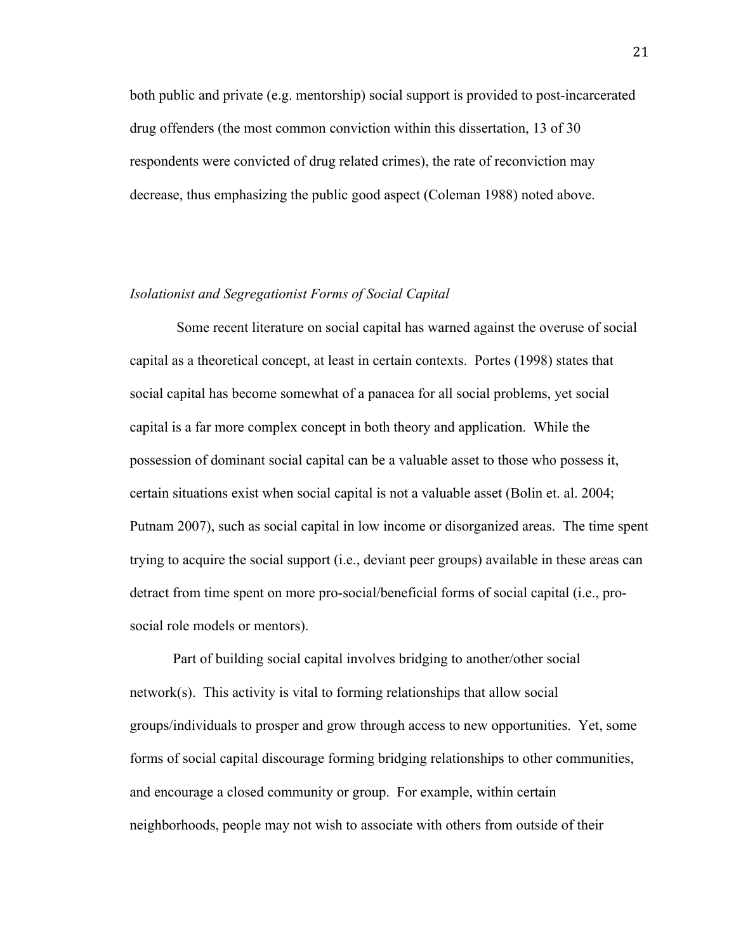both public and private (e.g. mentorship) social support is provided to post-incarcerated drug offenders (the most common conviction within this dissertation, 13 of 30 respondents were convicted of drug related crimes), the rate of reconviction may decrease, thus emphasizing the public good aspect (Coleman 1988) noted above.

## *Isolationist and Segregationist Forms of Social Capital*

Some recent literature on social capital has warned against the overuse of social capital as a theoretical concept, at least in certain contexts. Portes (1998) states that social capital has become somewhat of a panacea for all social problems, yet social capital is a far more complex concept in both theory and application. While the possession of dominant social capital can be a valuable asset to those who possess it, certain situations exist when social capital is not a valuable asset (Bolin et. al. 2004; Putnam 2007), such as social capital in low income or disorganized areas. The time spent trying to acquire the social support (i.e., deviant peer groups) available in these areas can detract from time spent on more pro-social/beneficial forms of social capital (i.e., prosocial role models or mentors).

Part of building social capital involves bridging to another/other social network(s). This activity is vital to forming relationships that allow social groups/individuals to prosper and grow through access to new opportunities. Yet, some forms of social capital discourage forming bridging relationships to other communities, and encourage a closed community or group. For example, within certain neighborhoods, people may not wish to associate with others from outside of their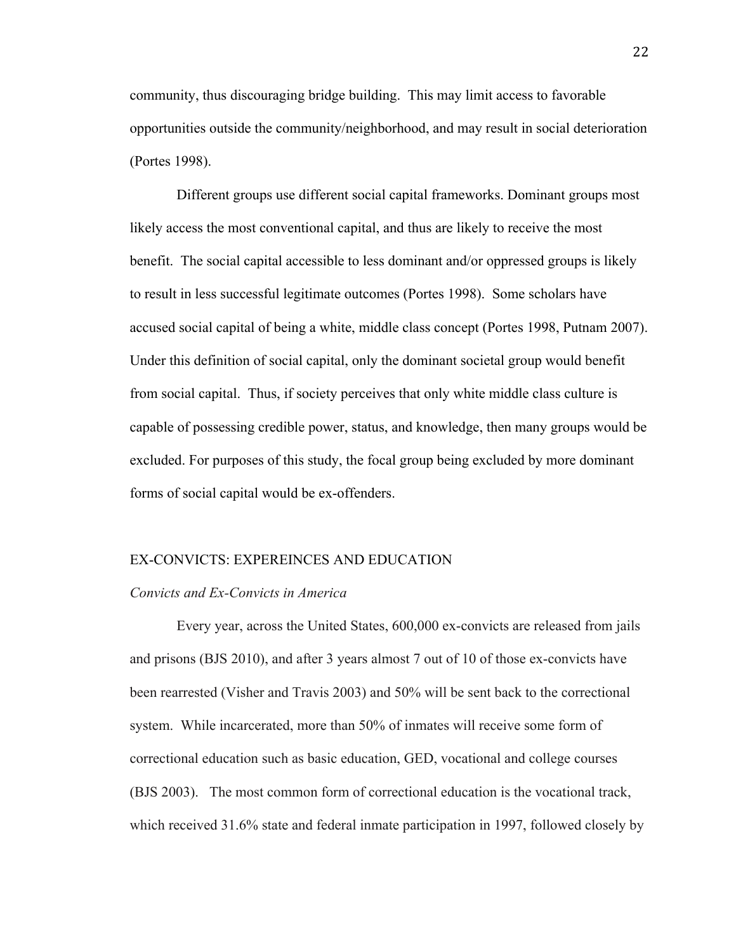community, thus discouraging bridge building. This may limit access to favorable opportunities outside the community/neighborhood, and may result in social deterioration (Portes 1998).

 Different groups use different social capital frameworks. Dominant groups most likely access the most conventional capital, and thus are likely to receive the most benefit. The social capital accessible to less dominant and/or oppressed groups is likely to result in less successful legitimate outcomes (Portes 1998). Some scholars have accused social capital of being a white, middle class concept (Portes 1998, Putnam 2007). Under this definition of social capital, only the dominant societal group would benefit from social capital. Thus, if society perceives that only white middle class culture is capable of possessing credible power, status, and knowledge, then many groups would be excluded. For purposes of this study, the focal group being excluded by more dominant forms of social capital would be ex-offenders.

#### EX-CONVICTS: EXPEREINCES AND EDUCATION

#### *Convicts and Ex-Convicts in America*

Every year, across the United States, 600,000 ex-convicts are released from jails and prisons (BJS 2010), and after 3 years almost 7 out of 10 of those ex-convicts have been rearrested (Visher and Travis 2003) and 50% will be sent back to the correctional system. While incarcerated, more than 50% of inmates will receive some form of correctional education such as basic education, GED, vocational and college courses (BJS 2003). The most common form of correctional education is the vocational track, which received 31.6% state and federal inmate participation in 1997, followed closely by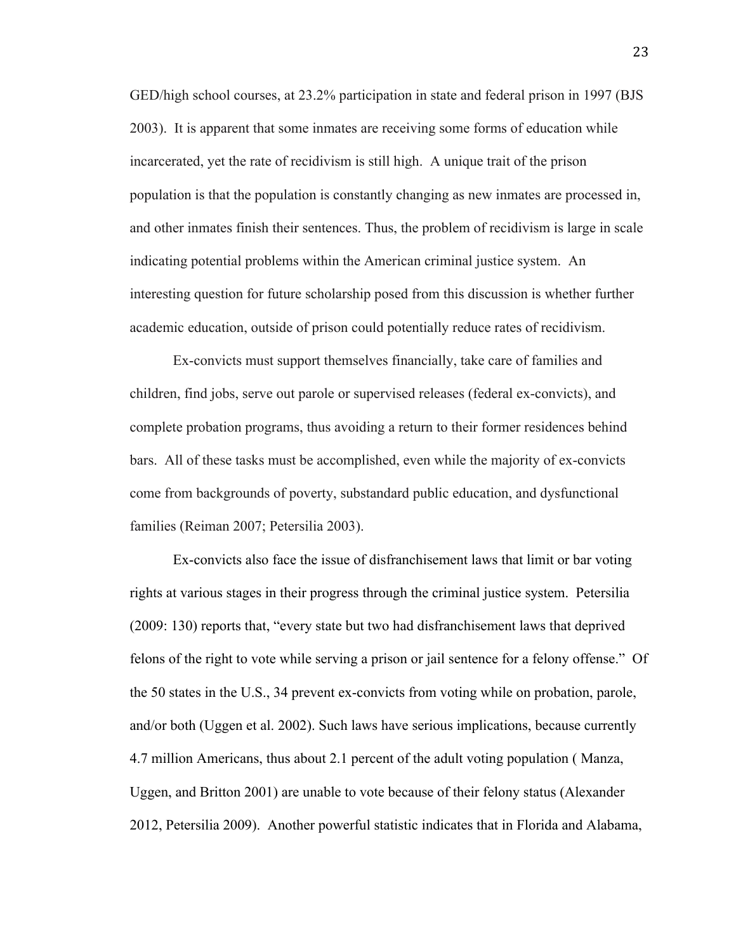GED/high school courses, at 23.2% participation in state and federal prison in 1997 (BJS 2003). It is apparent that some inmates are receiving some forms of education while incarcerated, yet the rate of recidivism is still high. A unique trait of the prison population is that the population is constantly changing as new inmates are processed in, and other inmates finish their sentences. Thus, the problem of recidivism is large in scale indicating potential problems within the American criminal justice system. An interesting question for future scholarship posed from this discussion is whether further academic education, outside of prison could potentially reduce rates of recidivism.

Ex-convicts must support themselves financially, take care of families and children, find jobs, serve out parole or supervised releases (federal ex-convicts), and complete probation programs, thus avoiding a return to their former residences behind bars. All of these tasks must be accomplished, even while the majority of ex-convicts come from backgrounds of poverty, substandard public education, and dysfunctional families (Reiman 2007; Petersilia 2003).

Ex-convicts also face the issue of disfranchisement laws that limit or bar voting rights at various stages in their progress through the criminal justice system. Petersilia (2009: 130) reports that, "every state but two had disfranchisement laws that deprived felons of the right to vote while serving a prison or jail sentence for a felony offense." Of the 50 states in the U.S., 34 prevent ex-convicts from voting while on probation, parole, and/or both (Uggen et al. 2002). Such laws have serious implications, because currently 4.7 million Americans, thus about 2.1 percent of the adult voting population ( Manza, Uggen, and Britton 2001) are unable to vote because of their felony status (Alexander 2012, Petersilia 2009). Another powerful statistic indicates that in Florida and Alabama,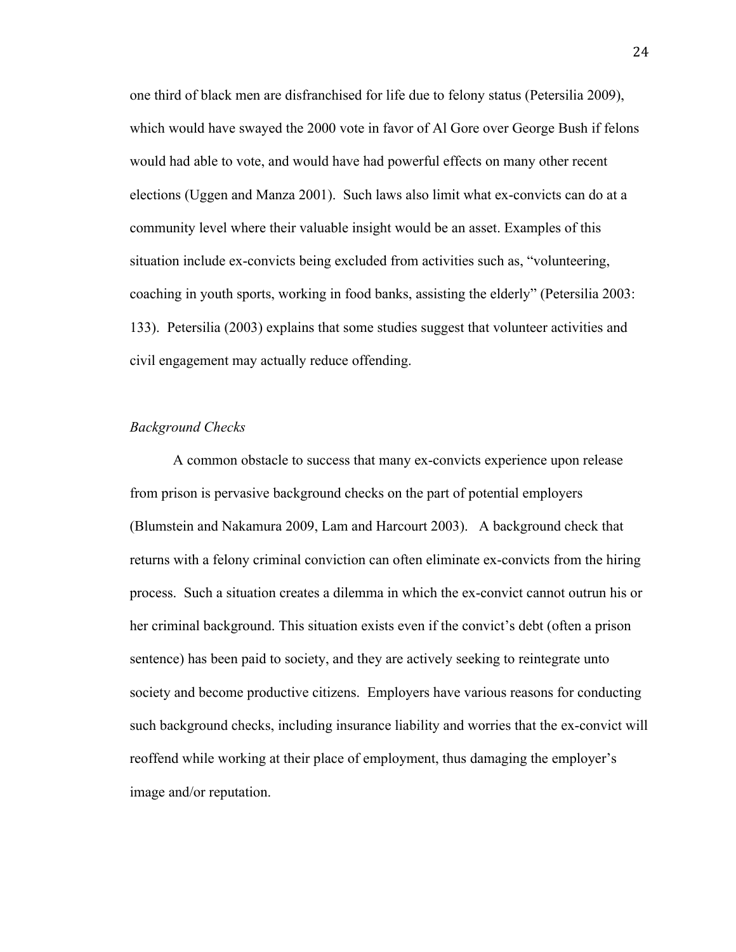one third of black men are disfranchised for life due to felony status (Petersilia 2009), which would have swayed the 2000 vote in favor of Al Gore over George Bush if felons would had able to vote, and would have had powerful effects on many other recent elections (Uggen and Manza 2001). Such laws also limit what ex-convicts can do at a community level where their valuable insight would be an asset. Examples of this situation include ex-convicts being excluded from activities such as, "volunteering, coaching in youth sports, working in food banks, assisting the elderly" (Petersilia 2003: 133). Petersilia (2003) explains that some studies suggest that volunteer activities and civil engagement may actually reduce offending.

### *Background Checks*

A common obstacle to success that many ex-convicts experience upon release from prison is pervasive background checks on the part of potential employers (Blumstein and Nakamura 2009, Lam and Harcourt 2003). A background check that returns with a felony criminal conviction can often eliminate ex-convicts from the hiring process. Such a situation creates a dilemma in which the ex-convict cannot outrun his or her criminal background. This situation exists even if the convict's debt (often a prison sentence) has been paid to society, and they are actively seeking to reintegrate unto society and become productive citizens. Employers have various reasons for conducting such background checks, including insurance liability and worries that the ex-convict will reoffend while working at their place of employment, thus damaging the employer's image and/or reputation.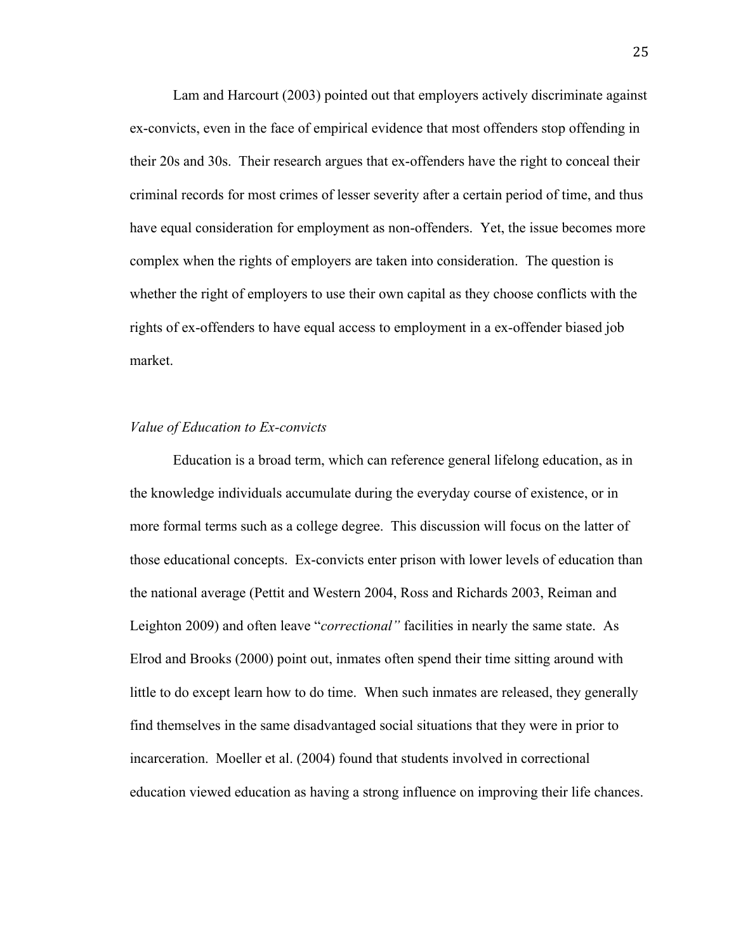Lam and Harcourt (2003) pointed out that employers actively discriminate against ex-convicts, even in the face of empirical evidence that most offenders stop offending in their 20s and 30s. Their research argues that ex-offenders have the right to conceal their criminal records for most crimes of lesser severity after a certain period of time, and thus have equal consideration for employment as non-offenders. Yet, the issue becomes more complex when the rights of employers are taken into consideration. The question is whether the right of employers to use their own capital as they choose conflicts with the rights of ex-offenders to have equal access to employment in a ex-offender biased job market.

#### *Value of Education to Ex-convicts*

Education is a broad term, which can reference general lifelong education, as in the knowledge individuals accumulate during the everyday course of existence, or in more formal terms such as a college degree. This discussion will focus on the latter of those educational concepts. Ex-convicts enter prison with lower levels of education than the national average (Pettit and Western 2004, Ross and Richards 2003, Reiman and Leighton 2009) and often leave "*correctional"* facilities in nearly the same state. As Elrod and Brooks (2000) point out, inmates often spend their time sitting around with little to do except learn how to do time. When such inmates are released, they generally find themselves in the same disadvantaged social situations that they were in prior to incarceration. Moeller et al. (2004) found that students involved in correctional education viewed education as having a strong influence on improving their life chances.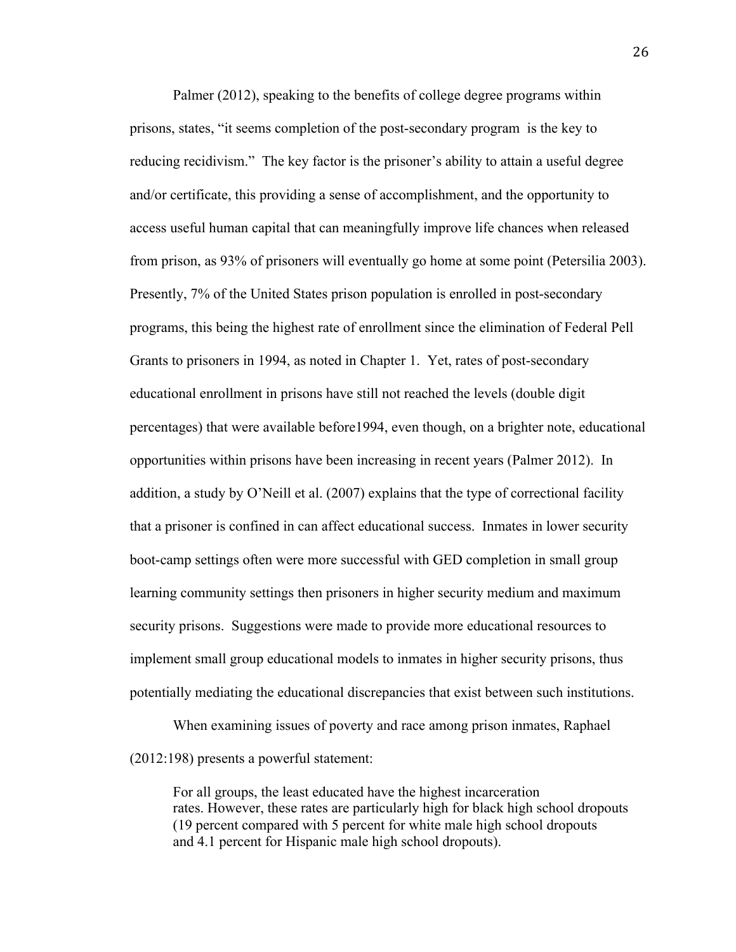Palmer (2012), speaking to the benefits of college degree programs within prisons, states, "it seems completion of the post-secondary program is the key to reducing recidivism." The key factor is the prisoner's ability to attain a useful degree and/or certificate, this providing a sense of accomplishment, and the opportunity to access useful human capital that can meaningfully improve life chances when released from prison, as 93% of prisoners will eventually go home at some point (Petersilia 2003). Presently, 7% of the United States prison population is enrolled in post-secondary programs, this being the highest rate of enrollment since the elimination of Federal Pell Grants to prisoners in 1994, as noted in Chapter 1. Yet, rates of post-secondary educational enrollment in prisons have still not reached the levels (double digit percentages) that were available before1994, even though, on a brighter note, educational opportunities within prisons have been increasing in recent years (Palmer 2012). In addition, a study by O'Neill et al. (2007) explains that the type of correctional facility that a prisoner is confined in can affect educational success. Inmates in lower security boot-camp settings often were more successful with GED completion in small group learning community settings then prisoners in higher security medium and maximum security prisons. Suggestions were made to provide more educational resources to implement small group educational models to inmates in higher security prisons, thus potentially mediating the educational discrepancies that exist between such institutions.

When examining issues of poverty and race among prison inmates, Raphael (2012:198) presents a powerful statement:

For all groups, the least educated have the highest incarceration rates. However, these rates are particularly high for black high school dropouts (19 percent compared with 5 percent for white male high school dropouts and 4.1 percent for Hispanic male high school dropouts).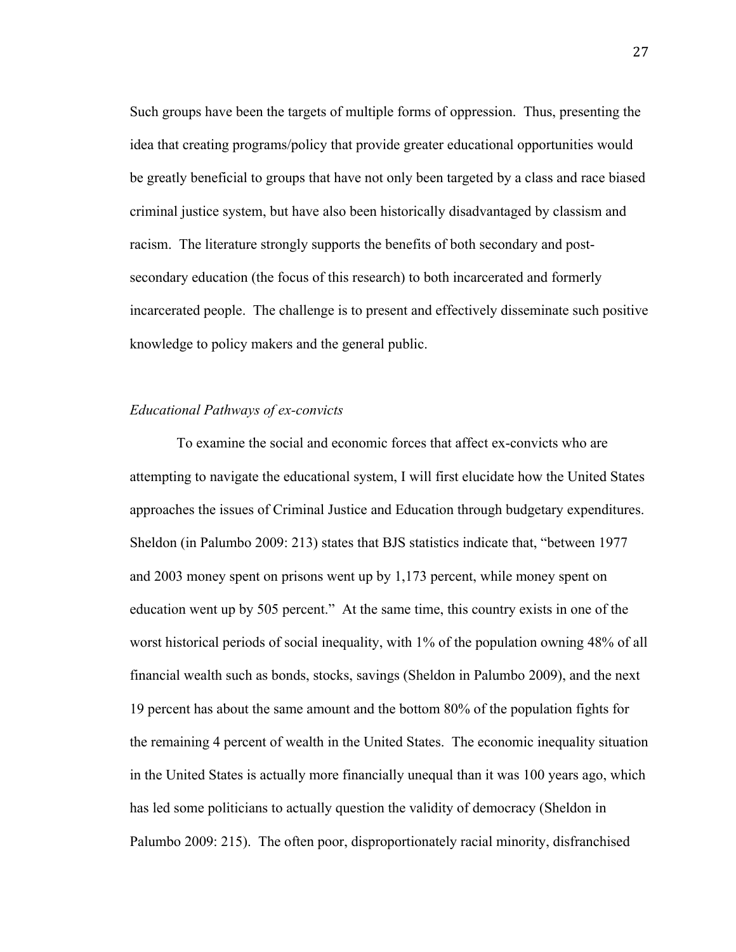Such groups have been the targets of multiple forms of oppression. Thus, presenting the idea that creating programs/policy that provide greater educational opportunities would be greatly beneficial to groups that have not only been targeted by a class and race biased criminal justice system, but have also been historically disadvantaged by classism and racism. The literature strongly supports the benefits of both secondary and postsecondary education (the focus of this research) to both incarcerated and formerly incarcerated people. The challenge is to present and effectively disseminate such positive knowledge to policy makers and the general public.

## *Educational Pathways of ex-convicts*

To examine the social and economic forces that affect ex-convicts who are attempting to navigate the educational system, I will first elucidate how the United States approaches the issues of Criminal Justice and Education through budgetary expenditures. Sheldon (in Palumbo 2009: 213) states that BJS statistics indicate that, "between 1977 and 2003 money spent on prisons went up by 1,173 percent, while money spent on education went up by 505 percent." At the same time, this country exists in one of the worst historical periods of social inequality, with 1% of the population owning 48% of all financial wealth such as bonds, stocks, savings (Sheldon in Palumbo 2009), and the next 19 percent has about the same amount and the bottom 80% of the population fights for the remaining 4 percent of wealth in the United States. The economic inequality situation in the United States is actually more financially unequal than it was 100 years ago, which has led some politicians to actually question the validity of democracy (Sheldon in Palumbo 2009: 215). The often poor, disproportionately racial minority, disfranchised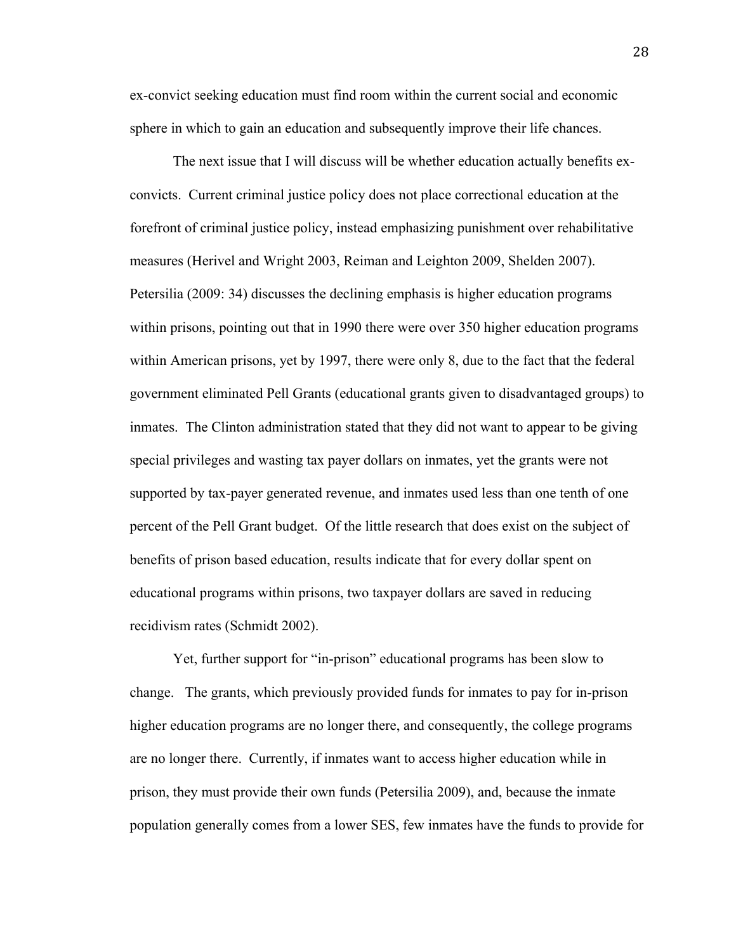ex-convict seeking education must find room within the current social and economic sphere in which to gain an education and subsequently improve their life chances.

The next issue that I will discuss will be whether education actually benefits exconvicts. Current criminal justice policy does not place correctional education at the forefront of criminal justice policy, instead emphasizing punishment over rehabilitative measures (Herivel and Wright 2003, Reiman and Leighton 2009, Shelden 2007). Petersilia (2009: 34) discusses the declining emphasis is higher education programs within prisons, pointing out that in 1990 there were over 350 higher education programs within American prisons, yet by 1997, there were only 8, due to the fact that the federal government eliminated Pell Grants (educational grants given to disadvantaged groups) to inmates. The Clinton administration stated that they did not want to appear to be giving special privileges and wasting tax payer dollars on inmates, yet the grants were not supported by tax-payer generated revenue, and inmates used less than one tenth of one percent of the Pell Grant budget. Of the little research that does exist on the subject of benefits of prison based education, results indicate that for every dollar spent on educational programs within prisons, two taxpayer dollars are saved in reducing recidivism rates (Schmidt 2002).

Yet, further support for "in-prison" educational programs has been slow to change. The grants, which previously provided funds for inmates to pay for in-prison higher education programs are no longer there, and consequently, the college programs are no longer there. Currently, if inmates want to access higher education while in prison, they must provide their own funds (Petersilia 2009), and, because the inmate population generally comes from a lower SES, few inmates have the funds to provide for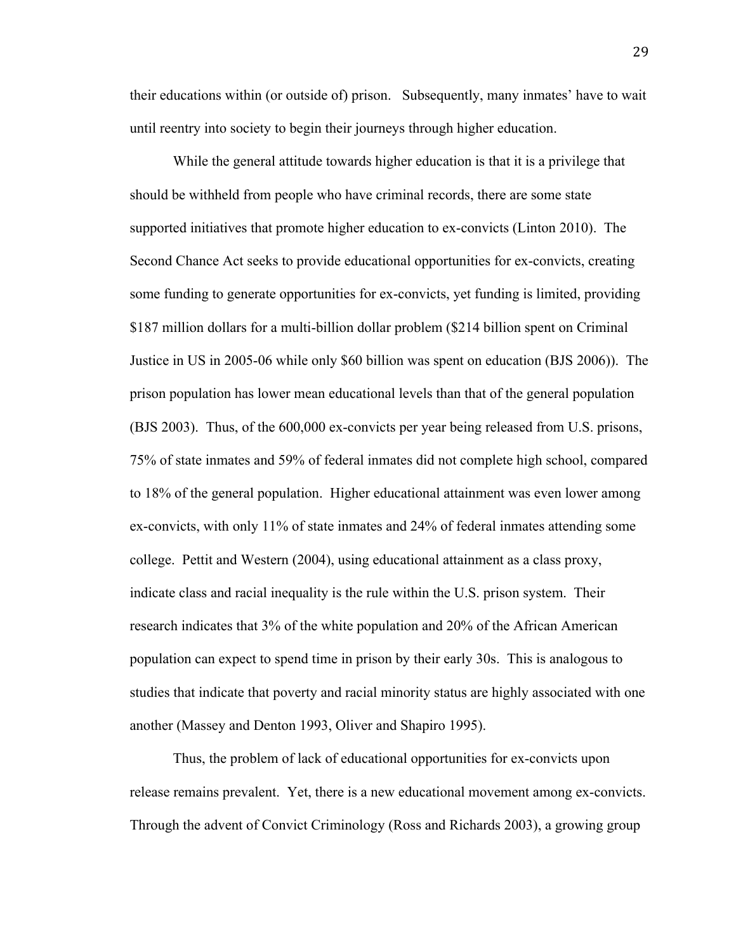their educations within (or outside of) prison. Subsequently, many inmates' have to wait until reentry into society to begin their journeys through higher education.

While the general attitude towards higher education is that it is a privilege that should be withheld from people who have criminal records, there are some state supported initiatives that promote higher education to ex-convicts (Linton 2010). The Second Chance Act seeks to provide educational opportunities for ex-convicts, creating some funding to generate opportunities for ex-convicts, yet funding is limited, providing \$187 million dollars for a multi-billion dollar problem (\$214 billion spent on Criminal Justice in US in 2005-06 while only \$60 billion was spent on education (BJS 2006)). The prison population has lower mean educational levels than that of the general population (BJS 2003). Thus, of the 600,000 ex-convicts per year being released from U.S. prisons, 75% of state inmates and 59% of federal inmates did not complete high school, compared to 18% of the general population. Higher educational attainment was even lower among ex-convicts, with only 11% of state inmates and 24% of federal inmates attending some college. Pettit and Western (2004), using educational attainment as a class proxy, indicate class and racial inequality is the rule within the U.S. prison system. Their research indicates that 3% of the white population and 20% of the African American population can expect to spend time in prison by their early 30s. This is analogous to studies that indicate that poverty and racial minority status are highly associated with one another (Massey and Denton 1993, Oliver and Shapiro 1995).

Thus, the problem of lack of educational opportunities for ex-convicts upon release remains prevalent. Yet, there is a new educational movement among ex-convicts. Through the advent of Convict Criminology (Ross and Richards 2003), a growing group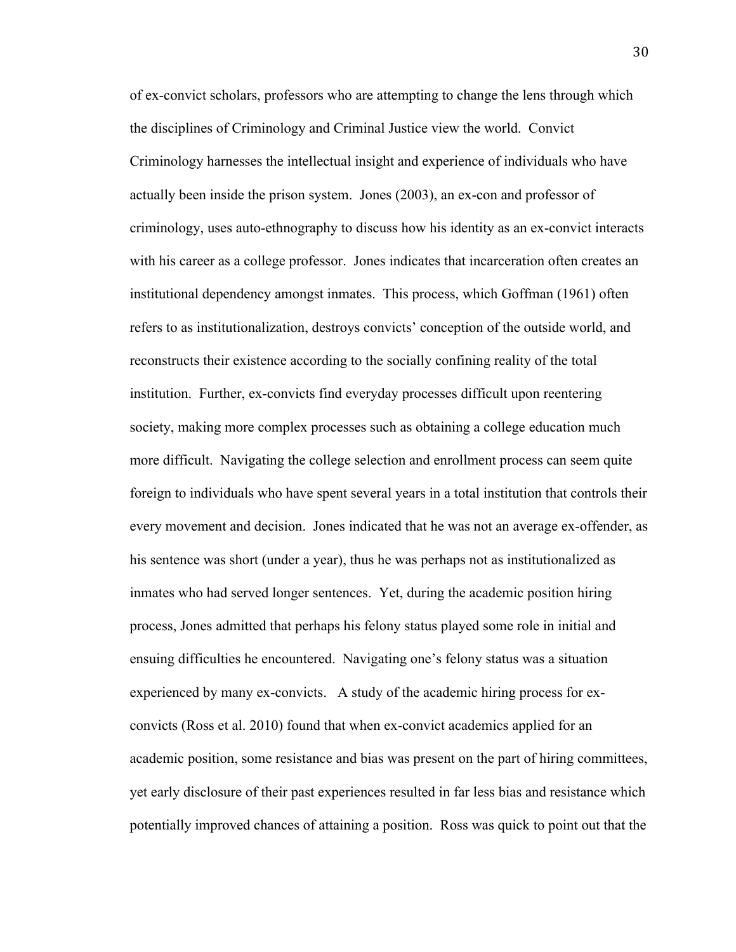of ex-convict scholars, professors who are attempting to change the lens through which the disciplines of Criminology and Criminal Justice view the world. Convict Criminology harnesses the intellectual insight and experience of individuals who have actually been inside the prison system. Jones (2003), an ex-con and professor of criminology, uses auto-ethnography to discuss how his identity as an ex-convict interacts with his career as a college professor. Jones indicates that incarceration often creates an institutional dependency amongst inmates. This process, which Goffman (1961) often refers to as institutionalization, destroys convicts' conception of the outside world, and reconstructs their existence according to the socially confining reality of the total institution. Further, ex-convicts find everyday processes difficult upon reentering society, making more complex processes such as obtaining a college education much more difficult. Navigating the college selection and enrollment process can seem quite foreign to individuals who have spent several years in a total institution that controls their every movement and decision. Jones indicated that he was not an average ex-offender, as his sentence was short (under a year), thus he was perhaps not as institutionalized as inmates who had served longer sentences. Yet, during the academic position hiring process, Jones admitted that perhaps his felony status played some role in initial and ensuing difficulties he encountered. Navigating one's felony status was a situation experienced by many ex-convicts. A study of the academic hiring process for exconvicts (Ross et al. 2010) found that when ex-convict academics applied for an academic position, some resistance and bias was present on the part of hiring committees, yet early disclosure of their past experiences resulted in far less bias and resistance which potentially improved chances of attaining a position. Ross was quick to point out that the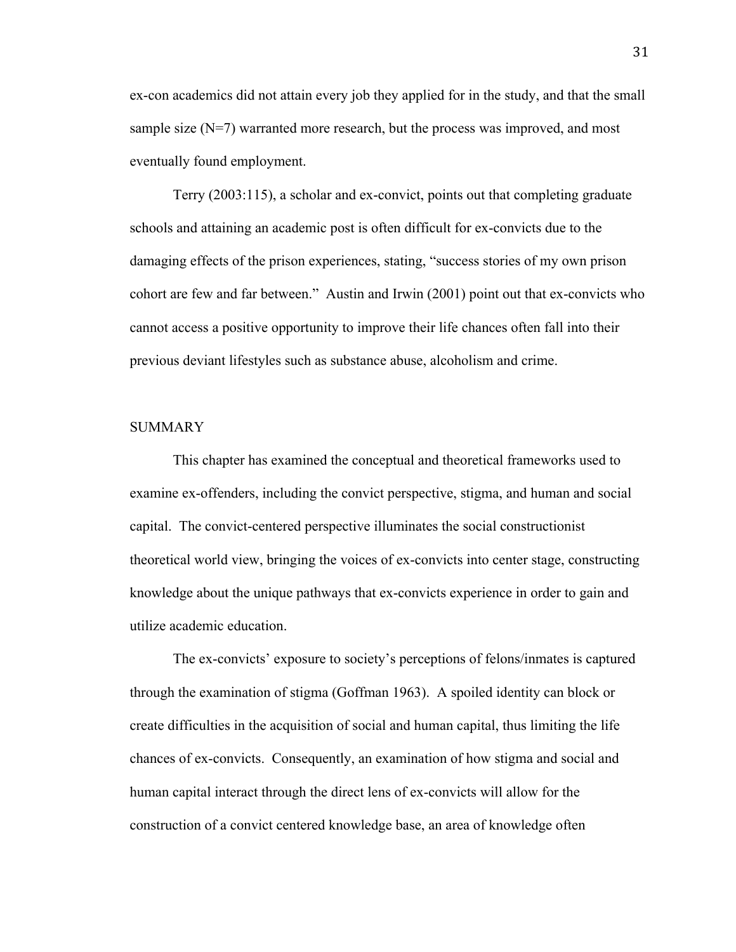ex-con academics did not attain every job they applied for in the study, and that the small sample size  $(N=7)$  warranted more research, but the process was improved, and most eventually found employment.

Terry (2003:115), a scholar and ex-convict, points out that completing graduate schools and attaining an academic post is often difficult for ex-convicts due to the damaging effects of the prison experiences, stating, "success stories of my own prison cohort are few and far between." Austin and Irwin (2001) point out that ex-convicts who cannot access a positive opportunity to improve their life chances often fall into their previous deviant lifestyles such as substance abuse, alcoholism and crime.

#### SUMMARY

This chapter has examined the conceptual and theoretical frameworks used to examine ex-offenders, including the convict perspective, stigma, and human and social capital. The convict-centered perspective illuminates the social constructionist theoretical world view, bringing the voices of ex-convicts into center stage, constructing knowledge about the unique pathways that ex-convicts experience in order to gain and utilize academic education.

The ex-convicts' exposure to society's perceptions of felons/inmates is captured through the examination of stigma (Goffman 1963). A spoiled identity can block or create difficulties in the acquisition of social and human capital, thus limiting the life chances of ex-convicts. Consequently, an examination of how stigma and social and human capital interact through the direct lens of ex-convicts will allow for the construction of a convict centered knowledge base, an area of knowledge often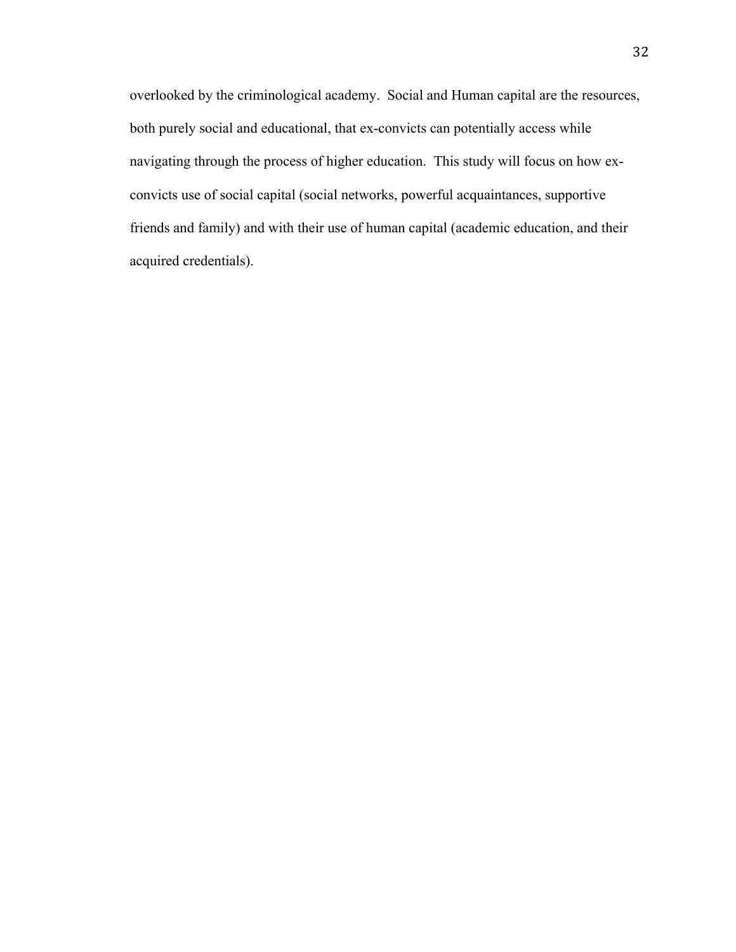overlooked by the criminological academy. Social and Human capital are the resources, both purely social and educational, that ex-convicts can potentially access while navigating through the process of higher education. This study will focus on how exconvicts use of social capital (social networks, powerful acquaintances, supportive friends and family) and with their use of human capital (academic education, and their acquired credentials).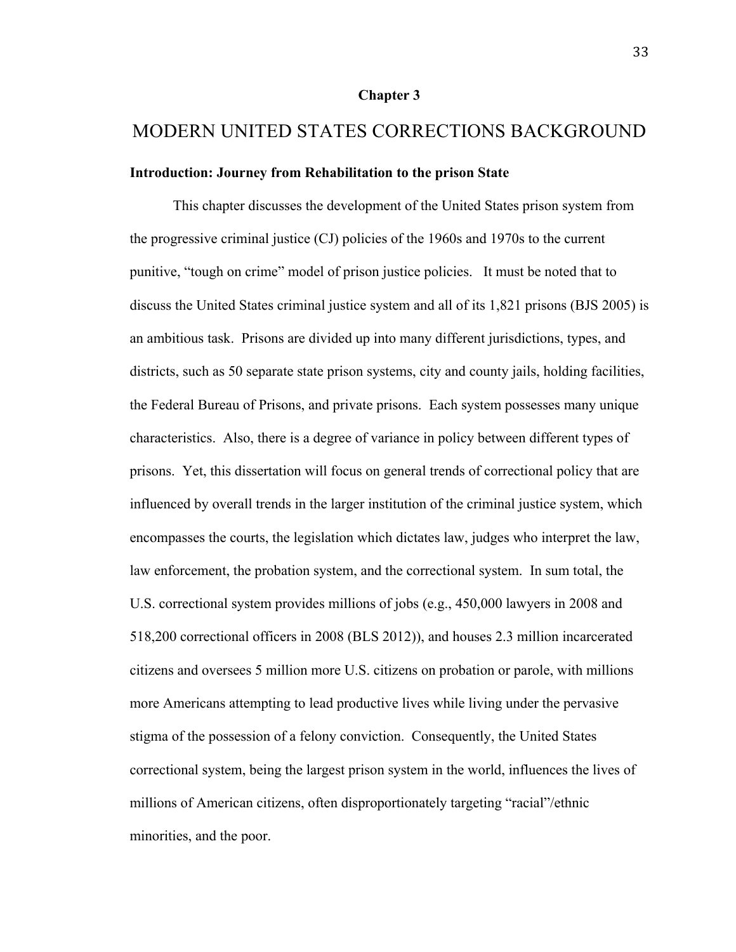#### **Chapter 3**

# MODERN UNITED STATES CORRECTIONS BACKGROUND

## **Introduction: Journey from Rehabilitation to the prison State**

This chapter discusses the development of the United States prison system from the progressive criminal justice (CJ) policies of the 1960s and 1970s to the current punitive, "tough on crime" model of prison justice policies. It must be noted that to discuss the United States criminal justice system and all of its 1,821 prisons (BJS 2005) is an ambitious task. Prisons are divided up into many different jurisdictions, types, and districts, such as 50 separate state prison systems, city and county jails, holding facilities, the Federal Bureau of Prisons, and private prisons. Each system possesses many unique characteristics. Also, there is a degree of variance in policy between different types of prisons. Yet, this dissertation will focus on general trends of correctional policy that are influenced by overall trends in the larger institution of the criminal justice system, which encompasses the courts, the legislation which dictates law, judges who interpret the law, law enforcement, the probation system, and the correctional system. In sum total, the U.S. correctional system provides millions of jobs (e.g., 450,000 lawyers in 2008 and 518,200 correctional officers in 2008 (BLS 2012)), and houses 2.3 million incarcerated citizens and oversees 5 million more U.S. citizens on probation or parole, with millions more Americans attempting to lead productive lives while living under the pervasive stigma of the possession of a felony conviction. Consequently, the United States correctional system, being the largest prison system in the world, influences the lives of millions of American citizens, often disproportionately targeting "racial"/ethnic minorities, and the poor.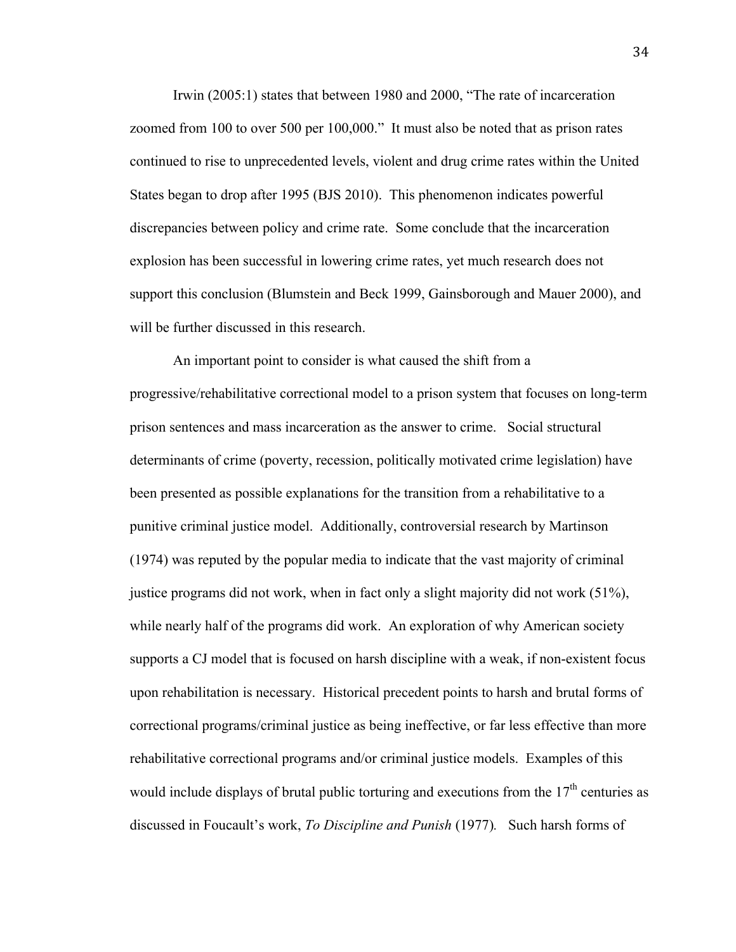Irwin (2005:1) states that between 1980 and 2000, "The rate of incarceration zoomed from 100 to over 500 per 100,000." It must also be noted that as prison rates continued to rise to unprecedented levels, violent and drug crime rates within the United States began to drop after 1995 (BJS 2010). This phenomenon indicates powerful discrepancies between policy and crime rate. Some conclude that the incarceration explosion has been successful in lowering crime rates, yet much research does not support this conclusion (Blumstein and Beck 1999, Gainsborough and Mauer 2000), and will be further discussed in this research.

An important point to consider is what caused the shift from a progressive/rehabilitative correctional model to a prison system that focuses on long-term prison sentences and mass incarceration as the answer to crime. Social structural determinants of crime (poverty, recession, politically motivated crime legislation) have been presented as possible explanations for the transition from a rehabilitative to a punitive criminal justice model. Additionally, controversial research by Martinson (1974) was reputed by the popular media to indicate that the vast majority of criminal justice programs did not work, when in fact only a slight majority did not work (51%), while nearly half of the programs did work. An exploration of why American society supports a CJ model that is focused on harsh discipline with a weak, if non-existent focus upon rehabilitation is necessary. Historical precedent points to harsh and brutal forms of correctional programs/criminal justice as being ineffective, or far less effective than more rehabilitative correctional programs and/or criminal justice models. Examples of this would include displays of brutal public torturing and executions from the  $17<sup>th</sup>$  centuries as discussed in Foucault's work, *To Discipline and Punish* (1977)*.* Such harsh forms of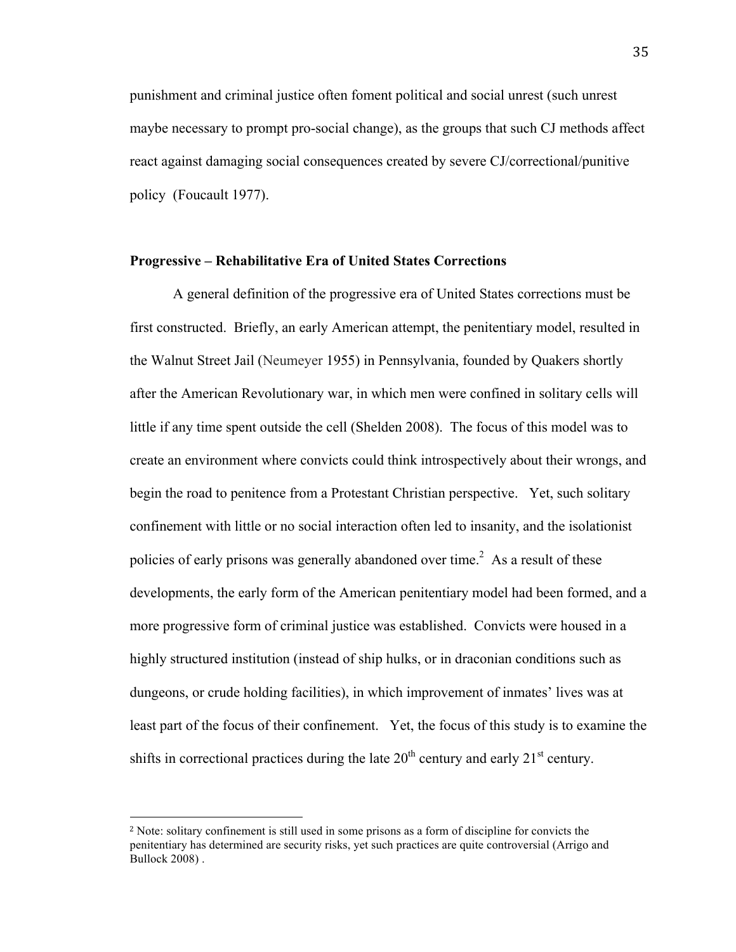punishment and criminal justice often foment political and social unrest (such unrest maybe necessary to prompt pro-social change), as the groups that such CJ methods affect react against damaging social consequences created by severe CJ/correctional/punitive policy (Foucault 1977).

#### **Progressive – Rehabilitative Era of United States Corrections**

A general definition of the progressive era of United States corrections must be first constructed. Briefly, an early American attempt, the penitentiary model, resulted in the Walnut Street Jail (Neumeyer 1955) in Pennsylvania, founded by Quakers shortly after the American Revolutionary war, in which men were confined in solitary cells will little if any time spent outside the cell (Shelden 2008). The focus of this model was to create an environment where convicts could think introspectively about their wrongs, and begin the road to penitence from a Protestant Christian perspective. Yet, such solitary confinement with little or no social interaction often led to insanity, and the isolationist policies of early prisons was generally abandoned over time.<sup>2</sup> As a result of these developments, the early form of the American penitentiary model had been formed, and a more progressive form of criminal justice was established. Convicts were housed in a highly structured institution (instead of ship hulks, or in draconian conditions such as dungeons, or crude holding facilities), in which improvement of inmates' lives was at least part of the focus of their confinement. Yet, the focus of this study is to examine the shifts in correctional practices during the late  $20<sup>th</sup>$  century and early  $21<sup>st</sup>$  century.

!!!!!!!!!!!!!!!!!!!!!!!!!!!!!!!!!!!!!!!!!!!!!!!!!!!!!!!

<sup>2</sup> Note: solitary confinement is still used in some prisons as a form of discipline for convicts the penitentiary has determined are security risks, yet such practices are quite controversial (Arrigo and Bullock 2008) .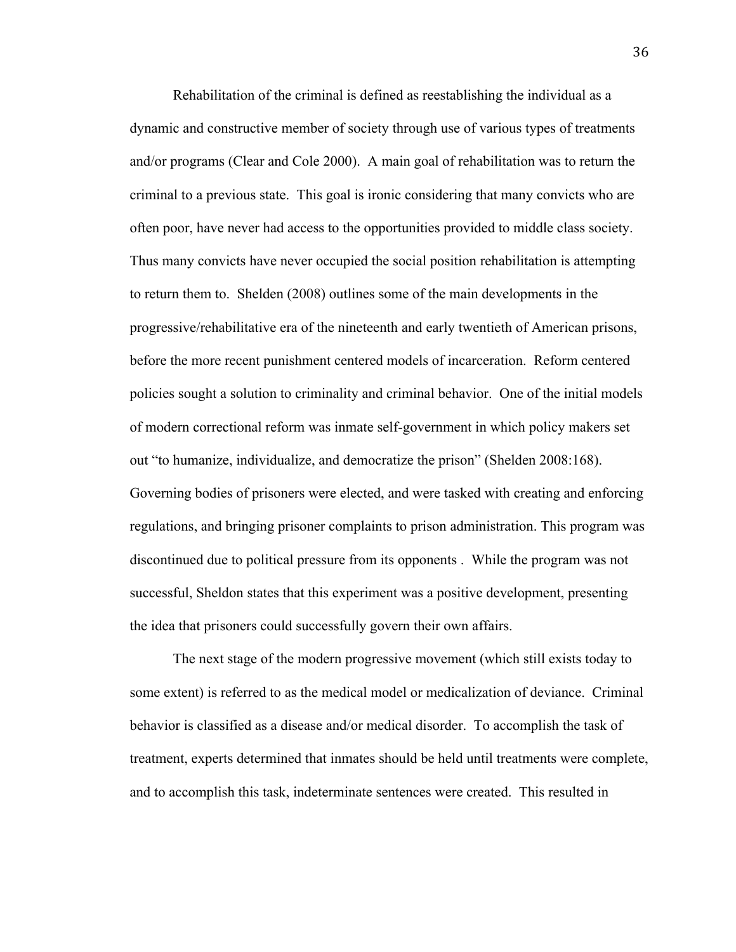Rehabilitation of the criminal is defined as reestablishing the individual as a dynamic and constructive member of society through use of various types of treatments and/or programs (Clear and Cole 2000). A main goal of rehabilitation was to return the criminal to a previous state. This goal is ironic considering that many convicts who are often poor, have never had access to the opportunities provided to middle class society. Thus many convicts have never occupied the social position rehabilitation is attempting to return them to. Shelden (2008) outlines some of the main developments in the progressive/rehabilitative era of the nineteenth and early twentieth of American prisons, before the more recent punishment centered models of incarceration. Reform centered policies sought a solution to criminality and criminal behavior. One of the initial models of modern correctional reform was inmate self-government in which policy makers set out "to humanize, individualize, and democratize the prison" (Shelden 2008:168). Governing bodies of prisoners were elected, and were tasked with creating and enforcing regulations, and bringing prisoner complaints to prison administration. This program was discontinued due to political pressure from its opponents . While the program was not successful, Sheldon states that this experiment was a positive development, presenting the idea that prisoners could successfully govern their own affairs.

The next stage of the modern progressive movement (which still exists today to some extent) is referred to as the medical model or medicalization of deviance. Criminal behavior is classified as a disease and/or medical disorder. To accomplish the task of treatment, experts determined that inmates should be held until treatments were complete, and to accomplish this task, indeterminate sentences were created. This resulted in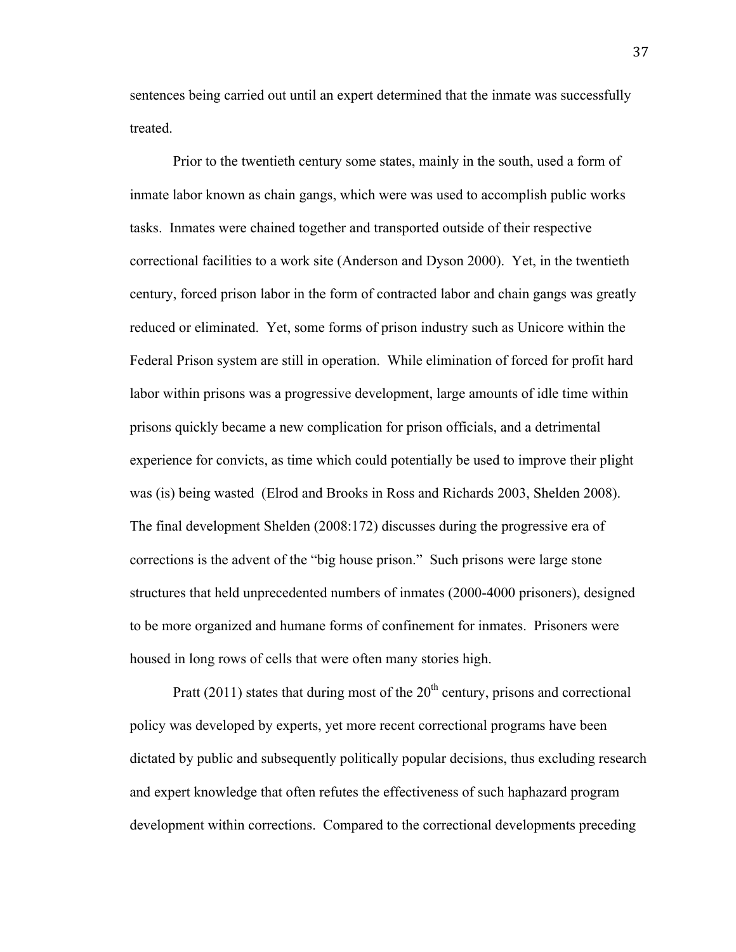sentences being carried out until an expert determined that the inmate was successfully treated.

Prior to the twentieth century some states, mainly in the south, used a form of inmate labor known as chain gangs, which were was used to accomplish public works tasks. Inmates were chained together and transported outside of their respective correctional facilities to a work site (Anderson and Dyson 2000). Yet, in the twentieth century, forced prison labor in the form of contracted labor and chain gangs was greatly reduced or eliminated. Yet, some forms of prison industry such as Unicore within the Federal Prison system are still in operation. While elimination of forced for profit hard labor within prisons was a progressive development, large amounts of idle time within prisons quickly became a new complication for prison officials, and a detrimental experience for convicts, as time which could potentially be used to improve their plight was (is) being wasted (Elrod and Brooks in Ross and Richards 2003, Shelden 2008). The final development Shelden (2008:172) discusses during the progressive era of corrections is the advent of the "big house prison." Such prisons were large stone structures that held unprecedented numbers of inmates (2000-4000 prisoners), designed to be more organized and humane forms of confinement for inmates. Prisoners were housed in long rows of cells that were often many stories high.

Pratt (2011) states that during most of the  $20<sup>th</sup>$  century, prisons and correctional policy was developed by experts, yet more recent correctional programs have been dictated by public and subsequently politically popular decisions, thus excluding research and expert knowledge that often refutes the effectiveness of such haphazard program development within corrections. Compared to the correctional developments preceding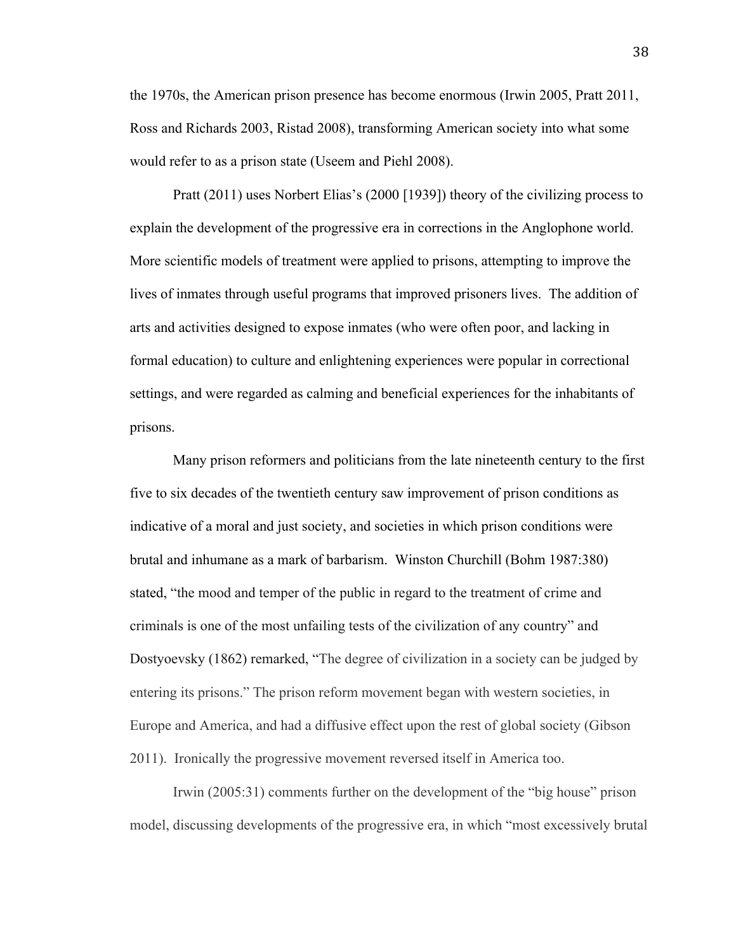the 1970s, the American prison presence has become enormous (Irwin 2005, Pratt 2011, Ross and Richards 2003, Ristad 2008), transforming American society into what some would refer to as a prison state (Useem and Piehl 2008).

Pratt (2011) uses Norbert Elias's (2000 [1939]) theory of the civilizing process to explain the development of the progressive era in corrections in the Anglophone world. More scientific models of treatment were applied to prisons, attempting to improve the lives of inmates through useful programs that improved prisoners lives. The addition of arts and activities designed to expose inmates (who were often poor, and lacking in formal education) to culture and enlightening experiences were popular in correctional settings, and were regarded as calming and beneficial experiences for the inhabitants of prisons.

Many prison reformers and politicians from the late nineteenth century to the first five to six decades of the twentieth century saw improvement of prison conditions as indicative of a moral and just society, and societies in which prison conditions were brutal and inhumane as a mark of barbarism. Winston Churchill (Bohm 1987:380) stated, "the mood and temper of the public in regard to the treatment of crime and criminals is one of the most unfailing tests of the civilization of any country" and Dostyoevsky (1862) remarked, "The degree of civilization in a society can be judged by entering its prisons." The prison reform movement began with western societies, in Europe and America, and had a diffusive effect upon the rest of global society (Gibson 2011). Ironically the progressive movement reversed itself in America too.

Irwin (2005:31) comments further on the development of the "big house" prison model, discussing developments of the progressive era, in which "most excessively brutal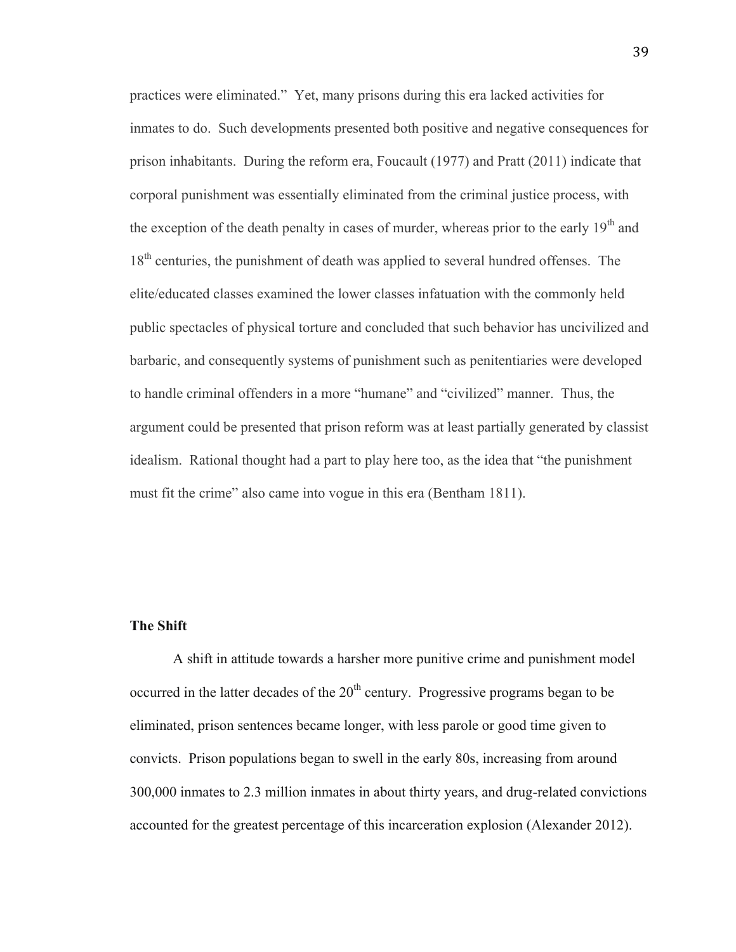practices were eliminated." Yet, many prisons during this era lacked activities for inmates to do. Such developments presented both positive and negative consequences for prison inhabitants. During the reform era, Foucault (1977) and Pratt (2011) indicate that corporal punishment was essentially eliminated from the criminal justice process, with the exception of the death penalty in cases of murder, whereas prior to the early  $19<sup>th</sup>$  and 18<sup>th</sup> centuries, the punishment of death was applied to several hundred offenses. The elite/educated classes examined the lower classes infatuation with the commonly held public spectacles of physical torture and concluded that such behavior has uncivilized and barbaric, and consequently systems of punishment such as penitentiaries were developed to handle criminal offenders in a more "humane" and "civilized" manner. Thus, the argument could be presented that prison reform was at least partially generated by classist idealism. Rational thought had a part to play here too, as the idea that "the punishment must fit the crime" also came into vogue in this era (Bentham 1811).

#### **The Shift**

A shift in attitude towards a harsher more punitive crime and punishment model occurred in the latter decades of the  $20<sup>th</sup>$  century. Progressive programs began to be eliminated, prison sentences became longer, with less parole or good time given to convicts. Prison populations began to swell in the early 80s, increasing from around 300,000 inmates to 2.3 million inmates in about thirty years, and drug-related convictions accounted for the greatest percentage of this incarceration explosion (Alexander 2012).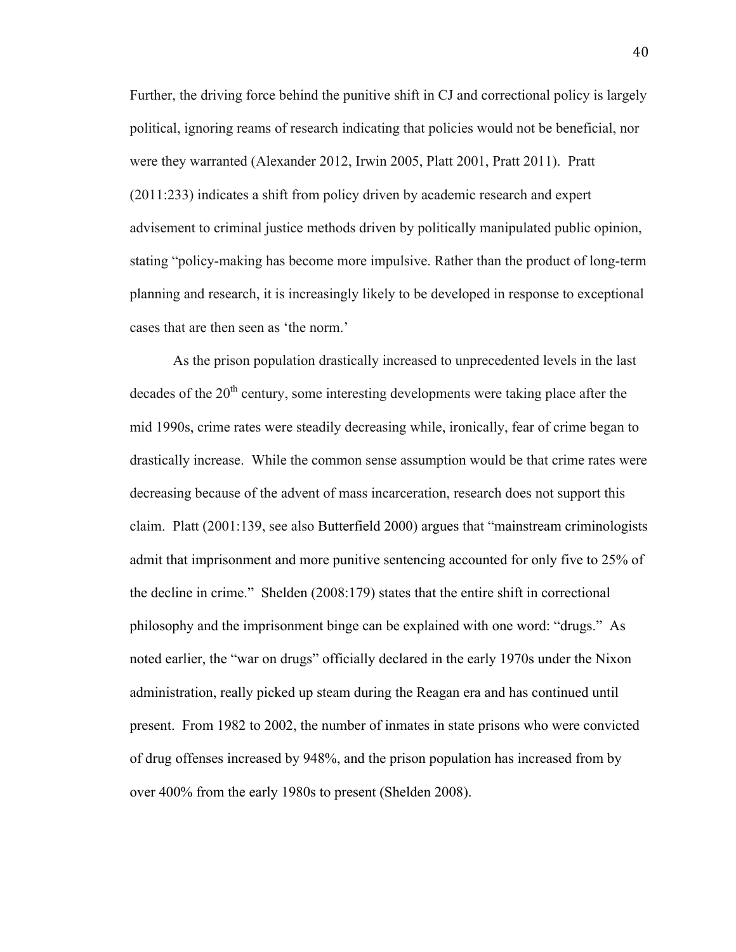Further, the driving force behind the punitive shift in CJ and correctional policy is largely political, ignoring reams of research indicating that policies would not be beneficial, nor were they warranted (Alexander 2012, Irwin 2005, Platt 2001, Pratt 2011). Pratt (2011:233) indicates a shift from policy driven by academic research and expert advisement to criminal justice methods driven by politically manipulated public opinion, stating "policy-making has become more impulsive. Rather than the product of long-term planning and research, it is increasingly likely to be developed in response to exceptional cases that are then seen as 'the norm.'

As the prison population drastically increased to unprecedented levels in the last decades of the  $20<sup>th</sup>$  century, some interesting developments were taking place after the mid 1990s, crime rates were steadily decreasing while, ironically, fear of crime began to drastically increase. While the common sense assumption would be that crime rates were decreasing because of the advent of mass incarceration, research does not support this claim. Platt (2001:139, see also Butterfield 2000) argues that "mainstream criminologists admit that imprisonment and more punitive sentencing accounted for only five to 25% of the decline in crime." Shelden (2008:179) states that the entire shift in correctional philosophy and the imprisonment binge can be explained with one word: "drugs." As noted earlier, the "war on drugs" officially declared in the early 1970s under the Nixon administration, really picked up steam during the Reagan era and has continued until present. From 1982 to 2002, the number of inmates in state prisons who were convicted of drug offenses increased by 948%, and the prison population has increased from by over 400% from the early 1980s to present (Shelden 2008).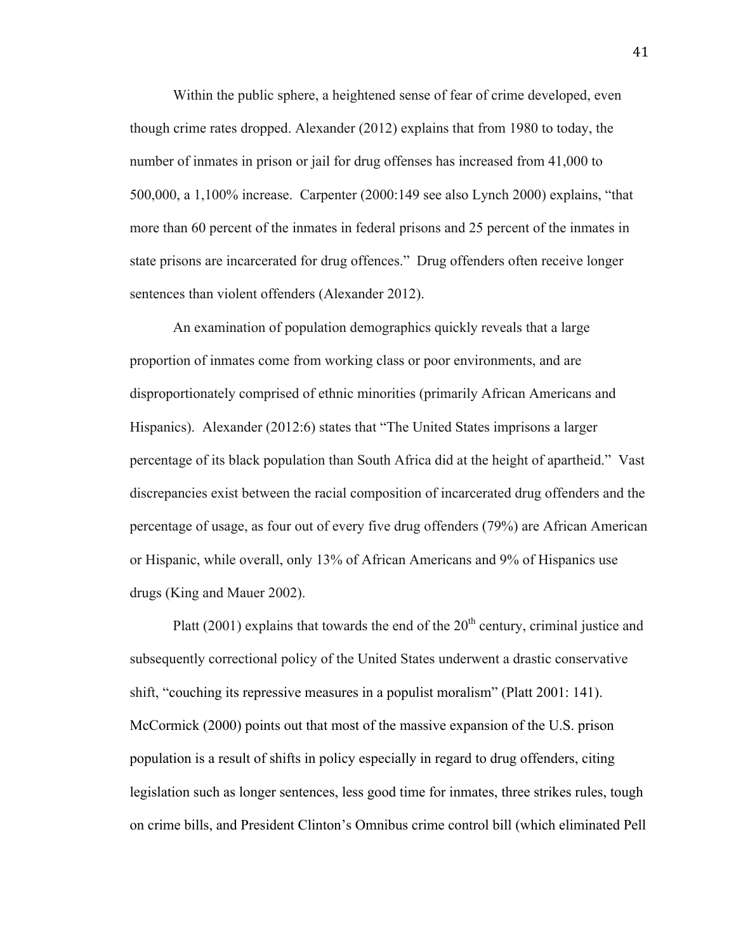Within the public sphere, a heightened sense of fear of crime developed, even though crime rates dropped. Alexander (2012) explains that from 1980 to today, the number of inmates in prison or jail for drug offenses has increased from 41,000 to 500,000, a 1,100% increase. Carpenter (2000:149 see also Lynch 2000) explains, "that more than 60 percent of the inmates in federal prisons and 25 percent of the inmates in state prisons are incarcerated for drug offences." Drug offenders often receive longer sentences than violent offenders (Alexander 2012).

An examination of population demographics quickly reveals that a large proportion of inmates come from working class or poor environments, and are disproportionately comprised of ethnic minorities (primarily African Americans and Hispanics). Alexander (2012:6) states that "The United States imprisons a larger percentage of its black population than South Africa did at the height of apartheid." Vast discrepancies exist between the racial composition of incarcerated drug offenders and the percentage of usage, as four out of every five drug offenders (79%) are African American or Hispanic, while overall, only 13% of African Americans and 9% of Hispanics use drugs (King and Mauer 2002).

Platt (2001) explains that towards the end of the  $20<sup>th</sup>$  century, criminal justice and subsequently correctional policy of the United States underwent a drastic conservative shift, "couching its repressive measures in a populist moralism" (Platt 2001: 141). McCormick (2000) points out that most of the massive expansion of the U.S. prison population is a result of shifts in policy especially in regard to drug offenders, citing legislation such as longer sentences, less good time for inmates, three strikes rules, tough on crime bills, and President Clinton's Omnibus crime control bill (which eliminated Pell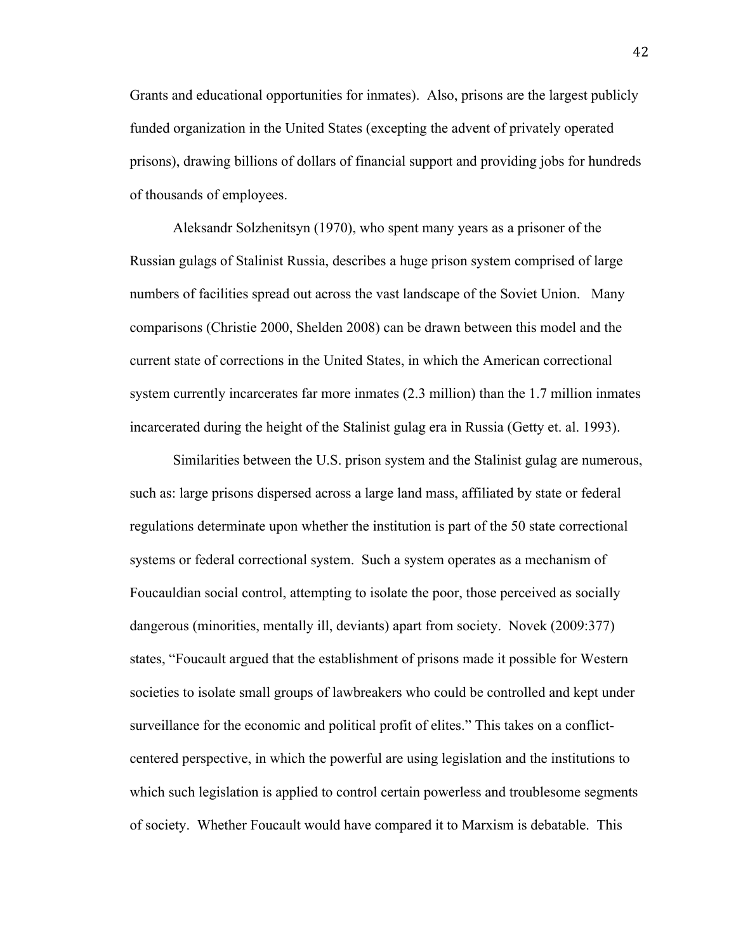Grants and educational opportunities for inmates). Also, prisons are the largest publicly funded organization in the United States (excepting the advent of privately operated prisons), drawing billions of dollars of financial support and providing jobs for hundreds of thousands of employees.

Aleksandr Solzhenitsyn (1970), who spent many years as a prisoner of the Russian gulags of Stalinist Russia, describes a huge prison system comprised of large numbers of facilities spread out across the vast landscape of the Soviet Union. Many comparisons (Christie 2000, Shelden 2008) can be drawn between this model and the current state of corrections in the United States, in which the American correctional system currently incarcerates far more inmates (2.3 million) than the 1.7 million inmates incarcerated during the height of the Stalinist gulag era in Russia (Getty et. al. 1993).

Similarities between the U.S. prison system and the Stalinist gulag are numerous, such as: large prisons dispersed across a large land mass, affiliated by state or federal regulations determinate upon whether the institution is part of the 50 state correctional systems or federal correctional system. Such a system operates as a mechanism of Foucauldian social control, attempting to isolate the poor, those perceived as socially dangerous (minorities, mentally ill, deviants) apart from society. Novek (2009:377) states, "Foucault argued that the establishment of prisons made it possible for Western societies to isolate small groups of lawbreakers who could be controlled and kept under surveillance for the economic and political profit of elites." This takes on a conflictcentered perspective, in which the powerful are using legislation and the institutions to which such legislation is applied to control certain powerless and troublesome segments of society. Whether Foucault would have compared it to Marxism is debatable. This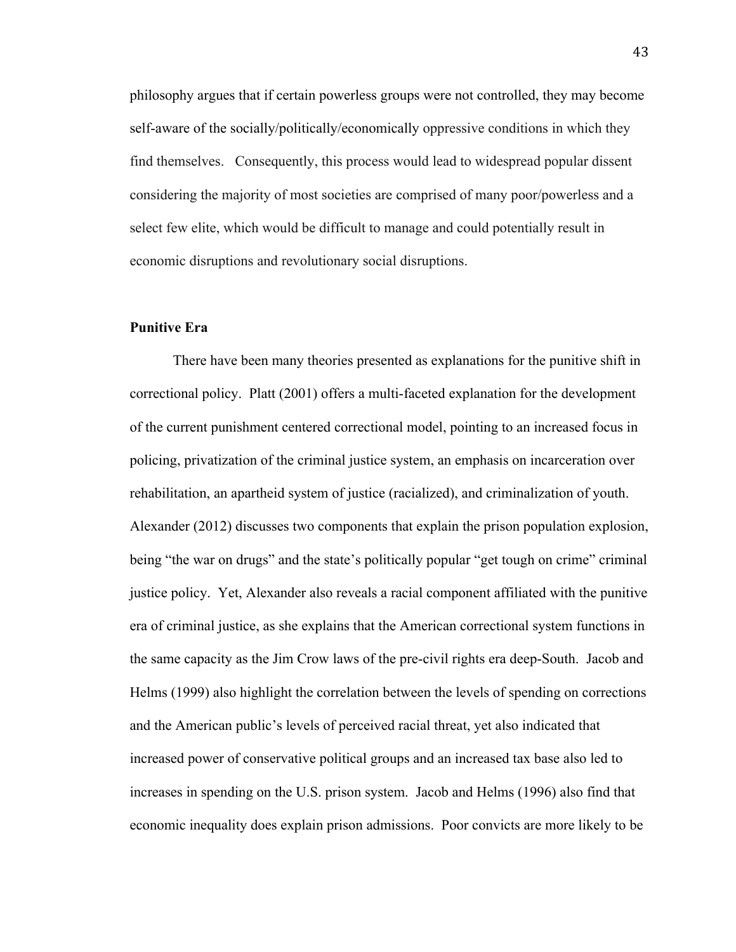philosophy argues that if certain powerless groups were not controlled, they may become self-aware of the socially/politically/economically oppressive conditions in which they find themselves. Consequently, this process would lead to widespread popular dissent considering the majority of most societies are comprised of many poor/powerless and a select few elite, which would be difficult to manage and could potentially result in economic disruptions and revolutionary social disruptions.

## **Punitive Era**

 There have been many theories presented as explanations for the punitive shift in correctional policy. Platt (2001) offers a multi-faceted explanation for the development of the current punishment centered correctional model, pointing to an increased focus in policing, privatization of the criminal justice system, an emphasis on incarceration over rehabilitation, an apartheid system of justice (racialized), and criminalization of youth. Alexander (2012) discusses two components that explain the prison population explosion, being "the war on drugs" and the state's politically popular "get tough on crime" criminal justice policy. Yet, Alexander also reveals a racial component affiliated with the punitive era of criminal justice, as she explains that the American correctional system functions in the same capacity as the Jim Crow laws of the pre-civil rights era deep-South. Jacob and Helms (1999) also highlight the correlation between the levels of spending on corrections and the American public's levels of perceived racial threat, yet also indicated that increased power of conservative political groups and an increased tax base also led to increases in spending on the U.S. prison system. Jacob and Helms (1996) also find that economic inequality does explain prison admissions. Poor convicts are more likely to be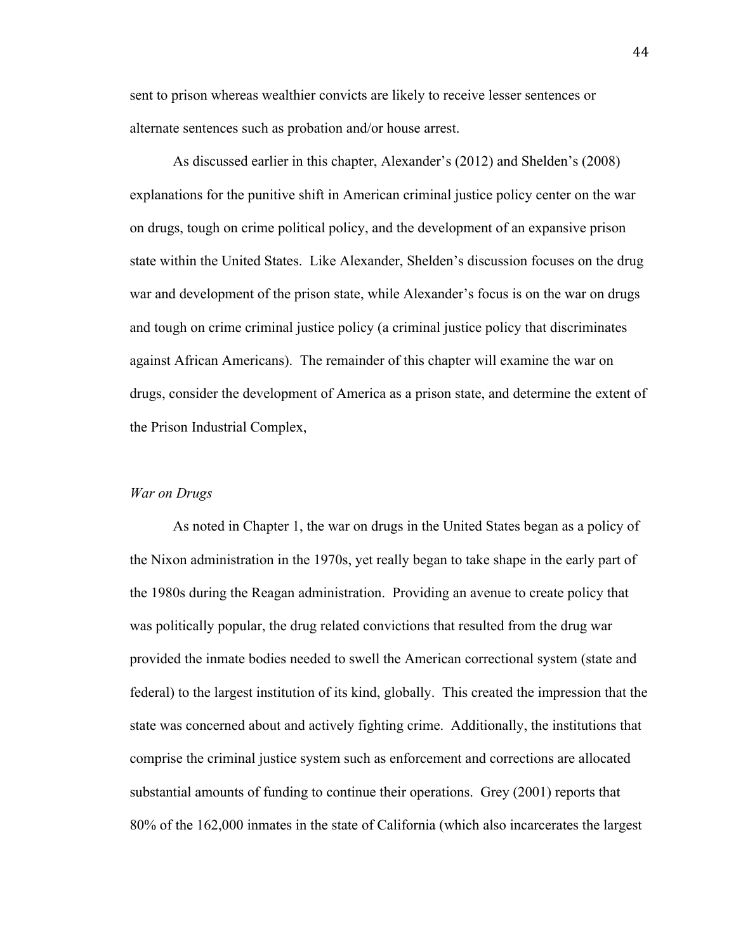sent to prison whereas wealthier convicts are likely to receive lesser sentences or alternate sentences such as probation and/or house arrest.

 As discussed earlier in this chapter, Alexander's (2012) and Shelden's (2008) explanations for the punitive shift in American criminal justice policy center on the war on drugs, tough on crime political policy, and the development of an expansive prison state within the United States. Like Alexander, Shelden's discussion focuses on the drug war and development of the prison state, while Alexander's focus is on the war on drugs and tough on crime criminal justice policy (a criminal justice policy that discriminates against African Americans). The remainder of this chapter will examine the war on drugs, consider the development of America as a prison state, and determine the extent of the Prison Industrial Complex,

#### *War on Drugs*

 As noted in Chapter 1, the war on drugs in the United States began as a policy of the Nixon administration in the 1970s, yet really began to take shape in the early part of the 1980s during the Reagan administration. Providing an avenue to create policy that was politically popular, the drug related convictions that resulted from the drug war provided the inmate bodies needed to swell the American correctional system (state and federal) to the largest institution of its kind, globally. This created the impression that the state was concerned about and actively fighting crime. Additionally, the institutions that comprise the criminal justice system such as enforcement and corrections are allocated substantial amounts of funding to continue their operations. Grey (2001) reports that 80% of the 162,000 inmates in the state of California (which also incarcerates the largest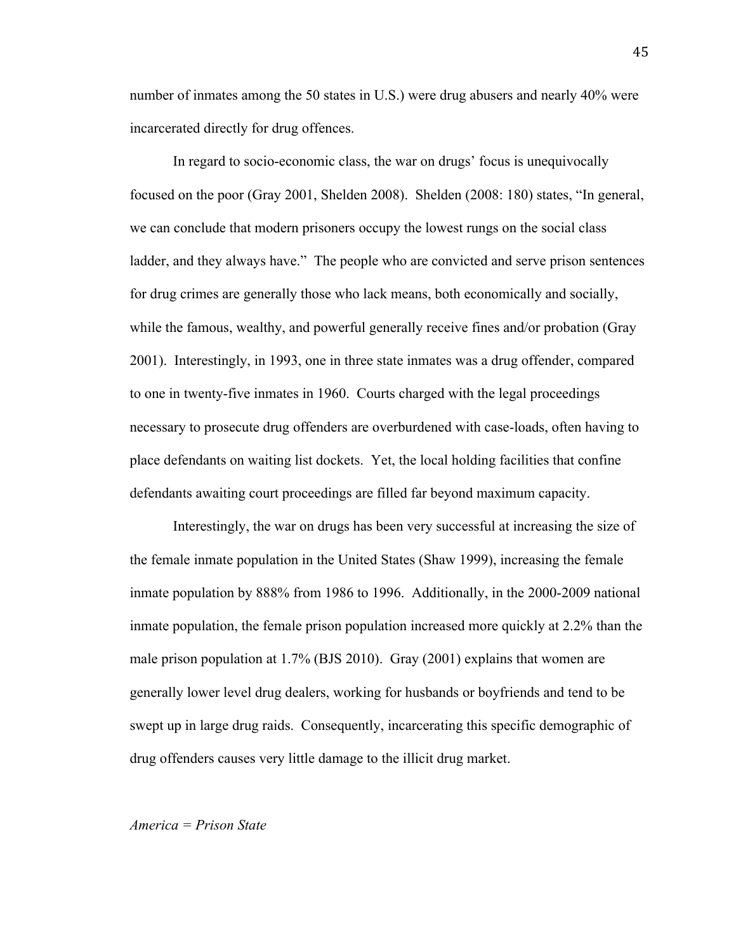number of inmates among the 50 states in U.S.) were drug abusers and nearly 40% were incarcerated directly for drug offences.

 In regard to socio-economic class, the war on drugs' focus is unequivocally focused on the poor (Gray 2001, Shelden 2008). Shelden (2008: 180) states, "In general, we can conclude that modern prisoners occupy the lowest rungs on the social class ladder, and they always have." The people who are convicted and serve prison sentences for drug crimes are generally those who lack means, both economically and socially, while the famous, wealthy, and powerful generally receive fines and/or probation (Gray 2001). Interestingly, in 1993, one in three state inmates was a drug offender, compared to one in twenty-five inmates in 1960. Courts charged with the legal proceedings necessary to prosecute drug offenders are overburdened with case-loads, often having to place defendants on waiting list dockets. Yet, the local holding facilities that confine defendants awaiting court proceedings are filled far beyond maximum capacity.

 Interestingly, the war on drugs has been very successful at increasing the size of the female inmate population in the United States (Shaw 1999), increasing the female inmate population by 888% from 1986 to 1996. Additionally, in the 2000-2009 national inmate population, the female prison population increased more quickly at 2.2% than the male prison population at 1.7% (BJS 2010). Gray (2001) explains that women are generally lower level drug dealers, working for husbands or boyfriends and tend to be swept up in large drug raids. Consequently, incarcerating this specific demographic of drug offenders causes very little damage to the illicit drug market.

#### *America = Prison State*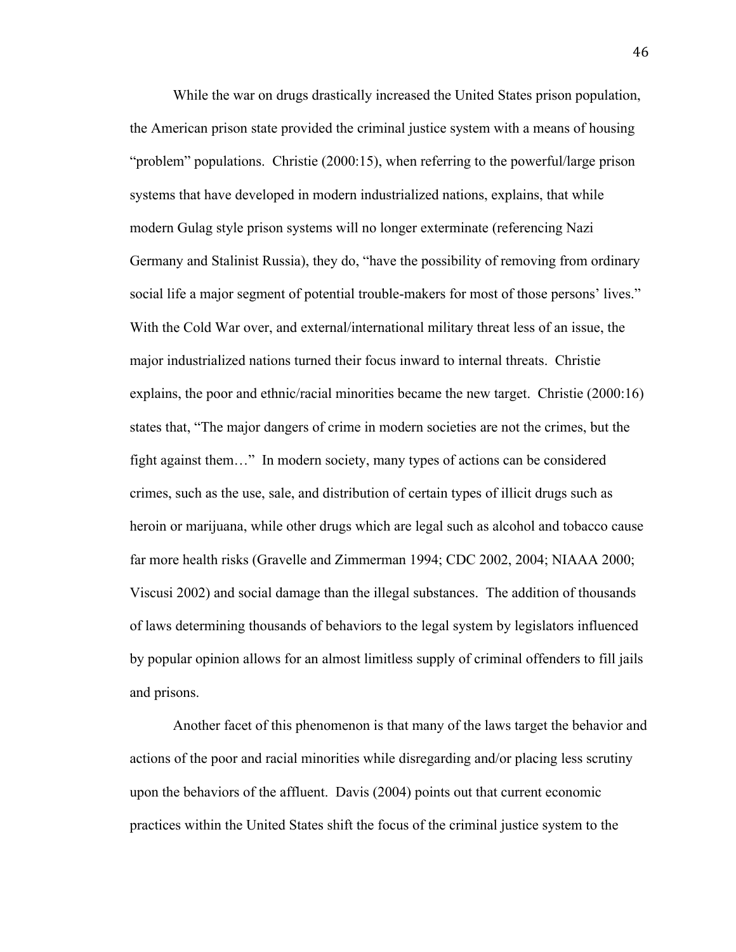While the war on drugs drastically increased the United States prison population, the American prison state provided the criminal justice system with a means of housing "problem" populations. Christie (2000:15), when referring to the powerful/large prison systems that have developed in modern industrialized nations, explains, that while modern Gulag style prison systems will no longer exterminate (referencing Nazi Germany and Stalinist Russia), they do, "have the possibility of removing from ordinary social life a major segment of potential trouble-makers for most of those persons' lives." With the Cold War over, and external/international military threat less of an issue, the major industrialized nations turned their focus inward to internal threats. Christie explains, the poor and ethnic/racial minorities became the new target. Christie (2000:16) states that, "The major dangers of crime in modern societies are not the crimes, but the fight against them…" In modern society, many types of actions can be considered crimes, such as the use, sale, and distribution of certain types of illicit drugs such as heroin or marijuana, while other drugs which are legal such as alcohol and tobacco cause far more health risks (Gravelle and Zimmerman 1994; CDC 2002, 2004; NIAAA 2000; Viscusi 2002) and social damage than the illegal substances. The addition of thousands of laws determining thousands of behaviors to the legal system by legislators influenced by popular opinion allows for an almost limitless supply of criminal offenders to fill jails and prisons.

Another facet of this phenomenon is that many of the laws target the behavior and actions of the poor and racial minorities while disregarding and/or placing less scrutiny upon the behaviors of the affluent. Davis (2004) points out that current economic practices within the United States shift the focus of the criminal justice system to the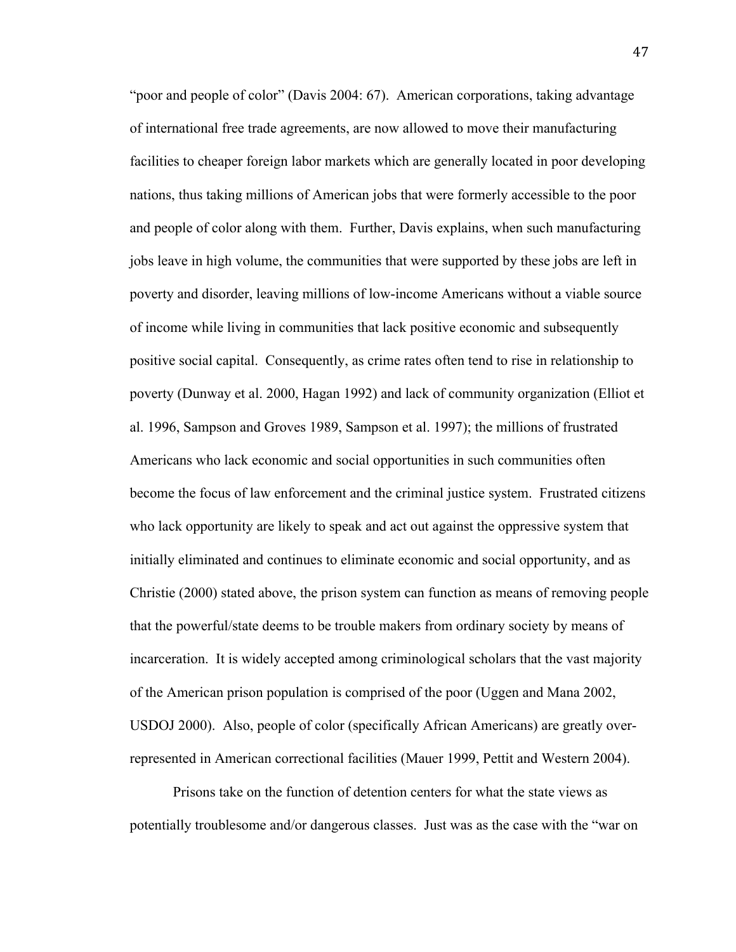"poor and people of color" (Davis 2004: 67). American corporations, taking advantage of international free trade agreements, are now allowed to move their manufacturing facilities to cheaper foreign labor markets which are generally located in poor developing nations, thus taking millions of American jobs that were formerly accessible to the poor and people of color along with them. Further, Davis explains, when such manufacturing jobs leave in high volume, the communities that were supported by these jobs are left in poverty and disorder, leaving millions of low-income Americans without a viable source of income while living in communities that lack positive economic and subsequently positive social capital. Consequently, as crime rates often tend to rise in relationship to poverty (Dunway et al. 2000, Hagan 1992) and lack of community organization (Elliot et al. 1996, Sampson and Groves 1989, Sampson et al. 1997); the millions of frustrated Americans who lack economic and social opportunities in such communities often become the focus of law enforcement and the criminal justice system. Frustrated citizens who lack opportunity are likely to speak and act out against the oppressive system that initially eliminated and continues to eliminate economic and social opportunity, and as Christie (2000) stated above, the prison system can function as means of removing people that the powerful/state deems to be trouble makers from ordinary society by means of incarceration. It is widely accepted among criminological scholars that the vast majority of the American prison population is comprised of the poor (Uggen and Mana 2002, USDOJ 2000). Also, people of color (specifically African Americans) are greatly overrepresented in American correctional facilities (Mauer 1999, Pettit and Western 2004).

Prisons take on the function of detention centers for what the state views as potentially troublesome and/or dangerous classes. Just was as the case with the "war on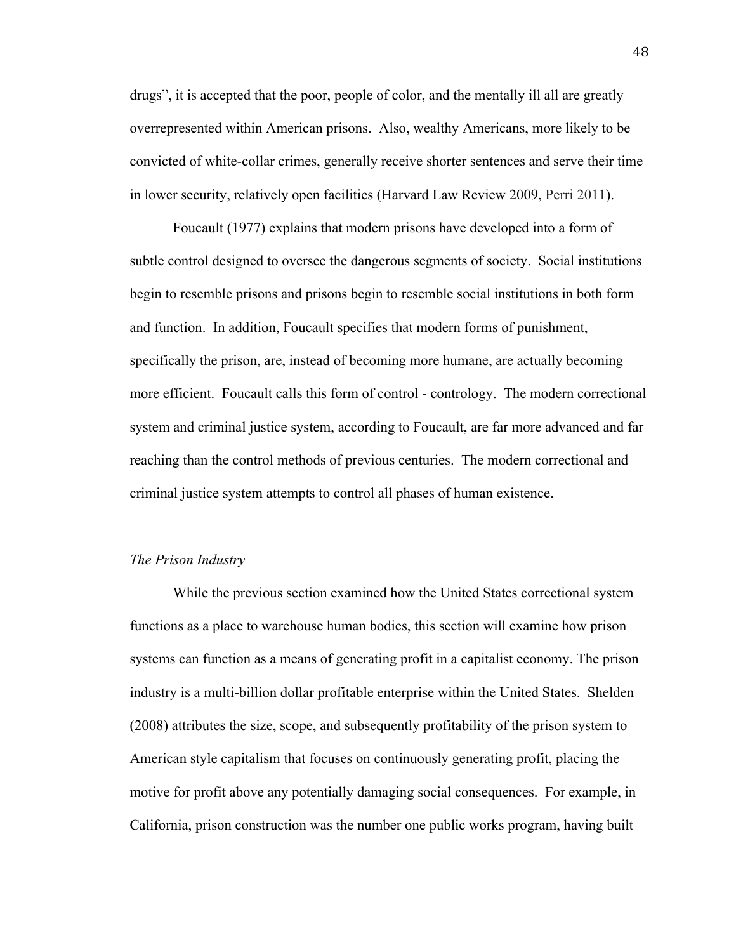drugs", it is accepted that the poor, people of color, and the mentally ill all are greatly overrepresented within American prisons. Also, wealthy Americans, more likely to be convicted of white-collar crimes, generally receive shorter sentences and serve their time in lower security, relatively open facilities (Harvard Law Review 2009, Perri 2011).

Foucault (1977) explains that modern prisons have developed into a form of subtle control designed to oversee the dangerous segments of society. Social institutions begin to resemble prisons and prisons begin to resemble social institutions in both form and function. In addition, Foucault specifies that modern forms of punishment, specifically the prison, are, instead of becoming more humane, are actually becoming more efficient. Foucault calls this form of control - contrology. The modern correctional system and criminal justice system, according to Foucault, are far more advanced and far reaching than the control methods of previous centuries. The modern correctional and criminal justice system attempts to control all phases of human existence.

#### *The Prison Industry*

While the previous section examined how the United States correctional system functions as a place to warehouse human bodies, this section will examine how prison systems can function as a means of generating profit in a capitalist economy. The prison industry is a multi-billion dollar profitable enterprise within the United States. Shelden (2008) attributes the size, scope, and subsequently profitability of the prison system to American style capitalism that focuses on continuously generating profit, placing the motive for profit above any potentially damaging social consequences. For example, in California, prison construction was the number one public works program, having built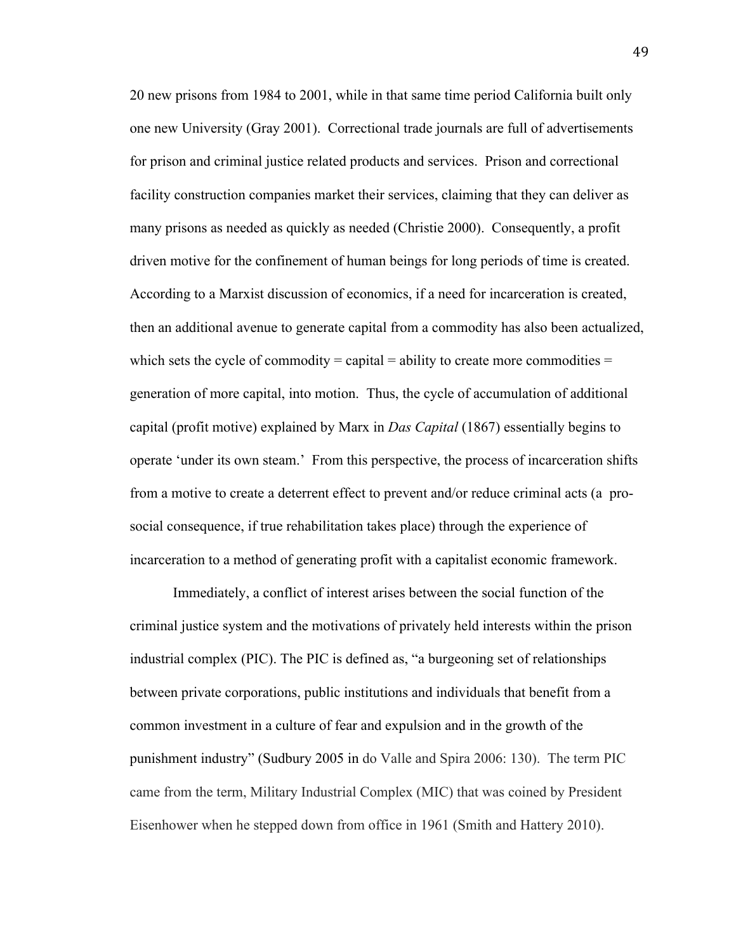20 new prisons from 1984 to 2001, while in that same time period California built only one new University (Gray 2001). Correctional trade journals are full of advertisements for prison and criminal justice related products and services. Prison and correctional facility construction companies market their services, claiming that they can deliver as many prisons as needed as quickly as needed (Christie 2000). Consequently, a profit driven motive for the confinement of human beings for long periods of time is created. According to a Marxist discussion of economics, if a need for incarceration is created, then an additional avenue to generate capital from a commodity has also been actualized, which sets the cycle of commodity = capital = ability to create more commodities = generation of more capital, into motion. Thus, the cycle of accumulation of additional capital (profit motive) explained by Marx in *Das Capital* (1867) essentially begins to operate 'under its own steam.' From this perspective, the process of incarceration shifts from a motive to create a deterrent effect to prevent and/or reduce criminal acts (a prosocial consequence, if true rehabilitation takes place) through the experience of incarceration to a method of generating profit with a capitalist economic framework.

Immediately, a conflict of interest arises between the social function of the criminal justice system and the motivations of privately held interests within the prison industrial complex (PIC). The PIC is defined as, "a burgeoning set of relationships between private corporations, public institutions and individuals that benefit from a common investment in a culture of fear and expulsion and in the growth of the punishment industry" (Sudbury 2005 in do Valle and Spira 2006: 130). The term PIC came from the term, Military Industrial Complex (MIC) that was coined by President Eisenhower when he stepped down from office in 1961 (Smith and Hattery 2010).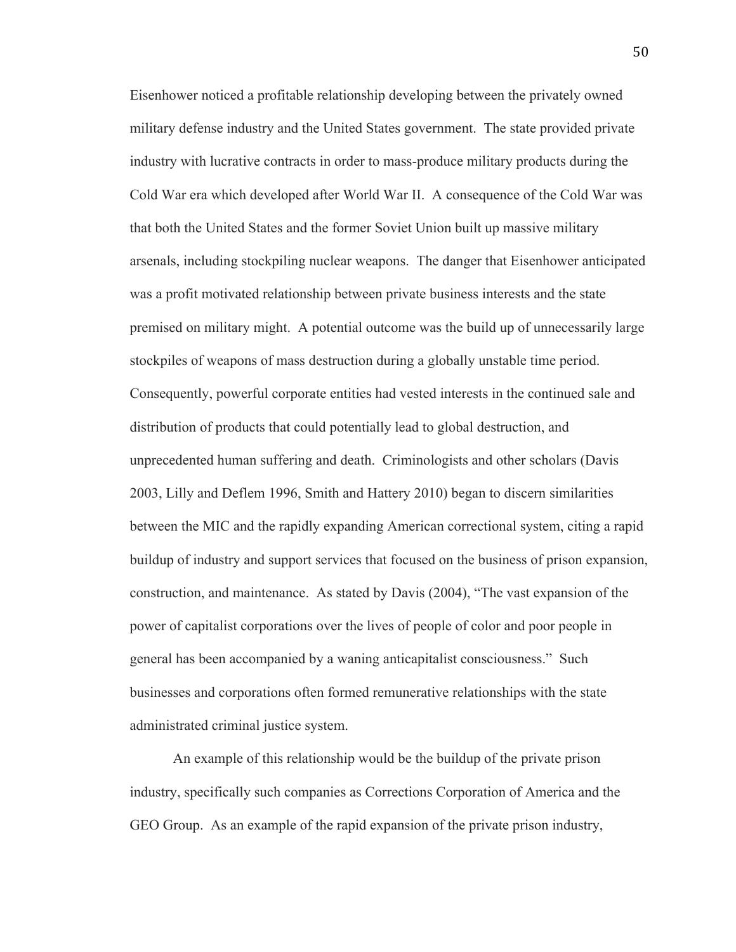Eisenhower noticed a profitable relationship developing between the privately owned military defense industry and the United States government. The state provided private industry with lucrative contracts in order to mass-produce military products during the Cold War era which developed after World War II. A consequence of the Cold War was that both the United States and the former Soviet Union built up massive military arsenals, including stockpiling nuclear weapons. The danger that Eisenhower anticipated was a profit motivated relationship between private business interests and the state premised on military might. A potential outcome was the build up of unnecessarily large stockpiles of weapons of mass destruction during a globally unstable time period. Consequently, powerful corporate entities had vested interests in the continued sale and distribution of products that could potentially lead to global destruction, and unprecedented human suffering and death. Criminologists and other scholars (Davis 2003, Lilly and Deflem 1996, Smith and Hattery 2010) began to discern similarities between the MIC and the rapidly expanding American correctional system, citing a rapid buildup of industry and support services that focused on the business of prison expansion, construction, and maintenance. As stated by Davis (2004), "The vast expansion of the power of capitalist corporations over the lives of people of color and poor people in general has been accompanied by a waning anticapitalist consciousness." Such businesses and corporations often formed remunerative relationships with the state administrated criminal justice system.

An example of this relationship would be the buildup of the private prison industry, specifically such companies as Corrections Corporation of America and the GEO Group. As an example of the rapid expansion of the private prison industry,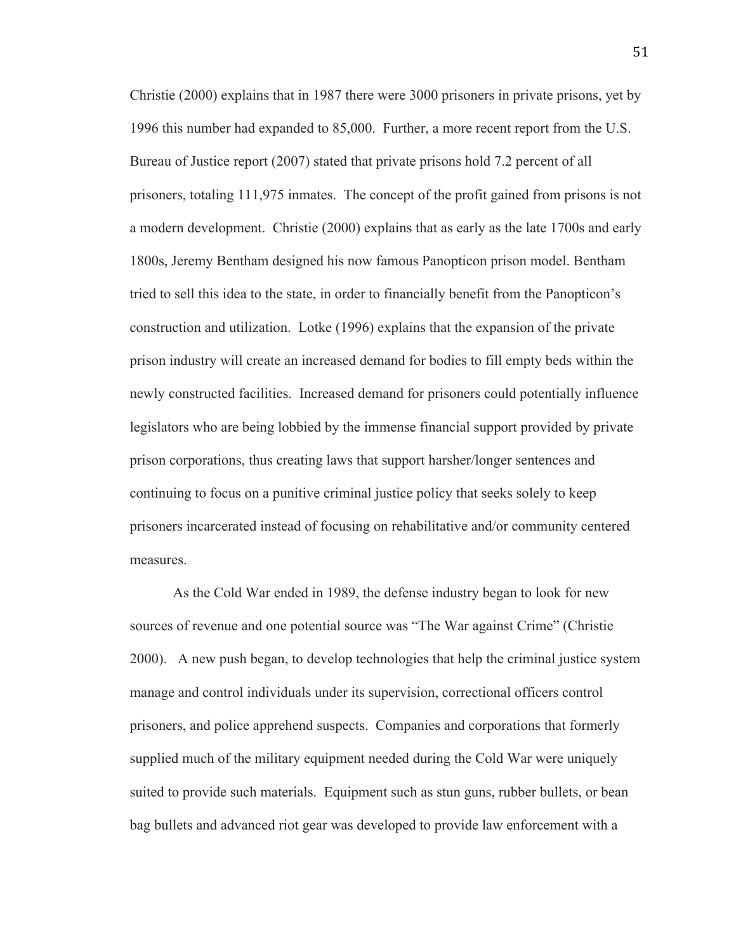Christie (2000) explains that in 1987 there were 3000 prisoners in private prisons, yet by 1996 this number had expanded to 85,000. Further, a more recent report from the U.S. Bureau of Justice report (2007) stated that private prisons hold 7.2 percent of all prisoners, totaling 111,975 inmates. The concept of the profit gained from prisons is not a modern development. Christie (2000) explains that as early as the late 1700s and early 1800s, Jeremy Bentham designed his now famous Panopticon prison model. Bentham tried to sell this idea to the state, in order to financially benefit from the Panopticon's construction and utilization. Lotke (1996) explains that the expansion of the private prison industry will create an increased demand for bodies to fill empty beds within the newly constructed facilities. Increased demand for prisoners could potentially influence legislators who are being lobbied by the immense financial support provided by private prison corporations, thus creating laws that support harsher/longer sentences and continuing to focus on a punitive criminal justice policy that seeks solely to keep prisoners incarcerated instead of focusing on rehabilitative and/or community centered measures.

As the Cold War ended in 1989, the defense industry began to look for new sources of revenue and one potential source was "The War against Crime" (Christie 2000). A new push began, to develop technologies that help the criminal justice system manage and control individuals under its supervision, correctional officers control prisoners, and police apprehend suspects. Companies and corporations that formerly supplied much of the military equipment needed during the Cold War were uniquely suited to provide such materials. Equipment such as stun guns, rubber bullets, or bean bag bullets and advanced riot gear was developed to provide law enforcement with a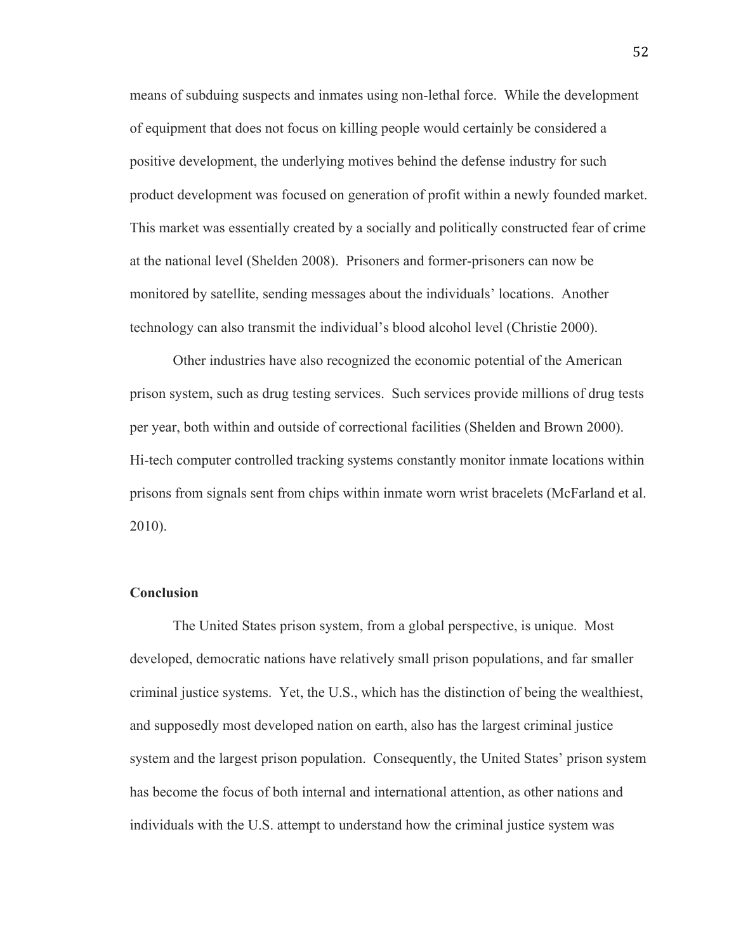means of subduing suspects and inmates using non-lethal force. While the development of equipment that does not focus on killing people would certainly be considered a positive development, the underlying motives behind the defense industry for such product development was focused on generation of profit within a newly founded market. This market was essentially created by a socially and politically constructed fear of crime at the national level (Shelden 2008). Prisoners and former-prisoners can now be monitored by satellite, sending messages about the individuals' locations. Another technology can also transmit the individual's blood alcohol level (Christie 2000).

Other industries have also recognized the economic potential of the American prison system, such as drug testing services. Such services provide millions of drug tests per year, both within and outside of correctional facilities (Shelden and Brown 2000). Hi-tech computer controlled tracking systems constantly monitor inmate locations within prisons from signals sent from chips within inmate worn wrist bracelets (McFarland et al. 2010).

#### **Conclusion**

The United States prison system, from a global perspective, is unique. Most developed, democratic nations have relatively small prison populations, and far smaller criminal justice systems. Yet, the U.S., which has the distinction of being the wealthiest, and supposedly most developed nation on earth, also has the largest criminal justice system and the largest prison population. Consequently, the United States' prison system has become the focus of both internal and international attention, as other nations and individuals with the U.S. attempt to understand how the criminal justice system was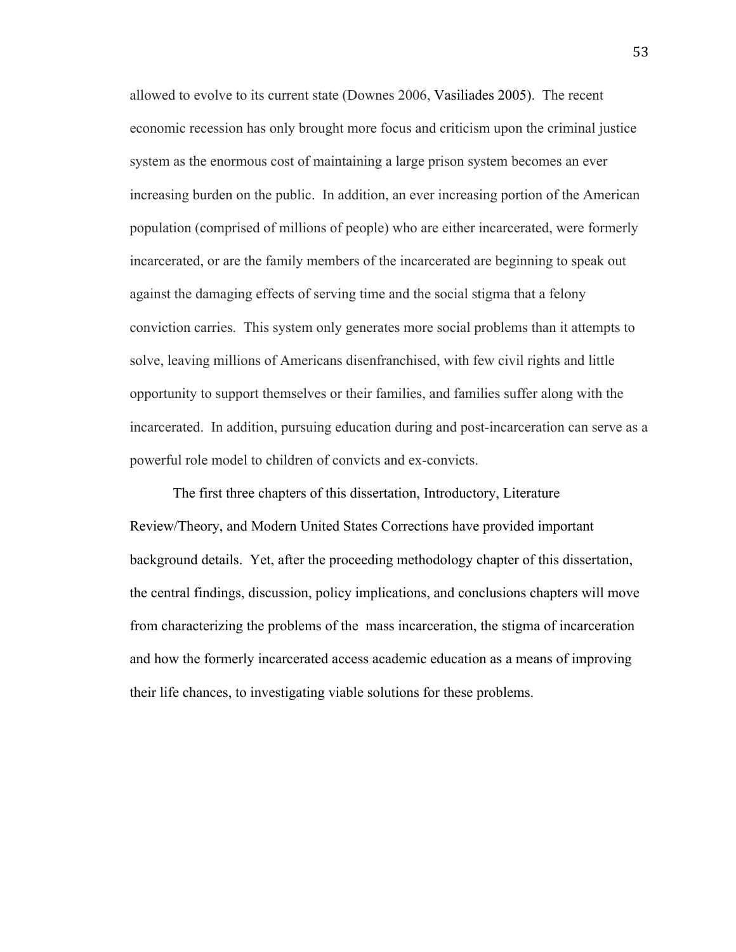allowed to evolve to its current state (Downes 2006, Vasiliades 2005). The recent economic recession has only brought more focus and criticism upon the criminal justice system as the enormous cost of maintaining a large prison system becomes an ever increasing burden on the public. In addition, an ever increasing portion of the American population (comprised of millions of people) who are either incarcerated, were formerly incarcerated, or are the family members of the incarcerated are beginning to speak out against the damaging effects of serving time and the social stigma that a felony conviction carries. This system only generates more social problems than it attempts to solve, leaving millions of Americans disenfranchised, with few civil rights and little opportunity to support themselves or their families, and families suffer along with the incarcerated. In addition, pursuing education during and post-incarceration can serve as a powerful role model to children of convicts and ex-convicts.

The first three chapters of this dissertation, Introductory, Literature Review/Theory, and Modern United States Corrections have provided important background details. Yet, after the proceeding methodology chapter of this dissertation, the central findings, discussion, policy implications, and conclusions chapters will move from characterizing the problems of the mass incarceration, the stigma of incarceration and how the formerly incarcerated access academic education as a means of improving their life chances, to investigating viable solutions for these problems.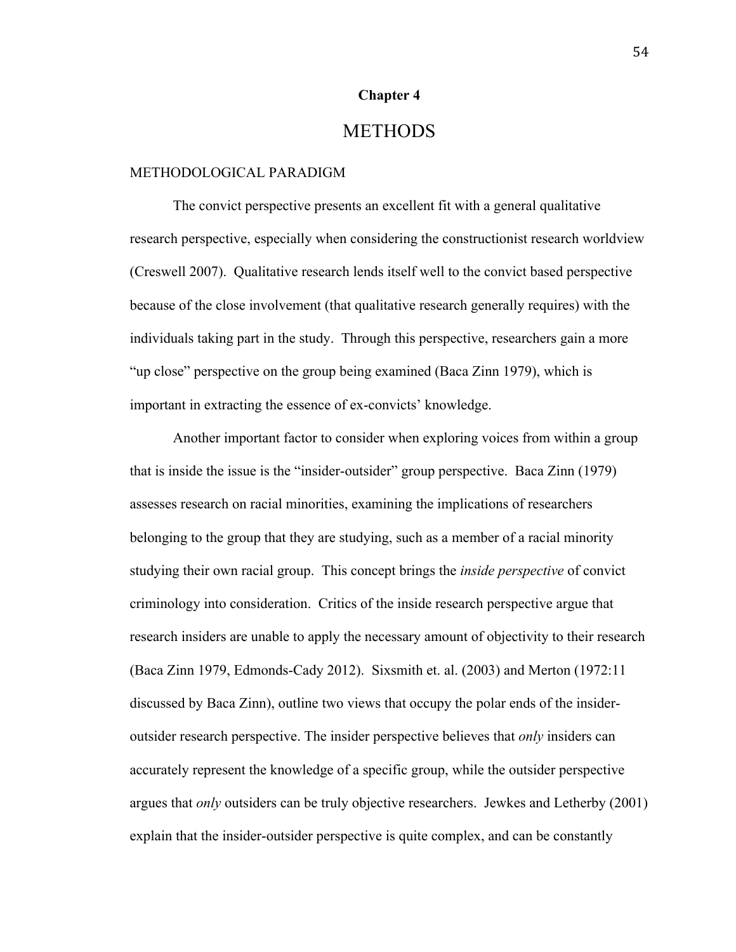## **Chapter 4**

# METHODS

#### METHODOLOGICAL PARADIGM

The convict perspective presents an excellent fit with a general qualitative research perspective, especially when considering the constructionist research worldview (Creswell 2007). Qualitative research lends itself well to the convict based perspective because of the close involvement (that qualitative research generally requires) with the individuals taking part in the study. Through this perspective, researchers gain a more "up close" perspective on the group being examined (Baca Zinn 1979), which is important in extracting the essence of ex-convicts' knowledge.

Another important factor to consider when exploring voices from within a group that is inside the issue is the "insider-outsider" group perspective. Baca Zinn (1979) assesses research on racial minorities, examining the implications of researchers belonging to the group that they are studying, such as a member of a racial minority studying their own racial group. This concept brings the *inside perspective* of convict criminology into consideration. Critics of the inside research perspective argue that research insiders are unable to apply the necessary amount of objectivity to their research (Baca Zinn 1979, Edmonds-Cady 2012). Sixsmith et. al. (2003) and Merton (1972:11 discussed by Baca Zinn), outline two views that occupy the polar ends of the insideroutsider research perspective. The insider perspective believes that *only* insiders can accurately represent the knowledge of a specific group, while the outsider perspective argues that *only* outsiders can be truly objective researchers. Jewkes and Letherby (2001) explain that the insider-outsider perspective is quite complex, and can be constantly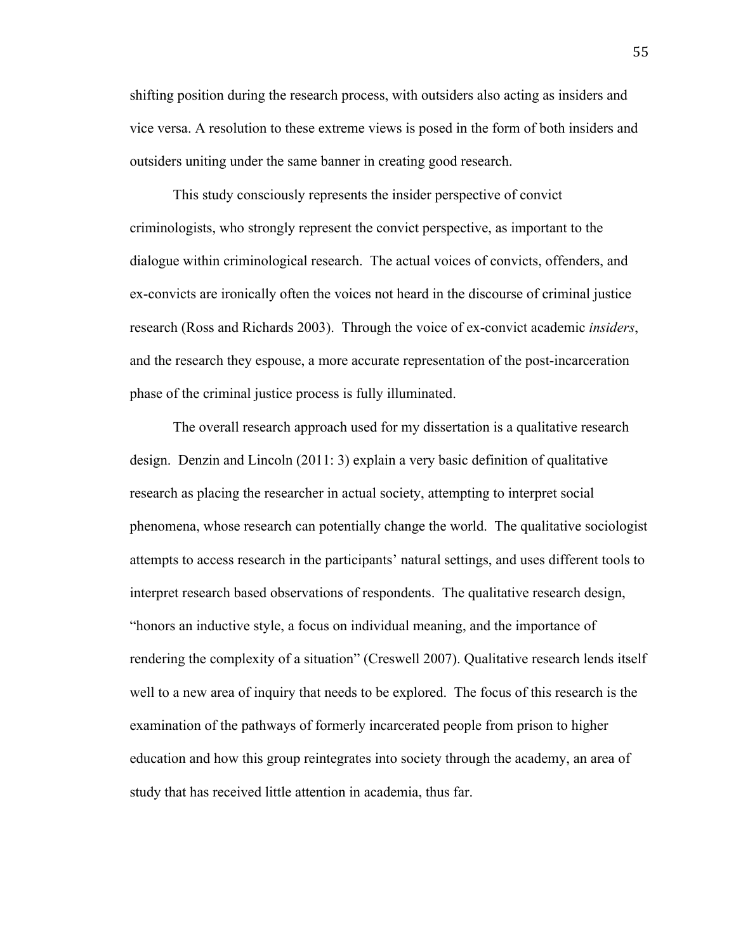shifting position during the research process, with outsiders also acting as insiders and vice versa. A resolution to these extreme views is posed in the form of both insiders and outsiders uniting under the same banner in creating good research.

This study consciously represents the insider perspective of convict criminologists, who strongly represent the convict perspective, as important to the dialogue within criminological research. The actual voices of convicts, offenders, and ex-convicts are ironically often the voices not heard in the discourse of criminal justice research (Ross and Richards 2003). Through the voice of ex-convict academic *insiders*, and the research they espouse, a more accurate representation of the post-incarceration phase of the criminal justice process is fully illuminated.

The overall research approach used for my dissertation is a qualitative research design. Denzin and Lincoln (2011: 3) explain a very basic definition of qualitative research as placing the researcher in actual society, attempting to interpret social phenomena, whose research can potentially change the world. The qualitative sociologist attempts to access research in the participants' natural settings, and uses different tools to interpret research based observations of respondents. The qualitative research design, "honors an inductive style, a focus on individual meaning, and the importance of rendering the complexity of a situation" (Creswell 2007). Qualitative research lends itself well to a new area of inquiry that needs to be explored. The focus of this research is the examination of the pathways of formerly incarcerated people from prison to higher education and how this group reintegrates into society through the academy, an area of study that has received little attention in academia, thus far.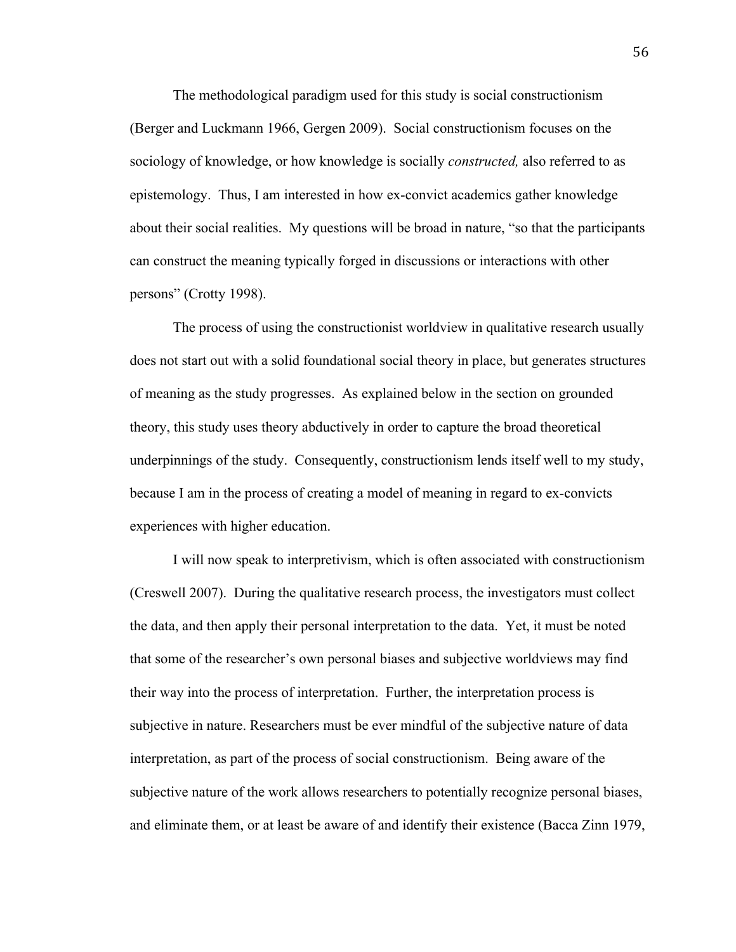The methodological paradigm used for this study is social constructionism (Berger and Luckmann 1966, Gergen 2009). Social constructionism focuses on the sociology of knowledge, or how knowledge is socially *constructed,* also referred to as epistemology. Thus, I am interested in how ex-convict academics gather knowledge about their social realities. My questions will be broad in nature, "so that the participants can construct the meaning typically forged in discussions or interactions with other persons" (Crotty 1998).

The process of using the constructionist worldview in qualitative research usually does not start out with a solid foundational social theory in place, but generates structures of meaning as the study progresses. As explained below in the section on grounded theory, this study uses theory abductively in order to capture the broad theoretical underpinnings of the study. Consequently, constructionism lends itself well to my study, because I am in the process of creating a model of meaning in regard to ex-convicts experiences with higher education.

I will now speak to interpretivism, which is often associated with constructionism (Creswell 2007). During the qualitative research process, the investigators must collect the data, and then apply their personal interpretation to the data. Yet, it must be noted that some of the researcher's own personal biases and subjective worldviews may find their way into the process of interpretation. Further, the interpretation process is subjective in nature. Researchers must be ever mindful of the subjective nature of data interpretation, as part of the process of social constructionism. Being aware of the subjective nature of the work allows researchers to potentially recognize personal biases, and eliminate them, or at least be aware of and identify their existence (Bacca Zinn 1979,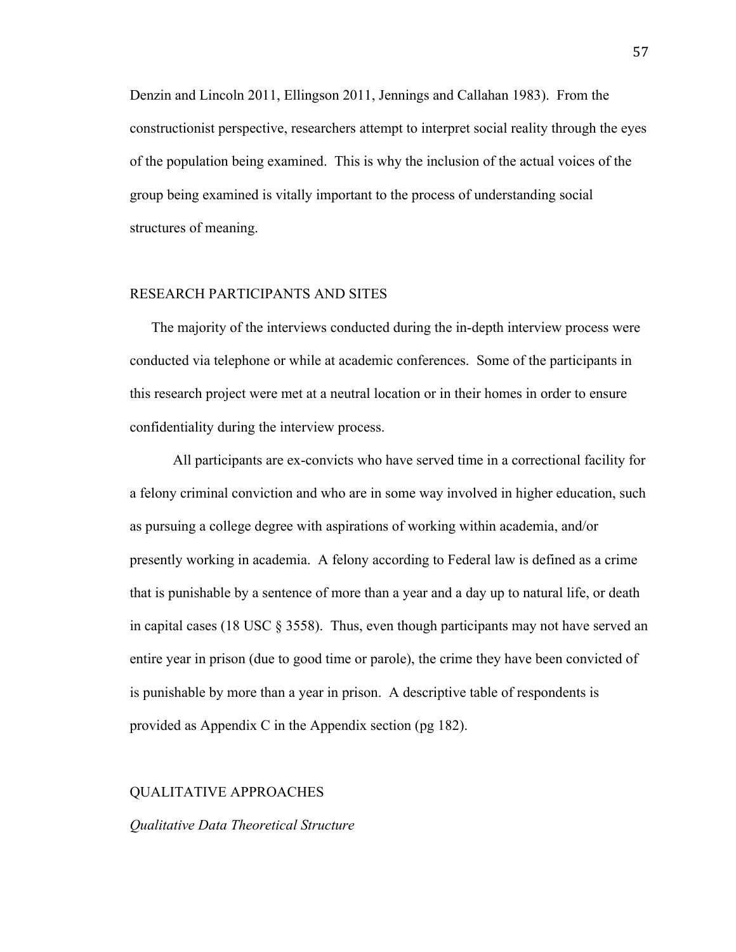Denzin and Lincoln 2011, Ellingson 2011, Jennings and Callahan 1983). From the constructionist perspective, researchers attempt to interpret social reality through the eyes of the population being examined. This is why the inclusion of the actual voices of the group being examined is vitally important to the process of understanding social structures of meaning.

#### RESEARCH PARTICIPANTS AND SITES

The majority of the interviews conducted during the in-depth interview process were conducted via telephone or while at academic conferences. Some of the participants in this research project were met at a neutral location or in their homes in order to ensure confidentiality during the interview process.

All participants are ex-convicts who have served time in a correctional facility for a felony criminal conviction and who are in some way involved in higher education, such as pursuing a college degree with aspirations of working within academia, and/or presently working in academia. A felony according to Federal law is defined as a crime that is punishable by a sentence of more than a year and a day up to natural life, or death in capital cases (18 USC  $\S$  3558). Thus, even though participants may not have served an entire year in prison (due to good time or parole), the crime they have been convicted of is punishable by more than a year in prison. A descriptive table of respondents is provided as Appendix C in the Appendix section (pg 182).

#### QUALITATIVE APPROACHES

#### *Qualitative Data Theoretical Structure*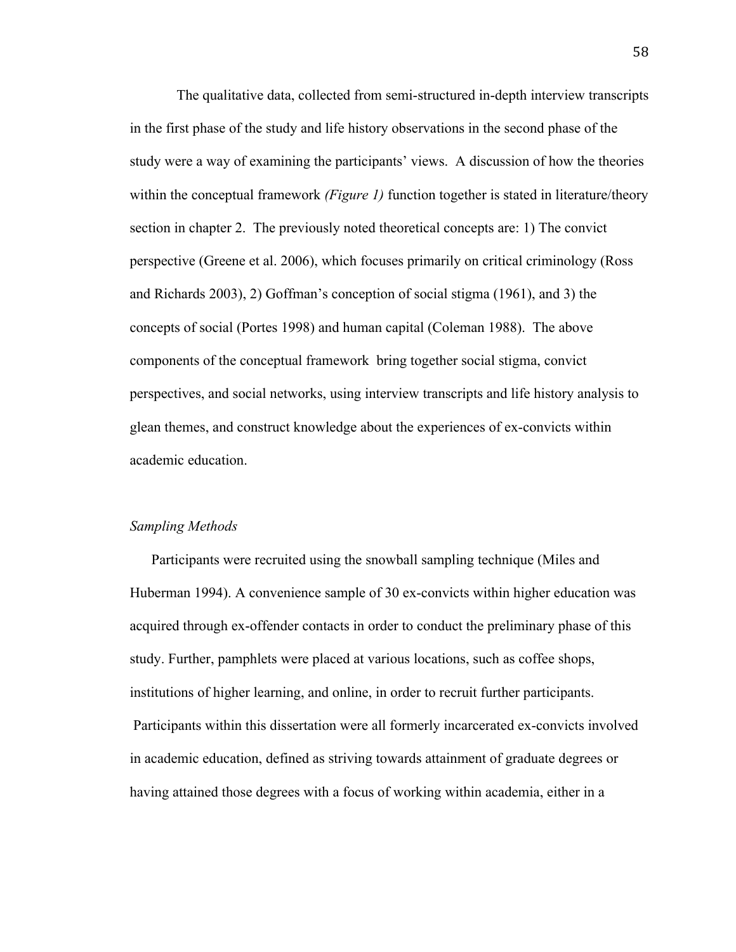The qualitative data, collected from semi-structured in-depth interview transcripts in the first phase of the study and life history observations in the second phase of the study were a way of examining the participants' views. A discussion of how the theories within the conceptual framework *(Figure 1)* function together is stated in literature/theory section in chapter 2. The previously noted theoretical concepts are: 1) The convict perspective (Greene et al. 2006), which focuses primarily on critical criminology (Ross and Richards 2003), 2) Goffman's conception of social stigma (1961), and 3) the concepts of social (Portes 1998) and human capital (Coleman 1988). The above components of the conceptual framework bring together social stigma, convict perspectives, and social networks, using interview transcripts and life history analysis to glean themes, and construct knowledge about the experiences of ex-convicts within academic education.

#### *Sampling Methods*

Participants were recruited using the snowball sampling technique (Miles and Huberman 1994). A convenience sample of 30 ex-convicts within higher education was acquired through ex-offender contacts in order to conduct the preliminary phase of this study. Further, pamphlets were placed at various locations, such as coffee shops, institutions of higher learning, and online, in order to recruit further participants. Participants within this dissertation were all formerly incarcerated ex-convicts involved in academic education, defined as striving towards attainment of graduate degrees or having attained those degrees with a focus of working within academia, either in a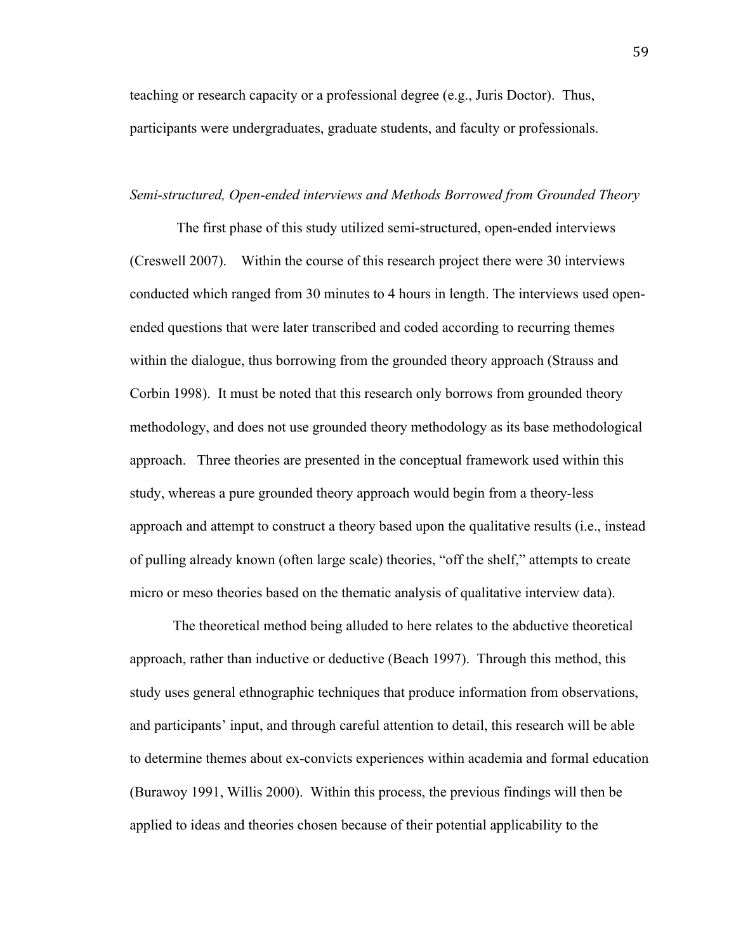teaching or research capacity or a professional degree (e.g., Juris Doctor). Thus, participants were undergraduates, graduate students, and faculty or professionals.

#### *Semi-structured, Open-ended interviews and Methods Borrowed from Grounded Theory*

The first phase of this study utilized semi-structured, open-ended interviews (Creswell 2007). Within the course of this research project there were 30 interviews conducted which ranged from 30 minutes to 4 hours in length. The interviews used openended questions that were later transcribed and coded according to recurring themes within the dialogue, thus borrowing from the grounded theory approach (Strauss and Corbin 1998). It must be noted that this research only borrows from grounded theory methodology, and does not use grounded theory methodology as its base methodological approach. Three theories are presented in the conceptual framework used within this study, whereas a pure grounded theory approach would begin from a theory-less approach and attempt to construct a theory based upon the qualitative results (i.e., instead of pulling already known (often large scale) theories, "off the shelf," attempts to create micro or meso theories based on the thematic analysis of qualitative interview data).

The theoretical method being alluded to here relates to the abductive theoretical approach, rather than inductive or deductive (Beach 1997). Through this method, this study uses general ethnographic techniques that produce information from observations, and participants' input, and through careful attention to detail, this research will be able to determine themes about ex-convicts experiences within academia and formal education (Burawoy 1991, Willis 2000). Within this process, the previous findings will then be applied to ideas and theories chosen because of their potential applicability to the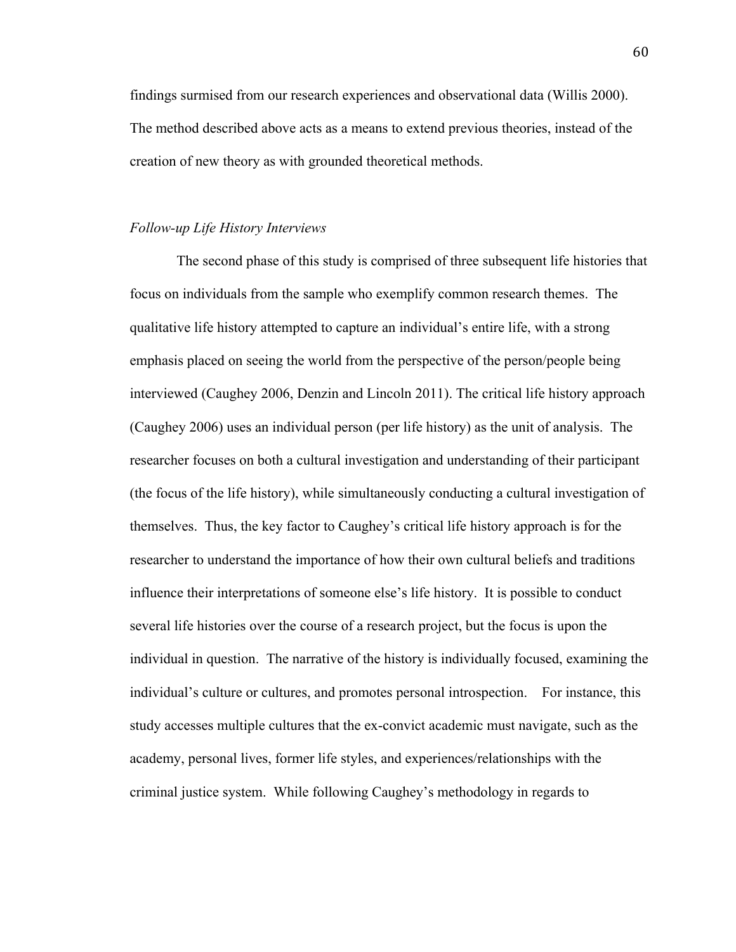findings surmised from our research experiences and observational data (Willis 2000). The method described above acts as a means to extend previous theories, instead of the creation of new theory as with grounded theoretical methods.

## *Follow-up Life History Interviews*

The second phase of this study is comprised of three subsequent life histories that focus on individuals from the sample who exemplify common research themes. The qualitative life history attempted to capture an individual's entire life, with a strong emphasis placed on seeing the world from the perspective of the person/people being interviewed (Caughey 2006, Denzin and Lincoln 2011). The critical life history approach (Caughey 2006) uses an individual person (per life history) as the unit of analysis. The researcher focuses on both a cultural investigation and understanding of their participant (the focus of the life history), while simultaneously conducting a cultural investigation of themselves. Thus, the key factor to Caughey's critical life history approach is for the researcher to understand the importance of how their own cultural beliefs and traditions influence their interpretations of someone else's life history. It is possible to conduct several life histories over the course of a research project, but the focus is upon the individual in question. The narrative of the history is individually focused, examining the individual's culture or cultures, and promotes personal introspection. For instance, this study accesses multiple cultures that the ex-convict academic must navigate, such as the academy, personal lives, former life styles, and experiences/relationships with the criminal justice system. While following Caughey's methodology in regards to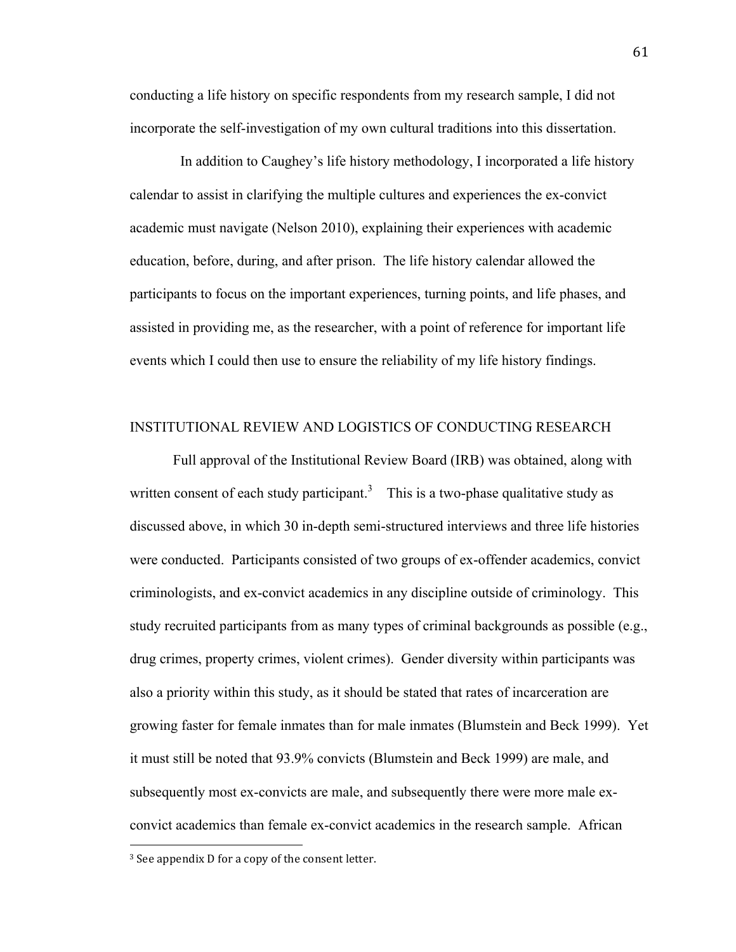conducting a life history on specific respondents from my research sample, I did not incorporate the self-investigation of my own cultural traditions into this dissertation.

 In addition to Caughey's life history methodology, I incorporated a life history calendar to assist in clarifying the multiple cultures and experiences the ex-convict academic must navigate (Nelson 2010), explaining their experiences with academic education, before, during, and after prison. The life history calendar allowed the participants to focus on the important experiences, turning points, and life phases, and assisted in providing me, as the researcher, with a point of reference for important life events which I could then use to ensure the reliability of my life history findings.

#### INSTITUTIONAL REVIEW AND LOGISTICS OF CONDUCTING RESEARCH

Full approval of the Institutional Review Board (IRB) was obtained, along with written consent of each study participant.<sup>3</sup> This is a two-phase qualitative study as discussed above, in which 30 in-depth semi-structured interviews and three life histories were conducted. Participants consisted of two groups of ex-offender academics, convict criminologists, and ex-convict academics in any discipline outside of criminology. This study recruited participants from as many types of criminal backgrounds as possible (e.g., drug crimes, property crimes, violent crimes). Gender diversity within participants was also a priority within this study, as it should be stated that rates of incarceration are growing faster for female inmates than for male inmates (Blumstein and Beck 1999). Yet it must still be noted that 93.9% convicts (Blumstein and Beck 1999) are male, and subsequently most ex-convicts are male, and subsequently there were more male exconvict academics than female ex-convict academics in the research sample. African

!!!!!!!!!!!!!!!!!!!!!!!!!!!!!!!!!!!!!!!!!!!!!!!!!!!!!!!

 $3$  See appendix D for a copy of the consent letter.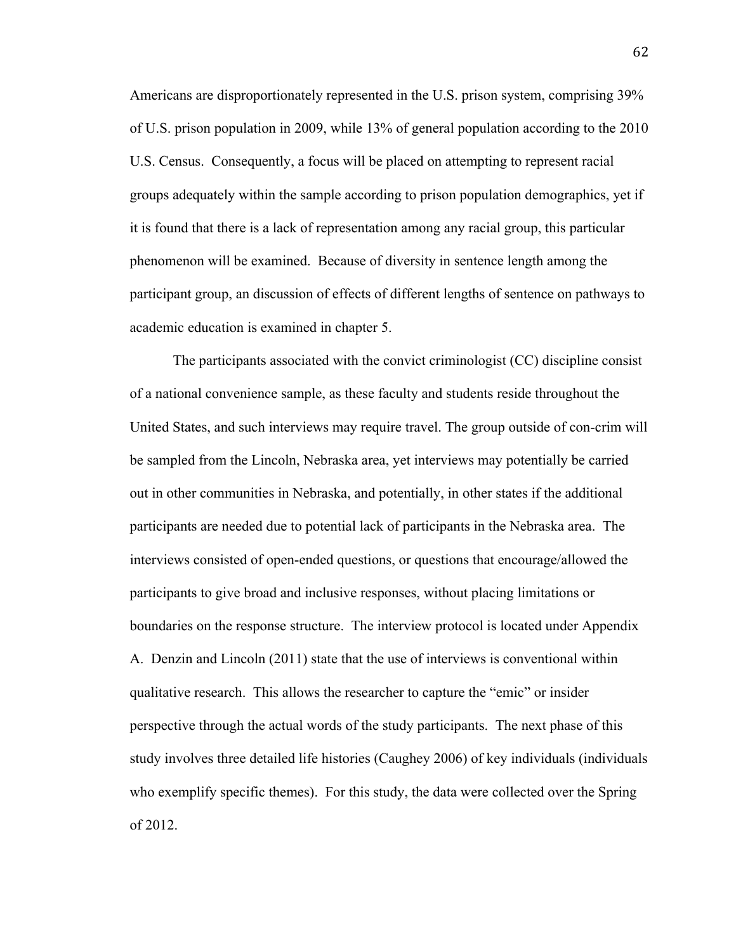Americans are disproportionately represented in the U.S. prison system, comprising 39% of U.S. prison population in 2009, while 13% of general population according to the 2010 U.S. Census. Consequently, a focus will be placed on attempting to represent racial groups adequately within the sample according to prison population demographics, yet if it is found that there is a lack of representation among any racial group, this particular phenomenon will be examined. Because of diversity in sentence length among the participant group, an discussion of effects of different lengths of sentence on pathways to academic education is examined in chapter 5.

The participants associated with the convict criminologist (CC) discipline consist of a national convenience sample, as these faculty and students reside throughout the United States, and such interviews may require travel. The group outside of con-crim will be sampled from the Lincoln, Nebraska area, yet interviews may potentially be carried out in other communities in Nebraska, and potentially, in other states if the additional participants are needed due to potential lack of participants in the Nebraska area. The interviews consisted of open-ended questions, or questions that encourage/allowed the participants to give broad and inclusive responses, without placing limitations or boundaries on the response structure. The interview protocol is located under Appendix A. Denzin and Lincoln (2011) state that the use of interviews is conventional within qualitative research. This allows the researcher to capture the "emic" or insider perspective through the actual words of the study participants. The next phase of this study involves three detailed life histories (Caughey 2006) of key individuals (individuals who exemplify specific themes). For this study, the data were collected over the Spring of 2012.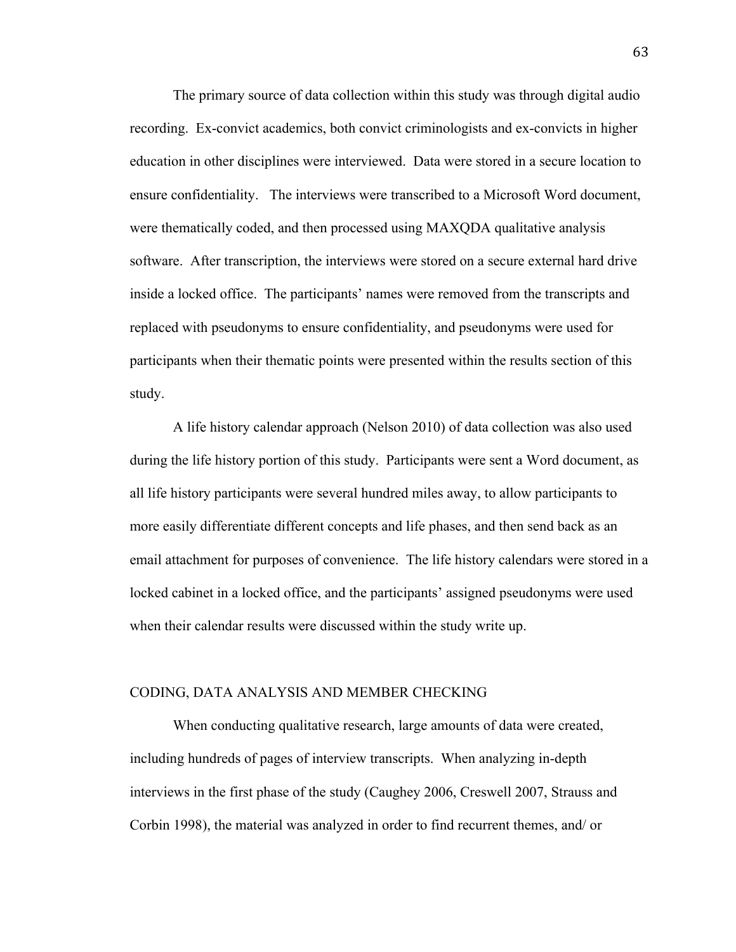The primary source of data collection within this study was through digital audio recording. Ex-convict academics, both convict criminologists and ex-convicts in higher education in other disciplines were interviewed. Data were stored in a secure location to ensure confidentiality. The interviews were transcribed to a Microsoft Word document, were thematically coded, and then processed using MAXQDA qualitative analysis software. After transcription, the interviews were stored on a secure external hard drive inside a locked office. The participants' names were removed from the transcripts and replaced with pseudonyms to ensure confidentiality, and pseudonyms were used for participants when their thematic points were presented within the results section of this study.

A life history calendar approach (Nelson 2010) of data collection was also used during the life history portion of this study. Participants were sent a Word document, as all life history participants were several hundred miles away, to allow participants to more easily differentiate different concepts and life phases, and then send back as an email attachment for purposes of convenience. The life history calendars were stored in a locked cabinet in a locked office, and the participants' assigned pseudonyms were used when their calendar results were discussed within the study write up.

#### CODING, DATA ANALYSIS AND MEMBER CHECKING

When conducting qualitative research, large amounts of data were created, including hundreds of pages of interview transcripts. When analyzing in-depth interviews in the first phase of the study (Caughey 2006, Creswell 2007, Strauss and Corbin 1998), the material was analyzed in order to find recurrent themes, and/ or

63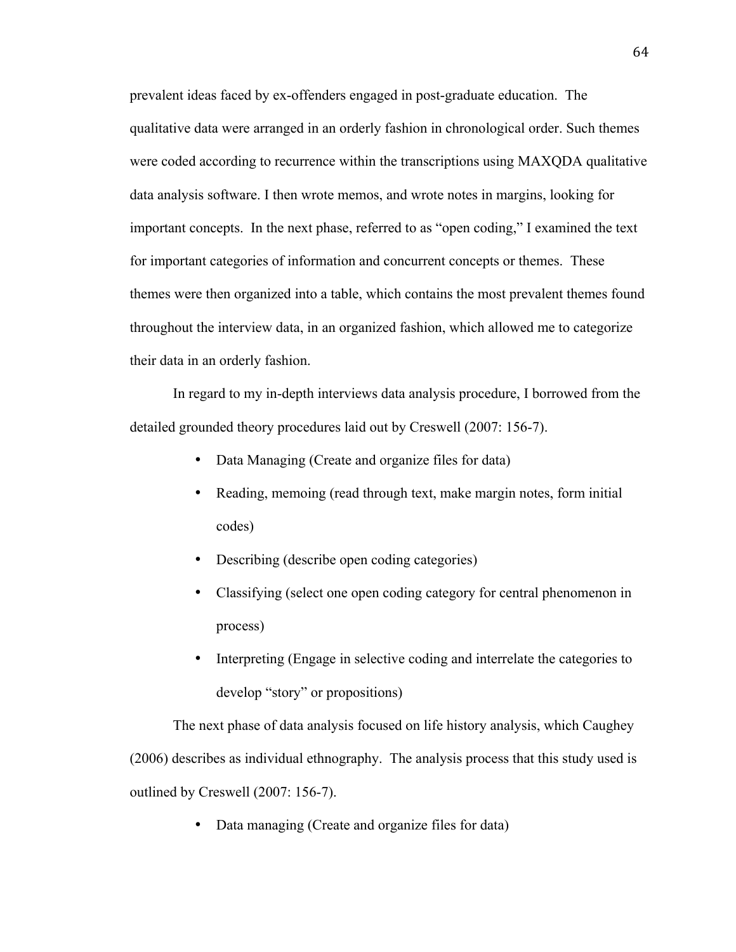prevalent ideas faced by ex-offenders engaged in post-graduate education. The qualitative data were arranged in an orderly fashion in chronological order. Such themes were coded according to recurrence within the transcriptions using MAXQDA qualitative data analysis software. I then wrote memos, and wrote notes in margins, looking for important concepts. In the next phase, referred to as "open coding," I examined the text for important categories of information and concurrent concepts or themes. These themes were then organized into a table, which contains the most prevalent themes found throughout the interview data, in an organized fashion, which allowed me to categorize their data in an orderly fashion.

In regard to my in-depth interviews data analysis procedure, I borrowed from the detailed grounded theory procedures laid out by Creswell (2007: 156-7).

- Data Managing (Create and organize files for data)
- Reading, memoing (read through text, make margin notes, form initial codes)
- Describing (describe open coding categories)
- Classifying (select one open coding category for central phenomenon in process)
- Interpreting (Engage in selective coding and interrelate the categories to develop "story" or propositions)

The next phase of data analysis focused on life history analysis, which Caughey (2006) describes as individual ethnography. The analysis process that this study used is outlined by Creswell (2007: 156-7).

• Data managing (Create and organize files for data)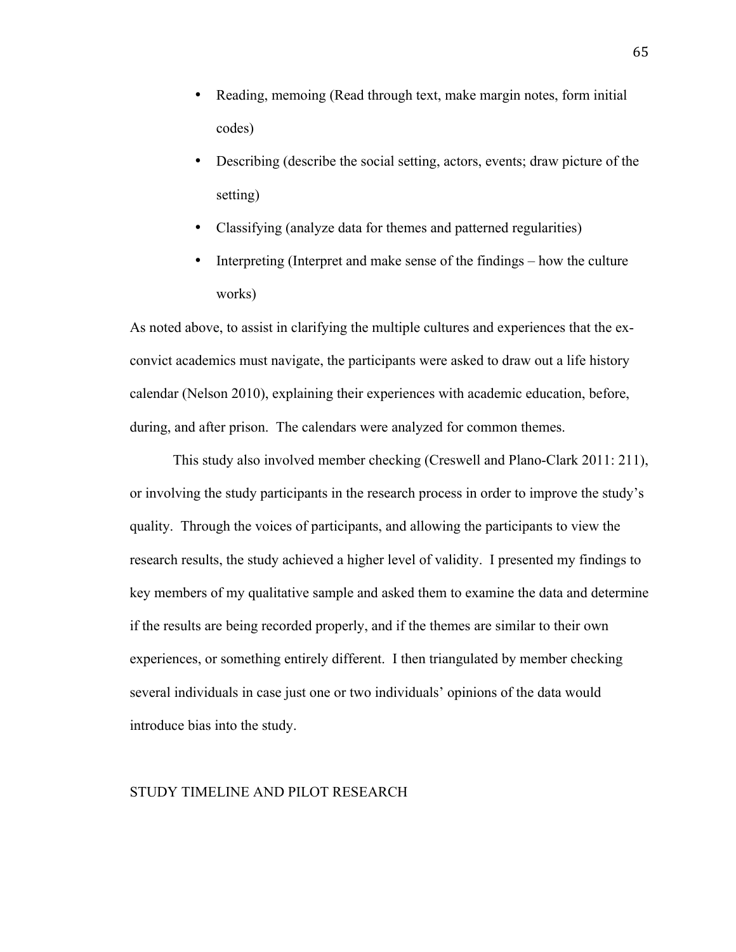- Reading, memoing (Read through text, make margin notes, form initial codes)
- Describing (describe the social setting, actors, events; draw picture of the setting)
- Classifying (analyze data for themes and patterned regularities)
- Interpreting (Interpret and make sense of the findings how the culture works)

As noted above, to assist in clarifying the multiple cultures and experiences that the exconvict academics must navigate, the participants were asked to draw out a life history calendar (Nelson 2010), explaining their experiences with academic education, before, during, and after prison. The calendars were analyzed for common themes.

This study also involved member checking (Creswell and Plano-Clark 2011: 211), or involving the study participants in the research process in order to improve the study's quality. Through the voices of participants, and allowing the participants to view the research results, the study achieved a higher level of validity. I presented my findings to key members of my qualitative sample and asked them to examine the data and determine if the results are being recorded properly, and if the themes are similar to their own experiences, or something entirely different. I then triangulated by member checking several individuals in case just one or two individuals' opinions of the data would introduce bias into the study.

#### STUDY TIMELINE AND PILOT RESEARCH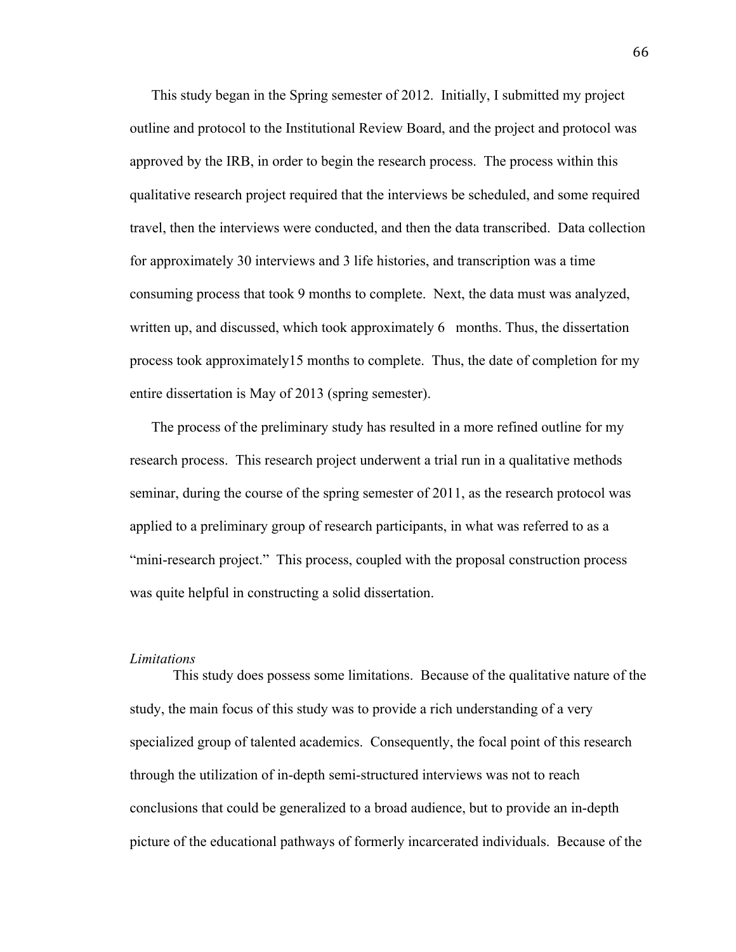This study began in the Spring semester of 2012. Initially, I submitted my project outline and protocol to the Institutional Review Board, and the project and protocol was approved by the IRB, in order to begin the research process. The process within this qualitative research project required that the interviews be scheduled, and some required travel, then the interviews were conducted, and then the data transcribed. Data collection for approximately 30 interviews and 3 life histories, and transcription was a time consuming process that took 9 months to complete. Next, the data must was analyzed, written up, and discussed, which took approximately 6 months. Thus, the dissertation process took approximately15 months to complete. Thus, the date of completion for my entire dissertation is May of 2013 (spring semester).

The process of the preliminary study has resulted in a more refined outline for my research process. This research project underwent a trial run in a qualitative methods seminar, during the course of the spring semester of 2011, as the research protocol was applied to a preliminary group of research participants, in what was referred to as a "mini-research project." This process, coupled with the proposal construction process was quite helpful in constructing a solid dissertation.

#### *Limitations*

This study does possess some limitations. Because of the qualitative nature of the study, the main focus of this study was to provide a rich understanding of a very specialized group of talented academics. Consequently, the focal point of this research through the utilization of in-depth semi-structured interviews was not to reach conclusions that could be generalized to a broad audience, but to provide an in-depth picture of the educational pathways of formerly incarcerated individuals. Because of the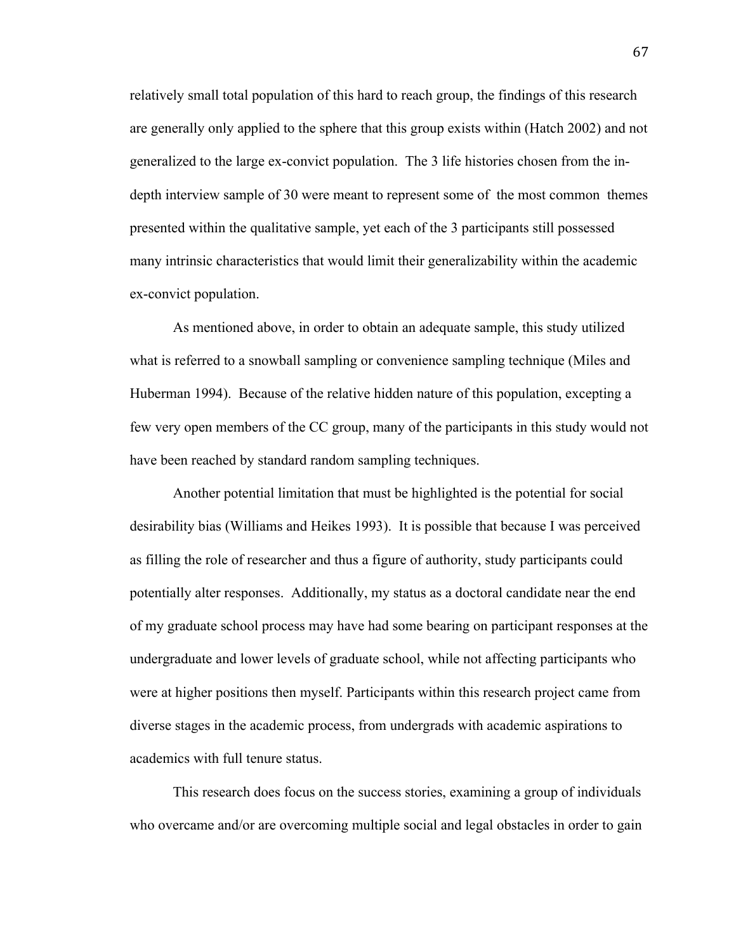relatively small total population of this hard to reach group, the findings of this research are generally only applied to the sphere that this group exists within (Hatch 2002) and not generalized to the large ex-convict population. The 3 life histories chosen from the indepth interview sample of 30 were meant to represent some of the most common themes presented within the qualitative sample, yet each of the 3 participants still possessed many intrinsic characteristics that would limit their generalizability within the academic ex-convict population.

As mentioned above, in order to obtain an adequate sample, this study utilized what is referred to a snowball sampling or convenience sampling technique (Miles and Huberman 1994). Because of the relative hidden nature of this population, excepting a few very open members of the CC group, many of the participants in this study would not have been reached by standard random sampling techniques.

Another potential limitation that must be highlighted is the potential for social desirability bias (Williams and Heikes 1993). It is possible that because I was perceived as filling the role of researcher and thus a figure of authority, study participants could potentially alter responses. Additionally, my status as a doctoral candidate near the end of my graduate school process may have had some bearing on participant responses at the undergraduate and lower levels of graduate school, while not affecting participants who were at higher positions then myself. Participants within this research project came from diverse stages in the academic process, from undergrads with academic aspirations to academics with full tenure status.

This research does focus on the success stories, examining a group of individuals who overcame and/or are overcoming multiple social and legal obstacles in order to gain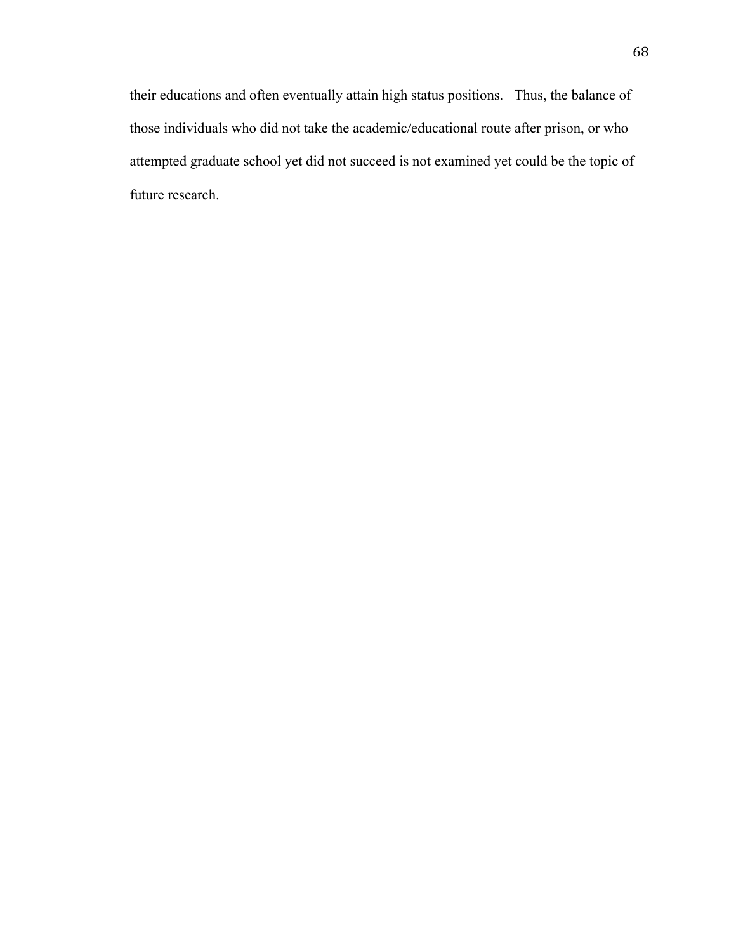their educations and often eventually attain high status positions. Thus, the balance of those individuals who did not take the academic/educational route after prison, or who attempted graduate school yet did not succeed is not examined yet could be the topic of future research.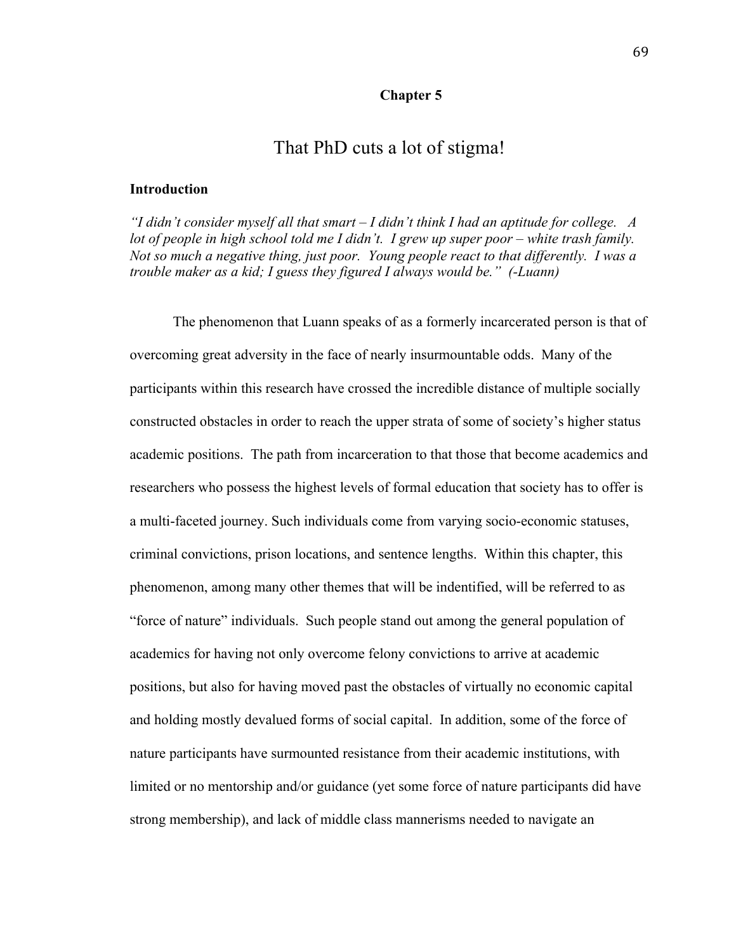#### **Chapter 5**

# That PhD cuts a lot of stigma!

#### **Introduction**

*"I didn't consider myself all that smart – I didn't think I had an aptitude for college. A lot of people in high school told me I didn't. I grew up super poor – white trash family. Not so much a negative thing, just poor. Young people react to that differently. I was a trouble maker as a kid; I guess they figured I always would be." (-Luann)*

The phenomenon that Luann speaks of as a formerly incarcerated person is that of overcoming great adversity in the face of nearly insurmountable odds. Many of the participants within this research have crossed the incredible distance of multiple socially constructed obstacles in order to reach the upper strata of some of society's higher status academic positions. The path from incarceration to that those that become academics and researchers who possess the highest levels of formal education that society has to offer is a multi-faceted journey. Such individuals come from varying socio-economic statuses, criminal convictions, prison locations, and sentence lengths. Within this chapter, this phenomenon, among many other themes that will be indentified, will be referred to as "force of nature" individuals. Such people stand out among the general population of academics for having not only overcome felony convictions to arrive at academic positions, but also for having moved past the obstacles of virtually no economic capital and holding mostly devalued forms of social capital. In addition, some of the force of nature participants have surmounted resistance from their academic institutions, with limited or no mentorship and/or guidance (yet some force of nature participants did have strong membership), and lack of middle class mannerisms needed to navigate an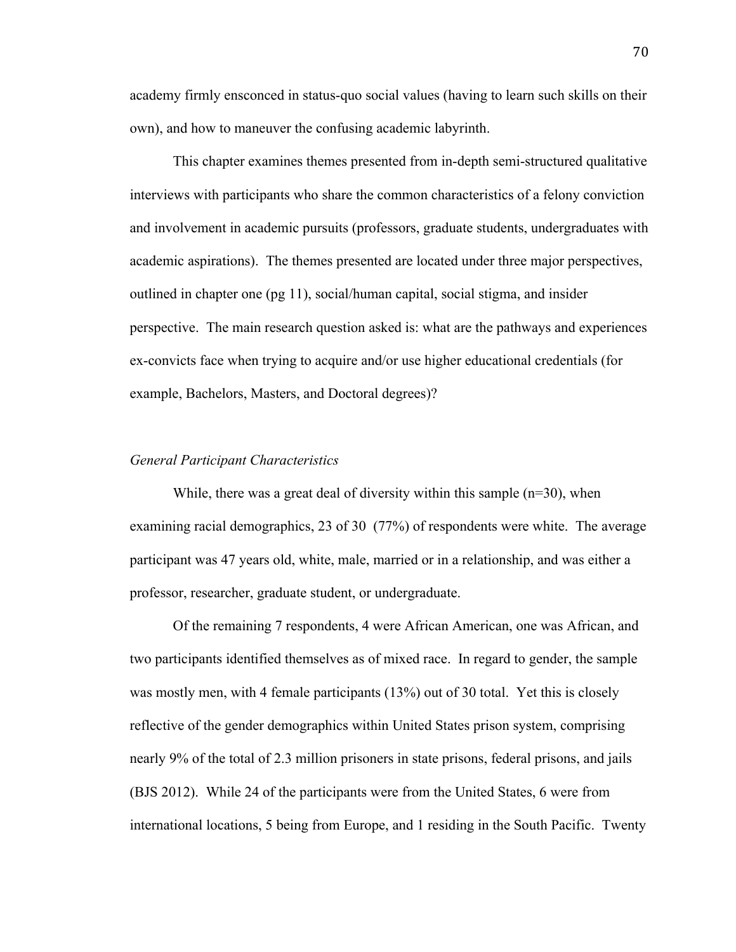academy firmly ensconced in status-quo social values (having to learn such skills on their own), and how to maneuver the confusing academic labyrinth.

This chapter examines themes presented from in-depth semi-structured qualitative interviews with participants who share the common characteristics of a felony conviction and involvement in academic pursuits (professors, graduate students, undergraduates with academic aspirations). The themes presented are located under three major perspectives, outlined in chapter one (pg 11), social/human capital, social stigma, and insider perspective. The main research question asked is: what are the pathways and experiences ex-convicts face when trying to acquire and/or use higher educational credentials (for example, Bachelors, Masters, and Doctoral degrees)?

#### *General Participant Characteristics*

While, there was a great deal of diversity within this sample  $(n=30)$ , when examining racial demographics, 23 of 30 (77%) of respondents were white. The average participant was 47 years old, white, male, married or in a relationship, and was either a professor, researcher, graduate student, or undergraduate.

Of the remaining 7 respondents, 4 were African American, one was African, and two participants identified themselves as of mixed race. In regard to gender, the sample was mostly men, with 4 female participants (13%) out of 30 total. Yet this is closely reflective of the gender demographics within United States prison system, comprising nearly 9% of the total of 2.3 million prisoners in state prisons, federal prisons, and jails (BJS 2012). While 24 of the participants were from the United States, 6 were from international locations, 5 being from Europe, and 1 residing in the South Pacific. Twenty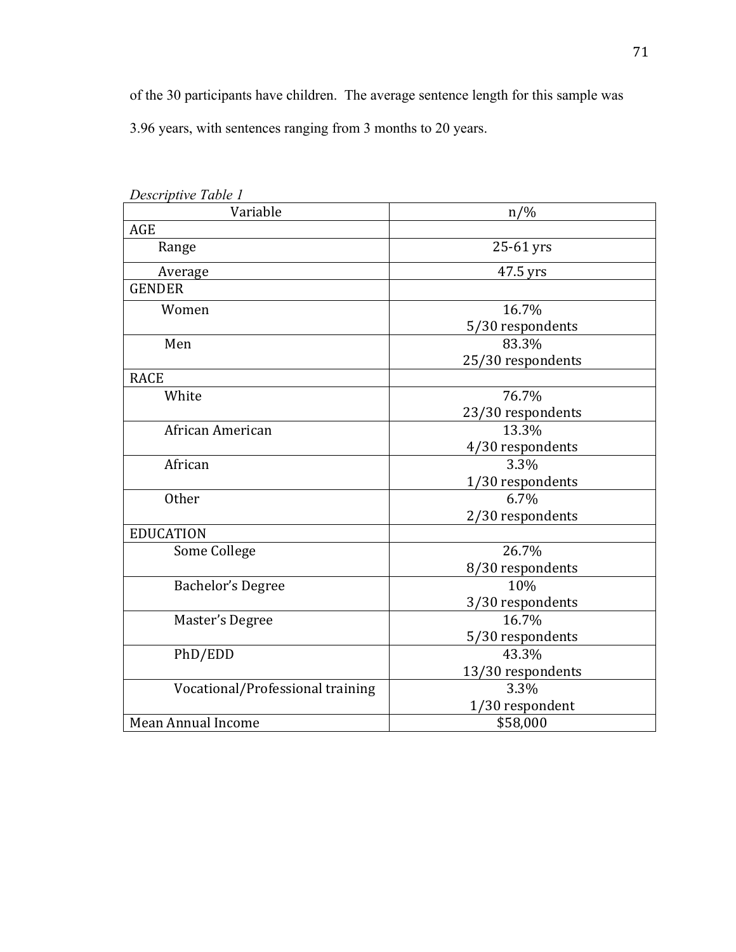of the 30 participants have children. The average sentence length for this sample was 3.96 years, with sentences ranging from 3 months to 20 years.

| Descriptive Table 1              |                   |
|----------------------------------|-------------------|
| Variable                         | $n/\%$            |
| AGE                              |                   |
| Range                            | 25-61 yrs         |
| Average                          | 47.5 yrs          |
| <b>GENDER</b>                    |                   |
| Women                            | 16.7%             |
|                                  | 5/30 respondents  |
| Men                              | 83.3%             |
|                                  | 25/30 respondents |
| <b>RACE</b>                      |                   |
| White                            | 76.7%             |
|                                  | 23/30 respondents |
| African American                 | 13.3%             |
|                                  | 4/30 respondents  |
| African                          | 3.3%              |
|                                  | 1/30 respondents  |
| <b>Other</b>                     | 6.7%              |
|                                  | 2/30 respondents  |
| <b>EDUCATION</b>                 |                   |
| Some College                     | 26.7%             |
|                                  | 8/30 respondents  |
| <b>Bachelor's Degree</b>         | 10%               |
|                                  | 3/30 respondents  |
| Master's Degree                  | 16.7%             |
|                                  | 5/30 respondents  |
| PhD/EDD                          | 43.3%             |
|                                  | 13/30 respondents |
| Vocational/Professional training | 3.3%              |
|                                  | 1/30 respondent   |
| Mean Annual Income               | \$58,000          |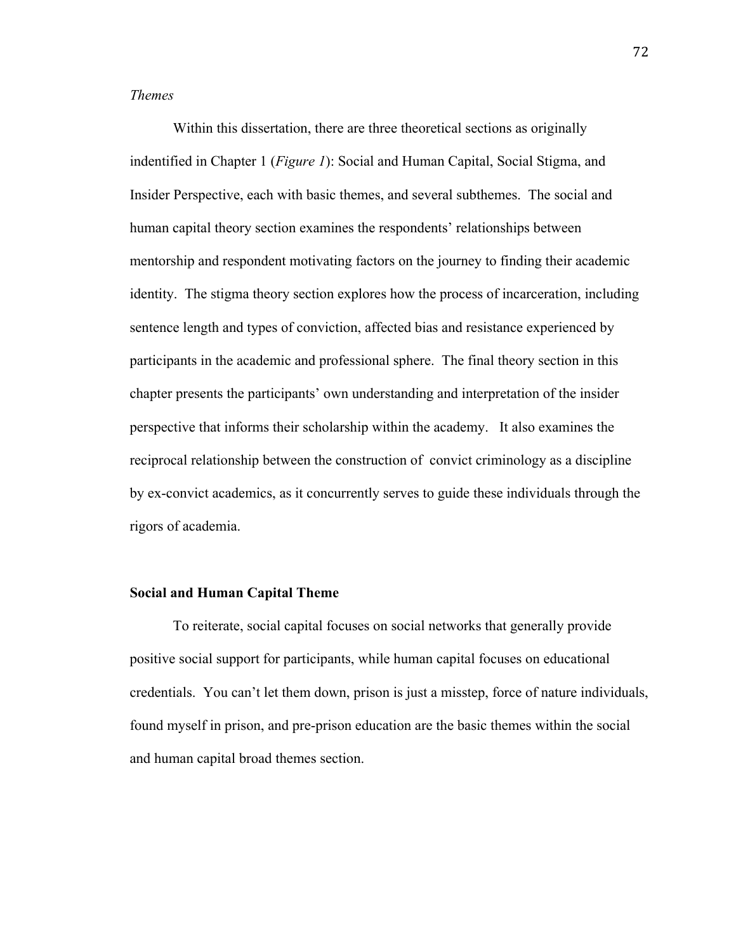# *Themes*

Within this dissertation, there are three theoretical sections as originally indentified in Chapter 1 (*Figure 1*): Social and Human Capital, Social Stigma, and Insider Perspective, each with basic themes, and several subthemes. The social and human capital theory section examines the respondents' relationships between mentorship and respondent motivating factors on the journey to finding their academic identity. The stigma theory section explores how the process of incarceration, including sentence length and types of conviction, affected bias and resistance experienced by participants in the academic and professional sphere. The final theory section in this chapter presents the participants' own understanding and interpretation of the insider perspective that informs their scholarship within the academy. It also examines the reciprocal relationship between the construction of convict criminology as a discipline by ex-convict academics, as it concurrently serves to guide these individuals through the rigors of academia.

#### **Social and Human Capital Theme**

To reiterate, social capital focuses on social networks that generally provide positive social support for participants, while human capital focuses on educational credentials. You can't let them down, prison is just a misstep, force of nature individuals, found myself in prison, and pre-prison education are the basic themes within the social and human capital broad themes section.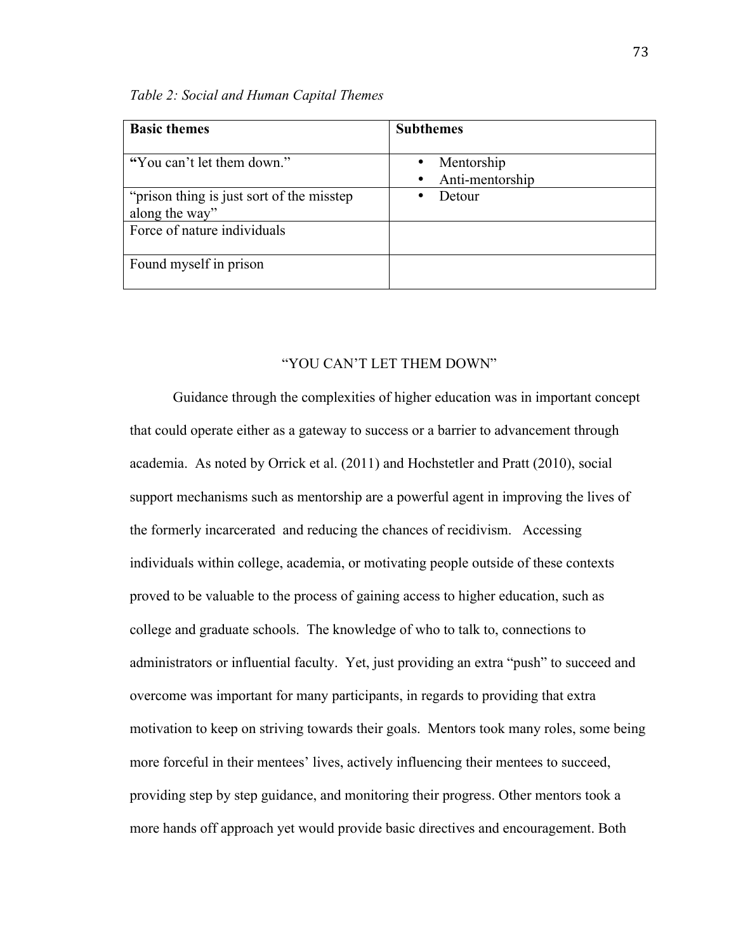| <b>Basic themes</b>                                          | <b>Subthemes</b>              |
|--------------------------------------------------------------|-------------------------------|
| "You can't let them down."                                   | Mentorship<br>Anti-mentorship |
| "prison thing is just sort of the misstep"<br>along the way" | Detour                        |
| Force of nature individuals                                  |                               |
| Found myself in prison                                       |                               |

# "YOU CAN'T LET THEM DOWN"

Guidance through the complexities of higher education was in important concept that could operate either as a gateway to success or a barrier to advancement through academia. As noted by Orrick et al. (2011) and Hochstetler and Pratt (2010), social support mechanisms such as mentorship are a powerful agent in improving the lives of the formerly incarcerated and reducing the chances of recidivism. Accessing individuals within college, academia, or motivating people outside of these contexts proved to be valuable to the process of gaining access to higher education, such as college and graduate schools. The knowledge of who to talk to, connections to administrators or influential faculty. Yet, just providing an extra "push" to succeed and overcome was important for many participants, in regards to providing that extra motivation to keep on striving towards their goals. Mentors took many roles, some being more forceful in their mentees' lives, actively influencing their mentees to succeed, providing step by step guidance, and monitoring their progress. Other mentors took a more hands off approach yet would provide basic directives and encouragement. Both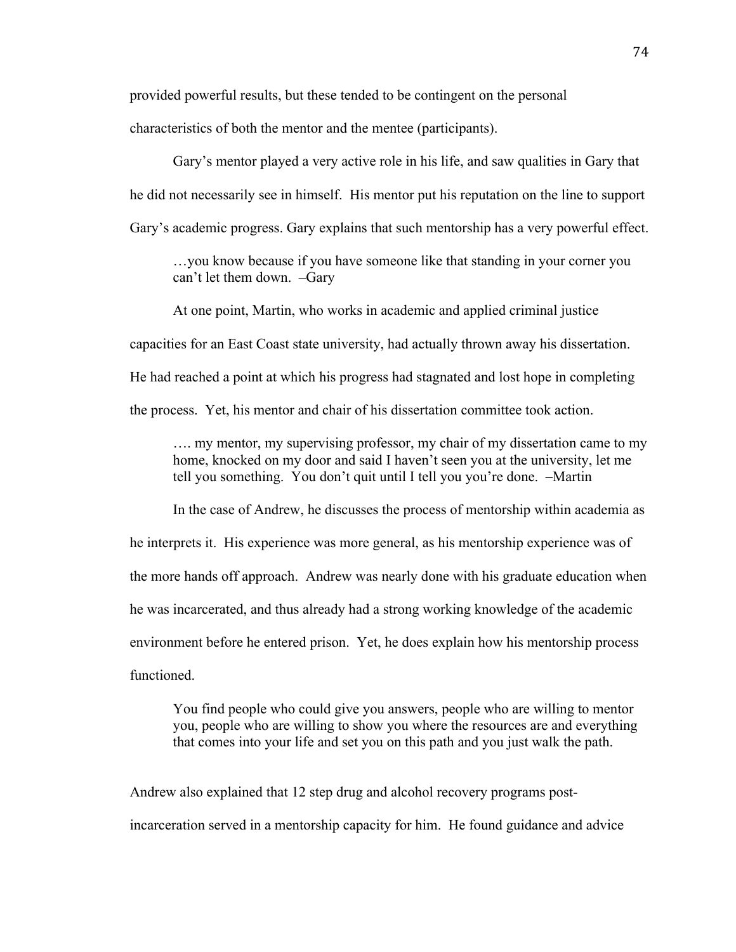provided powerful results, but these tended to be contingent on the personal

characteristics of both the mentor and the mentee (participants).

Gary's mentor played a very active role in his life, and saw qualities in Gary that he did not necessarily see in himself. His mentor put his reputation on the line to support Gary's academic progress. Gary explains that such mentorship has a very powerful effect.

…you know because if you have someone like that standing in your corner you can't let them down. –Gary

At one point, Martin, who works in academic and applied criminal justice

capacities for an East Coast state university, had actually thrown away his dissertation.

He had reached a point at which his progress had stagnated and lost hope in completing

the process. Yet, his mentor and chair of his dissertation committee took action.

…. my mentor, my supervising professor, my chair of my dissertation came to my home, knocked on my door and said I haven't seen you at the university, let me tell you something. You don't quit until I tell you you're done. –Martin

In the case of Andrew, he discusses the process of mentorship within academia as he interprets it. His experience was more general, as his mentorship experience was of the more hands off approach. Andrew was nearly done with his graduate education when he was incarcerated, and thus already had a strong working knowledge of the academic environment before he entered prison. Yet, he does explain how his mentorship process functioned.

You find people who could give you answers, people who are willing to mentor you, people who are willing to show you where the resources are and everything that comes into your life and set you on this path and you just walk the path.

Andrew also explained that 12 step drug and alcohol recovery programs postincarceration served in a mentorship capacity for him. He found guidance and advice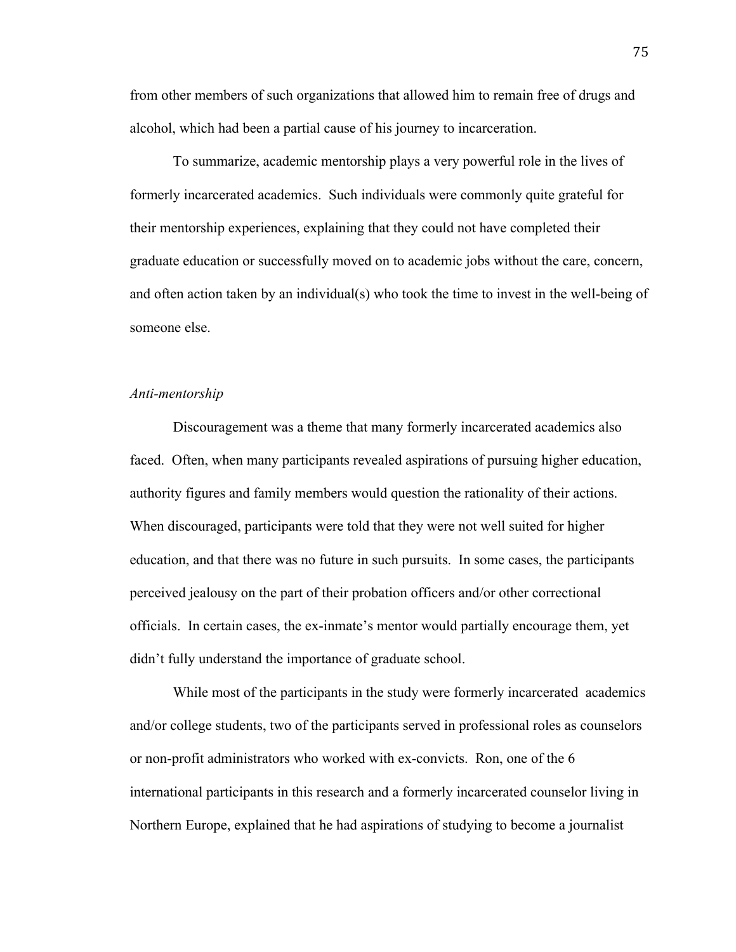from other members of such organizations that allowed him to remain free of drugs and alcohol, which had been a partial cause of his journey to incarceration.

To summarize, academic mentorship plays a very powerful role in the lives of formerly incarcerated academics. Such individuals were commonly quite grateful for their mentorship experiences, explaining that they could not have completed their graduate education or successfully moved on to academic jobs without the care, concern, and often action taken by an individual(s) who took the time to invest in the well-being of someone else.

#### *Anti-mentorship*

Discouragement was a theme that many formerly incarcerated academics also faced. Often, when many participants revealed aspirations of pursuing higher education, authority figures and family members would question the rationality of their actions. When discouraged, participants were told that they were not well suited for higher education, and that there was no future in such pursuits. In some cases, the participants perceived jealousy on the part of their probation officers and/or other correctional officials. In certain cases, the ex-inmate's mentor would partially encourage them, yet didn't fully understand the importance of graduate school.

While most of the participants in the study were formerly incarcerated academics and/or college students, two of the participants served in professional roles as counselors or non-profit administrators who worked with ex-convicts. Ron, one of the 6 international participants in this research and a formerly incarcerated counselor living in Northern Europe, explained that he had aspirations of studying to become a journalist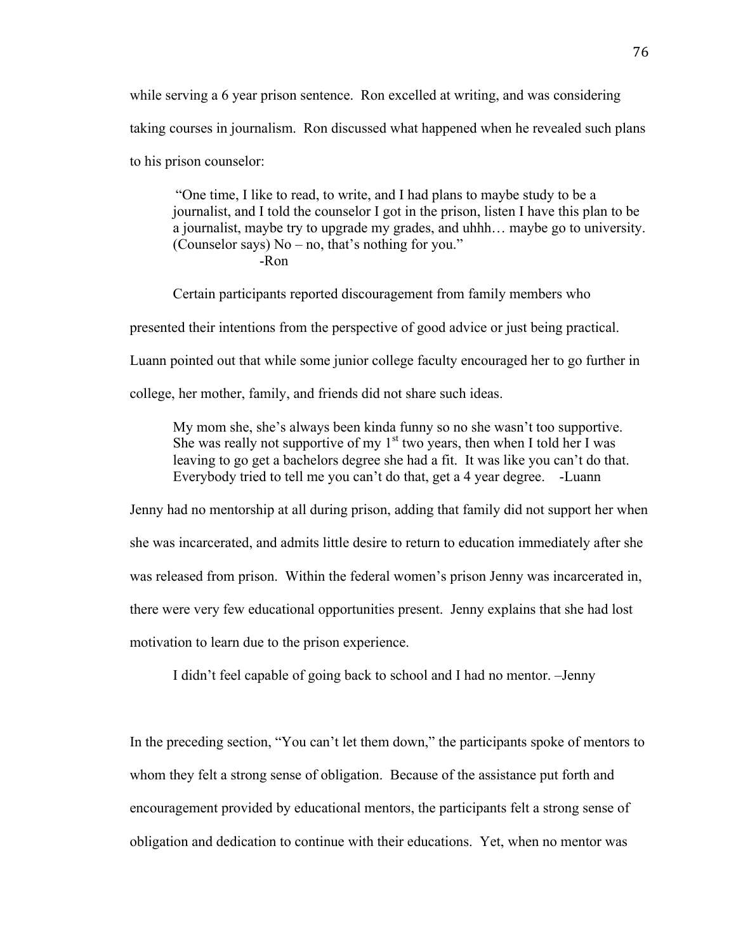while serving a 6 year prison sentence. Ron excelled at writing, and was considering taking courses in journalism. Ron discussed what happened when he revealed such plans to his prison counselor:

"One time, I like to read, to write, and I had plans to maybe study to be a journalist, and I told the counselor I got in the prison, listen I have this plan to be a journalist, maybe try to upgrade my grades, and uhhh… maybe go to university. (Counselor says) No – no, that's nothing for you." -Ron

Certain participants reported discouragement from family members who

presented their intentions from the perspective of good advice or just being practical.

Luann pointed out that while some junior college faculty encouraged her to go further in

college, her mother, family, and friends did not share such ideas.

My mom she, she's always been kinda funny so no she wasn't too supportive. She was really not supportive of my  $1<sup>st</sup>$  two years, then when I told her I was leaving to go get a bachelors degree she had a fit. It was like you can't do that. Everybody tried to tell me you can't do that, get a 4 year degree. -Luann

Jenny had no mentorship at all during prison, adding that family did not support her when she was incarcerated, and admits little desire to return to education immediately after she was released from prison. Within the federal women's prison Jenny was incarcerated in, there were very few educational opportunities present. Jenny explains that she had lost motivation to learn due to the prison experience.

I didn't feel capable of going back to school and I had no mentor. –Jenny

In the preceding section, "You can't let them down," the participants spoke of mentors to whom they felt a strong sense of obligation. Because of the assistance put forth and encouragement provided by educational mentors, the participants felt a strong sense of obligation and dedication to continue with their educations. Yet, when no mentor was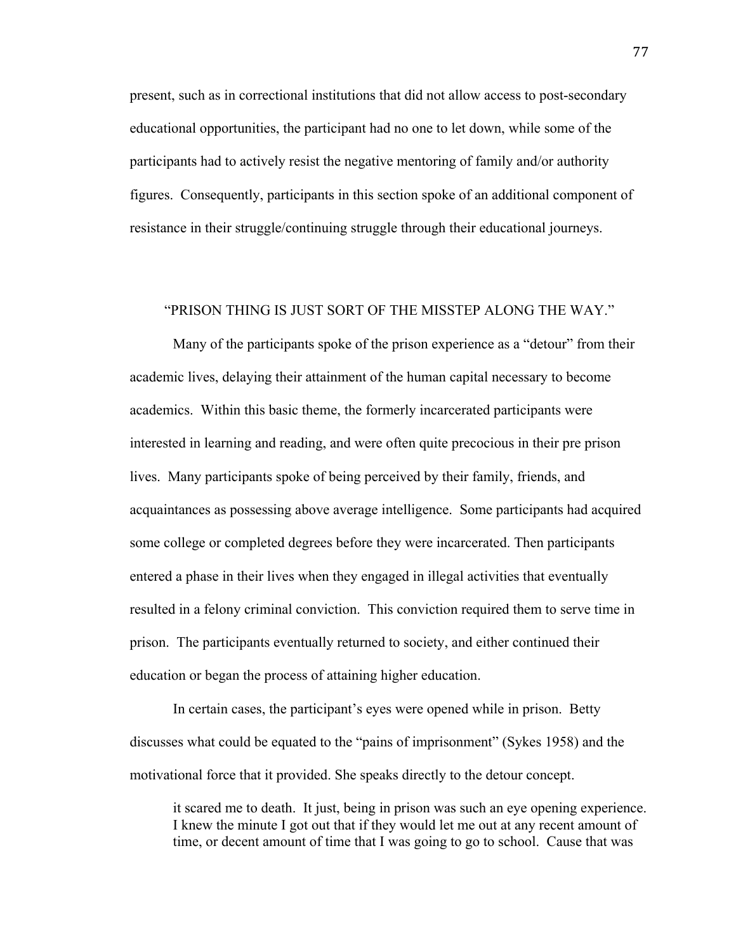present, such as in correctional institutions that did not allow access to post-secondary educational opportunities, the participant had no one to let down, while some of the participants had to actively resist the negative mentoring of family and/or authority figures. Consequently, participants in this section spoke of an additional component of resistance in their struggle/continuing struggle through their educational journeys.

## "PRISON THING IS JUST SORT OF THE MISSTEP ALONG THE WAY."

Many of the participants spoke of the prison experience as a "detour" from their academic lives, delaying their attainment of the human capital necessary to become academics. Within this basic theme, the formerly incarcerated participants were interested in learning and reading, and were often quite precocious in their pre prison lives. Many participants spoke of being perceived by their family, friends, and acquaintances as possessing above average intelligence. Some participants had acquired some college or completed degrees before they were incarcerated. Then participants entered a phase in their lives when they engaged in illegal activities that eventually resulted in a felony criminal conviction. This conviction required them to serve time in prison. The participants eventually returned to society, and either continued their education or began the process of attaining higher education.

In certain cases, the participant's eyes were opened while in prison. Betty discusses what could be equated to the "pains of imprisonment" (Sykes 1958) and the motivational force that it provided. She speaks directly to the detour concept.

it scared me to death. It just, being in prison was such an eye opening experience. I knew the minute I got out that if they would let me out at any recent amount of time, or decent amount of time that I was going to go to school. Cause that was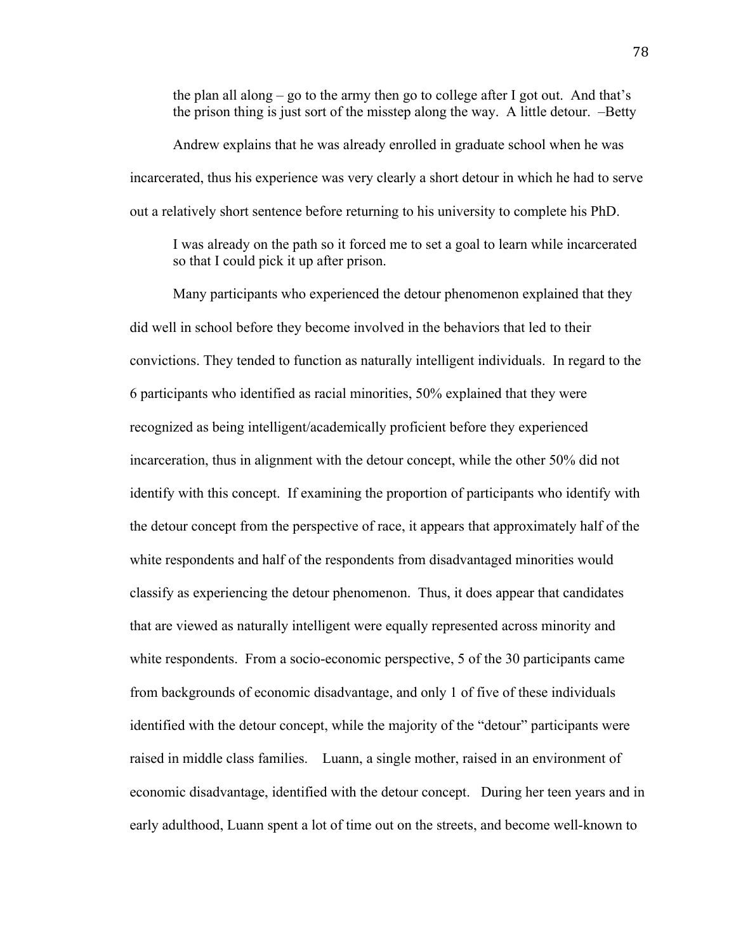the plan all along – go to the army then go to college after I got out. And that's the prison thing is just sort of the misstep along the way. A little detour. –Betty

Andrew explains that he was already enrolled in graduate school when he was incarcerated, thus his experience was very clearly a short detour in which he had to serve out a relatively short sentence before returning to his university to complete his PhD.

I was already on the path so it forced me to set a goal to learn while incarcerated so that I could pick it up after prison.

Many participants who experienced the detour phenomenon explained that they did well in school before they become involved in the behaviors that led to their convictions. They tended to function as naturally intelligent individuals. In regard to the 6 participants who identified as racial minorities, 50% explained that they were recognized as being intelligent/academically proficient before they experienced incarceration, thus in alignment with the detour concept, while the other 50% did not identify with this concept. If examining the proportion of participants who identify with the detour concept from the perspective of race, it appears that approximately half of the white respondents and half of the respondents from disadvantaged minorities would classify as experiencing the detour phenomenon. Thus, it does appear that candidates that are viewed as naturally intelligent were equally represented across minority and white respondents. From a socio-economic perspective, 5 of the 30 participants came from backgrounds of economic disadvantage, and only 1 of five of these individuals identified with the detour concept, while the majority of the "detour" participants were raised in middle class families. Luann, a single mother, raised in an environment of economic disadvantage, identified with the detour concept. During her teen years and in early adulthood, Luann spent a lot of time out on the streets, and become well-known to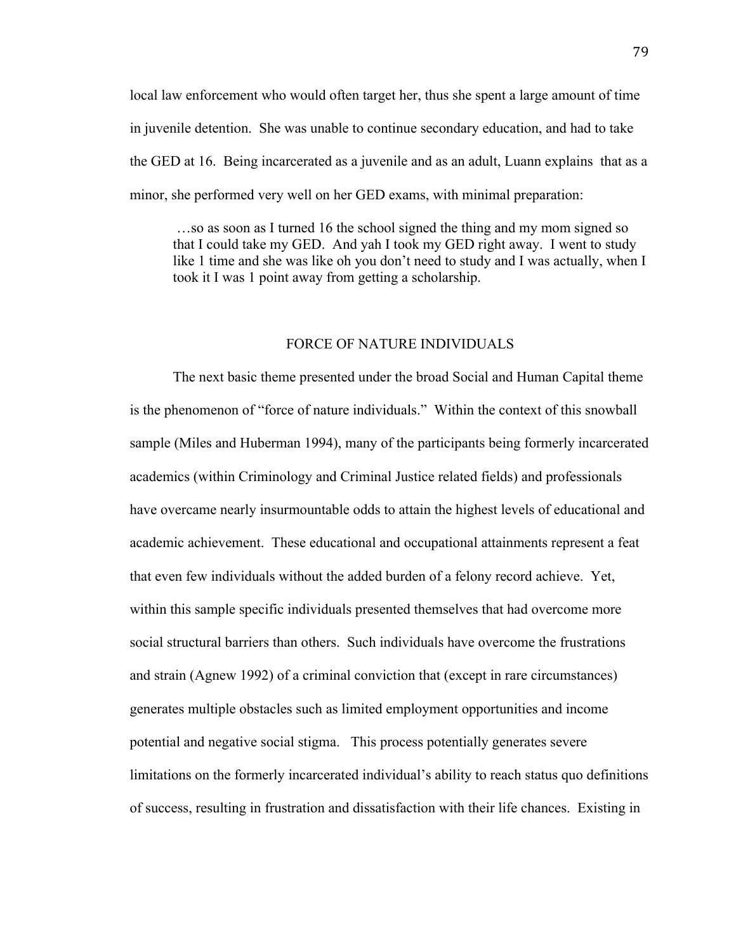local law enforcement who would often target her, thus she spent a large amount of time in juvenile detention. She was unable to continue secondary education, and had to take the GED at 16. Being incarcerated as a juvenile and as an adult, Luann explains that as a minor, she performed very well on her GED exams, with minimal preparation:

 …so as soon as I turned 16 the school signed the thing and my mom signed so that I could take my GED. And yah I took my GED right away. I went to study like 1 time and she was like oh you don't need to study and I was actually, when I took it I was 1 point away from getting a scholarship.

# FORCE OF NATURE INDIVIDUALS

The next basic theme presented under the broad Social and Human Capital theme is the phenomenon of "force of nature individuals." Within the context of this snowball sample (Miles and Huberman 1994), many of the participants being formerly incarcerated academics (within Criminology and Criminal Justice related fields) and professionals have overcame nearly insurmountable odds to attain the highest levels of educational and academic achievement. These educational and occupational attainments represent a feat that even few individuals without the added burden of a felony record achieve. Yet, within this sample specific individuals presented themselves that had overcome more social structural barriers than others. Such individuals have overcome the frustrations and strain (Agnew 1992) of a criminal conviction that (except in rare circumstances) generates multiple obstacles such as limited employment opportunities and income potential and negative social stigma. This process potentially generates severe limitations on the formerly incarcerated individual's ability to reach status quo definitions of success, resulting in frustration and dissatisfaction with their life chances. Existing in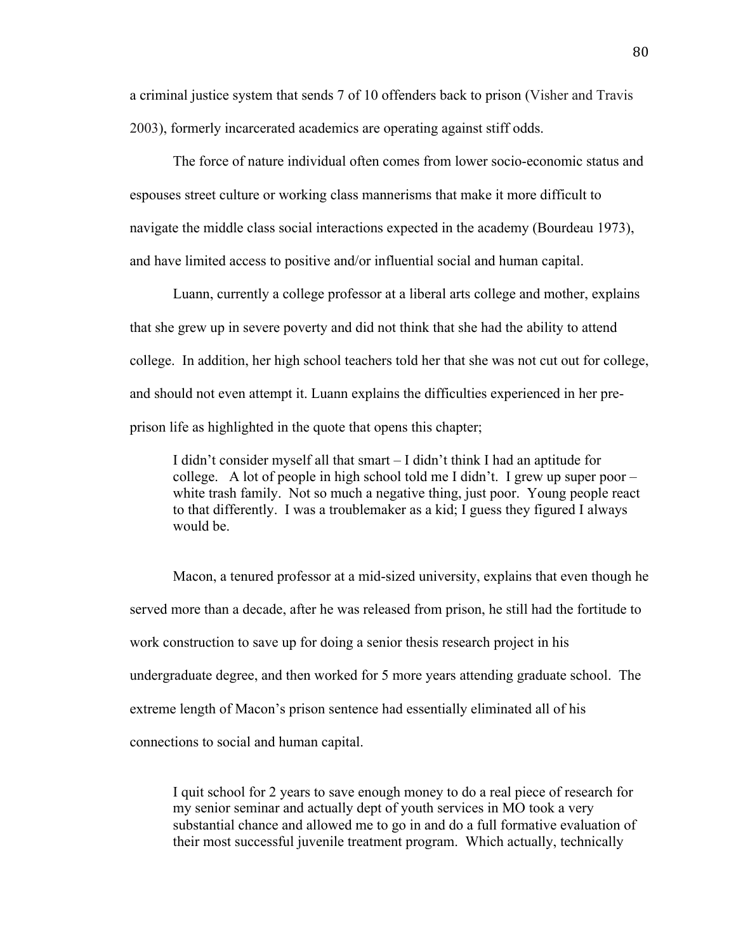a criminal justice system that sends 7 of 10 offenders back to prison (Visher and Travis 2003), formerly incarcerated academics are operating against stiff odds.

The force of nature individual often comes from lower socio-economic status and espouses street culture or working class mannerisms that make it more difficult to navigate the middle class social interactions expected in the academy (Bourdeau 1973), and have limited access to positive and/or influential social and human capital.

Luann, currently a college professor at a liberal arts college and mother, explains that she grew up in severe poverty and did not think that she had the ability to attend college. In addition, her high school teachers told her that she was not cut out for college, and should not even attempt it. Luann explains the difficulties experienced in her preprison life as highlighted in the quote that opens this chapter;

I didn't consider myself all that smart – I didn't think I had an aptitude for college. A lot of people in high school told me I didn't. I grew up super poor – white trash family. Not so much a negative thing, just poor. Young people react to that differently. I was a troublemaker as a kid; I guess they figured I always would be.

Macon, a tenured professor at a mid-sized university, explains that even though he served more than a decade, after he was released from prison, he still had the fortitude to work construction to save up for doing a senior thesis research project in his undergraduate degree, and then worked for 5 more years attending graduate school. The extreme length of Macon's prison sentence had essentially eliminated all of his connections to social and human capital.

I quit school for 2 years to save enough money to do a real piece of research for my senior seminar and actually dept of youth services in MO took a very substantial chance and allowed me to go in and do a full formative evaluation of their most successful juvenile treatment program. Which actually, technically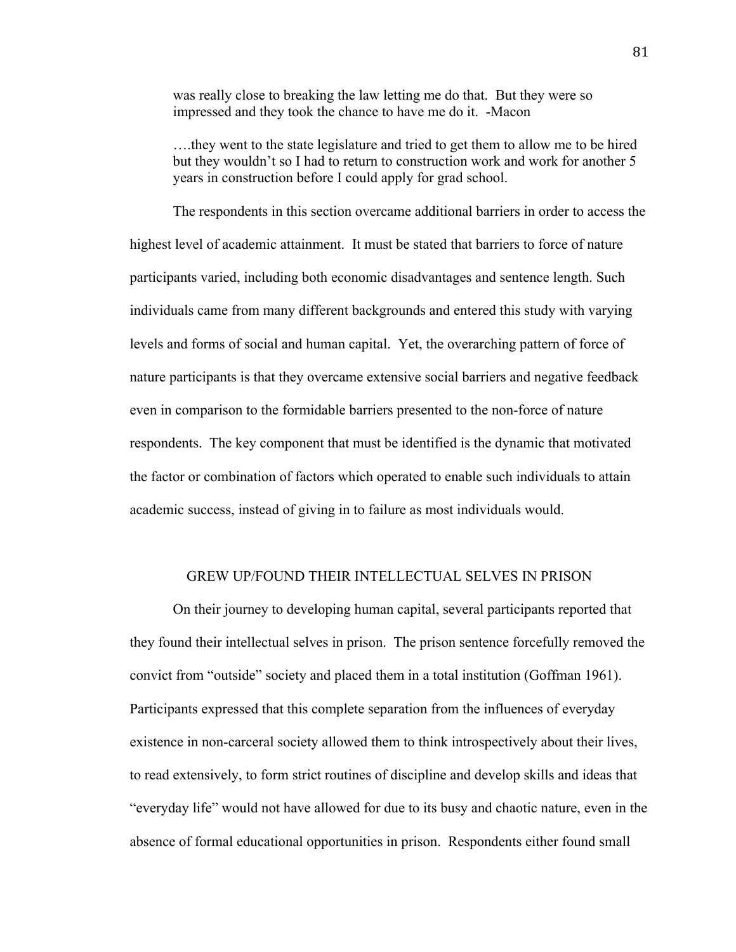was really close to breaking the law letting me do that. But they were so impressed and they took the chance to have me do it. -Macon

….they went to the state legislature and tried to get them to allow me to be hired but they wouldn't so I had to return to construction work and work for another 5 years in construction before I could apply for grad school.

The respondents in this section overcame additional barriers in order to access the highest level of academic attainment. It must be stated that barriers to force of nature participants varied, including both economic disadvantages and sentence length. Such individuals came from many different backgrounds and entered this study with varying levels and forms of social and human capital. Yet, the overarching pattern of force of nature participants is that they overcame extensive social barriers and negative feedback even in comparison to the formidable barriers presented to the non-force of nature respondents. The key component that must be identified is the dynamic that motivated the factor or combination of factors which operated to enable such individuals to attain academic success, instead of giving in to failure as most individuals would.

# GREW UP/FOUND THEIR INTELLECTUAL SELVES IN PRISON

On their journey to developing human capital, several participants reported that they found their intellectual selves in prison. The prison sentence forcefully removed the convict from "outside" society and placed them in a total institution (Goffman 1961). Participants expressed that this complete separation from the influences of everyday existence in non-carceral society allowed them to think introspectively about their lives, to read extensively, to form strict routines of discipline and develop skills and ideas that "everyday life" would not have allowed for due to its busy and chaotic nature, even in the absence of formal educational opportunities in prison. Respondents either found small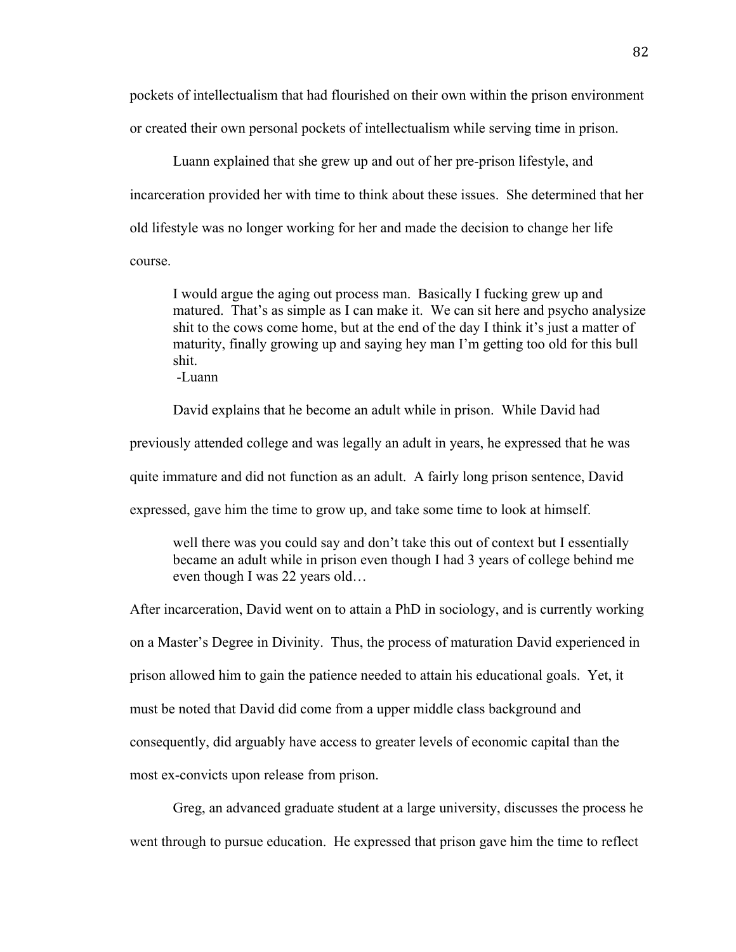pockets of intellectualism that had flourished on their own within the prison environment or created their own personal pockets of intellectualism while serving time in prison.

Luann explained that she grew up and out of her pre-prison lifestyle, and incarceration provided her with time to think about these issues. She determined that her old lifestyle was no longer working for her and made the decision to change her life course.

I would argue the aging out process man. Basically I fucking grew up and matured. That's as simple as I can make it. We can sit here and psycho analysize shit to the cows come home, but at the end of the day I think it's just a matter of maturity, finally growing up and saying hey man I'm getting too old for this bull shit.

-Luann

David explains that he become an adult while in prison. While David had

previously attended college and was legally an adult in years, he expressed that he was

quite immature and did not function as an adult. A fairly long prison sentence, David

expressed, gave him the time to grow up, and take some time to look at himself.

well there was you could say and don't take this out of context but I essentially became an adult while in prison even though I had 3 years of college behind me even though I was 22 years old…

After incarceration, David went on to attain a PhD in sociology, and is currently working on a Master's Degree in Divinity. Thus, the process of maturation David experienced in prison allowed him to gain the patience needed to attain his educational goals. Yet, it must be noted that David did come from a upper middle class background and consequently, did arguably have access to greater levels of economic capital than the most ex-convicts upon release from prison.

Greg, an advanced graduate student at a large university, discusses the process he

went through to pursue education. He expressed that prison gave him the time to reflect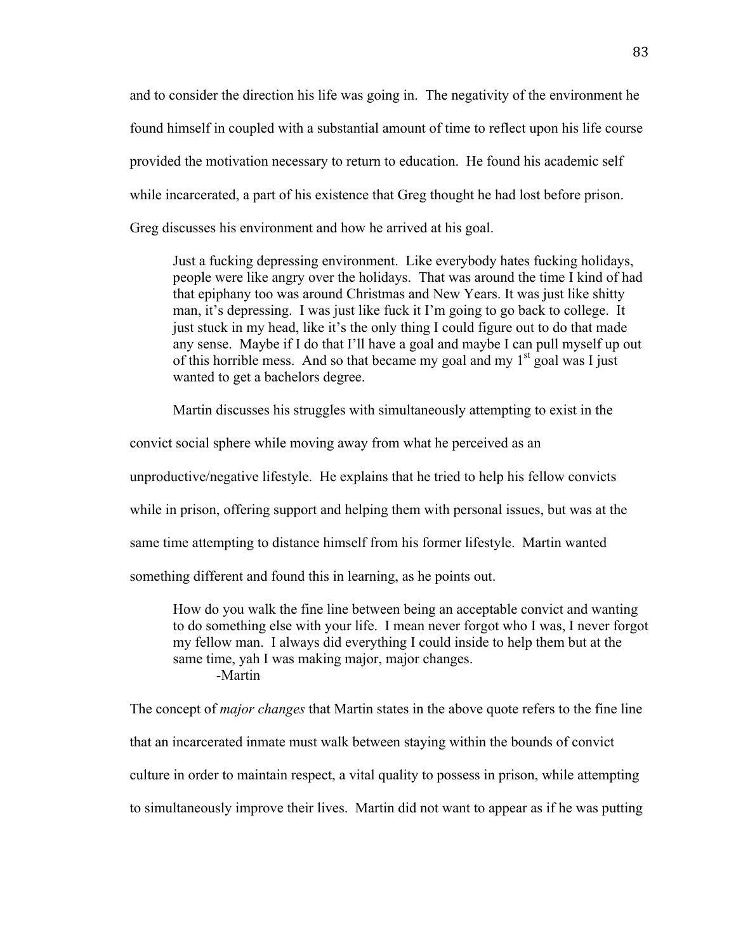and to consider the direction his life was going in. The negativity of the environment he found himself in coupled with a substantial amount of time to reflect upon his life course provided the motivation necessary to return to education. He found his academic self while incarcerated, a part of his existence that Greg thought he had lost before prison. Greg discusses his environment and how he arrived at his goal.

Just a fucking depressing environment. Like everybody hates fucking holidays, people were like angry over the holidays. That was around the time I kind of had that epiphany too was around Christmas and New Years. It was just like shitty man, it's depressing. I was just like fuck it I'm going to go back to college. It just stuck in my head, like it's the only thing I could figure out to do that made any sense. Maybe if I do that I'll have a goal and maybe I can pull myself up out of this horrible mess. And so that became my goal and my  $1<sup>st</sup>$  goal was I just wanted to get a bachelors degree.

Martin discusses his struggles with simultaneously attempting to exist in the

convict social sphere while moving away from what he perceived as an

unproductive/negative lifestyle. He explains that he tried to help his fellow convicts

while in prison, offering support and helping them with personal issues, but was at the

same time attempting to distance himself from his former lifestyle. Martin wanted

something different and found this in learning, as he points out.

How do you walk the fine line between being an acceptable convict and wanting to do something else with your life. I mean never forgot who I was, I never forgot my fellow man. I always did everything I could inside to help them but at the same time, yah I was making major, major changes. -Martin

The concept of *major changes* that Martin states in the above quote refers to the fine line

that an incarcerated inmate must walk between staying within the bounds of convict

culture in order to maintain respect, a vital quality to possess in prison, while attempting

to simultaneously improve their lives. Martin did not want to appear as if he was putting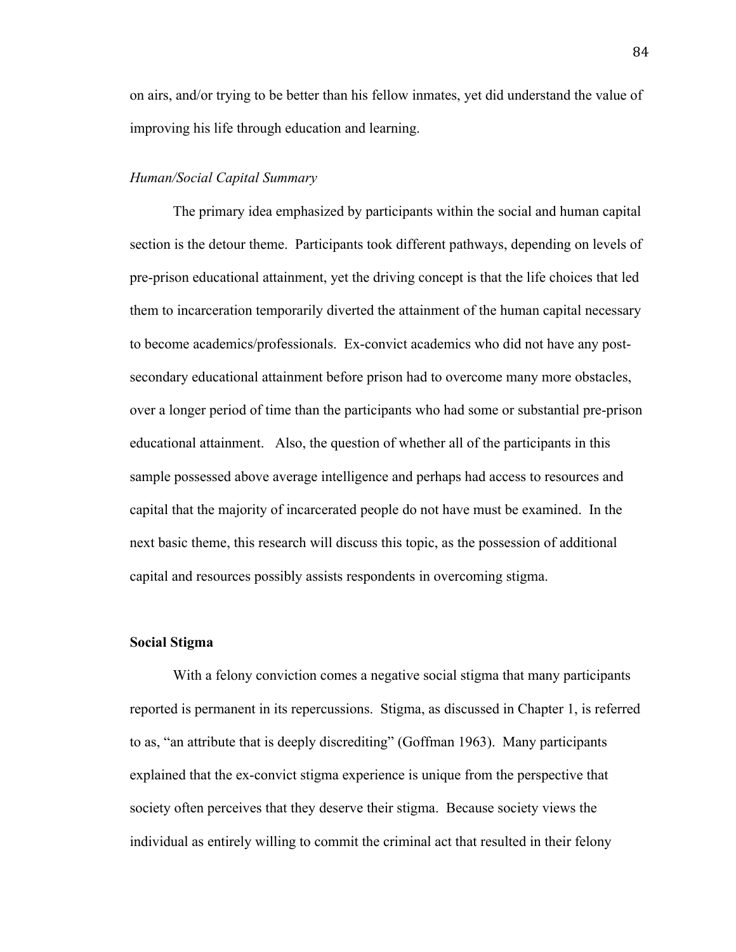on airs, and/or trying to be better than his fellow inmates, yet did understand the value of improving his life through education and learning.

### *Human/Social Capital Summary*

The primary idea emphasized by participants within the social and human capital section is the detour theme. Participants took different pathways, depending on levels of pre-prison educational attainment, yet the driving concept is that the life choices that led them to incarceration temporarily diverted the attainment of the human capital necessary to become academics/professionals. Ex-convict academics who did not have any postsecondary educational attainment before prison had to overcome many more obstacles, over a longer period of time than the participants who had some or substantial pre-prison educational attainment. Also, the question of whether all of the participants in this sample possessed above average intelligence and perhaps had access to resources and capital that the majority of incarcerated people do not have must be examined. In the next basic theme, this research will discuss this topic, as the possession of additional capital and resources possibly assists respondents in overcoming stigma.

### **Social Stigma**

With a felony conviction comes a negative social stigma that many participants reported is permanent in its repercussions. Stigma, as discussed in Chapter 1, is referred to as, "an attribute that is deeply discrediting" (Goffman 1963). Many participants explained that the ex-convict stigma experience is unique from the perspective that society often perceives that they deserve their stigma. Because society views the individual as entirely willing to commit the criminal act that resulted in their felony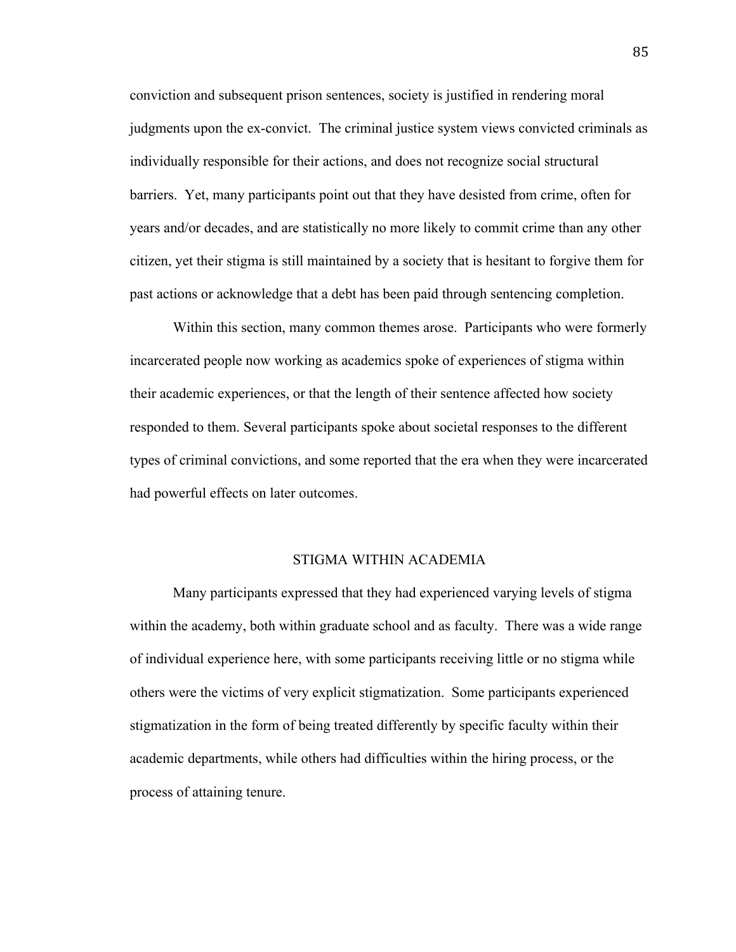conviction and subsequent prison sentences, society is justified in rendering moral judgments upon the ex-convict. The criminal justice system views convicted criminals as individually responsible for their actions, and does not recognize social structural barriers. Yet, many participants point out that they have desisted from crime, often for years and/or decades, and are statistically no more likely to commit crime than any other citizen, yet their stigma is still maintained by a society that is hesitant to forgive them for past actions or acknowledge that a debt has been paid through sentencing completion.

Within this section, many common themes arose. Participants who were formerly incarcerated people now working as academics spoke of experiences of stigma within their academic experiences, or that the length of their sentence affected how society responded to them. Several participants spoke about societal responses to the different types of criminal convictions, and some reported that the era when they were incarcerated had powerful effects on later outcomes.

#### STIGMA WITHIN ACADEMIA

Many participants expressed that they had experienced varying levels of stigma within the academy, both within graduate school and as faculty. There was a wide range of individual experience here, with some participants receiving little or no stigma while others were the victims of very explicit stigmatization. Some participants experienced stigmatization in the form of being treated differently by specific faculty within their academic departments, while others had difficulties within the hiring process, or the process of attaining tenure.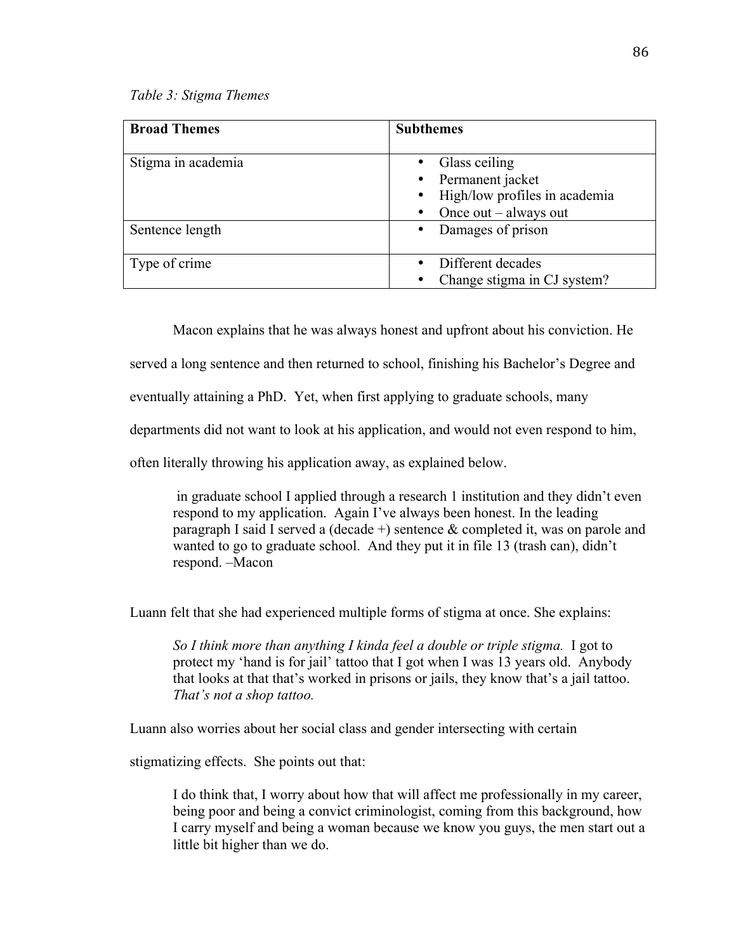#### *Table 3: Stigma Themes*

| <b>Broad Themes</b> | <b>Subthemes</b>                                                                                                                     |
|---------------------|--------------------------------------------------------------------------------------------------------------------------------------|
| Stigma in academia  | Glass ceiling<br>Permanent jacket<br>$\bullet$<br>High/low profiles in academia<br>$\bullet$<br>Once $out - always out$<br>$\bullet$ |
| Sentence length     | Damages of prison<br>$\bullet$                                                                                                       |
| Type of crime       | Different decades<br>$\bullet$<br>Change stigma in CJ system?<br>٠                                                                   |

Macon explains that he was always honest and upfront about his conviction. He

served a long sentence and then returned to school, finishing his Bachelor's Degree and

eventually attaining a PhD. Yet, when first applying to graduate schools, many

departments did not want to look at his application, and would not even respond to him,

often literally throwing his application away, as explained below.

in graduate school I applied through a research 1 institution and they didn't even respond to my application. Again I've always been honest. In the leading paragraph I said I served a (decade  $+$ ) sentence  $\&$  completed it, was on parole and wanted to go to graduate school. And they put it in file 13 (trash can), didn't respond. –Macon

Luann felt that she had experienced multiple forms of stigma at once. She explains:

*So I think more than anything I kinda feel a double or triple stigma.* I got to protect my 'hand is for jail' tattoo that I got when I was 13 years old. Anybody that looks at that that's worked in prisons or jails, they know that's a jail tattoo. *That's not a shop tattoo.*

Luann also worries about her social class and gender intersecting with certain

stigmatizing effects. She points out that:

I do think that, I worry about how that will affect me professionally in my career, being poor and being a convict criminologist, coming from this background, how I carry myself and being a woman because we know you guys, the men start out a little bit higher than we do.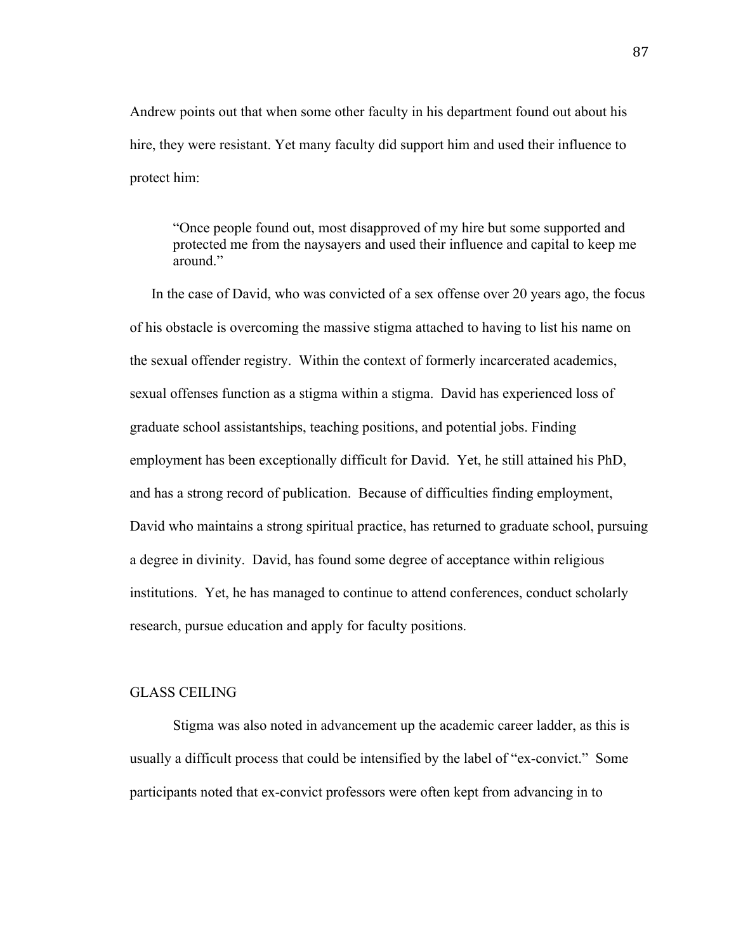Andrew points out that when some other faculty in his department found out about his hire, they were resistant. Yet many faculty did support him and used their influence to protect him:

"Once people found out, most disapproved of my hire but some supported and protected me from the naysayers and used their influence and capital to keep me around."

In the case of David, who was convicted of a sex offense over 20 years ago, the focus of his obstacle is overcoming the massive stigma attached to having to list his name on the sexual offender registry. Within the context of formerly incarcerated academics, sexual offenses function as a stigma within a stigma. David has experienced loss of graduate school assistantships, teaching positions, and potential jobs. Finding employment has been exceptionally difficult for David. Yet, he still attained his PhD, and has a strong record of publication. Because of difficulties finding employment, David who maintains a strong spiritual practice, has returned to graduate school, pursuing a degree in divinity. David, has found some degree of acceptance within religious institutions. Yet, he has managed to continue to attend conferences, conduct scholarly research, pursue education and apply for faculty positions.

#### GLASS CEILING

Stigma was also noted in advancement up the academic career ladder, as this is usually a difficult process that could be intensified by the label of "ex-convict." Some participants noted that ex-convict professors were often kept from advancing in to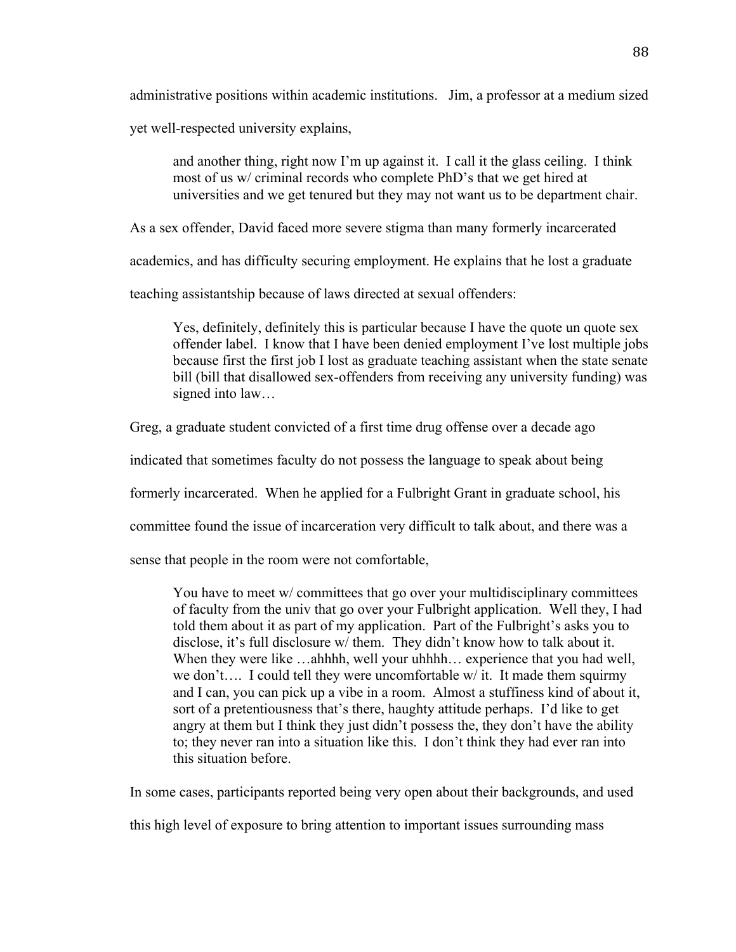administrative positions within academic institutions. Jim, a professor at a medium sized

yet well-respected university explains,

and another thing, right now I'm up against it. I call it the glass ceiling. I think most of us w/ criminal records who complete PhD's that we get hired at universities and we get tenured but they may not want us to be department chair.

As a sex offender, David faced more severe stigma than many formerly incarcerated

academics, and has difficulty securing employment. He explains that he lost a graduate

teaching assistantship because of laws directed at sexual offenders:

Yes, definitely, definitely this is particular because I have the quote un quote sex offender label. I know that I have been denied employment I've lost multiple jobs because first the first job I lost as graduate teaching assistant when the state senate bill (bill that disallowed sex-offenders from receiving any university funding) was signed into law…

Greg, a graduate student convicted of a first time drug offense over a decade ago

indicated that sometimes faculty do not possess the language to speak about being

formerly incarcerated. When he applied for a Fulbright Grant in graduate school, his

committee found the issue of incarceration very difficult to talk about, and there was a

sense that people in the room were not comfortable,

You have to meet w/ committees that go over your multidisciplinary committees of faculty from the univ that go over your Fulbright application. Well they, I had told them about it as part of my application. Part of the Fulbright's asks you to disclose, it's full disclosure w/ them. They didn't know how to talk about it. When they were like …ahhhh, well your uhhhh… experience that you had well, we don't…. I could tell they were uncomfortable w/ it. It made them squirmy and I can, you can pick up a vibe in a room. Almost a stuffiness kind of about it, sort of a pretentiousness that's there, haughty attitude perhaps. I'd like to get angry at them but I think they just didn't possess the, they don't have the ability to; they never ran into a situation like this. I don't think they had ever ran into this situation before.

In some cases, participants reported being very open about their backgrounds, and used

this high level of exposure to bring attention to important issues surrounding mass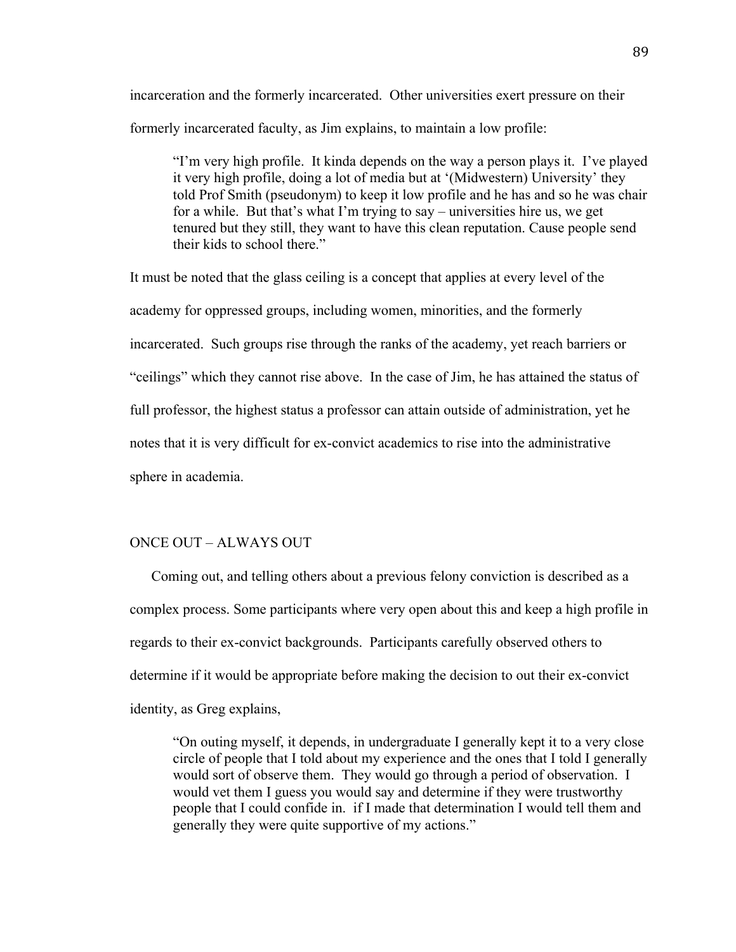incarceration and the formerly incarcerated. Other universities exert pressure on their formerly incarcerated faculty, as Jim explains, to maintain a low profile:

"I'm very high profile. It kinda depends on the way a person plays it. I've played it very high profile, doing a lot of media but at '(Midwestern) University' they told Prof Smith (pseudonym) to keep it low profile and he has and so he was chair for a while. But that's what I'm trying to say – universities hire us, we get tenured but they still, they want to have this clean reputation. Cause people send their kids to school there."

It must be noted that the glass ceiling is a concept that applies at every level of the academy for oppressed groups, including women, minorities, and the formerly incarcerated. Such groups rise through the ranks of the academy, yet reach barriers or "ceilings" which they cannot rise above. In the case of Jim, he has attained the status of full professor, the highest status a professor can attain outside of administration, yet he notes that it is very difficult for ex-convict academics to rise into the administrative sphere in academia.

# ONCE OUT – ALWAYS OUT

Coming out, and telling others about a previous felony conviction is described as a complex process. Some participants where very open about this and keep a high profile in regards to their ex-convict backgrounds. Participants carefully observed others to determine if it would be appropriate before making the decision to out their ex-convict identity, as Greg explains,

"On outing myself, it depends, in undergraduate I generally kept it to a very close circle of people that I told about my experience and the ones that I told I generally would sort of observe them. They would go through a period of observation. I would vet them I guess you would say and determine if they were trustworthy people that I could confide in. if I made that determination I would tell them and generally they were quite supportive of my actions."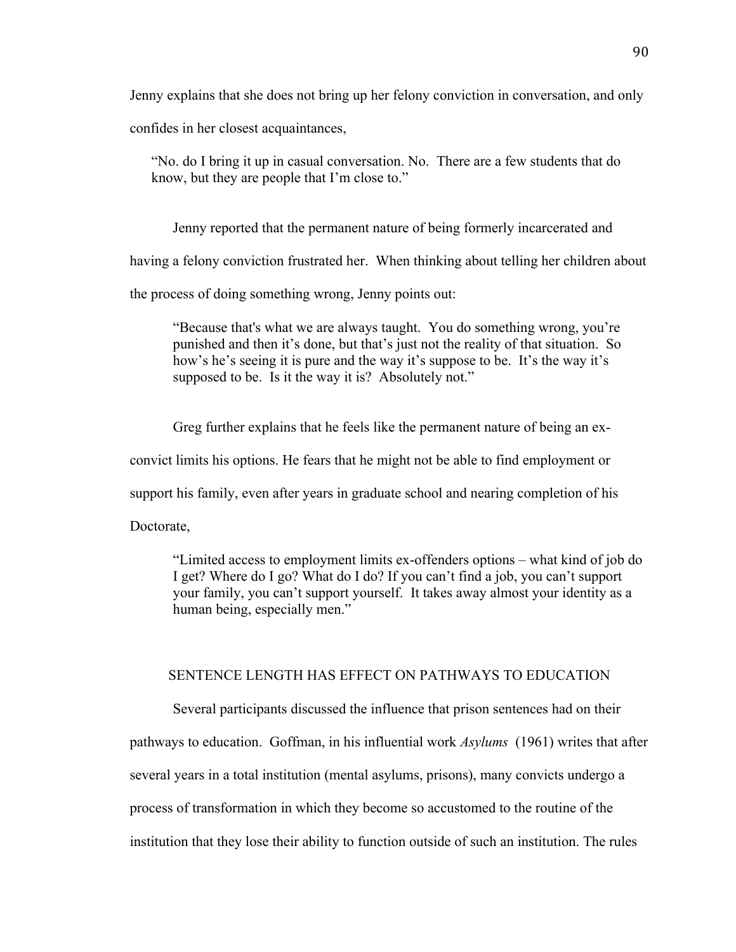Jenny explains that she does not bring up her felony conviction in conversation, and only

confides in her closest acquaintances,

"No. do I bring it up in casual conversation. No. There are a few students that do know, but they are people that I'm close to."

Jenny reported that the permanent nature of being formerly incarcerated and

having a felony conviction frustrated her. When thinking about telling her children about

the process of doing something wrong, Jenny points out:

"Because that's what we are always taught. You do something wrong, you're punished and then it's done, but that's just not the reality of that situation. So how's he's seeing it is pure and the way it's suppose to be. It's the way it's supposed to be. Is it the way it is? Absolutely not."

Greg further explains that he feels like the permanent nature of being an ex-

convict limits his options. He fears that he might not be able to find employment or

support his family, even after years in graduate school and nearing completion of his

Doctorate,

"Limited access to employment limits ex-offenders options – what kind of job do I get? Where do I go? What do I do? If you can't find a job, you can't support your family, you can't support yourself. It takes away almost your identity as a human being, especially men."

# SENTENCE LENGTH HAS EFFECT ON PATHWAYS TO EDUCATION

Several participants discussed the influence that prison sentences had on their

pathways to education. Goffman, in his influential work *Asylums* (1961) writes that after several years in a total institution (mental asylums, prisons), many convicts undergo a

process of transformation in which they become so accustomed to the routine of the

institution that they lose their ability to function outside of such an institution. The rules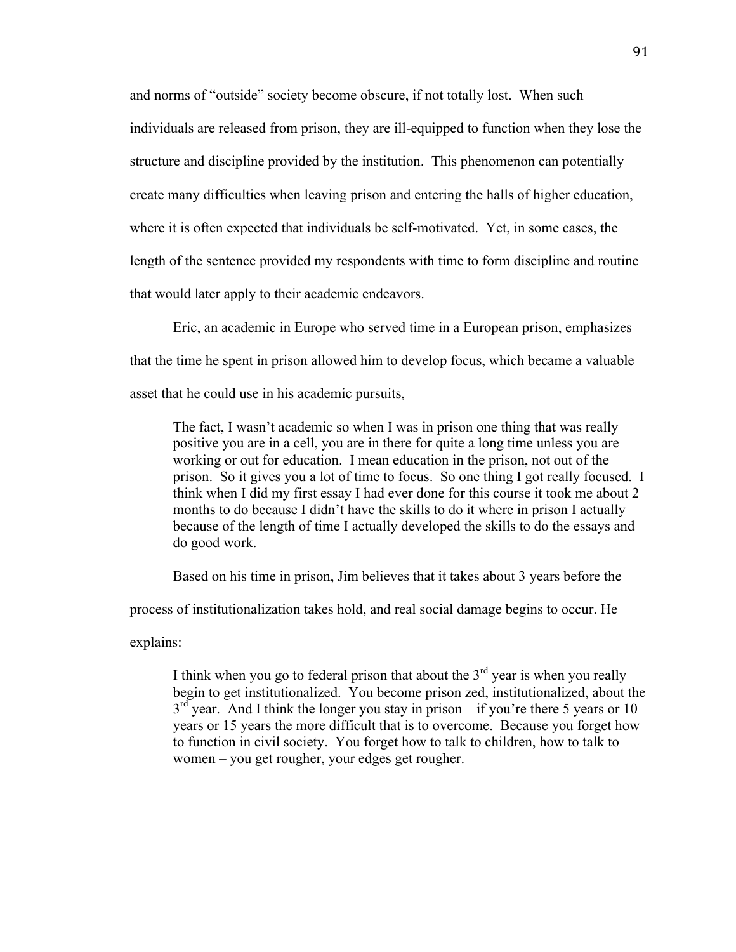and norms of "outside" society become obscure, if not totally lost. When such individuals are released from prison, they are ill-equipped to function when they lose the structure and discipline provided by the institution. This phenomenon can potentially create many difficulties when leaving prison and entering the halls of higher education, where it is often expected that individuals be self-motivated. Yet, in some cases, the length of the sentence provided my respondents with time to form discipline and routine that would later apply to their academic endeavors.

Eric, an academic in Europe who served time in a European prison, emphasizes that the time he spent in prison allowed him to develop focus, which became a valuable asset that he could use in his academic pursuits,

The fact, I wasn't academic so when I was in prison one thing that was really positive you are in a cell, you are in there for quite a long time unless you are working or out for education. I mean education in the prison, not out of the prison. So it gives you a lot of time to focus. So one thing I got really focused. I think when I did my first essay I had ever done for this course it took me about 2 months to do because I didn't have the skills to do it where in prison I actually because of the length of time I actually developed the skills to do the essays and do good work.

Based on his time in prison, Jim believes that it takes about 3 years before the

process of institutionalization takes hold, and real social damage begins to occur. He

explains:

I think when you go to federal prison that about the  $3<sup>rd</sup>$  year is when you really begin to get institutionalized. You become prison zed, institutionalized, about the  $3<sup>rd</sup>$  year. And I think the longer you stay in prison – if you're there 5 years or 10 years or 15 years the more difficult that is to overcome. Because you forget how to function in civil society. You forget how to talk to children, how to talk to women – you get rougher, your edges get rougher.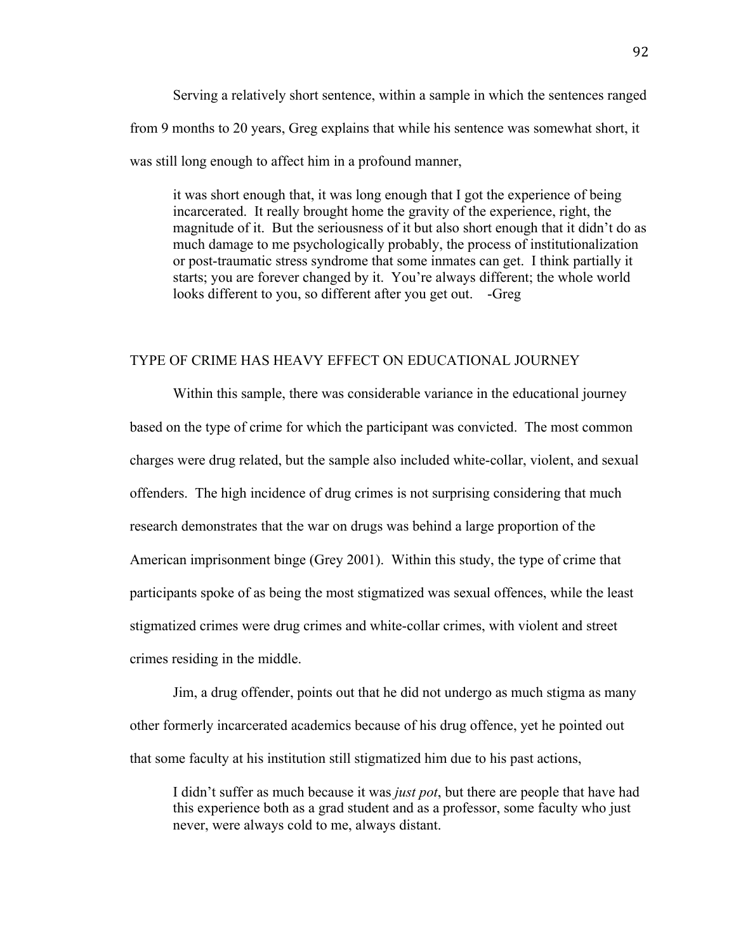Serving a relatively short sentence, within a sample in which the sentences ranged from 9 months to 20 years, Greg explains that while his sentence was somewhat short, it was still long enough to affect him in a profound manner,

it was short enough that, it was long enough that I got the experience of being incarcerated. It really brought home the gravity of the experience, right, the magnitude of it. But the seriousness of it but also short enough that it didn't do as much damage to me psychologically probably, the process of institutionalization or post-traumatic stress syndrome that some inmates can get. I think partially it starts; you are forever changed by it. You're always different; the whole world looks different to you, so different after you get out. -Greg

## TYPE OF CRIME HAS HEAVY EFFECT ON EDUCATIONAL JOURNEY

Within this sample, there was considerable variance in the educational journey based on the type of crime for which the participant was convicted. The most common charges were drug related, but the sample also included white-collar, violent, and sexual offenders. The high incidence of drug crimes is not surprising considering that much research demonstrates that the war on drugs was behind a large proportion of the American imprisonment binge (Grey 2001). Within this study, the type of crime that participants spoke of as being the most stigmatized was sexual offences, while the least stigmatized crimes were drug crimes and white-collar crimes, with violent and street crimes residing in the middle.

Jim, a drug offender, points out that he did not undergo as much stigma as many other formerly incarcerated academics because of his drug offence, yet he pointed out that some faculty at his institution still stigmatized him due to his past actions,

I didn't suffer as much because it was *just pot*, but there are people that have had this experience both as a grad student and as a professor, some faculty who just never, were always cold to me, always distant.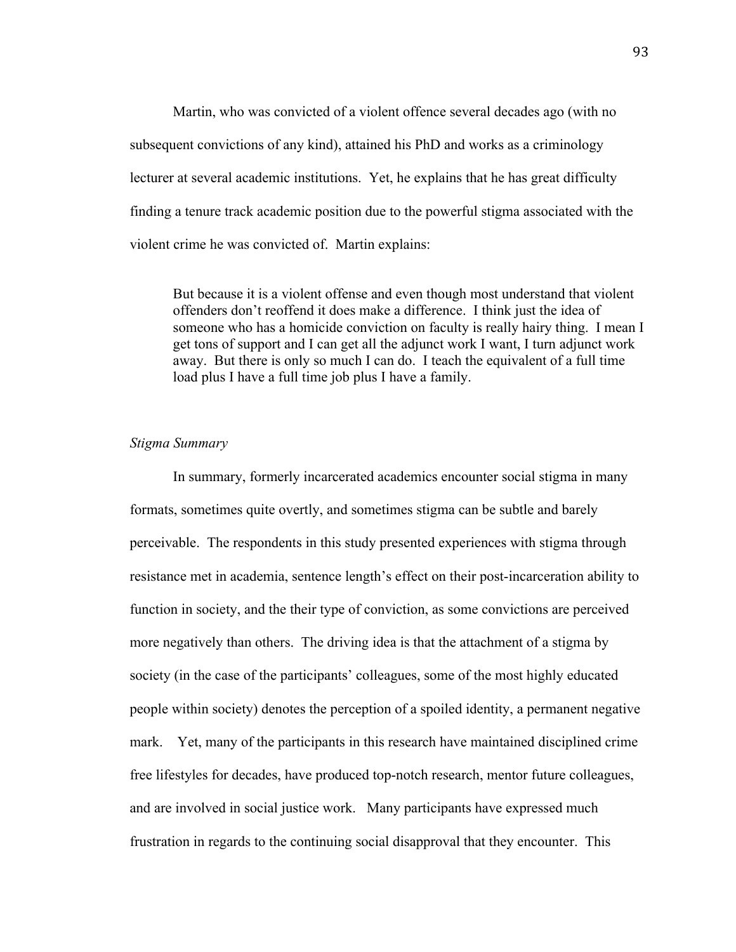Martin, who was convicted of a violent offence several decades ago (with no subsequent convictions of any kind), attained his PhD and works as a criminology lecturer at several academic institutions. Yet, he explains that he has great difficulty finding a tenure track academic position due to the powerful stigma associated with the violent crime he was convicted of. Martin explains:

But because it is a violent offense and even though most understand that violent offenders don't reoffend it does make a difference. I think just the idea of someone who has a homicide conviction on faculty is really hairy thing. I mean I get tons of support and I can get all the adjunct work I want, I turn adjunct work away. But there is only so much I can do. I teach the equivalent of a full time load plus I have a full time job plus I have a family.

### *Stigma Summary*

In summary, formerly incarcerated academics encounter social stigma in many formats, sometimes quite overtly, and sometimes stigma can be subtle and barely perceivable. The respondents in this study presented experiences with stigma through resistance met in academia, sentence length's effect on their post-incarceration ability to function in society, and the their type of conviction, as some convictions are perceived more negatively than others. The driving idea is that the attachment of a stigma by society (in the case of the participants' colleagues, some of the most highly educated people within society) denotes the perception of a spoiled identity, a permanent negative mark. Yet, many of the participants in this research have maintained disciplined crime free lifestyles for decades, have produced top-notch research, mentor future colleagues, and are involved in social justice work. Many participants have expressed much frustration in regards to the continuing social disapproval that they encounter. This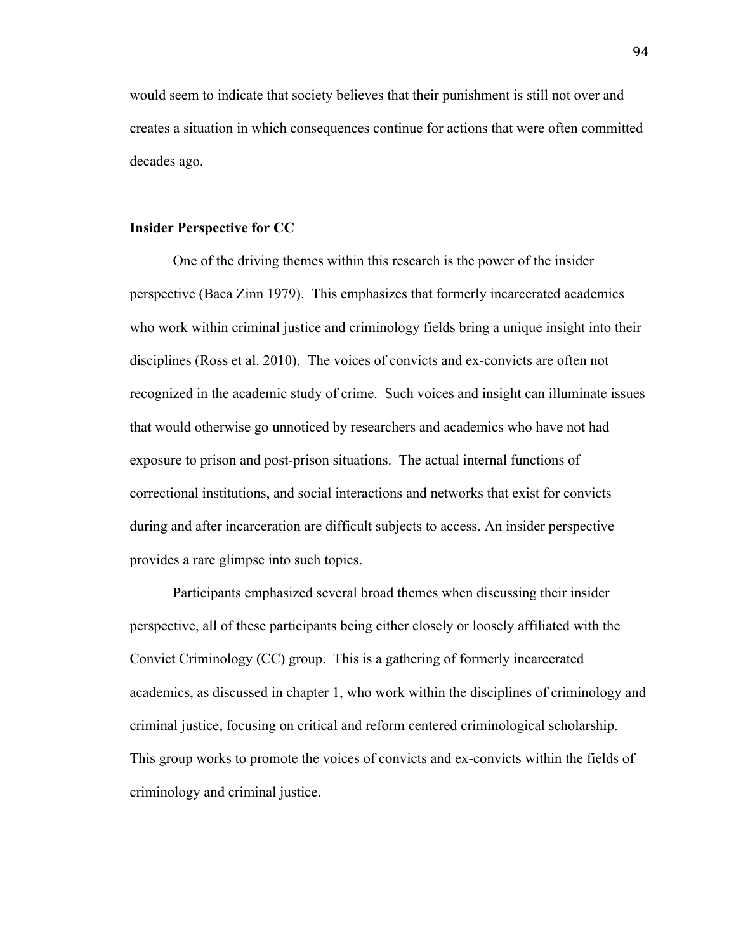would seem to indicate that society believes that their punishment is still not over and creates a situation in which consequences continue for actions that were often committed decades ago.

### **Insider Perspective for CC**

One of the driving themes within this research is the power of the insider perspective (Baca Zinn 1979). This emphasizes that formerly incarcerated academics who work within criminal justice and criminology fields bring a unique insight into their disciplines (Ross et al. 2010). The voices of convicts and ex-convicts are often not recognized in the academic study of crime. Such voices and insight can illuminate issues that would otherwise go unnoticed by researchers and academics who have not had exposure to prison and post-prison situations. The actual internal functions of correctional institutions, and social interactions and networks that exist for convicts during and after incarceration are difficult subjects to access. An insider perspective provides a rare glimpse into such topics.

Participants emphasized several broad themes when discussing their insider perspective, all of these participants being either closely or loosely affiliated with the Convict Criminology (CC) group. This is a gathering of formerly incarcerated academics, as discussed in chapter 1, who work within the disciplines of criminology and criminal justice, focusing on critical and reform centered criminological scholarship. This group works to promote the voices of convicts and ex-convicts within the fields of criminology and criminal justice.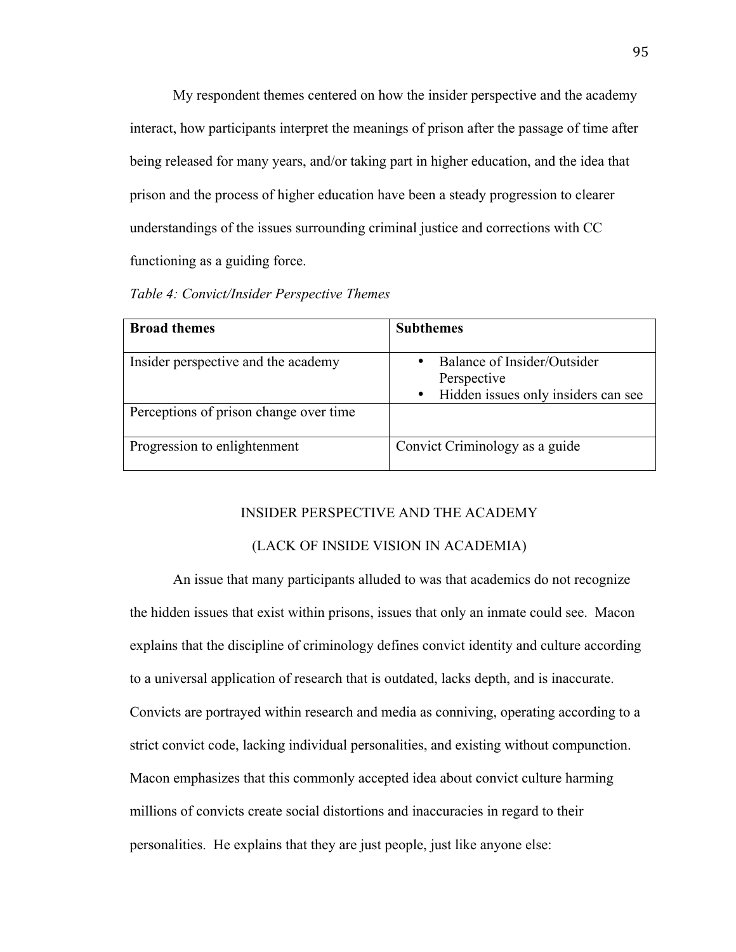My respondent themes centered on how the insider perspective and the academy interact, how participants interpret the meanings of prison after the passage of time after being released for many years, and/or taking part in higher education, and the idea that prison and the process of higher education have been a steady progression to clearer understandings of the issues surrounding criminal justice and corrections with CC functioning as a guiding force.

| <b>Subthemes</b>                                                |
|-----------------------------------------------------------------|
| Balance of Insider/Outsider                                     |
| Perspective<br>Hidden issues only insiders can see<br>$\bullet$ |
|                                                                 |
| Convict Criminology as a guide                                  |
|                                                                 |

#### INSIDER PERSPECTIVE AND THE ACADEMY

## (LACK OF INSIDE VISION IN ACADEMIA)

An issue that many participants alluded to was that academics do not recognize the hidden issues that exist within prisons, issues that only an inmate could see. Macon explains that the discipline of criminology defines convict identity and culture according to a universal application of research that is outdated, lacks depth, and is inaccurate. Convicts are portrayed within research and media as conniving, operating according to a strict convict code, lacking individual personalities, and existing without compunction. Macon emphasizes that this commonly accepted idea about convict culture harming millions of convicts create social distortions and inaccuracies in regard to their personalities. He explains that they are just people, just like anyone else: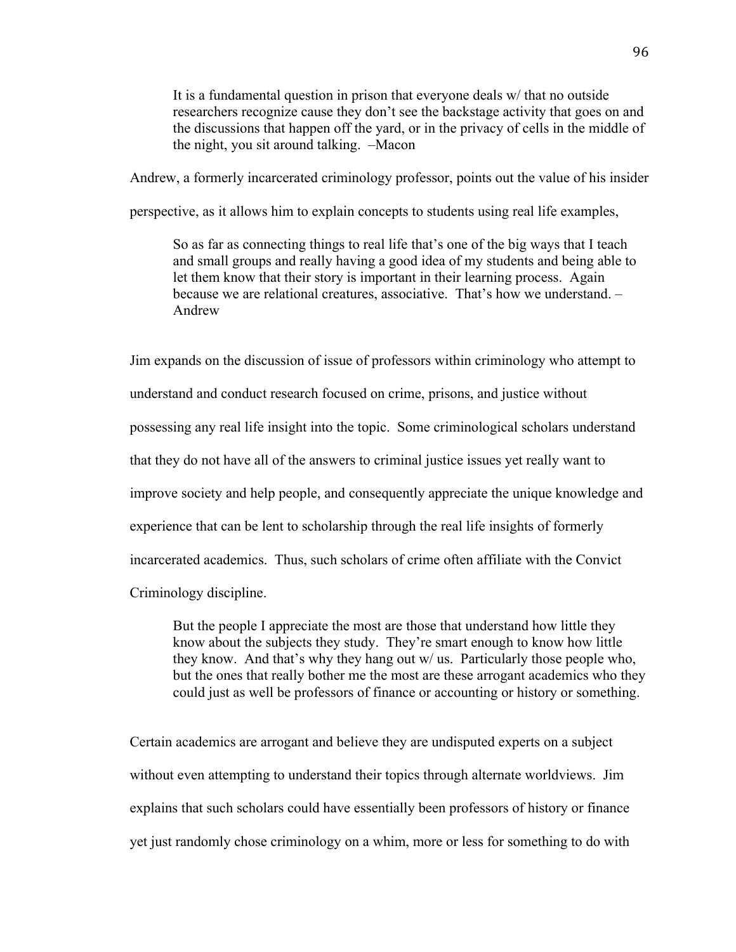It is a fundamental question in prison that everyone deals w/ that no outside researchers recognize cause they don't see the backstage activity that goes on and the discussions that happen off the yard, or in the privacy of cells in the middle of the night, you sit around talking. –Macon

Andrew, a formerly incarcerated criminology professor, points out the value of his insider

perspective, as it allows him to explain concepts to students using real life examples,

So as far as connecting things to real life that's one of the big ways that I teach and small groups and really having a good idea of my students and being able to let them know that their story is important in their learning process. Again because we are relational creatures, associative. That's how we understand. – Andrew

Jim expands on the discussion of issue of professors within criminology who attempt to understand and conduct research focused on crime, prisons, and justice without possessing any real life insight into the topic. Some criminological scholars understand that they do not have all of the answers to criminal justice issues yet really want to improve society and help people, and consequently appreciate the unique knowledge and experience that can be lent to scholarship through the real life insights of formerly incarcerated academics. Thus, such scholars of crime often affiliate with the Convict Criminology discipline.

But the people I appreciate the most are those that understand how little they know about the subjects they study. They're smart enough to know how little they know. And that's why they hang out w/ us. Particularly those people who, but the ones that really bother me the most are these arrogant academics who they could just as well be professors of finance or accounting or history or something.

Certain academics are arrogant and believe they are undisputed experts on a subject without even attempting to understand their topics through alternate worldviews. Jim explains that such scholars could have essentially been professors of history or finance yet just randomly chose criminology on a whim, more or less for something to do with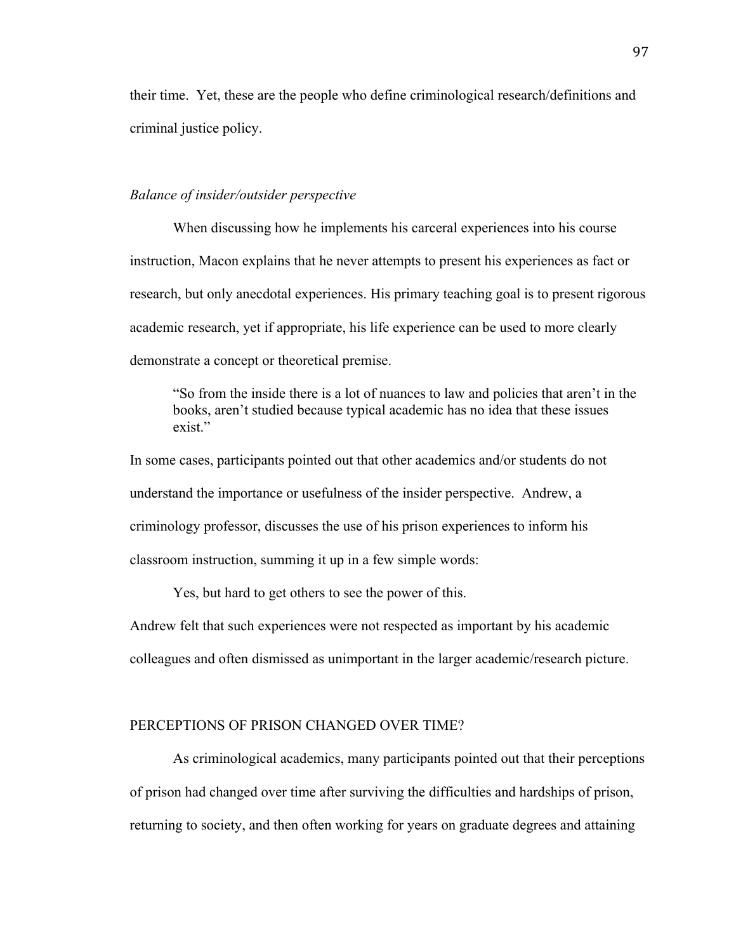their time. Yet, these are the people who define criminological research/definitions and criminal justice policy.

## *Balance of insider/outsider perspective*

When discussing how he implements his carceral experiences into his course instruction, Macon explains that he never attempts to present his experiences as fact or research, but only anecdotal experiences. His primary teaching goal is to present rigorous academic research, yet if appropriate, his life experience can be used to more clearly demonstrate a concept or theoretical premise.

"So from the inside there is a lot of nuances to law and policies that aren't in the books, aren't studied because typical academic has no idea that these issues exist."

In some cases, participants pointed out that other academics and/or students do not understand the importance or usefulness of the insider perspective. Andrew, a criminology professor, discusses the use of his prison experiences to inform his classroom instruction, summing it up in a few simple words:

Yes, but hard to get others to see the power of this.

Andrew felt that such experiences were not respected as important by his academic colleagues and often dismissed as unimportant in the larger academic/research picture.

#### PERCEPTIONS OF PRISON CHANGED OVER TIME?

As criminological academics, many participants pointed out that their perceptions of prison had changed over time after surviving the difficulties and hardships of prison, returning to society, and then often working for years on graduate degrees and attaining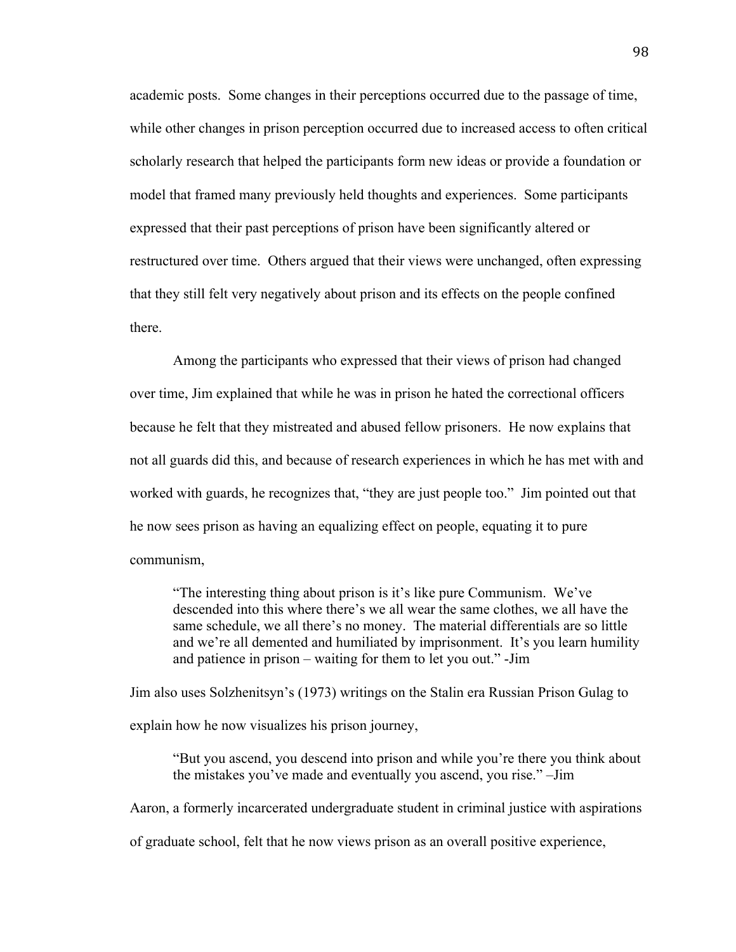academic posts. Some changes in their perceptions occurred due to the passage of time, while other changes in prison perception occurred due to increased access to often critical scholarly research that helped the participants form new ideas or provide a foundation or model that framed many previously held thoughts and experiences. Some participants expressed that their past perceptions of prison have been significantly altered or restructured over time. Others argued that their views were unchanged, often expressing that they still felt very negatively about prison and its effects on the people confined there.

Among the participants who expressed that their views of prison had changed over time, Jim explained that while he was in prison he hated the correctional officers because he felt that they mistreated and abused fellow prisoners. He now explains that not all guards did this, and because of research experiences in which he has met with and worked with guards, he recognizes that, "they are just people too." Jim pointed out that he now sees prison as having an equalizing effect on people, equating it to pure communism,

"The interesting thing about prison is it's like pure Communism. We've descended into this where there's we all wear the same clothes, we all have the same schedule, we all there's no money. The material differentials are so little and we're all demented and humiliated by imprisonment. It's you learn humility and patience in prison – waiting for them to let you out." -Jim

Jim also uses Solzhenitsyn's (1973) writings on the Stalin era Russian Prison Gulag to explain how he now visualizes his prison journey,

"But you ascend, you descend into prison and while you're there you think about the mistakes you've made and eventually you ascend, you rise." –Jim

Aaron, a formerly incarcerated undergraduate student in criminal justice with aspirations

of graduate school, felt that he now views prison as an overall positive experience,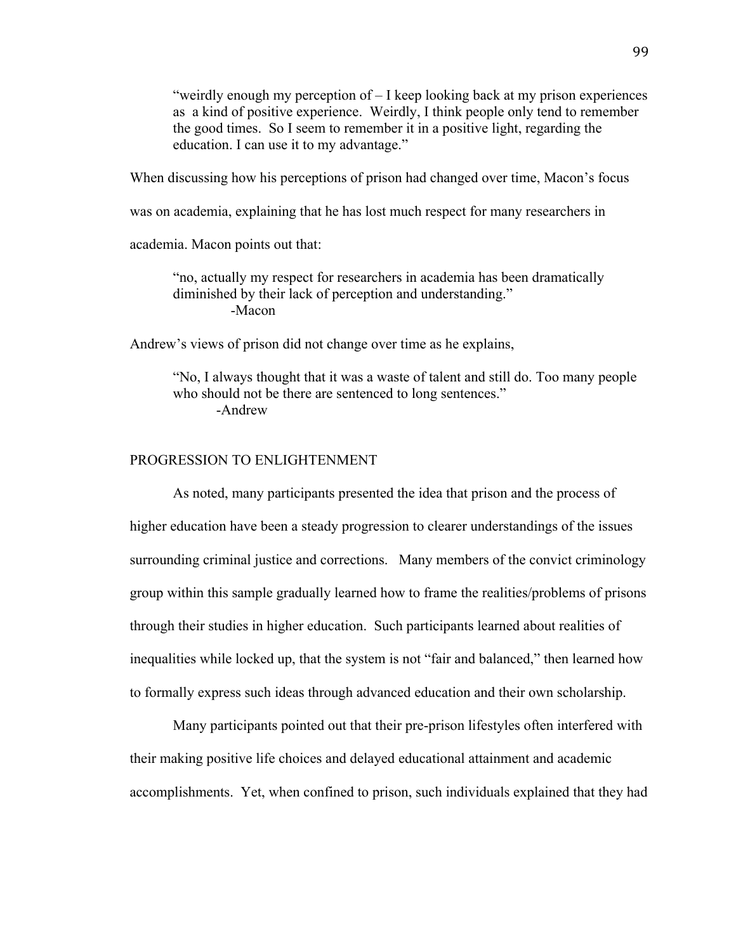"weirdly enough my perception of  $-1$  keep looking back at my prison experiences as a kind of positive experience. Weirdly, I think people only tend to remember the good times. So I seem to remember it in a positive light, regarding the education. I can use it to my advantage."

When discussing how his perceptions of prison had changed over time, Macon's focus

was on academia, explaining that he has lost much respect for many researchers in

academia. Macon points out that:

"no, actually my respect for researchers in academia has been dramatically diminished by their lack of perception and understanding." -Macon

Andrew's views of prison did not change over time as he explains,

"No, I always thought that it was a waste of talent and still do. Too many people who should not be there are sentenced to long sentences." -Andrew

#### PROGRESSION TO ENLIGHTENMENT

As noted, many participants presented the idea that prison and the process of higher education have been a steady progression to clearer understandings of the issues surrounding criminal justice and corrections. Many members of the convict criminology group within this sample gradually learned how to frame the realities/problems of prisons through their studies in higher education. Such participants learned about realities of inequalities while locked up, that the system is not "fair and balanced," then learned how to formally express such ideas through advanced education and their own scholarship.

Many participants pointed out that their pre-prison lifestyles often interfered with their making positive life choices and delayed educational attainment and academic accomplishments. Yet, when confined to prison, such individuals explained that they had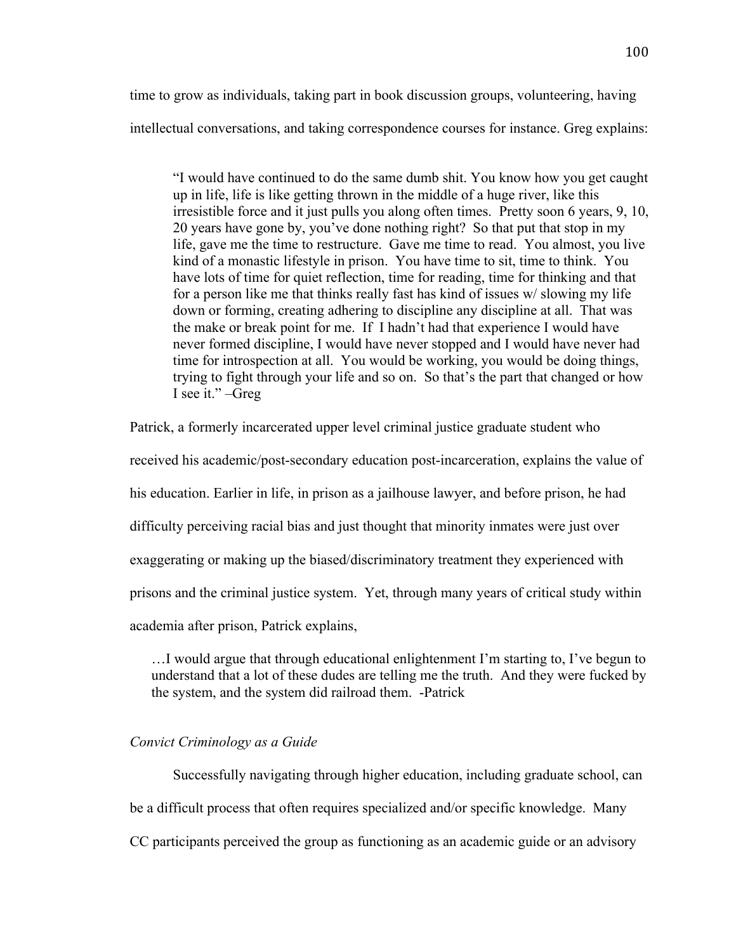time to grow as individuals, taking part in book discussion groups, volunteering, having intellectual conversations, and taking correspondence courses for instance. Greg explains:

"I would have continued to do the same dumb shit. You know how you get caught up in life, life is like getting thrown in the middle of a huge river, like this irresistible force and it just pulls you along often times. Pretty soon 6 years, 9, 10, 20 years have gone by, you've done nothing right? So that put that stop in my life, gave me the time to restructure. Gave me time to read. You almost, you live kind of a monastic lifestyle in prison. You have time to sit, time to think. You have lots of time for quiet reflection, time for reading, time for thinking and that for a person like me that thinks really fast has kind of issues w/ slowing my life down or forming, creating adhering to discipline any discipline at all. That was the make or break point for me. If I hadn't had that experience I would have never formed discipline, I would have never stopped and I would have never had time for introspection at all. You would be working, you would be doing things, trying to fight through your life and so on. So that's the part that changed or how I see it." –Greg

Patrick, a formerly incarcerated upper level criminal justice graduate student who

received his academic/post-secondary education post-incarceration, explains the value of

his education. Earlier in life, in prison as a jailhouse lawyer, and before prison, he had

difficulty perceiving racial bias and just thought that minority inmates were just over

exaggerating or making up the biased/discriminatory treatment they experienced with

prisons and the criminal justice system. Yet, through many years of critical study within

academia after prison, Patrick explains,

…I would argue that through educational enlightenment I'm starting to, I've begun to understand that a lot of these dudes are telling me the truth. And they were fucked by the system, and the system did railroad them. -Patrick

# *Convict Criminology as a Guide*

Successfully navigating through higher education, including graduate school, can be a difficult process that often requires specialized and/or specific knowledge. Many CC participants perceived the group as functioning as an academic guide or an advisory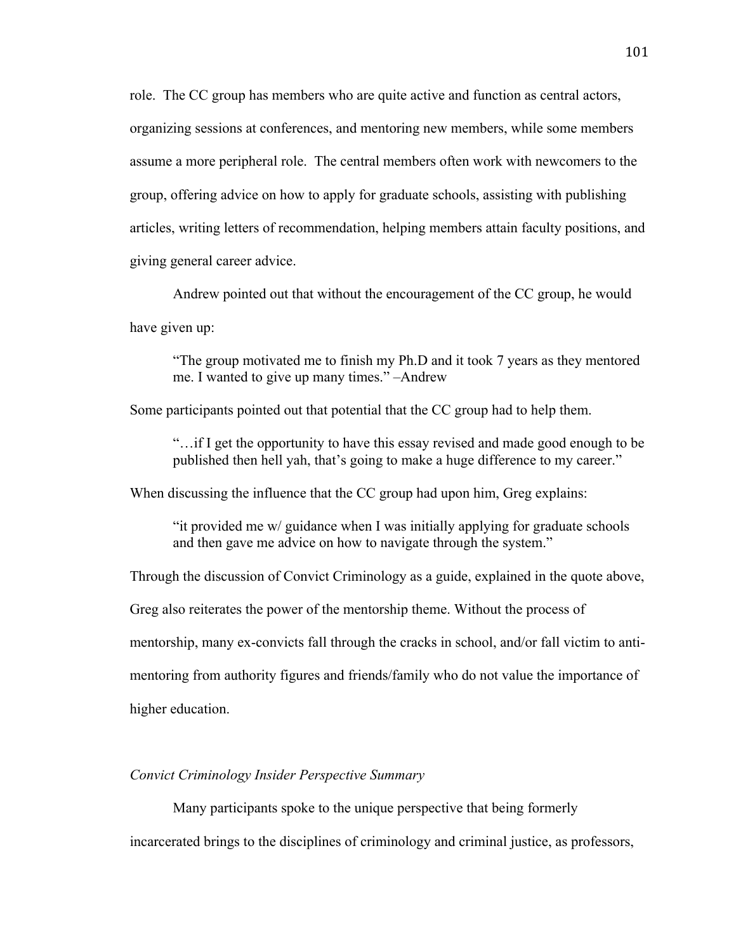role. The CC group has members who are quite active and function as central actors, organizing sessions at conferences, and mentoring new members, while some members assume a more peripheral role. The central members often work with newcomers to the group, offering advice on how to apply for graduate schools, assisting with publishing articles, writing letters of recommendation, helping members attain faculty positions, and giving general career advice.

Andrew pointed out that without the encouragement of the CC group, he would have given up:

"The group motivated me to finish my Ph.D and it took 7 years as they mentored me. I wanted to give up many times." –Andrew

Some participants pointed out that potential that the CC group had to help them.

"…if I get the opportunity to have this essay revised and made good enough to be published then hell yah, that's going to make a huge difference to my career."

When discussing the influence that the CC group had upon him, Greg explains:

"it provided me w/ guidance when I was initially applying for graduate schools and then gave me advice on how to navigate through the system."

Through the discussion of Convict Criminology as a guide, explained in the quote above,

Greg also reiterates the power of the mentorship theme. Without the process of

mentorship, many ex-convicts fall through the cracks in school, and/or fall victim to anti-

mentoring from authority figures and friends/family who do not value the importance of

higher education.

#### *Convict Criminology Insider Perspective Summary*

Many participants spoke to the unique perspective that being formerly

incarcerated brings to the disciplines of criminology and criminal justice, as professors,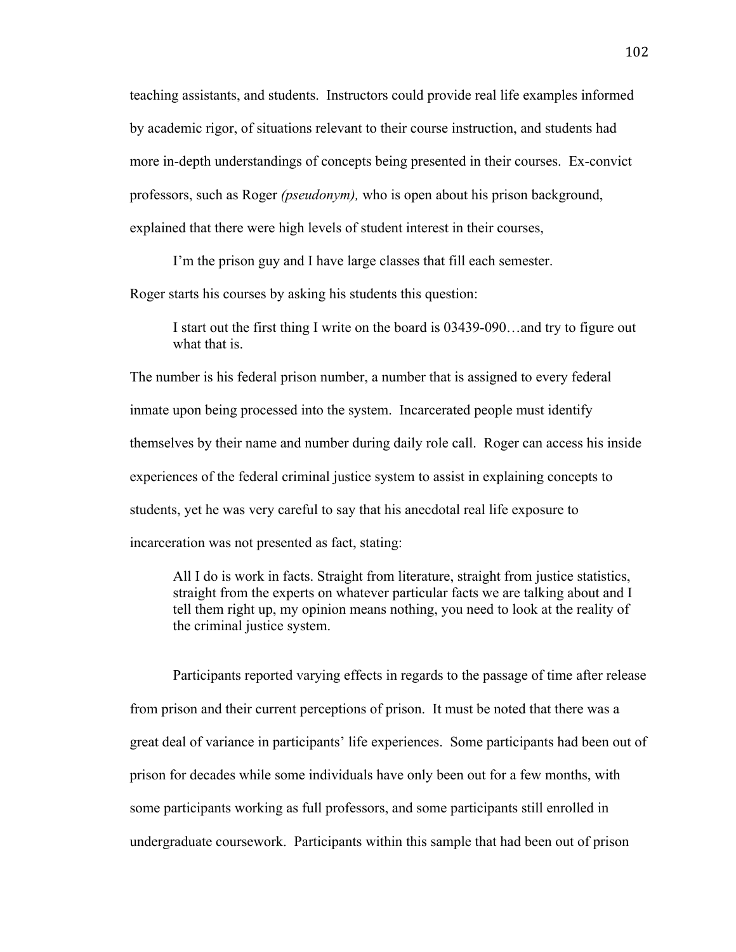teaching assistants, and students. Instructors could provide real life examples informed by academic rigor, of situations relevant to their course instruction, and students had more in-depth understandings of concepts being presented in their courses. Ex-convict professors, such as Roger *(pseudonym),* who is open about his prison background, explained that there were high levels of student interest in their courses,

I'm the prison guy and I have large classes that fill each semester.

Roger starts his courses by asking his students this question:

I start out the first thing I write on the board is 03439-090…and try to figure out what that is.

The number is his federal prison number, a number that is assigned to every federal inmate upon being processed into the system. Incarcerated people must identify themselves by their name and number during daily role call. Roger can access his inside experiences of the federal criminal justice system to assist in explaining concepts to students, yet he was very careful to say that his anecdotal real life exposure to incarceration was not presented as fact, stating:

All I do is work in facts. Straight from literature, straight from justice statistics, straight from the experts on whatever particular facts we are talking about and I tell them right up, my opinion means nothing, you need to look at the reality of the criminal justice system.

Participants reported varying effects in regards to the passage of time after release from prison and their current perceptions of prison. It must be noted that there was a great deal of variance in participants' life experiences. Some participants had been out of prison for decades while some individuals have only been out for a few months, with some participants working as full professors, and some participants still enrolled in undergraduate coursework. Participants within this sample that had been out of prison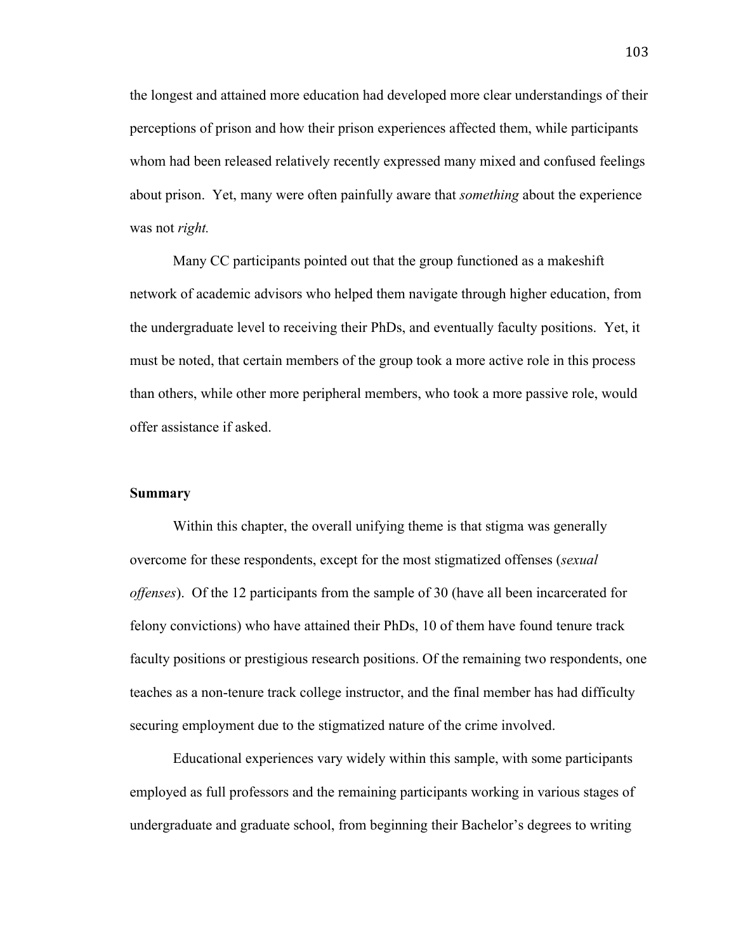the longest and attained more education had developed more clear understandings of their perceptions of prison and how their prison experiences affected them, while participants whom had been released relatively recently expressed many mixed and confused feelings about prison. Yet, many were often painfully aware that *something* about the experience was not *right.*

Many CC participants pointed out that the group functioned as a makeshift network of academic advisors who helped them navigate through higher education, from the undergraduate level to receiving their PhDs, and eventually faculty positions. Yet, it must be noted, that certain members of the group took a more active role in this process than others, while other more peripheral members, who took a more passive role, would offer assistance if asked.

#### **Summary**

Within this chapter, the overall unifying theme is that stigma was generally overcome for these respondents, except for the most stigmatized offenses (*sexual offenses*). Of the 12 participants from the sample of 30 (have all been incarcerated for felony convictions) who have attained their PhDs, 10 of them have found tenure track faculty positions or prestigious research positions. Of the remaining two respondents, one teaches as a non-tenure track college instructor, and the final member has had difficulty securing employment due to the stigmatized nature of the crime involved.

Educational experiences vary widely within this sample, with some participants employed as full professors and the remaining participants working in various stages of undergraduate and graduate school, from beginning their Bachelor's degrees to writing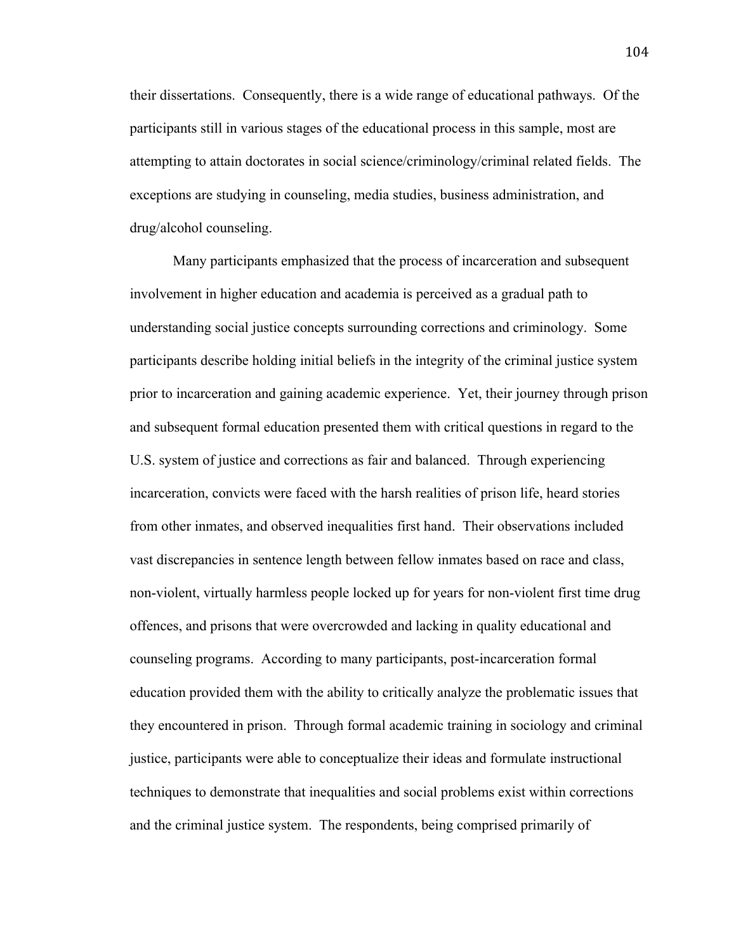their dissertations. Consequently, there is a wide range of educational pathways. Of the participants still in various stages of the educational process in this sample, most are attempting to attain doctorates in social science/criminology/criminal related fields. The exceptions are studying in counseling, media studies, business administration, and drug/alcohol counseling.

Many participants emphasized that the process of incarceration and subsequent involvement in higher education and academia is perceived as a gradual path to understanding social justice concepts surrounding corrections and criminology. Some participants describe holding initial beliefs in the integrity of the criminal justice system prior to incarceration and gaining academic experience. Yet, their journey through prison and subsequent formal education presented them with critical questions in regard to the U.S. system of justice and corrections as fair and balanced. Through experiencing incarceration, convicts were faced with the harsh realities of prison life, heard stories from other inmates, and observed inequalities first hand. Their observations included vast discrepancies in sentence length between fellow inmates based on race and class, non-violent, virtually harmless people locked up for years for non-violent first time drug offences, and prisons that were overcrowded and lacking in quality educational and counseling programs. According to many participants, post-incarceration formal education provided them with the ability to critically analyze the problematic issues that they encountered in prison. Through formal academic training in sociology and criminal justice, participants were able to conceptualize their ideas and formulate instructional techniques to demonstrate that inequalities and social problems exist within corrections and the criminal justice system. The respondents, being comprised primarily of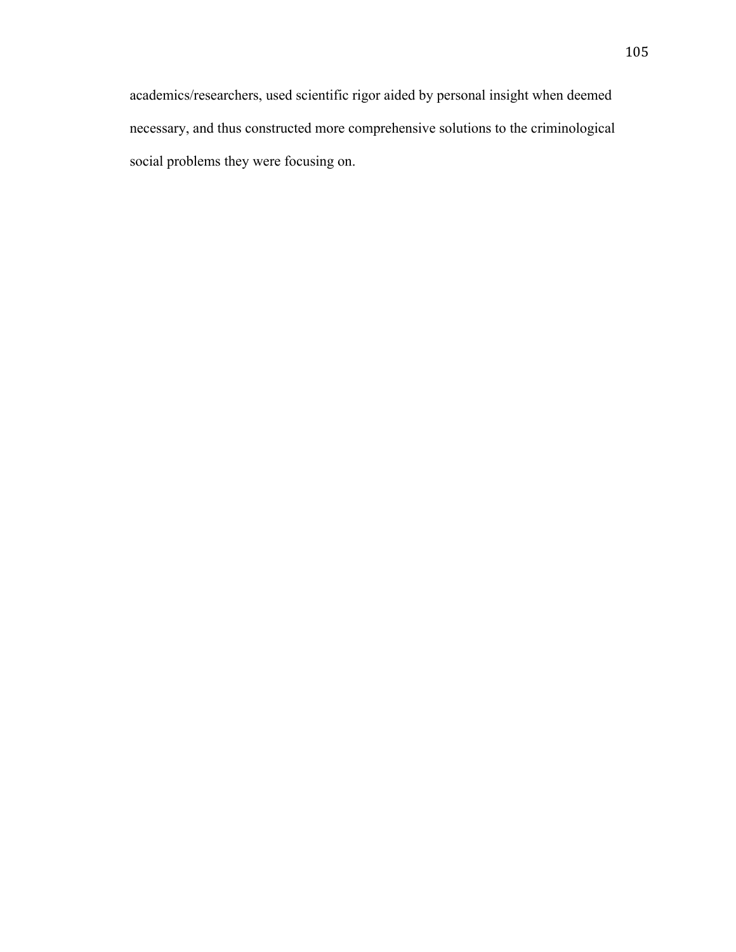academics/researchers, used scientific rigor aided by personal insight when deemed necessary, and thus constructed more comprehensive solutions to the criminological social problems they were focusing on.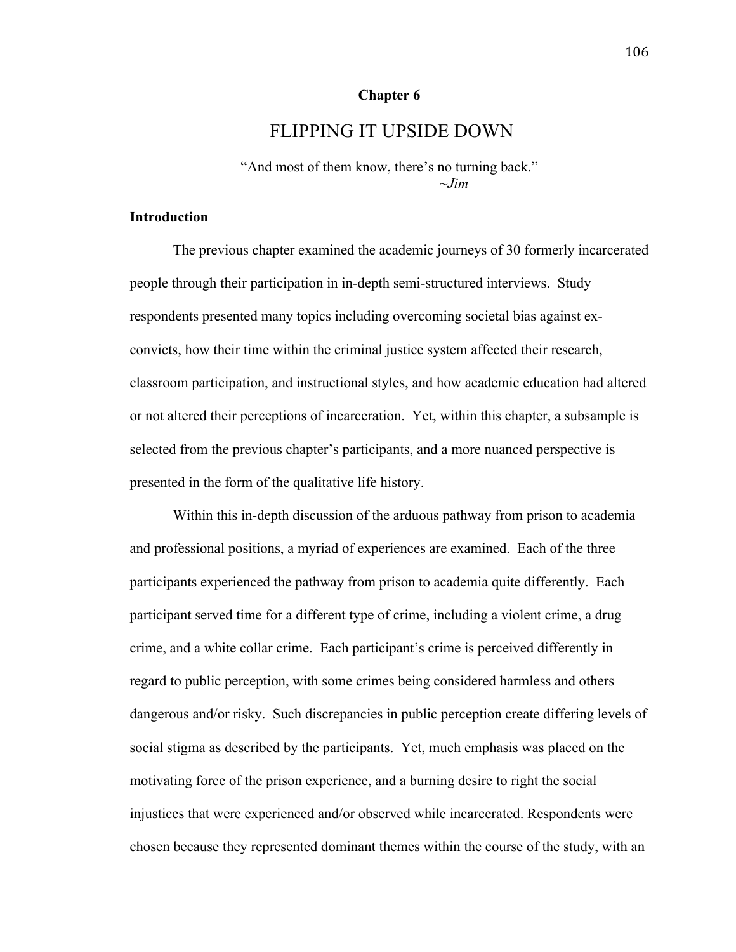#### **Chapter 6**

# FLIPPING IT UPSIDE DOWN

"And most of them know, there's no turning back."  $\sim$ *Jim* 

### **Introduction**

The previous chapter examined the academic journeys of 30 formerly incarcerated people through their participation in in-depth semi-structured interviews. Study respondents presented many topics including overcoming societal bias against exconvicts, how their time within the criminal justice system affected their research, classroom participation, and instructional styles, and how academic education had altered or not altered their perceptions of incarceration. Yet, within this chapter, a subsample is selected from the previous chapter's participants, and a more nuanced perspective is presented in the form of the qualitative life history.

Within this in-depth discussion of the arduous pathway from prison to academia and professional positions, a myriad of experiences are examined. Each of the three participants experienced the pathway from prison to academia quite differently. Each participant served time for a different type of crime, including a violent crime, a drug crime, and a white collar crime. Each participant's crime is perceived differently in regard to public perception, with some crimes being considered harmless and others dangerous and/or risky. Such discrepancies in public perception create differing levels of social stigma as described by the participants. Yet, much emphasis was placed on the motivating force of the prison experience, and a burning desire to right the social injustices that were experienced and/or observed while incarcerated. Respondents were chosen because they represented dominant themes within the course of the study, with an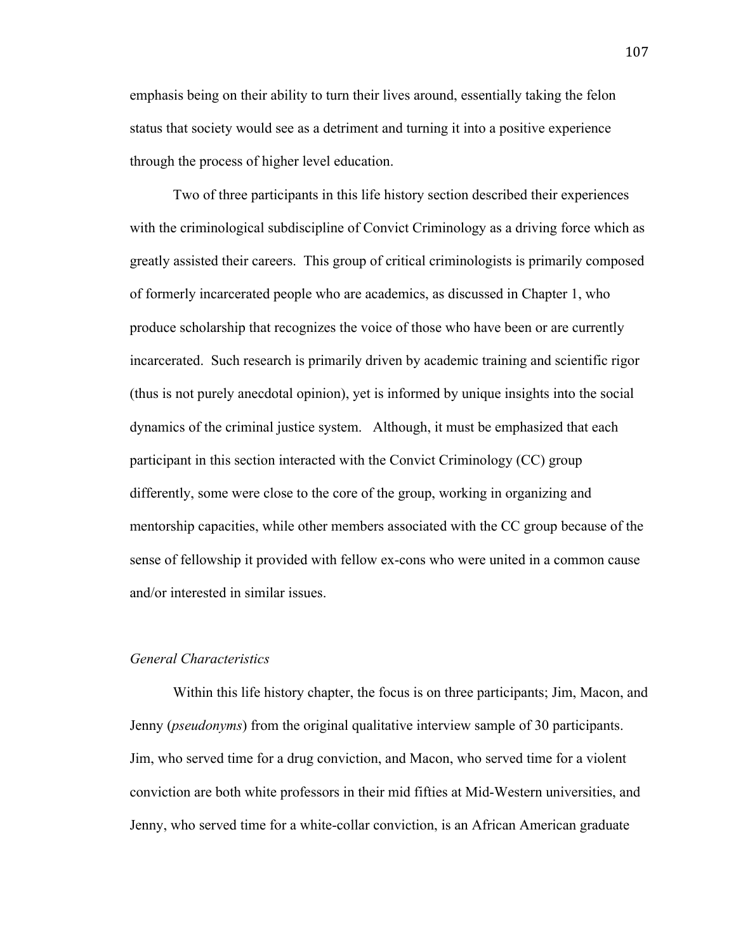emphasis being on their ability to turn their lives around, essentially taking the felon status that society would see as a detriment and turning it into a positive experience through the process of higher level education.

Two of three participants in this life history section described their experiences with the criminological subdiscipline of Convict Criminology as a driving force which as greatly assisted their careers. This group of critical criminologists is primarily composed of formerly incarcerated people who are academics, as discussed in Chapter 1, who produce scholarship that recognizes the voice of those who have been or are currently incarcerated. Such research is primarily driven by academic training and scientific rigor (thus is not purely anecdotal opinion), yet is informed by unique insights into the social dynamics of the criminal justice system. Although, it must be emphasized that each participant in this section interacted with the Convict Criminology (CC) group differently, some were close to the core of the group, working in organizing and mentorship capacities, while other members associated with the CC group because of the sense of fellowship it provided with fellow ex-cons who were united in a common cause and/or interested in similar issues.

#### *General Characteristics*

Within this life history chapter, the focus is on three participants; Jim, Macon, and Jenny (*pseudonyms*) from the original qualitative interview sample of 30 participants. Jim, who served time for a drug conviction, and Macon, who served time for a violent conviction are both white professors in their mid fifties at Mid-Western universities, and Jenny, who served time for a white-collar conviction, is an African American graduate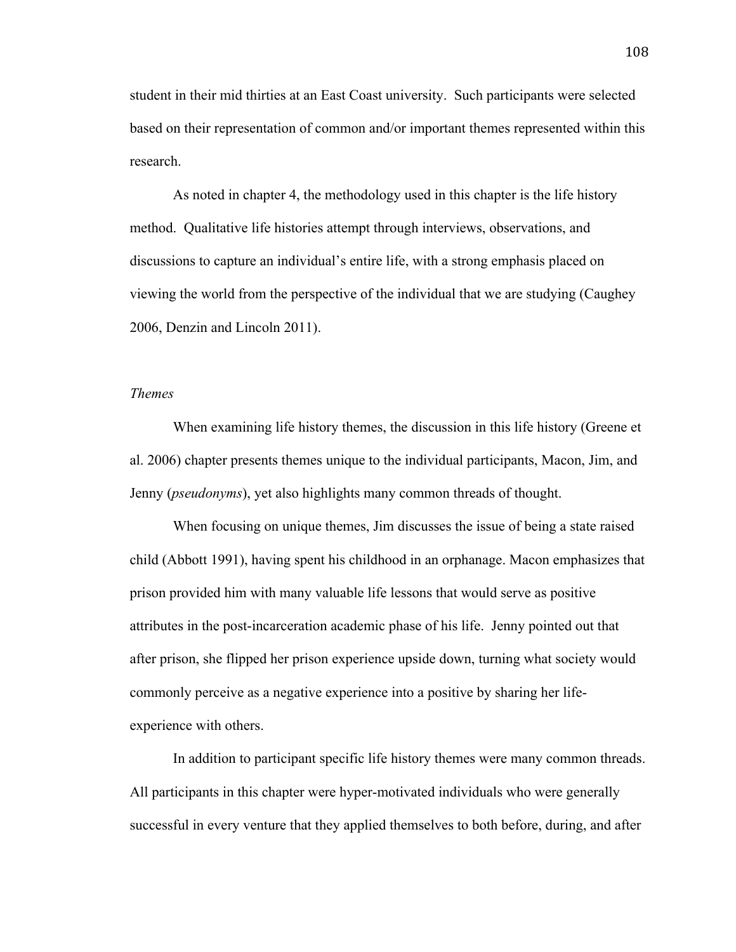student in their mid thirties at an East Coast university. Such participants were selected based on their representation of common and/or important themes represented within this research.

As noted in chapter 4, the methodology used in this chapter is the life history method. Qualitative life histories attempt through interviews, observations, and discussions to capture an individual's entire life, with a strong emphasis placed on viewing the world from the perspective of the individual that we are studying (Caughey 2006, Denzin and Lincoln 2011).

## *Themes*

When examining life history themes, the discussion in this life history (Greene et al. 2006) chapter presents themes unique to the individual participants, Macon, Jim, and Jenny (*pseudonyms*), yet also highlights many common threads of thought.

When focusing on unique themes, Jim discusses the issue of being a state raised child (Abbott 1991), having spent his childhood in an orphanage. Macon emphasizes that prison provided him with many valuable life lessons that would serve as positive attributes in the post-incarceration academic phase of his life. Jenny pointed out that after prison, she flipped her prison experience upside down, turning what society would commonly perceive as a negative experience into a positive by sharing her lifeexperience with others.

In addition to participant specific life history themes were many common threads. All participants in this chapter were hyper-motivated individuals who were generally successful in every venture that they applied themselves to both before, during, and after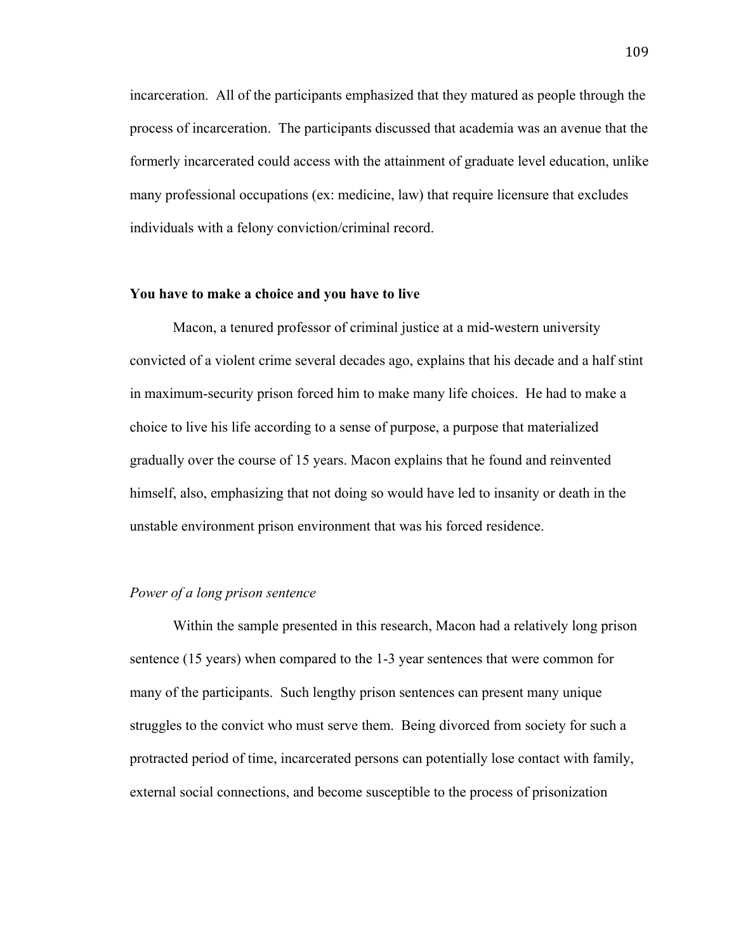incarceration. All of the participants emphasized that they matured as people through the process of incarceration. The participants discussed that academia was an avenue that the formerly incarcerated could access with the attainment of graduate level education, unlike many professional occupations (ex: medicine, law) that require licensure that excludes individuals with a felony conviction/criminal record.

#### **You have to make a choice and you have to live**

Macon, a tenured professor of criminal justice at a mid-western university convicted of a violent crime several decades ago, explains that his decade and a half stint in maximum-security prison forced him to make many life choices. He had to make a choice to live his life according to a sense of purpose, a purpose that materialized gradually over the course of 15 years. Macon explains that he found and reinvented himself, also, emphasizing that not doing so would have led to insanity or death in the unstable environment prison environment that was his forced residence.

#### *Power of a long prison sentence*

Within the sample presented in this research, Macon had a relatively long prison sentence (15 years) when compared to the 1-3 year sentences that were common for many of the participants. Such lengthy prison sentences can present many unique struggles to the convict who must serve them. Being divorced from society for such a protracted period of time, incarcerated persons can potentially lose contact with family, external social connections, and become susceptible to the process of prisonization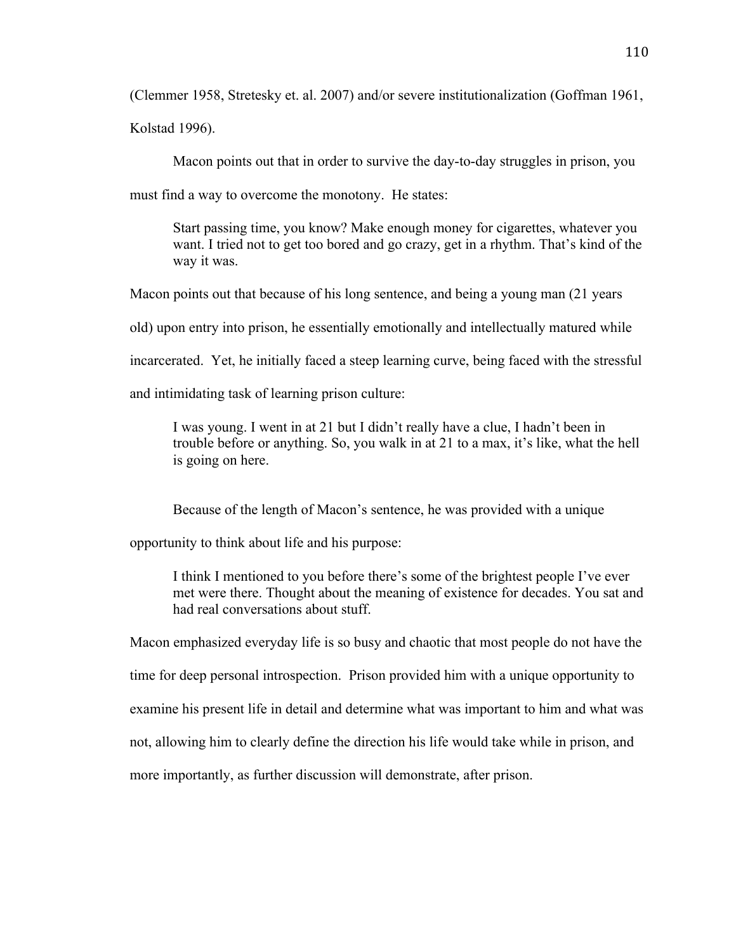(Clemmer 1958, Stretesky et. al. 2007) and/or severe institutionalization (Goffman 1961,

Kolstad 1996).

Macon points out that in order to survive the day-to-day struggles in prison, you

must find a way to overcome the monotony. He states:

Start passing time, you know? Make enough money for cigarettes, whatever you want. I tried not to get too bored and go crazy, get in a rhythm. That's kind of the way it was.

Macon points out that because of his long sentence, and being a young man (21 years

old) upon entry into prison, he essentially emotionally and intellectually matured while

incarcerated. Yet, he initially faced a steep learning curve, being faced with the stressful

and intimidating task of learning prison culture:

I was young. I went in at 21 but I didn't really have a clue, I hadn't been in trouble before or anything. So, you walk in at 21 to a max, it's like, what the hell is going on here.

Because of the length of Macon's sentence, he was provided with a unique

opportunity to think about life and his purpose:

I think I mentioned to you before there's some of the brightest people I've ever met were there. Thought about the meaning of existence for decades. You sat and had real conversations about stuff.

Macon emphasized everyday life is so busy and chaotic that most people do not have the

time for deep personal introspection. Prison provided him with a unique opportunity to

examine his present life in detail and determine what was important to him and what was

not, allowing him to clearly define the direction his life would take while in prison, and

more importantly, as further discussion will demonstrate, after prison.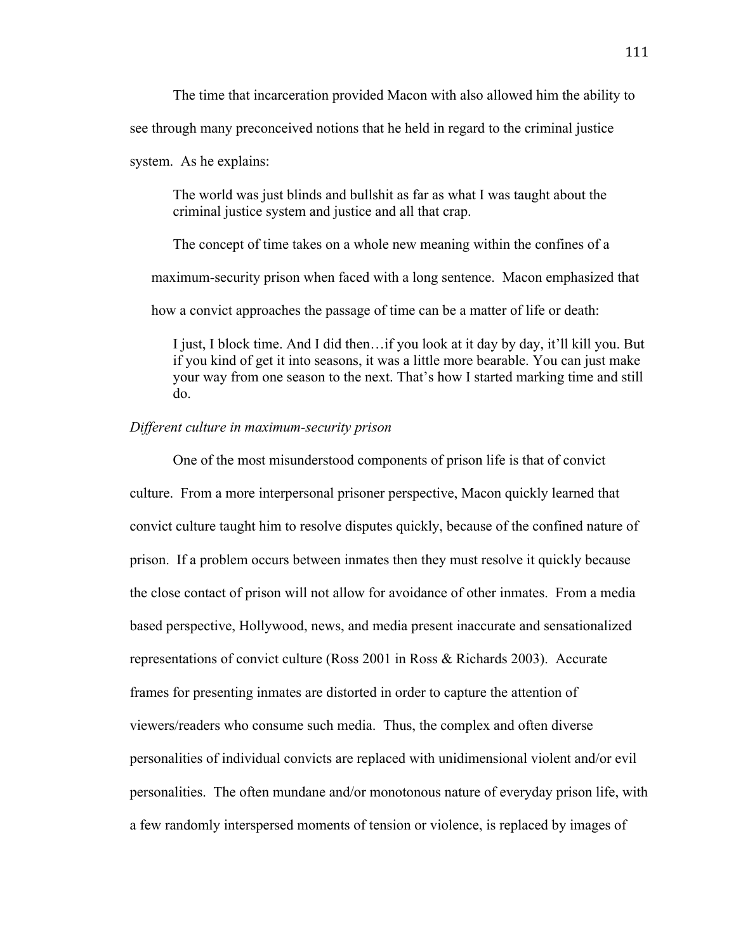The time that incarceration provided Macon with also allowed him the ability to see through many preconceived notions that he held in regard to the criminal justice

system. As he explains:

The world was just blinds and bullshit as far as what I was taught about the criminal justice system and justice and all that crap.

The concept of time takes on a whole new meaning within the confines of a

maximum-security prison when faced with a long sentence. Macon emphasized that

how a convict approaches the passage of time can be a matter of life or death:

I just, I block time. And I did then…if you look at it day by day, it'll kill you. But if you kind of get it into seasons, it was a little more bearable. You can just make your way from one season to the next. That's how I started marking time and still do.

#### *Different culture in maximum-security prison*

One of the most misunderstood components of prison life is that of convict culture. From a more interpersonal prisoner perspective, Macon quickly learned that convict culture taught him to resolve disputes quickly, because of the confined nature of prison. If a problem occurs between inmates then they must resolve it quickly because the close contact of prison will not allow for avoidance of other inmates. From a media based perspective, Hollywood, news, and media present inaccurate and sensationalized representations of convict culture (Ross 2001 in Ross & Richards 2003). Accurate frames for presenting inmates are distorted in order to capture the attention of viewers/readers who consume such media. Thus, the complex and often diverse personalities of individual convicts are replaced with unidimensional violent and/or evil personalities. The often mundane and/or monotonous nature of everyday prison life, with a few randomly interspersed moments of tension or violence, is replaced by images of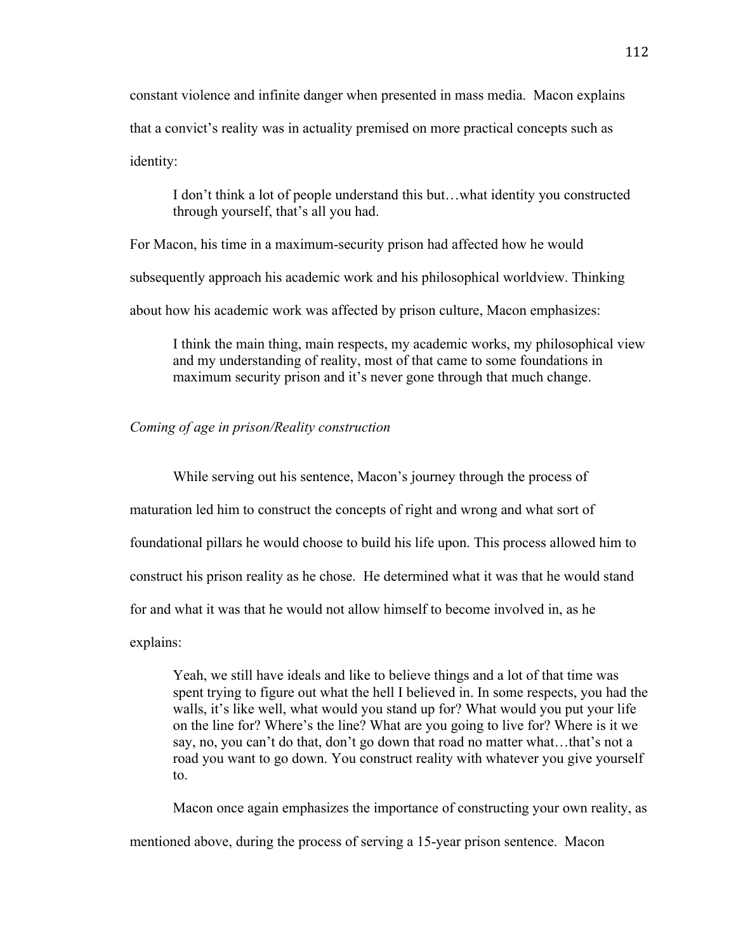constant violence and infinite danger when presented in mass media. Macon explains that a convict's reality was in actuality premised on more practical concepts such as identity:

I don't think a lot of people understand this but…what identity you constructed through yourself, that's all you had.

For Macon, his time in a maximum-security prison had affected how he would

subsequently approach his academic work and his philosophical worldview. Thinking

about how his academic work was affected by prison culture, Macon emphasizes:

I think the main thing, main respects, my academic works, my philosophical view and my understanding of reality, most of that came to some foundations in maximum security prison and it's never gone through that much change.

## *Coming of age in prison/Reality construction*

While serving out his sentence, Macon's journey through the process of maturation led him to construct the concepts of right and wrong and what sort of foundational pillars he would choose to build his life upon. This process allowed him to construct his prison reality as he chose. He determined what it was that he would stand for and what it was that he would not allow himself to become involved in, as he explains:

Yeah, we still have ideals and like to believe things and a lot of that time was spent trying to figure out what the hell I believed in. In some respects, you had the walls, it's like well, what would you stand up for? What would you put your life on the line for? Where's the line? What are you going to live for? Where is it we say, no, you can't do that, don't go down that road no matter what…that's not a road you want to go down. You construct reality with whatever you give yourself to.

Macon once again emphasizes the importance of constructing your own reality, as mentioned above, during the process of serving a 15-year prison sentence. Macon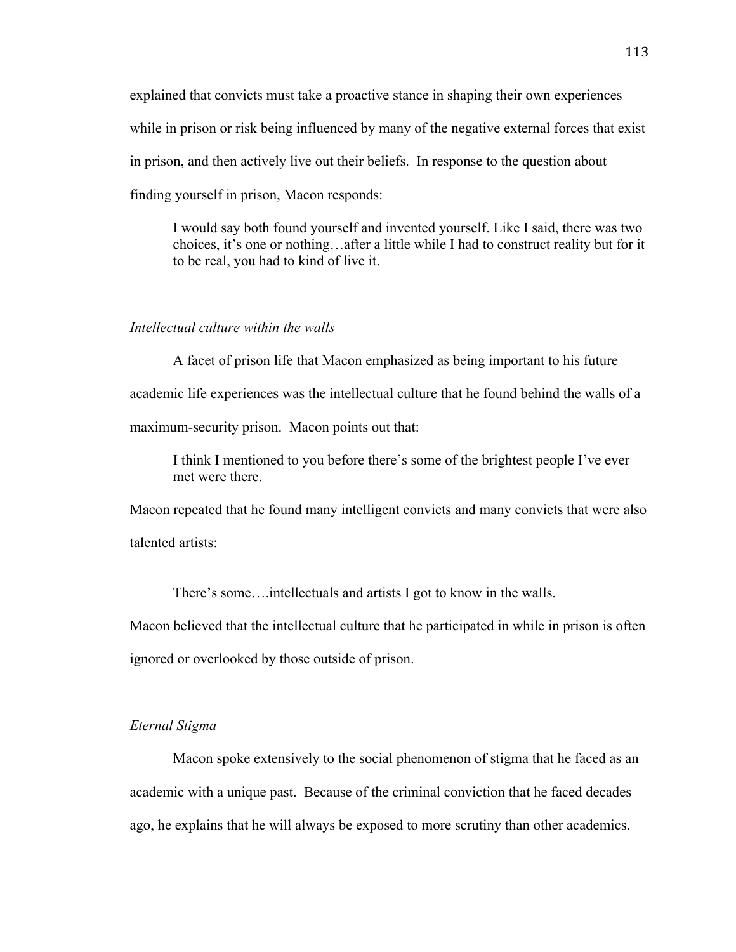explained that convicts must take a proactive stance in shaping their own experiences while in prison or risk being influenced by many of the negative external forces that exist in prison, and then actively live out their beliefs. In response to the question about finding yourself in prison, Macon responds:

I would say both found yourself and invented yourself. Like I said, there was two choices, it's one or nothing…after a little while I had to construct reality but for it to be real, you had to kind of live it.

#### *Intellectual culture within the walls*

A facet of prison life that Macon emphasized as being important to his future academic life experiences was the intellectual culture that he found behind the walls of a maximum-security prison. Macon points out that:

I think I mentioned to you before there's some of the brightest people I've ever met were there.

Macon repeated that he found many intelligent convicts and many convicts that were also talented artists:

There's some….intellectuals and artists I got to know in the walls.

Macon believed that the intellectual culture that he participated in while in prison is often ignored or overlooked by those outside of prison.

#### *Eternal Stigma*

Macon spoke extensively to the social phenomenon of stigma that he faced as an academic with a unique past. Because of the criminal conviction that he faced decades ago, he explains that he will always be exposed to more scrutiny than other academics.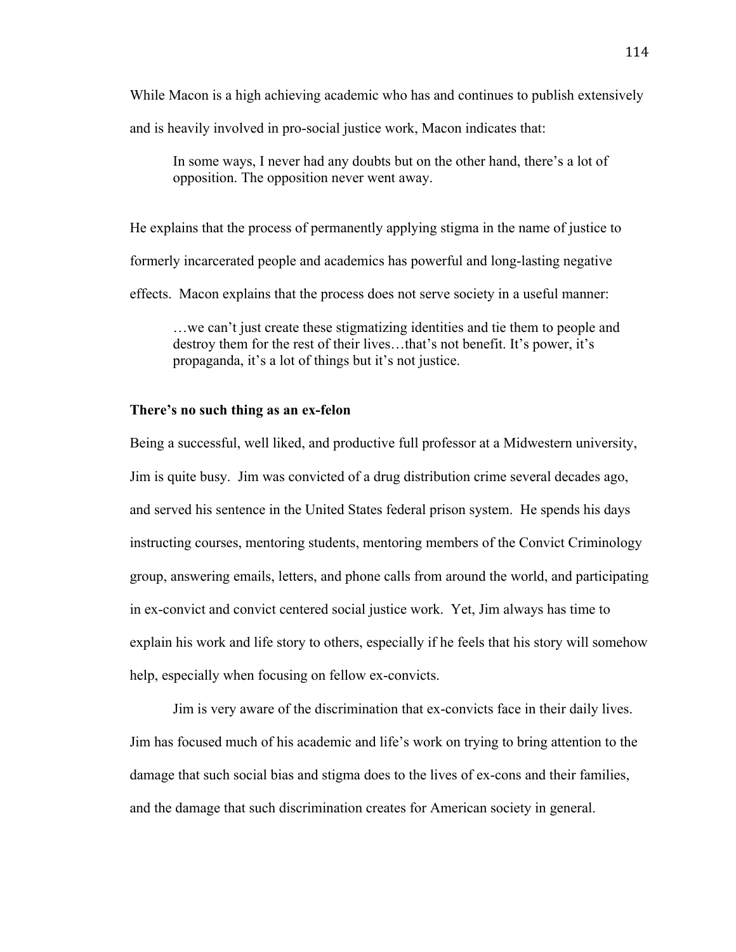While Macon is a high achieving academic who has and continues to publish extensively

and is heavily involved in pro-social justice work, Macon indicates that:

In some ways, I never had any doubts but on the other hand, there's a lot of opposition. The opposition never went away.

He explains that the process of permanently applying stigma in the name of justice to formerly incarcerated people and academics has powerful and long-lasting negative effects. Macon explains that the process does not serve society in a useful manner:

…we can't just create these stigmatizing identities and tie them to people and destroy them for the rest of their lives…that's not benefit. It's power, it's propaganda, it's a lot of things but it's not justice.

### **There's no such thing as an ex-felon**

Being a successful, well liked, and productive full professor at a Midwestern university, Jim is quite busy. Jim was convicted of a drug distribution crime several decades ago, and served his sentence in the United States federal prison system. He spends his days instructing courses, mentoring students, mentoring members of the Convict Criminology group, answering emails, letters, and phone calls from around the world, and participating in ex-convict and convict centered social justice work. Yet, Jim always has time to explain his work and life story to others, especially if he feels that his story will somehow help, especially when focusing on fellow ex-convicts.

Jim is very aware of the discrimination that ex-convicts face in their daily lives. Jim has focused much of his academic and life's work on trying to bring attention to the damage that such social bias and stigma does to the lives of ex-cons and their families, and the damage that such discrimination creates for American society in general.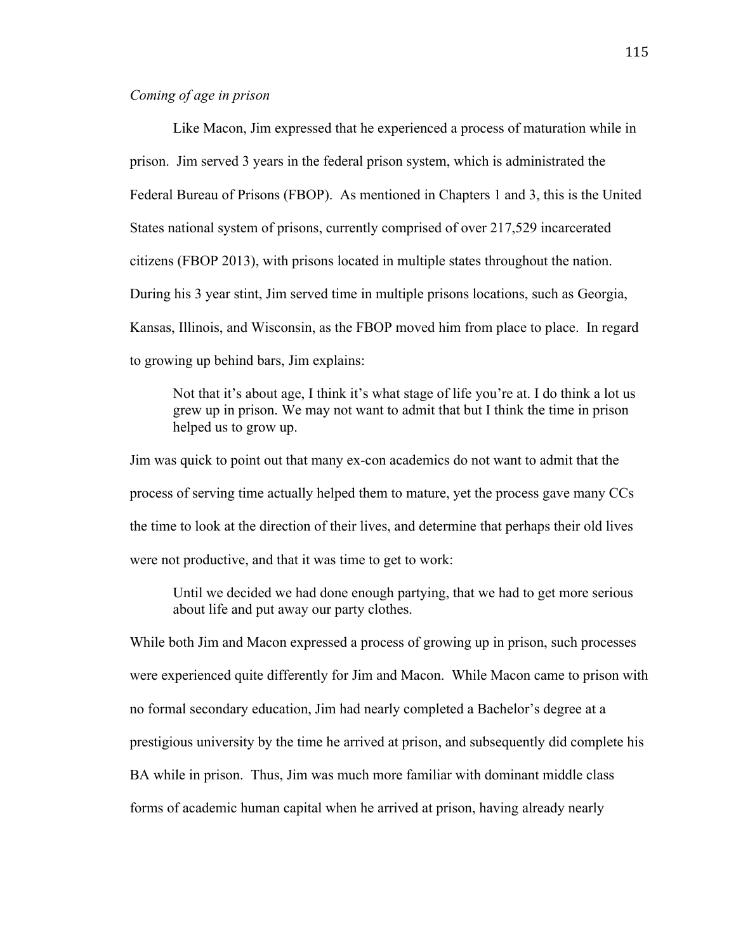## *Coming of age in prison*

Like Macon, Jim expressed that he experienced a process of maturation while in prison. Jim served 3 years in the federal prison system, which is administrated the Federal Bureau of Prisons (FBOP). As mentioned in Chapters 1 and 3, this is the United States national system of prisons, currently comprised of over 217,529 incarcerated citizens (FBOP 2013), with prisons located in multiple states throughout the nation. During his 3 year stint, Jim served time in multiple prisons locations, such as Georgia, Kansas, Illinois, and Wisconsin, as the FBOP moved him from place to place. In regard to growing up behind bars, Jim explains:

Not that it's about age, I think it's what stage of life you're at. I do think a lot us grew up in prison. We may not want to admit that but I think the time in prison helped us to grow up.

Jim was quick to point out that many ex-con academics do not want to admit that the process of serving time actually helped them to mature, yet the process gave many CCs the time to look at the direction of their lives, and determine that perhaps their old lives were not productive, and that it was time to get to work:

Until we decided we had done enough partying, that we had to get more serious about life and put away our party clothes.

While both Jim and Macon expressed a process of growing up in prison, such processes were experienced quite differently for Jim and Macon. While Macon came to prison with no formal secondary education, Jim had nearly completed a Bachelor's degree at a prestigious university by the time he arrived at prison, and subsequently did complete his BA while in prison. Thus, Jim was much more familiar with dominant middle class forms of academic human capital when he arrived at prison, having already nearly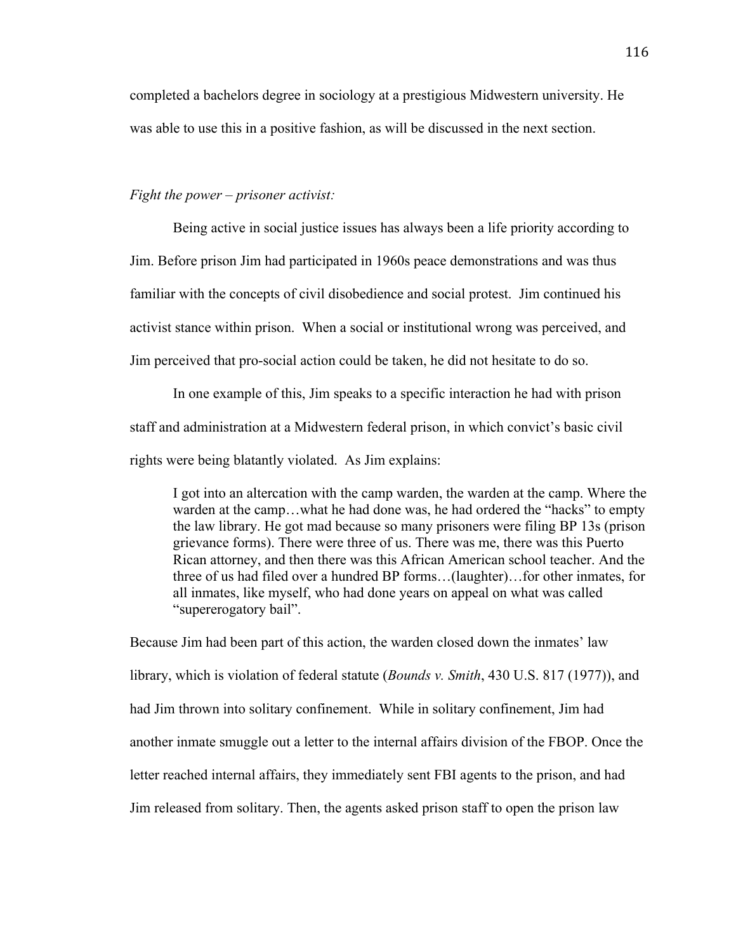completed a bachelors degree in sociology at a prestigious Midwestern university. He was able to use this in a positive fashion, as will be discussed in the next section.

### *Fight the power – prisoner activist:*

Being active in social justice issues has always been a life priority according to Jim. Before prison Jim had participated in 1960s peace demonstrations and was thus familiar with the concepts of civil disobedience and social protest. Jim continued his activist stance within prison. When a social or institutional wrong was perceived, and Jim perceived that pro-social action could be taken, he did not hesitate to do so.

In one example of this, Jim speaks to a specific interaction he had with prison staff and administration at a Midwestern federal prison, in which convict's basic civil rights were being blatantly violated. As Jim explains:

I got into an altercation with the camp warden, the warden at the camp. Where the warden at the camp…what he had done was, he had ordered the "hacks" to empty the law library. He got mad because so many prisoners were filing BP 13s (prison grievance forms). There were three of us. There was me, there was this Puerto Rican attorney, and then there was this African American school teacher. And the three of us had filed over a hundred BP forms…(laughter)…for other inmates, for all inmates, like myself, who had done years on appeal on what was called "supererogatory bail".

Because Jim had been part of this action, the warden closed down the inmates' law library, which is violation of federal statute (*Bounds v. Smith*, 430 U.S. 817 (1977)), and had Jim thrown into solitary confinement. While in solitary confinement, Jim had another inmate smuggle out a letter to the internal affairs division of the FBOP. Once the letter reached internal affairs, they immediately sent FBI agents to the prison, and had Jim released from solitary. Then, the agents asked prison staff to open the prison law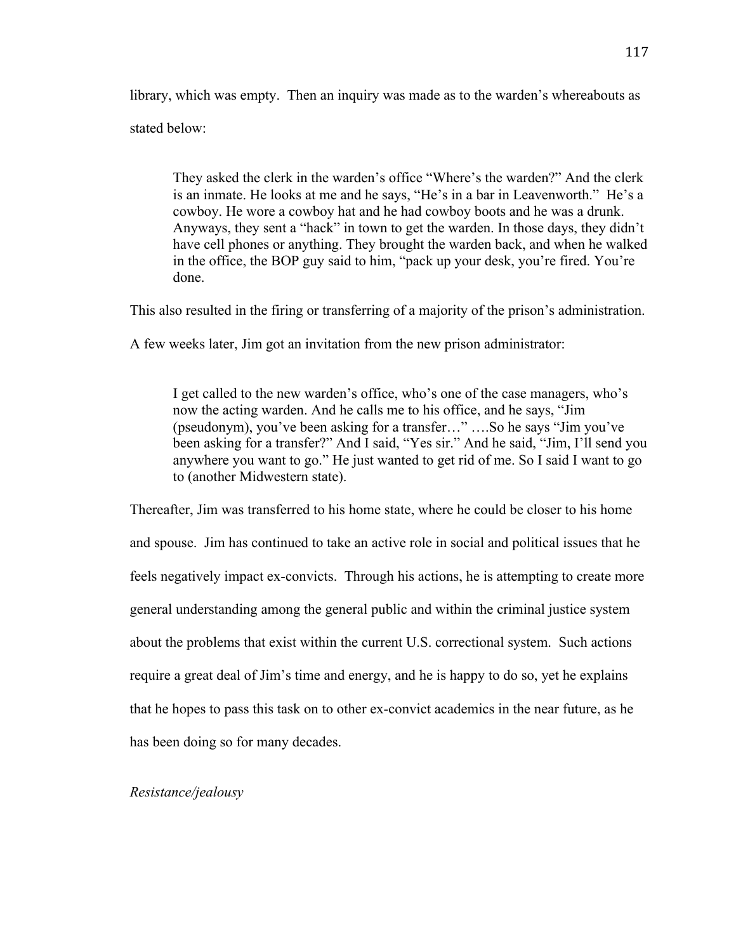library, which was empty. Then an inquiry was made as to the warden's whereabouts as stated below:

They asked the clerk in the warden's office "Where's the warden?" And the clerk is an inmate. He looks at me and he says, "He's in a bar in Leavenworth." He's a cowboy. He wore a cowboy hat and he had cowboy boots and he was a drunk. Anyways, they sent a "hack" in town to get the warden. In those days, they didn't have cell phones or anything. They brought the warden back, and when he walked in the office, the BOP guy said to him, "pack up your desk, you're fired. You're done.

This also resulted in the firing or transferring of a majority of the prison's administration.

A few weeks later, Jim got an invitation from the new prison administrator:

I get called to the new warden's office, who's one of the case managers, who's now the acting warden. And he calls me to his office, and he says, "Jim (pseudonym), you've been asking for a transfer…" ….So he says "Jim you've been asking for a transfer?" And I said, "Yes sir." And he said, "Jim, I'll send you anywhere you want to go." He just wanted to get rid of me. So I said I want to go to (another Midwestern state).

Thereafter, Jim was transferred to his home state, where he could be closer to his home and spouse. Jim has continued to take an active role in social and political issues that he feels negatively impact ex-convicts. Through his actions, he is attempting to create more general understanding among the general public and within the criminal justice system about the problems that exist within the current U.S. correctional system. Such actions require a great deal of Jim's time and energy, and he is happy to do so, yet he explains that he hopes to pass this task on to other ex-convict academics in the near future, as he has been doing so for many decades.

### *Resistance/jealousy*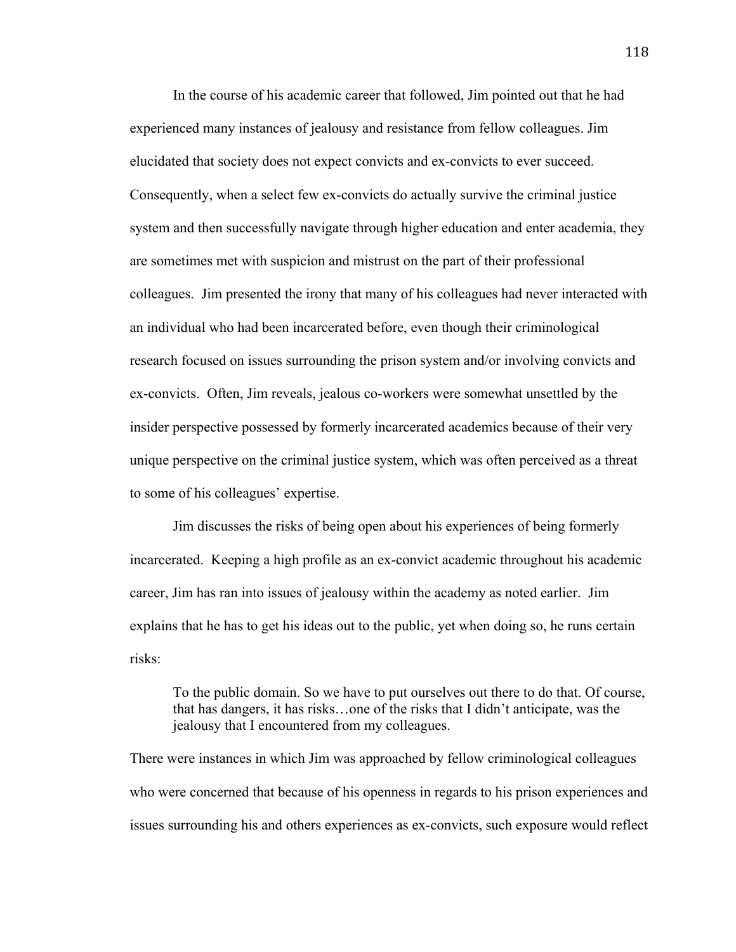In the course of his academic career that followed, Jim pointed out that he had experienced many instances of jealousy and resistance from fellow colleagues. Jim elucidated that society does not expect convicts and ex-convicts to ever succeed. Consequently, when a select few ex-convicts do actually survive the criminal justice system and then successfully navigate through higher education and enter academia, they are sometimes met with suspicion and mistrust on the part of their professional colleagues. Jim presented the irony that many of his colleagues had never interacted with an individual who had been incarcerated before, even though their criminological research focused on issues surrounding the prison system and/or involving convicts and ex-convicts. Often, Jim reveals, jealous co-workers were somewhat unsettled by the insider perspective possessed by formerly incarcerated academics because of their very unique perspective on the criminal justice system, which was often perceived as a threat to some of his colleagues' expertise.

Jim discusses the risks of being open about his experiences of being formerly incarcerated. Keeping a high profile as an ex-convict academic throughout his academic career, Jim has ran into issues of jealousy within the academy as noted earlier. Jim explains that he has to get his ideas out to the public, yet when doing so, he runs certain risks:

To the public domain. So we have to put ourselves out there to do that. Of course, that has dangers, it has risks…one of the risks that I didn't anticipate, was the jealousy that I encountered from my colleagues.

There were instances in which Jim was approached by fellow criminological colleagues who were concerned that because of his openness in regards to his prison experiences and issues surrounding his and others experiences as ex-convicts, such exposure would reflect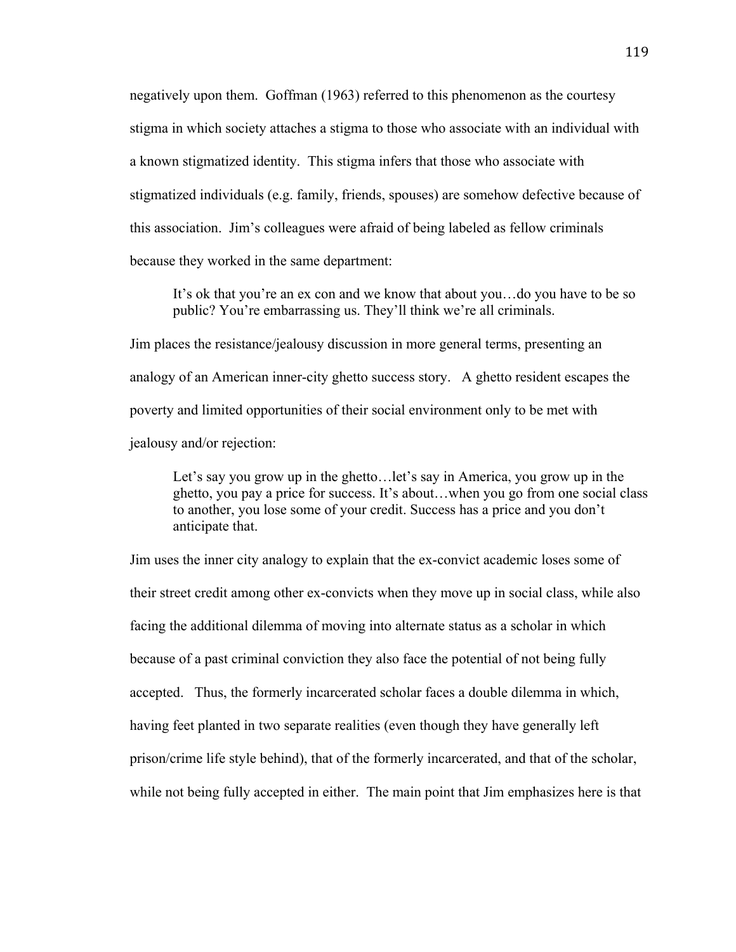negatively upon them. Goffman (1963) referred to this phenomenon as the courtesy stigma in which society attaches a stigma to those who associate with an individual with a known stigmatized identity. This stigma infers that those who associate with stigmatized individuals (e.g. family, friends, spouses) are somehow defective because of this association. Jim's colleagues were afraid of being labeled as fellow criminals because they worked in the same department:

It's ok that you're an ex con and we know that about you…do you have to be so public? You're embarrassing us. They'll think we're all criminals.

Jim places the resistance/jealousy discussion in more general terms, presenting an analogy of an American inner-city ghetto success story. A ghetto resident escapes the poverty and limited opportunities of their social environment only to be met with jealousy and/or rejection:

Let's say you grow up in the ghetto…let's say in America, you grow up in the ghetto, you pay a price for success. It's about…when you go from one social class to another, you lose some of your credit. Success has a price and you don't anticipate that.

Jim uses the inner city analogy to explain that the ex-convict academic loses some of their street credit among other ex-convicts when they move up in social class, while also facing the additional dilemma of moving into alternate status as a scholar in which because of a past criminal conviction they also face the potential of not being fully accepted. Thus, the formerly incarcerated scholar faces a double dilemma in which, having feet planted in two separate realities (even though they have generally left prison/crime life style behind), that of the formerly incarcerated, and that of the scholar, while not being fully accepted in either. The main point that Jim emphasizes here is that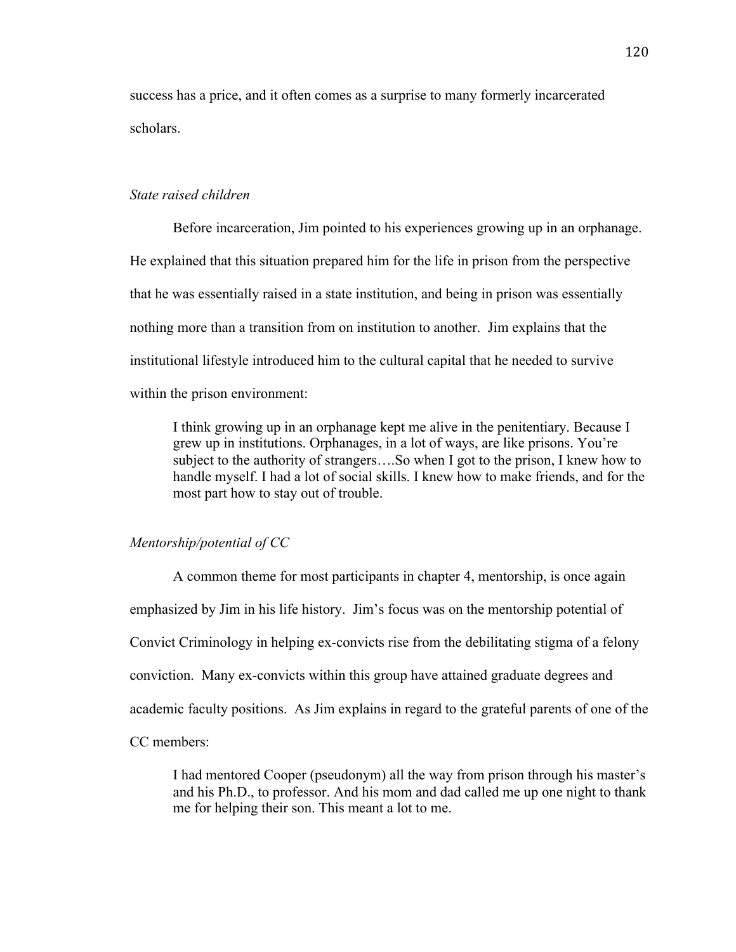success has a price, and it often comes as a surprise to many formerly incarcerated scholars.

### *State raised children*

Before incarceration, Jim pointed to his experiences growing up in an orphanage. He explained that this situation prepared him for the life in prison from the perspective that he was essentially raised in a state institution, and being in prison was essentially nothing more than a transition from on institution to another. Jim explains that the institutional lifestyle introduced him to the cultural capital that he needed to survive within the prison environment:

I think growing up in an orphanage kept me alive in the penitentiary. Because I grew up in institutions. Orphanages, in a lot of ways, are like prisons. You're subject to the authority of strangers….So when I got to the prison, I knew how to handle myself. I had a lot of social skills. I knew how to make friends, and for the most part how to stay out of trouble.

### *Mentorship/potential of CC*

A common theme for most participants in chapter 4, mentorship, is once again emphasized by Jim in his life history. Jim's focus was on the mentorship potential of Convict Criminology in helping ex-convicts rise from the debilitating stigma of a felony conviction. Many ex-convicts within this group have attained graduate degrees and academic faculty positions. As Jim explains in regard to the grateful parents of one of the CC members:

I had mentored Cooper (pseudonym) all the way from prison through his master's and his Ph.D., to professor. And his mom and dad called me up one night to thank me for helping their son. This meant a lot to me.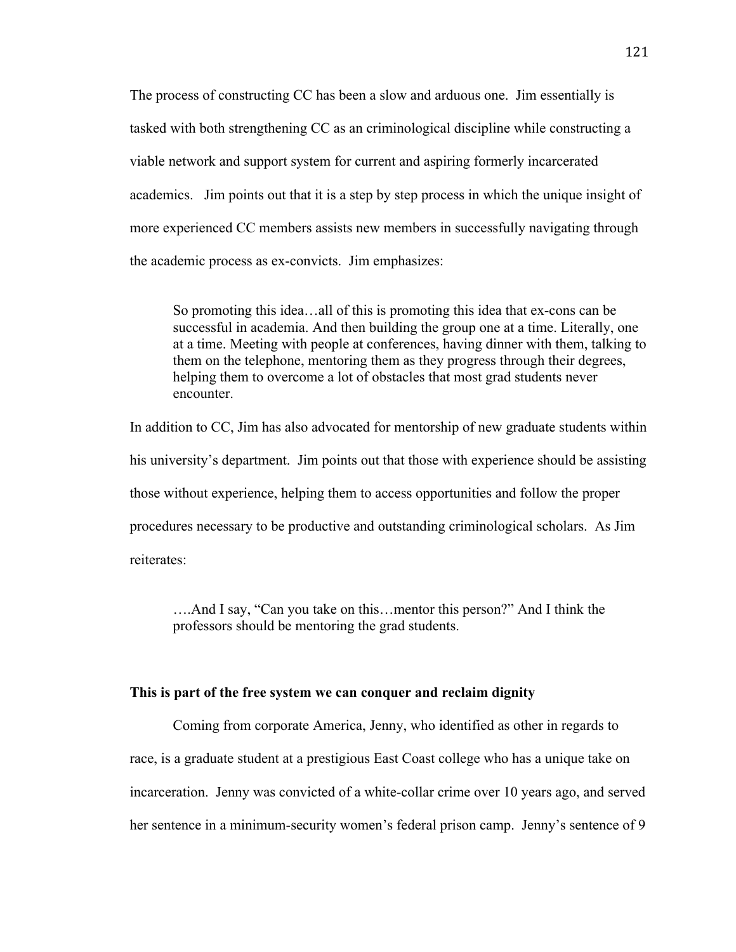The process of constructing CC has been a slow and arduous one. Jim essentially is tasked with both strengthening CC as an criminological discipline while constructing a viable network and support system for current and aspiring formerly incarcerated academics. Jim points out that it is a step by step process in which the unique insight of more experienced CC members assists new members in successfully navigating through the academic process as ex-convicts. Jim emphasizes:

So promoting this idea…all of this is promoting this idea that ex-cons can be successful in academia. And then building the group one at a time. Literally, one at a time. Meeting with people at conferences, having dinner with them, talking to them on the telephone, mentoring them as they progress through their degrees, helping them to overcome a lot of obstacles that most grad students never encounter.

In addition to CC, Jim has also advocated for mentorship of new graduate students within his university's department. Jim points out that those with experience should be assisting those without experience, helping them to access opportunities and follow the proper procedures necessary to be productive and outstanding criminological scholars. As Jim reiterates:

….And I say, "Can you take on this…mentor this person?" And I think the professors should be mentoring the grad students.

#### **This is part of the free system we can conquer and reclaim dignity**

Coming from corporate America, Jenny, who identified as other in regards to race, is a graduate student at a prestigious East Coast college who has a unique take on incarceration. Jenny was convicted of a white-collar crime over 10 years ago, and served her sentence in a minimum-security women's federal prison camp. Jenny's sentence of 9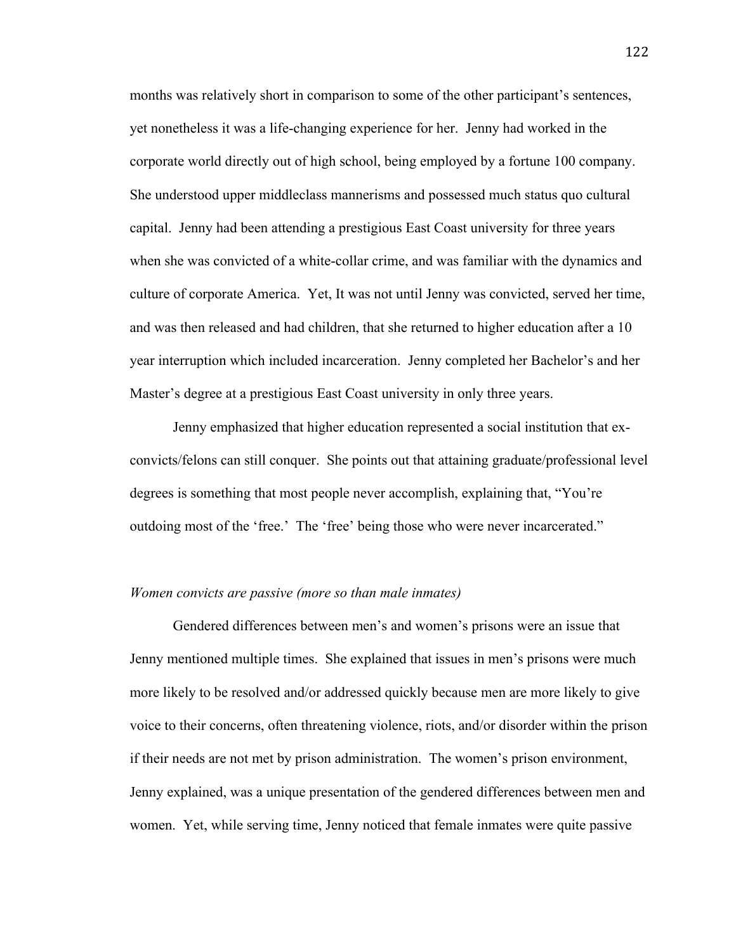months was relatively short in comparison to some of the other participant's sentences, yet nonetheless it was a life-changing experience for her. Jenny had worked in the corporate world directly out of high school, being employed by a fortune 100 company. She understood upper middleclass mannerisms and possessed much status quo cultural capital. Jenny had been attending a prestigious East Coast university for three years when she was convicted of a white-collar crime, and was familiar with the dynamics and culture of corporate America. Yet, It was not until Jenny was convicted, served her time, and was then released and had children, that she returned to higher education after a 10 year interruption which included incarceration. Jenny completed her Bachelor's and her Master's degree at a prestigious East Coast university in only three years.

Jenny emphasized that higher education represented a social institution that exconvicts/felons can still conquer. She points out that attaining graduate/professional level degrees is something that most people never accomplish, explaining that, "You're outdoing most of the 'free.' The 'free' being those who were never incarcerated."

#### *Women convicts are passive (more so than male inmates)*

Gendered differences between men's and women's prisons were an issue that Jenny mentioned multiple times. She explained that issues in men's prisons were much more likely to be resolved and/or addressed quickly because men are more likely to give voice to their concerns, often threatening violence, riots, and/or disorder within the prison if their needs are not met by prison administration. The women's prison environment, Jenny explained, was a unique presentation of the gendered differences between men and women. Yet, while serving time, Jenny noticed that female inmates were quite passive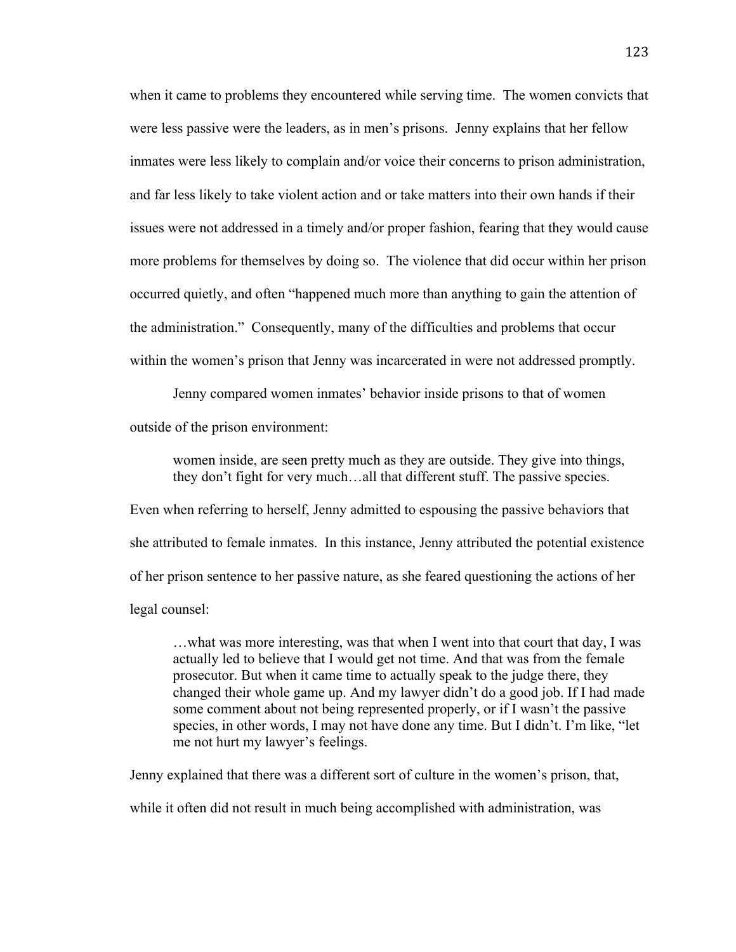when it came to problems they encountered while serving time. The women convicts that were less passive were the leaders, as in men's prisons. Jenny explains that her fellow inmates were less likely to complain and/or voice their concerns to prison administration, and far less likely to take violent action and or take matters into their own hands if their issues were not addressed in a timely and/or proper fashion, fearing that they would cause more problems for themselves by doing so. The violence that did occur within her prison occurred quietly, and often "happened much more than anything to gain the attention of the administration." Consequently, many of the difficulties and problems that occur within the women's prison that Jenny was incarcerated in were not addressed promptly.

Jenny compared women inmates' behavior inside prisons to that of women outside of the prison environment:

women inside, are seen pretty much as they are outside. They give into things, they don't fight for very much…all that different stuff. The passive species.

Even when referring to herself, Jenny admitted to espousing the passive behaviors that she attributed to female inmates. In this instance, Jenny attributed the potential existence of her prison sentence to her passive nature, as she feared questioning the actions of her legal counsel:

…what was more interesting, was that when I went into that court that day, I was actually led to believe that I would get not time. And that was from the female prosecutor. But when it came time to actually speak to the judge there, they changed their whole game up. And my lawyer didn't do a good job. If I had made some comment about not being represented properly, or if I wasn't the passive species, in other words, I may not have done any time. But I didn't. I'm like, "let me not hurt my lawyer's feelings.

Jenny explained that there was a different sort of culture in the women's prison, that,

while it often did not result in much being accomplished with administration, was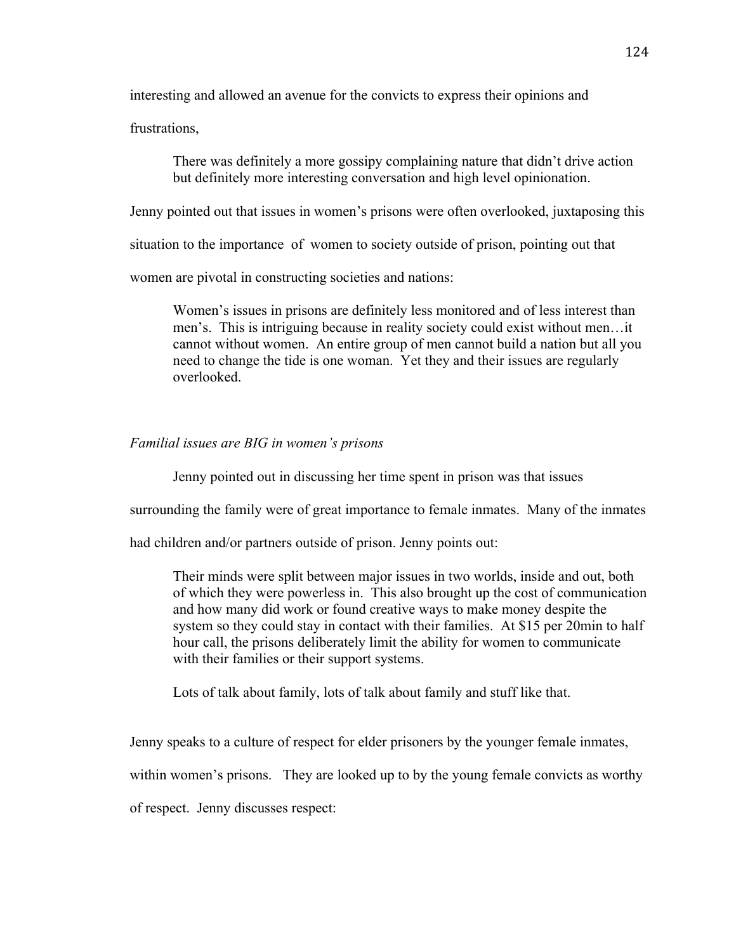interesting and allowed an avenue for the convicts to express their opinions and

frustrations,

There was definitely a more gossipy complaining nature that didn't drive action but definitely more interesting conversation and high level opinionation.

Jenny pointed out that issues in women's prisons were often overlooked, juxtaposing this

situation to the importance of women to society outside of prison, pointing out that

women are pivotal in constructing societies and nations:

Women's issues in prisons are definitely less monitored and of less interest than men's. This is intriguing because in reality society could exist without men…it cannot without women. An entire group of men cannot build a nation but all you need to change the tide is one woman. Yet they and their issues are regularly overlooked.

### *Familial issues are BIG in women's prisons*

Jenny pointed out in discussing her time spent in prison was that issues

surrounding the family were of great importance to female inmates. Many of the inmates

had children and/or partners outside of prison. Jenny points out:

Their minds were split between major issues in two worlds, inside and out, both of which they were powerless in. This also brought up the cost of communication and how many did work or found creative ways to make money despite the system so they could stay in contact with their families. At \$15 per 20min to half hour call, the prisons deliberately limit the ability for women to communicate with their families or their support systems.

Lots of talk about family, lots of talk about family and stuff like that.

Jenny speaks to a culture of respect for elder prisoners by the younger female inmates,

within women's prisons. They are looked up to by the young female convicts as worthy

of respect. Jenny discusses respect: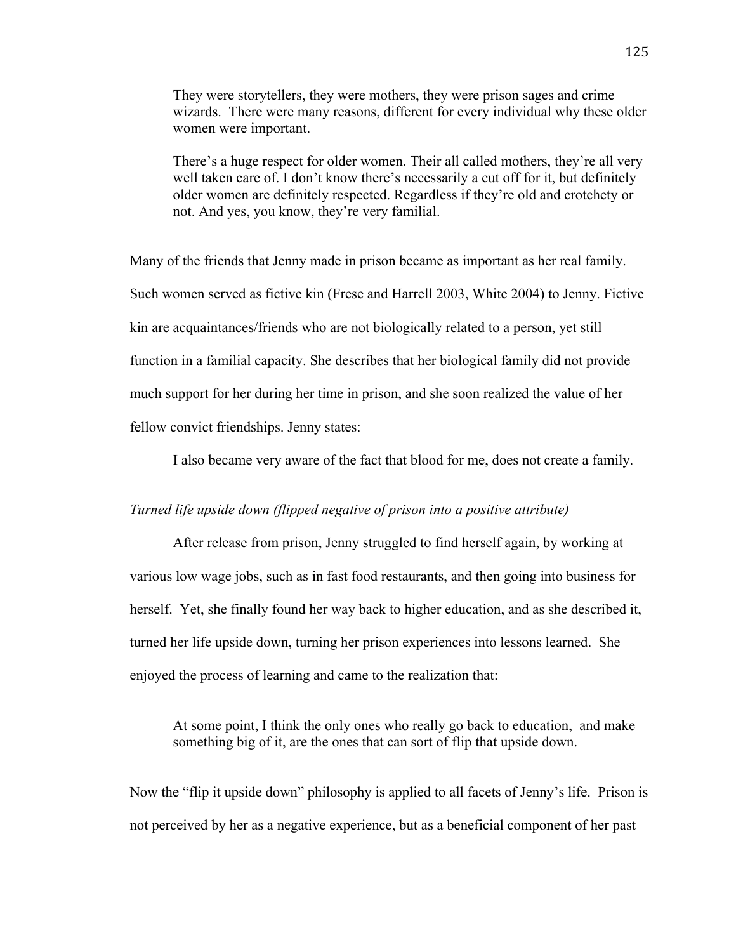They were storytellers, they were mothers, they were prison sages and crime wizards. There were many reasons, different for every individual why these older women were important.

There's a huge respect for older women. Their all called mothers, they're all very well taken care of. I don't know there's necessarily a cut off for it, but definitely older women are definitely respected. Regardless if they're old and crotchety or not. And yes, you know, they're very familial.

Many of the friends that Jenny made in prison became as important as her real family. Such women served as fictive kin (Frese and Harrell 2003, White 2004) to Jenny. Fictive kin are acquaintances/friends who are not biologically related to a person, yet still function in a familial capacity. She describes that her biological family did not provide much support for her during her time in prison, and she soon realized the value of her fellow convict friendships. Jenny states:

I also became very aware of the fact that blood for me, does not create a family.

### *Turned life upside down (flipped negative of prison into a positive attribute)*

After release from prison, Jenny struggled to find herself again, by working at various low wage jobs, such as in fast food restaurants, and then going into business for herself. Yet, she finally found her way back to higher education, and as she described it, turned her life upside down, turning her prison experiences into lessons learned. She enjoyed the process of learning and came to the realization that:

At some point, I think the only ones who really go back to education, and make something big of it, are the ones that can sort of flip that upside down.

Now the "flip it upside down" philosophy is applied to all facets of Jenny's life. Prison is not perceived by her as a negative experience, but as a beneficial component of her past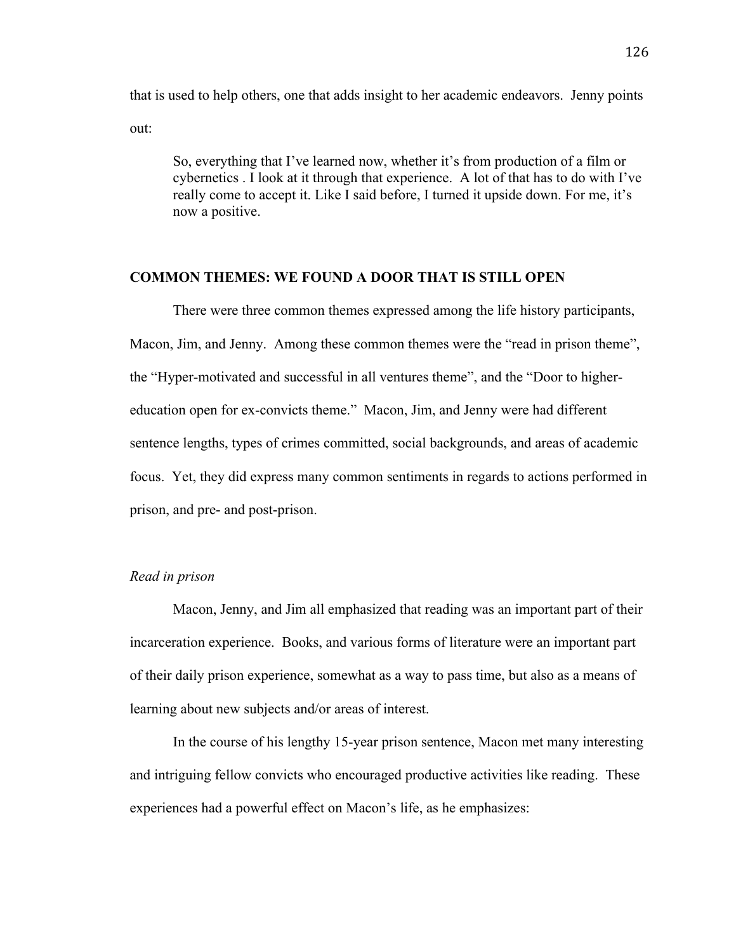that is used to help others, one that adds insight to her academic endeavors. Jenny points out:

So, everything that I've learned now, whether it's from production of a film or cybernetics . I look at it through that experience. A lot of that has to do with I've really come to accept it. Like I said before, I turned it upside down. For me, it's now a positive.

## **COMMON THEMES: WE FOUND A DOOR THAT IS STILL OPEN**

There were three common themes expressed among the life history participants, Macon, Jim, and Jenny. Among these common themes were the "read in prison theme", the "Hyper-motivated and successful in all ventures theme", and the "Door to highereducation open for ex-convicts theme." Macon, Jim, and Jenny were had different sentence lengths, types of crimes committed, social backgrounds, and areas of academic focus. Yet, they did express many common sentiments in regards to actions performed in prison, and pre- and post-prison.

### *Read in prison*

Macon, Jenny, and Jim all emphasized that reading was an important part of their incarceration experience. Books, and various forms of literature were an important part of their daily prison experience, somewhat as a way to pass time, but also as a means of learning about new subjects and/or areas of interest.

In the course of his lengthy 15-year prison sentence, Macon met many interesting and intriguing fellow convicts who encouraged productive activities like reading. These experiences had a powerful effect on Macon's life, as he emphasizes: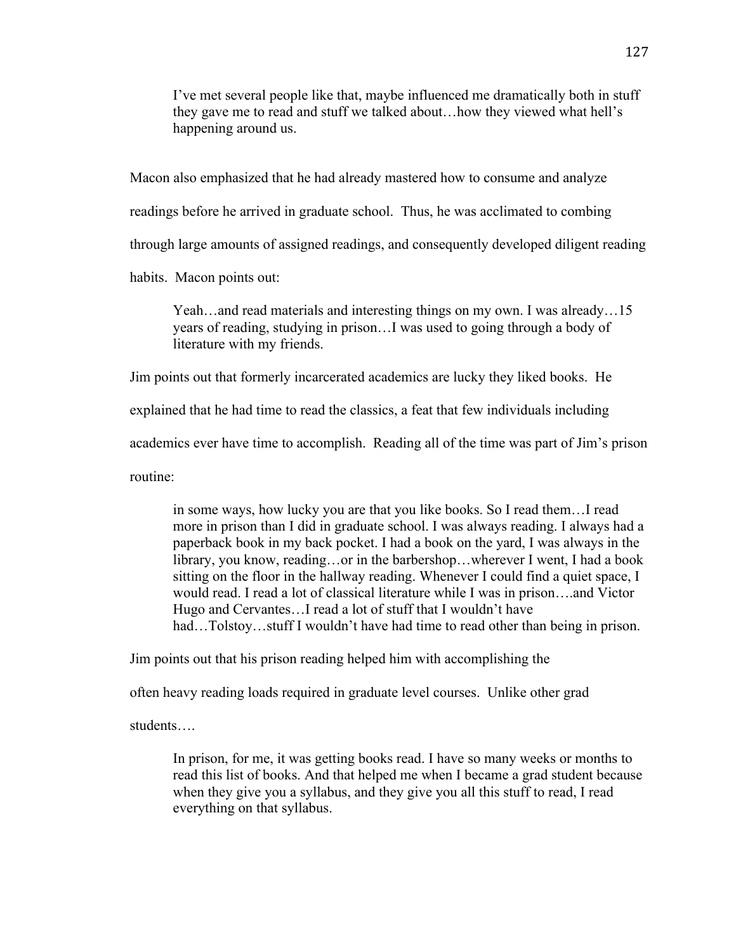I've met several people like that, maybe influenced me dramatically both in stuff they gave me to read and stuff we talked about…how they viewed what hell's happening around us.

Macon also emphasized that he had already mastered how to consume and analyze readings before he arrived in graduate school. Thus, he was acclimated to combing through large amounts of assigned readings, and consequently developed diligent reading habits. Macon points out:

Yeah…and read materials and interesting things on my own. I was already…15 years of reading, studying in prison…I was used to going through a body of literature with my friends.

Jim points out that formerly incarcerated academics are lucky they liked books. He

explained that he had time to read the classics, a feat that few individuals including

academics ever have time to accomplish. Reading all of the time was part of Jim's prison

routine:

in some ways, how lucky you are that you like books. So I read them…I read more in prison than I did in graduate school. I was always reading. I always had a paperback book in my back pocket. I had a book on the yard, I was always in the library, you know, reading…or in the barbershop…wherever I went, I had a book sitting on the floor in the hallway reading. Whenever I could find a quiet space, I would read. I read a lot of classical literature while I was in prison….and Victor Hugo and Cervantes…I read a lot of stuff that I wouldn't have had…Tolstoy…stuff I wouldn't have had time to read other than being in prison.

Jim points out that his prison reading helped him with accomplishing the

often heavy reading loads required in graduate level courses. Unlike other grad

students….

In prison, for me, it was getting books read. I have so many weeks or months to read this list of books. And that helped me when I became a grad student because when they give you a syllabus, and they give you all this stuff to read, I read everything on that syllabus.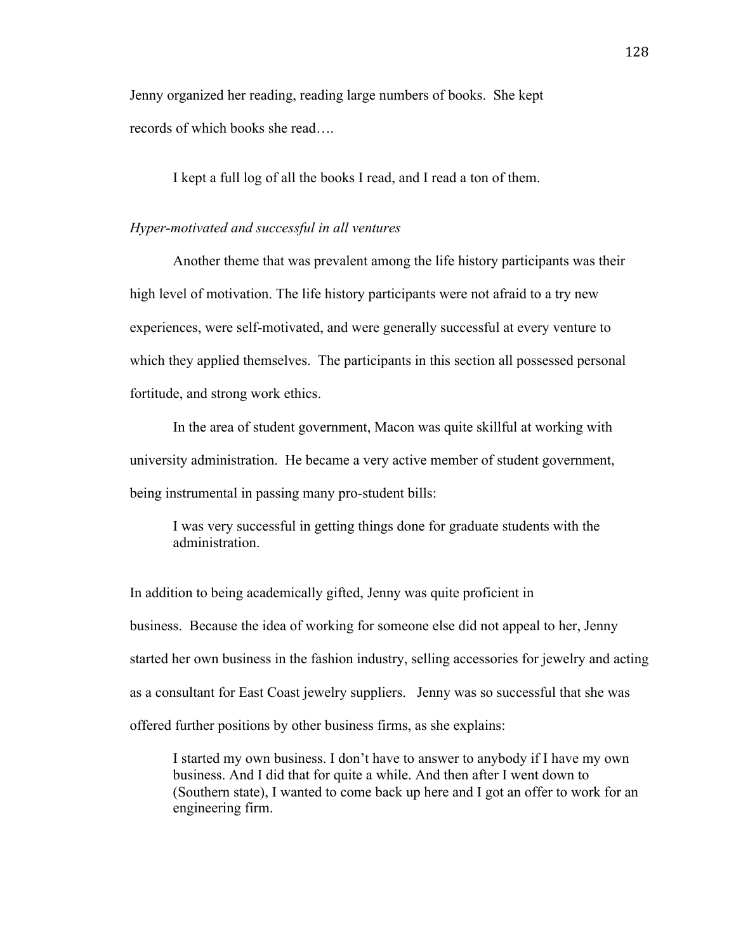Jenny organized her reading, reading large numbers of books. She kept records of which books she read….

I kept a full log of all the books I read, and I read a ton of them.

#### *Hyper-motivated and successful in all ventures*

Another theme that was prevalent among the life history participants was their high level of motivation. The life history participants were not afraid to a try new experiences, were self-motivated, and were generally successful at every venture to which they applied themselves. The participants in this section all possessed personal fortitude, and strong work ethics.

In the area of student government, Macon was quite skillful at working with university administration. He became a very active member of student government, being instrumental in passing many pro-student bills:

I was very successful in getting things done for graduate students with the administration.

In addition to being academically gifted, Jenny was quite proficient in business. Because the idea of working for someone else did not appeal to her, Jenny started her own business in the fashion industry, selling accessories for jewelry and acting as a consultant for East Coast jewelry suppliers. Jenny was so successful that she was offered further positions by other business firms, as she explains:

I started my own business. I don't have to answer to anybody if I have my own business. And I did that for quite a while. And then after I went down to (Southern state), I wanted to come back up here and I got an offer to work for an engineering firm.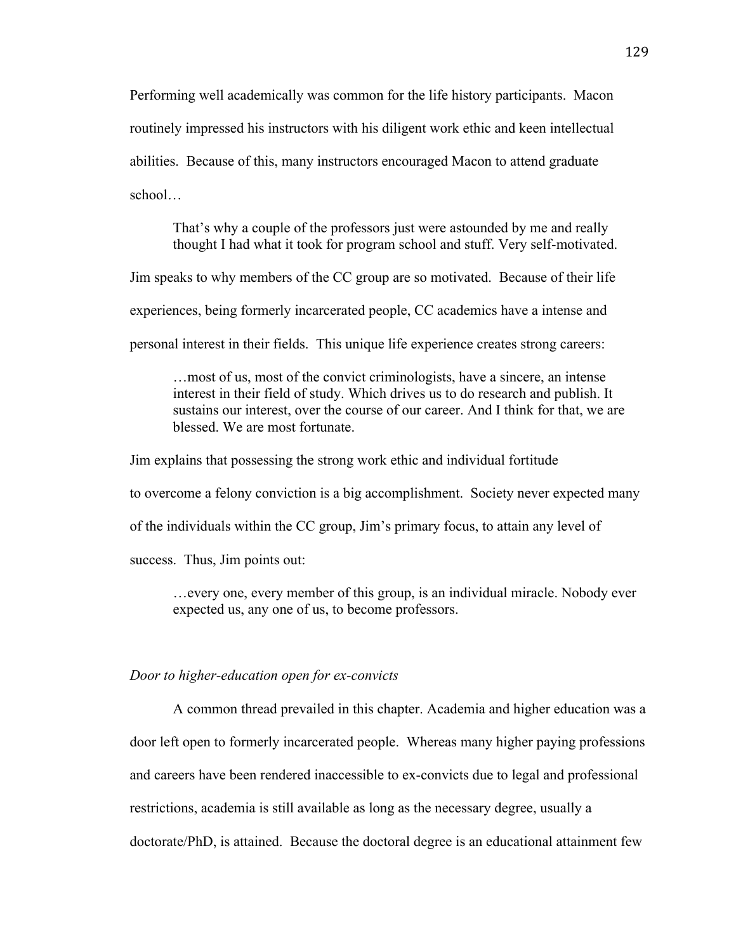Performing well academically was common for the life history participants. Macon routinely impressed his instructors with his diligent work ethic and keen intellectual abilities. Because of this, many instructors encouraged Macon to attend graduate school…

That's why a couple of the professors just were astounded by me and really thought I had what it took for program school and stuff. Very self-motivated.

Jim speaks to why members of the CC group are so motivated. Because of their life

experiences, being formerly incarcerated people, CC academics have a intense and

personal interest in their fields. This unique life experience creates strong careers:

…most of us, most of the convict criminologists, have a sincere, an intense interest in their field of study. Which drives us to do research and publish. It sustains our interest, over the course of our career. And I think for that, we are blessed. We are most fortunate.

Jim explains that possessing the strong work ethic and individual fortitude to overcome a felony conviction is a big accomplishment. Society never expected many of the individuals within the CC group, Jim's primary focus, to attain any level of success. Thus, Jim points out:

…every one, every member of this group, is an individual miracle. Nobody ever expected us, any one of us, to become professors.

#### *Door to higher-education open for ex-convicts*

A common thread prevailed in this chapter. Academia and higher education was a door left open to formerly incarcerated people. Whereas many higher paying professions and careers have been rendered inaccessible to ex-convicts due to legal and professional restrictions, academia is still available as long as the necessary degree, usually a doctorate/PhD, is attained. Because the doctoral degree is an educational attainment few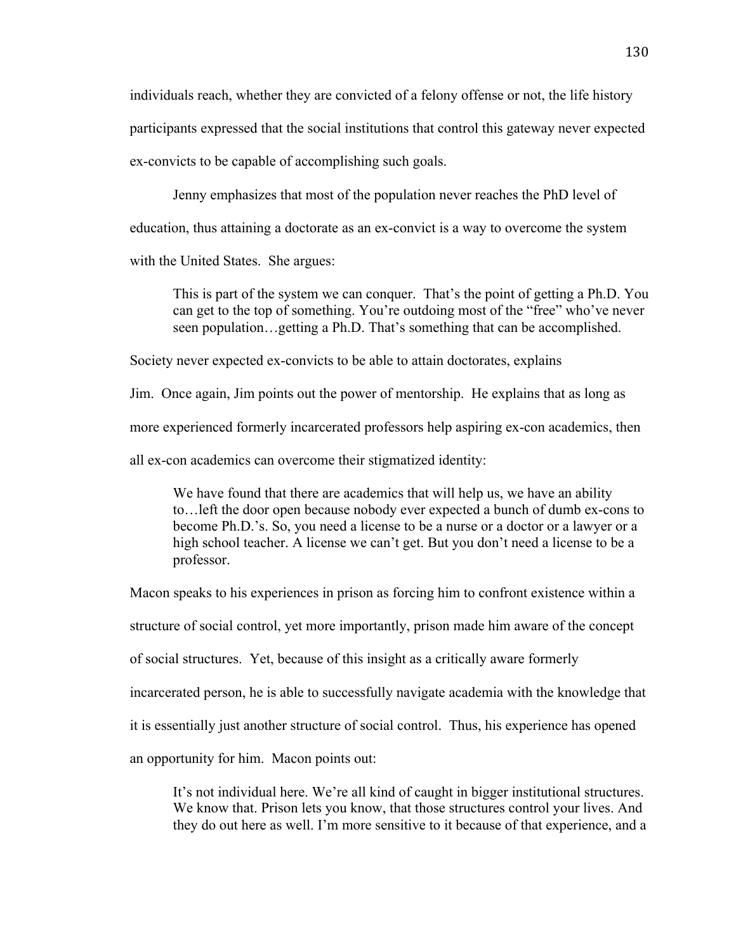individuals reach, whether they are convicted of a felony offense or not, the life history participants expressed that the social institutions that control this gateway never expected ex-convicts to be capable of accomplishing such goals.

Jenny emphasizes that most of the population never reaches the PhD level of education, thus attaining a doctorate as an ex-convict is a way to overcome the system with the United States. She argues:

This is part of the system we can conquer. That's the point of getting a Ph.D. You can get to the top of something. You're outdoing most of the "free" who've never seen population…getting a Ph.D. That's something that can be accomplished.

Society never expected ex-convicts to be able to attain doctorates, explains

Jim. Once again, Jim points out the power of mentorship. He explains that as long as

more experienced formerly incarcerated professors help aspiring ex-con academics, then

all ex-con academics can overcome their stigmatized identity:

We have found that there are academics that will help us, we have an ability to…left the door open because nobody ever expected a bunch of dumb ex-cons to become Ph.D.'s. So, you need a license to be a nurse or a doctor or a lawyer or a high school teacher. A license we can't get. But you don't need a license to be a professor.

Macon speaks to his experiences in prison as forcing him to confront existence within a

structure of social control, yet more importantly, prison made him aware of the concept

of social structures. Yet, because of this insight as a critically aware formerly

incarcerated person, he is able to successfully navigate academia with the knowledge that

it is essentially just another structure of social control. Thus, his experience has opened

an opportunity for him. Macon points out:

It's not individual here. We're all kind of caught in bigger institutional structures. We know that. Prison lets you know, that those structures control your lives. And they do out here as well. I'm more sensitive to it because of that experience, and a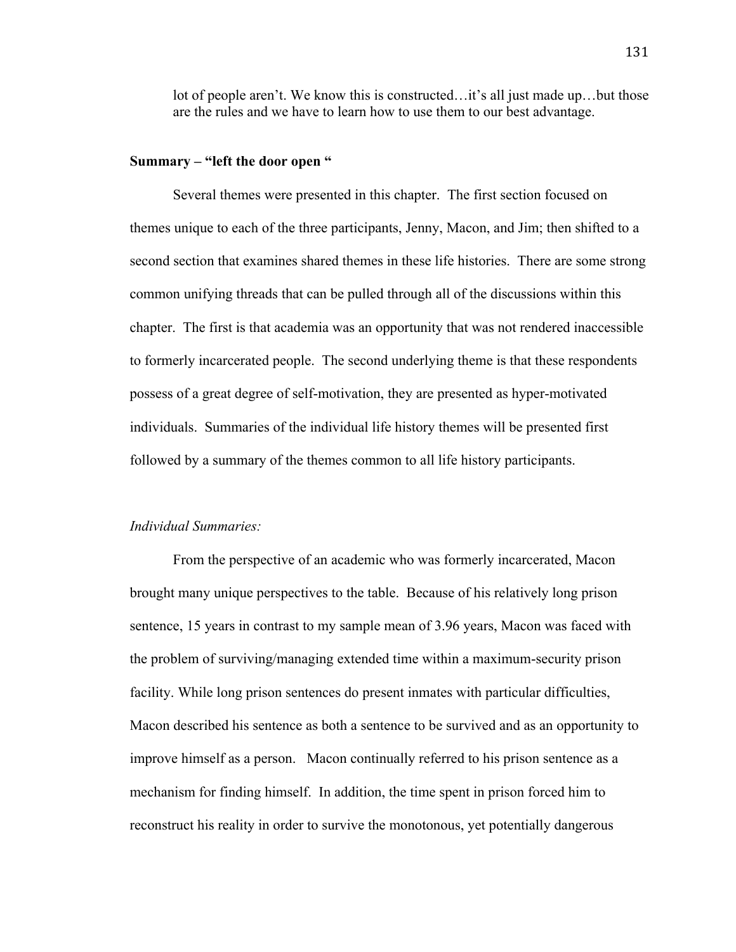lot of people aren't. We know this is constructed…it's all just made up…but those are the rules and we have to learn how to use them to our best advantage.

### **Summary – "left the door open "**

Several themes were presented in this chapter. The first section focused on themes unique to each of the three participants, Jenny, Macon, and Jim; then shifted to a second section that examines shared themes in these life histories. There are some strong common unifying threads that can be pulled through all of the discussions within this chapter. The first is that academia was an opportunity that was not rendered inaccessible to formerly incarcerated people. The second underlying theme is that these respondents possess of a great degree of self-motivation, they are presented as hyper-motivated individuals. Summaries of the individual life history themes will be presented first followed by a summary of the themes common to all life history participants.

#### *Individual Summaries:*

From the perspective of an academic who was formerly incarcerated, Macon brought many unique perspectives to the table. Because of his relatively long prison sentence, 15 years in contrast to my sample mean of 3.96 years, Macon was faced with the problem of surviving/managing extended time within a maximum-security prison facility. While long prison sentences do present inmates with particular difficulties, Macon described his sentence as both a sentence to be survived and as an opportunity to improve himself as a person. Macon continually referred to his prison sentence as a mechanism for finding himself. In addition, the time spent in prison forced him to reconstruct his reality in order to survive the monotonous, yet potentially dangerous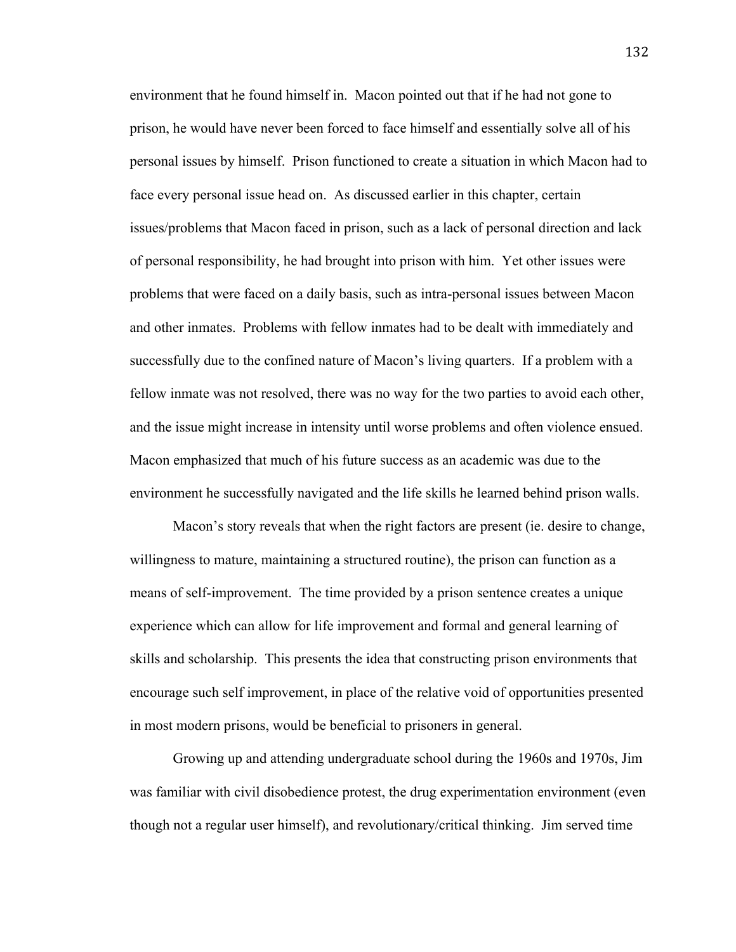environment that he found himself in. Macon pointed out that if he had not gone to prison, he would have never been forced to face himself and essentially solve all of his personal issues by himself. Prison functioned to create a situation in which Macon had to face every personal issue head on. As discussed earlier in this chapter, certain issues/problems that Macon faced in prison, such as a lack of personal direction and lack of personal responsibility, he had brought into prison with him. Yet other issues were problems that were faced on a daily basis, such as intra-personal issues between Macon and other inmates. Problems with fellow inmates had to be dealt with immediately and successfully due to the confined nature of Macon's living quarters. If a problem with a fellow inmate was not resolved, there was no way for the two parties to avoid each other, and the issue might increase in intensity until worse problems and often violence ensued. Macon emphasized that much of his future success as an academic was due to the environment he successfully navigated and the life skills he learned behind prison walls.

Macon's story reveals that when the right factors are present (ie. desire to change, willingness to mature, maintaining a structured routine), the prison can function as a means of self-improvement. The time provided by a prison sentence creates a unique experience which can allow for life improvement and formal and general learning of skills and scholarship. This presents the idea that constructing prison environments that encourage such self improvement, in place of the relative void of opportunities presented in most modern prisons, would be beneficial to prisoners in general.

Growing up and attending undergraduate school during the 1960s and 1970s, Jim was familiar with civil disobedience protest, the drug experimentation environment (even though not a regular user himself), and revolutionary/critical thinking. Jim served time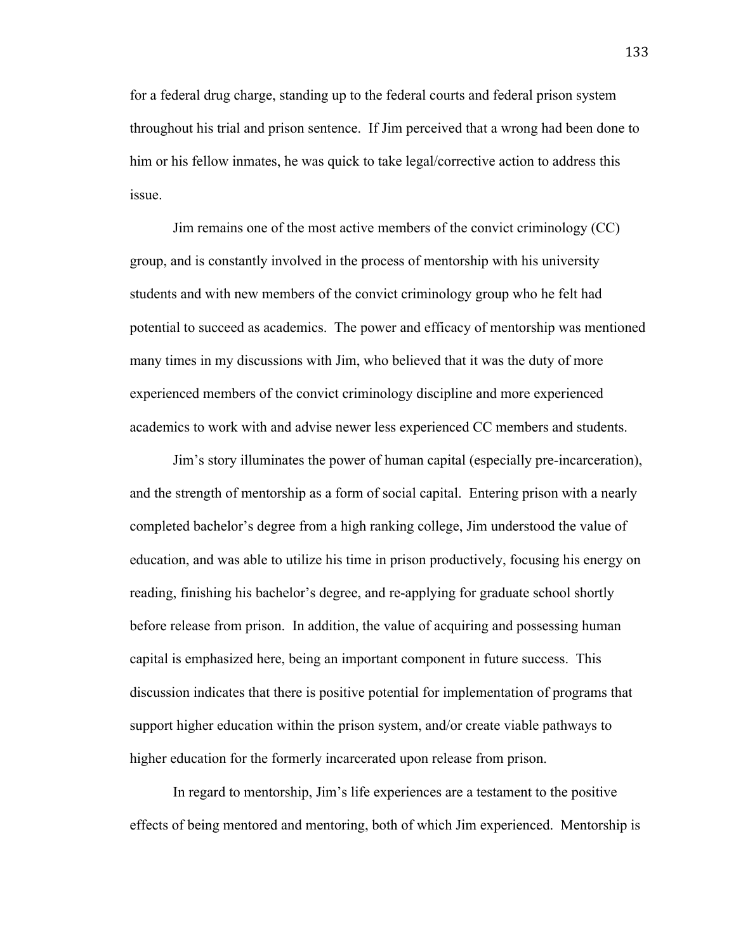for a federal drug charge, standing up to the federal courts and federal prison system throughout his trial and prison sentence. If Jim perceived that a wrong had been done to him or his fellow inmates, he was quick to take legal/corrective action to address this issue.

Jim remains one of the most active members of the convict criminology (CC) group, and is constantly involved in the process of mentorship with his university students and with new members of the convict criminology group who he felt had potential to succeed as academics. The power and efficacy of mentorship was mentioned many times in my discussions with Jim, who believed that it was the duty of more experienced members of the convict criminology discipline and more experienced academics to work with and advise newer less experienced CC members and students.

Jim's story illuminates the power of human capital (especially pre-incarceration), and the strength of mentorship as a form of social capital. Entering prison with a nearly completed bachelor's degree from a high ranking college, Jim understood the value of education, and was able to utilize his time in prison productively, focusing his energy on reading, finishing his bachelor's degree, and re-applying for graduate school shortly before release from prison. In addition, the value of acquiring and possessing human capital is emphasized here, being an important component in future success. This discussion indicates that there is positive potential for implementation of programs that support higher education within the prison system, and/or create viable pathways to higher education for the formerly incarcerated upon release from prison.

In regard to mentorship, Jim's life experiences are a testament to the positive effects of being mentored and mentoring, both of which Jim experienced. Mentorship is

133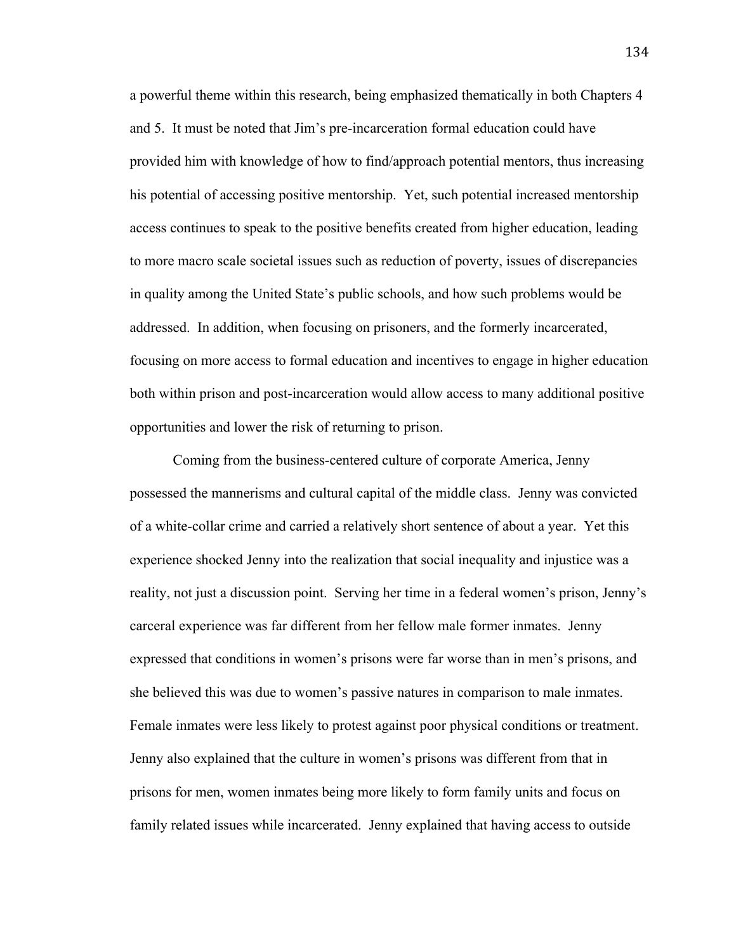a powerful theme within this research, being emphasized thematically in both Chapters 4 and 5. It must be noted that Jim's pre-incarceration formal education could have provided him with knowledge of how to find/approach potential mentors, thus increasing his potential of accessing positive mentorship. Yet, such potential increased mentorship access continues to speak to the positive benefits created from higher education, leading to more macro scale societal issues such as reduction of poverty, issues of discrepancies in quality among the United State's public schools, and how such problems would be addressed. In addition, when focusing on prisoners, and the formerly incarcerated, focusing on more access to formal education and incentives to engage in higher education both within prison and post-incarceration would allow access to many additional positive opportunities and lower the risk of returning to prison.

Coming from the business-centered culture of corporate America, Jenny possessed the mannerisms and cultural capital of the middle class. Jenny was convicted of a white-collar crime and carried a relatively short sentence of about a year. Yet this experience shocked Jenny into the realization that social inequality and injustice was a reality, not just a discussion point. Serving her time in a federal women's prison, Jenny's carceral experience was far different from her fellow male former inmates. Jenny expressed that conditions in women's prisons were far worse than in men's prisons, and she believed this was due to women's passive natures in comparison to male inmates. Female inmates were less likely to protest against poor physical conditions or treatment. Jenny also explained that the culture in women's prisons was different from that in prisons for men, women inmates being more likely to form family units and focus on family related issues while incarcerated. Jenny explained that having access to outside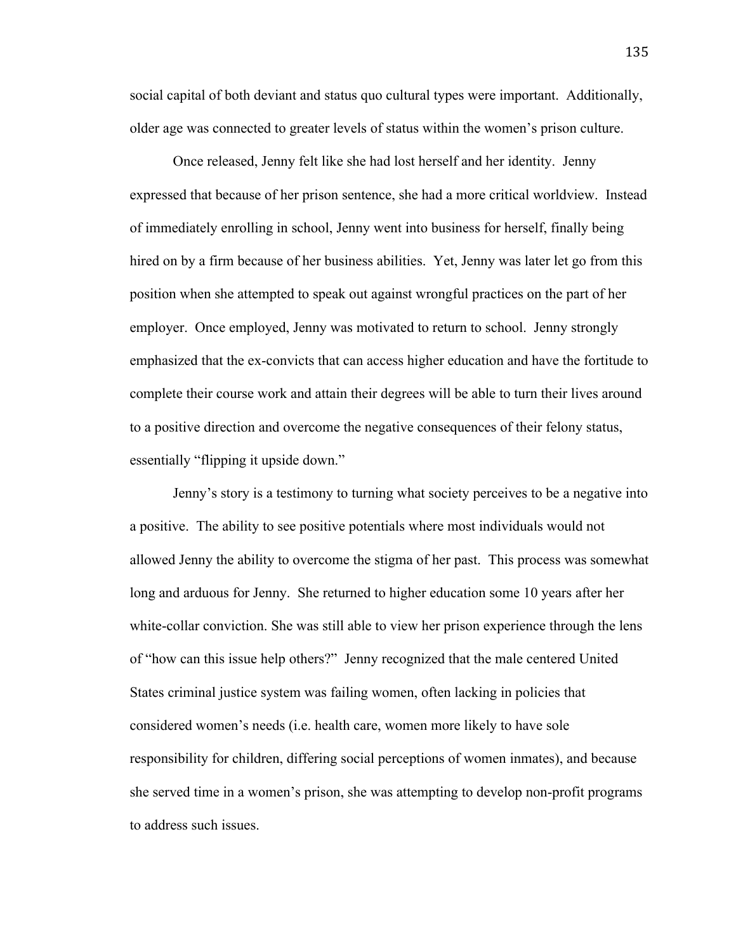social capital of both deviant and status quo cultural types were important. Additionally, older age was connected to greater levels of status within the women's prison culture.

Once released, Jenny felt like she had lost herself and her identity. Jenny expressed that because of her prison sentence, she had a more critical worldview. Instead of immediately enrolling in school, Jenny went into business for herself, finally being hired on by a firm because of her business abilities. Yet, Jenny was later let go from this position when she attempted to speak out against wrongful practices on the part of her employer. Once employed, Jenny was motivated to return to school. Jenny strongly emphasized that the ex-convicts that can access higher education and have the fortitude to complete their course work and attain their degrees will be able to turn their lives around to a positive direction and overcome the negative consequences of their felony status, essentially "flipping it upside down."

Jenny's story is a testimony to turning what society perceives to be a negative into a positive. The ability to see positive potentials where most individuals would not allowed Jenny the ability to overcome the stigma of her past. This process was somewhat long and arduous for Jenny. She returned to higher education some 10 years after her white-collar conviction. She was still able to view her prison experience through the lens of "how can this issue help others?" Jenny recognized that the male centered United States criminal justice system was failing women, often lacking in policies that considered women's needs (i.e. health care, women more likely to have sole responsibility for children, differing social perceptions of women inmates), and because she served time in a women's prison, she was attempting to develop non-profit programs to address such issues.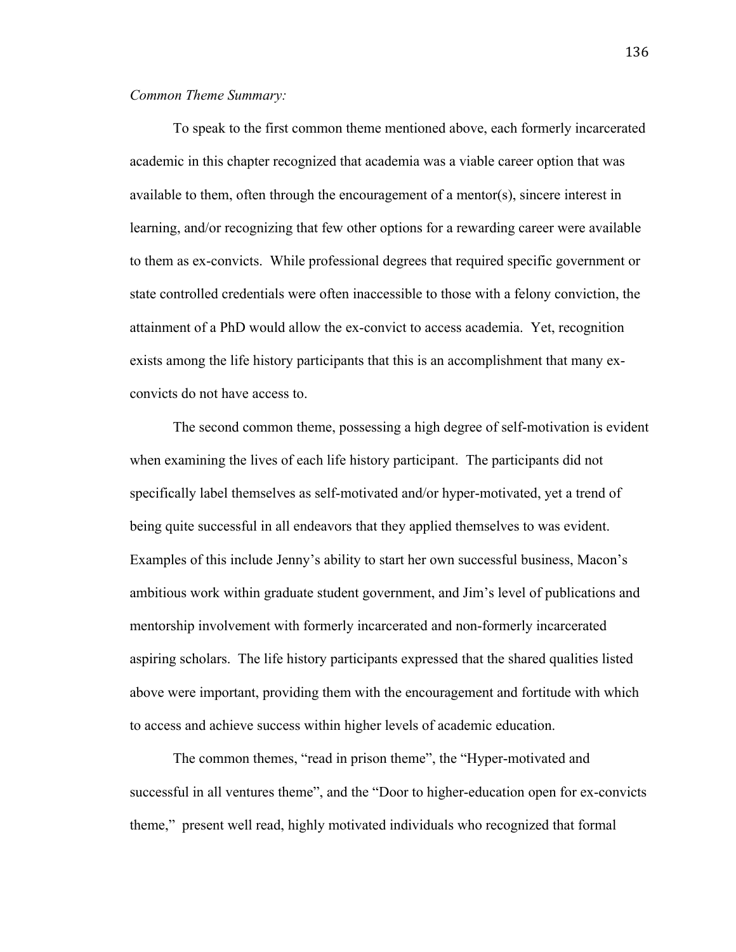# *Common Theme Summary:*

To speak to the first common theme mentioned above, each formerly incarcerated academic in this chapter recognized that academia was a viable career option that was available to them, often through the encouragement of a mentor(s), sincere interest in learning, and/or recognizing that few other options for a rewarding career were available to them as ex-convicts. While professional degrees that required specific government or state controlled credentials were often inaccessible to those with a felony conviction, the attainment of a PhD would allow the ex-convict to access academia. Yet, recognition exists among the life history participants that this is an accomplishment that many exconvicts do not have access to.

The second common theme, possessing a high degree of self-motivation is evident when examining the lives of each life history participant. The participants did not specifically label themselves as self-motivated and/or hyper-motivated, yet a trend of being quite successful in all endeavors that they applied themselves to was evident. Examples of this include Jenny's ability to start her own successful business, Macon's ambitious work within graduate student government, and Jim's level of publications and mentorship involvement with formerly incarcerated and non-formerly incarcerated aspiring scholars. The life history participants expressed that the shared qualities listed above were important, providing them with the encouragement and fortitude with which to access and achieve success within higher levels of academic education.

The common themes, "read in prison theme", the "Hyper-motivated and successful in all ventures theme", and the "Door to higher-education open for ex-convicts theme," present well read, highly motivated individuals who recognized that formal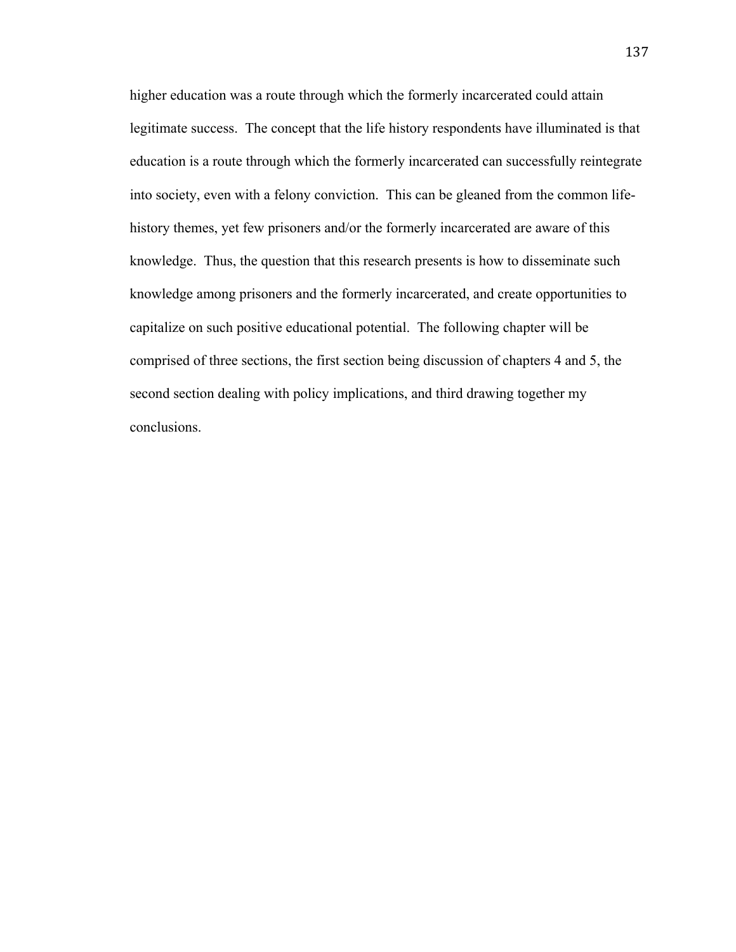higher education was a route through which the formerly incarcerated could attain legitimate success. The concept that the life history respondents have illuminated is that education is a route through which the formerly incarcerated can successfully reintegrate into society, even with a felony conviction. This can be gleaned from the common lifehistory themes, yet few prisoners and/or the formerly incarcerated are aware of this knowledge. Thus, the question that this research presents is how to disseminate such knowledge among prisoners and the formerly incarcerated, and create opportunities to capitalize on such positive educational potential. The following chapter will be comprised of three sections, the first section being discussion of chapters 4 and 5, the second section dealing with policy implications, and third drawing together my conclusions.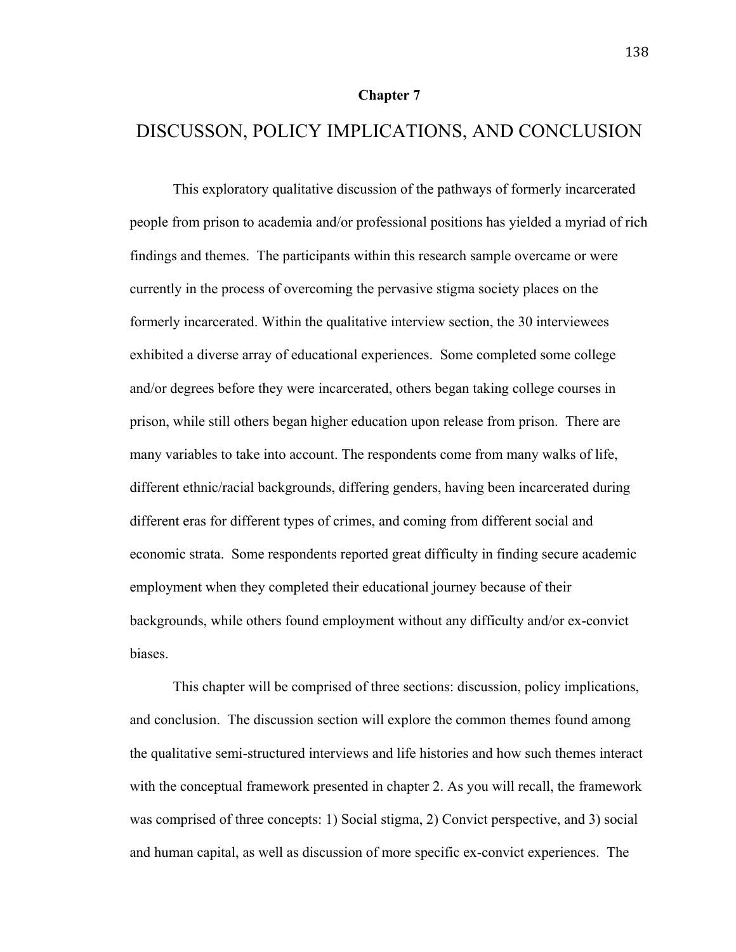### **Chapter 7**

# DISCUSSON, POLICY IMPLICATIONS, AND CONCLUSION

This exploratory qualitative discussion of the pathways of formerly incarcerated people from prison to academia and/or professional positions has yielded a myriad of rich findings and themes. The participants within this research sample overcame or were currently in the process of overcoming the pervasive stigma society places on the formerly incarcerated. Within the qualitative interview section, the 30 interviewees exhibited a diverse array of educational experiences. Some completed some college and/or degrees before they were incarcerated, others began taking college courses in prison, while still others began higher education upon release from prison. There are many variables to take into account. The respondents come from many walks of life, different ethnic/racial backgrounds, differing genders, having been incarcerated during different eras for different types of crimes, and coming from different social and economic strata. Some respondents reported great difficulty in finding secure academic employment when they completed their educational journey because of their backgrounds, while others found employment without any difficulty and/or ex-convict biases.

This chapter will be comprised of three sections: discussion, policy implications, and conclusion. The discussion section will explore the common themes found among the qualitative semi-structured interviews and life histories and how such themes interact with the conceptual framework presented in chapter 2. As you will recall, the framework was comprised of three concepts: 1) Social stigma, 2) Convict perspective, and 3) social and human capital, as well as discussion of more specific ex-convict experiences. The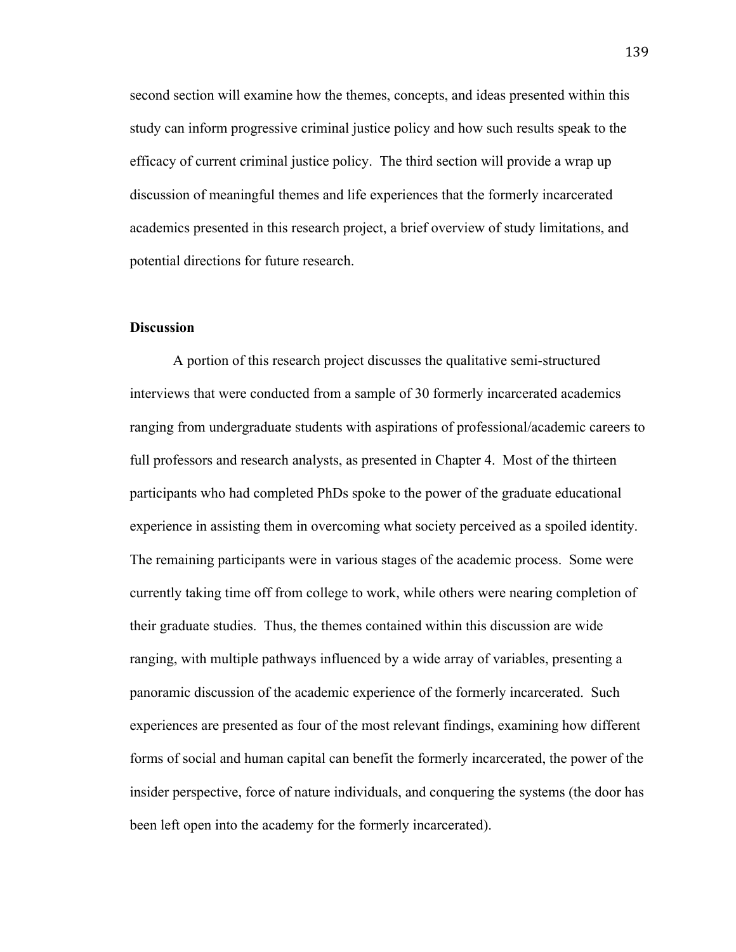second section will examine how the themes, concepts, and ideas presented within this study can inform progressive criminal justice policy and how such results speak to the efficacy of current criminal justice policy. The third section will provide a wrap up discussion of meaningful themes and life experiences that the formerly incarcerated academics presented in this research project, a brief overview of study limitations, and potential directions for future research.

### **Discussion**

A portion of this research project discusses the qualitative semi-structured interviews that were conducted from a sample of 30 formerly incarcerated academics ranging from undergraduate students with aspirations of professional/academic careers to full professors and research analysts, as presented in Chapter 4. Most of the thirteen participants who had completed PhDs spoke to the power of the graduate educational experience in assisting them in overcoming what society perceived as a spoiled identity. The remaining participants were in various stages of the academic process. Some were currently taking time off from college to work, while others were nearing completion of their graduate studies. Thus, the themes contained within this discussion are wide ranging, with multiple pathways influenced by a wide array of variables, presenting a panoramic discussion of the academic experience of the formerly incarcerated. Such experiences are presented as four of the most relevant findings, examining how different forms of social and human capital can benefit the formerly incarcerated, the power of the insider perspective, force of nature individuals, and conquering the systems (the door has been left open into the academy for the formerly incarcerated).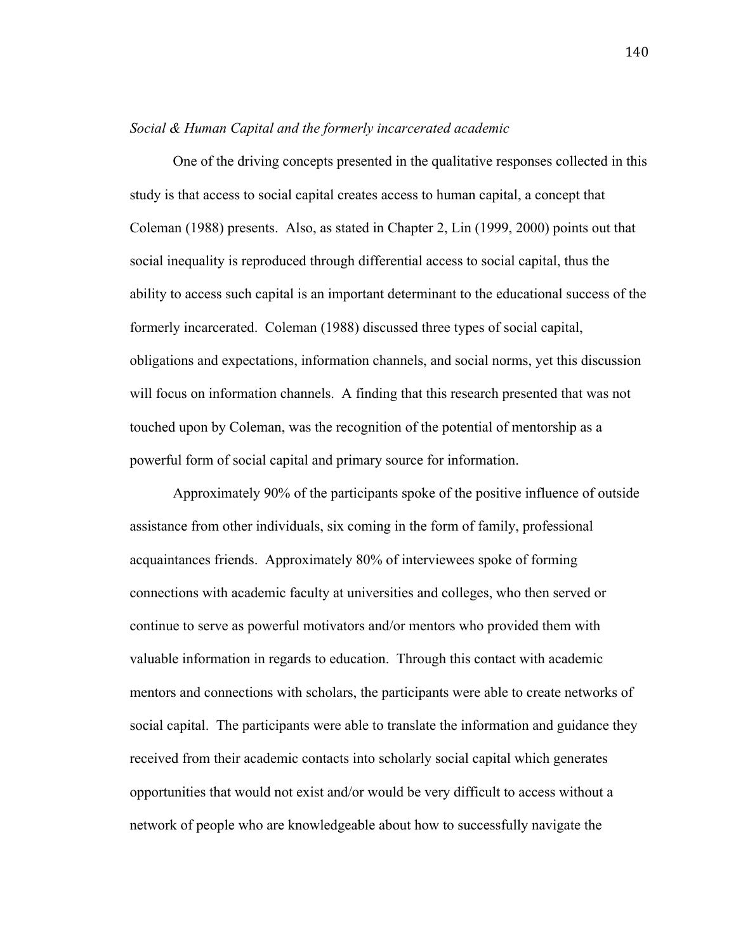### *Social & Human Capital and the formerly incarcerated academic*

One of the driving concepts presented in the qualitative responses collected in this study is that access to social capital creates access to human capital, a concept that Coleman (1988) presents. Also, as stated in Chapter 2, Lin (1999, 2000) points out that social inequality is reproduced through differential access to social capital, thus the ability to access such capital is an important determinant to the educational success of the formerly incarcerated. Coleman (1988) discussed three types of social capital, obligations and expectations, information channels, and social norms, yet this discussion will focus on information channels. A finding that this research presented that was not touched upon by Coleman, was the recognition of the potential of mentorship as a powerful form of social capital and primary source for information.

Approximately 90% of the participants spoke of the positive influence of outside assistance from other individuals, six coming in the form of family, professional acquaintances friends. Approximately 80% of interviewees spoke of forming connections with academic faculty at universities and colleges, who then served or continue to serve as powerful motivators and/or mentors who provided them with valuable information in regards to education. Through this contact with academic mentors and connections with scholars, the participants were able to create networks of social capital. The participants were able to translate the information and guidance they received from their academic contacts into scholarly social capital which generates opportunities that would not exist and/or would be very difficult to access without a network of people who are knowledgeable about how to successfully navigate the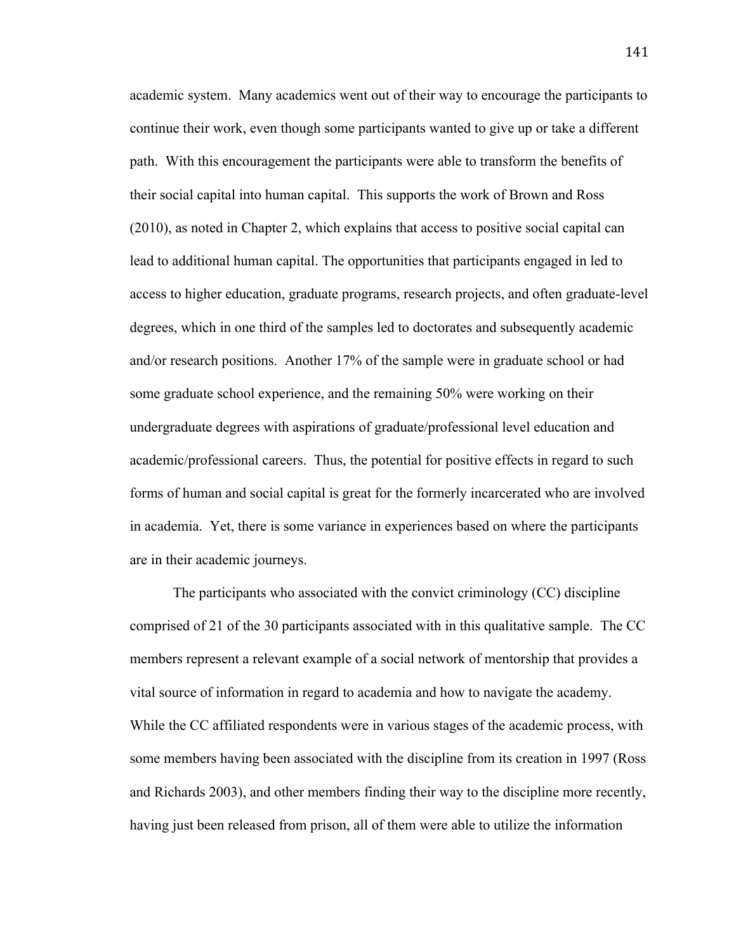academic system. Many academics went out of their way to encourage the participants to continue their work, even though some participants wanted to give up or take a different path. With this encouragement the participants were able to transform the benefits of their social capital into human capital. This supports the work of Brown and Ross (2010), as noted in Chapter 2, which explains that access to positive social capital can lead to additional human capital. The opportunities that participants engaged in led to access to higher education, graduate programs, research projects, and often graduate-level degrees, which in one third of the samples led to doctorates and subsequently academic and/or research positions. Another 17% of the sample were in graduate school or had some graduate school experience, and the remaining 50% were working on their undergraduate degrees with aspirations of graduate/professional level education and academic/professional careers. Thus, the potential for positive effects in regard to such forms of human and social capital is great for the formerly incarcerated who are involved in academia. Yet, there is some variance in experiences based on where the participants are in their academic journeys.

The participants who associated with the convict criminology (CC) discipline comprised of 21 of the 30 participants associated with in this qualitative sample. The CC members represent a relevant example of a social network of mentorship that provides a vital source of information in regard to academia and how to navigate the academy. While the CC affiliated respondents were in various stages of the academic process, with some members having been associated with the discipline from its creation in 1997 (Ross and Richards 2003), and other members finding their way to the discipline more recently, having just been released from prison, all of them were able to utilize the information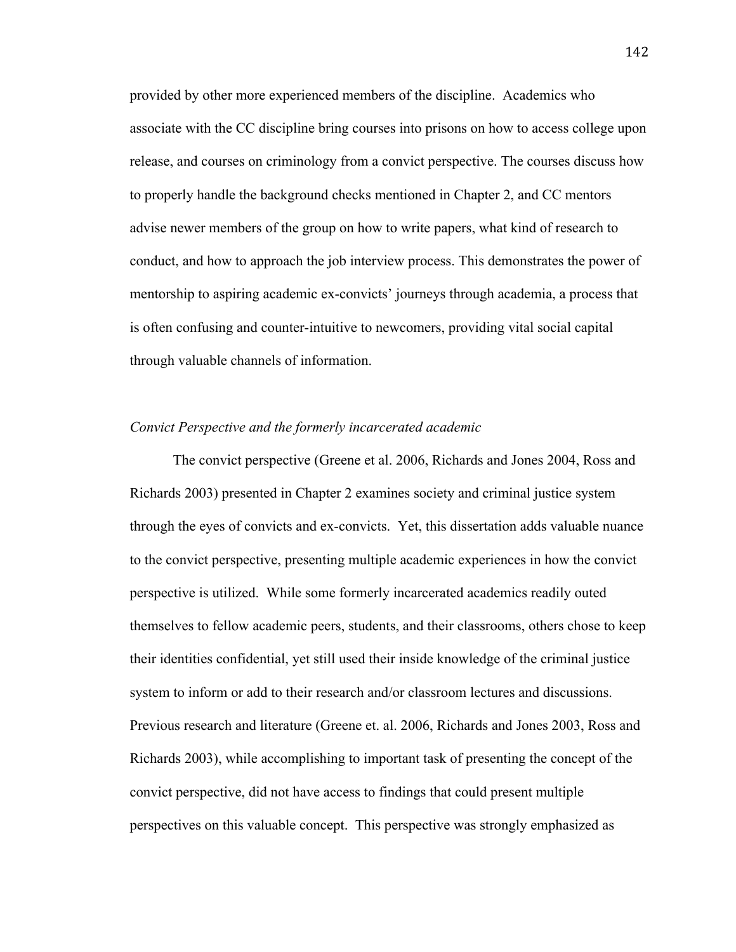provided by other more experienced members of the discipline. Academics who associate with the CC discipline bring courses into prisons on how to access college upon release, and courses on criminology from a convict perspective. The courses discuss how to properly handle the background checks mentioned in Chapter 2, and CC mentors advise newer members of the group on how to write papers, what kind of research to conduct, and how to approach the job interview process. This demonstrates the power of mentorship to aspiring academic ex-convicts' journeys through academia, a process that is often confusing and counter-intuitive to newcomers, providing vital social capital through valuable channels of information.

### *Convict Perspective and the formerly incarcerated academic*

The convict perspective (Greene et al. 2006, Richards and Jones 2004, Ross and Richards 2003) presented in Chapter 2 examines society and criminal justice system through the eyes of convicts and ex-convicts. Yet, this dissertation adds valuable nuance to the convict perspective, presenting multiple academic experiences in how the convict perspective is utilized. While some formerly incarcerated academics readily outed themselves to fellow academic peers, students, and their classrooms, others chose to keep their identities confidential, yet still used their inside knowledge of the criminal justice system to inform or add to their research and/or classroom lectures and discussions. Previous research and literature (Greene et. al. 2006, Richards and Jones 2003, Ross and Richards 2003), while accomplishing to important task of presenting the concept of the convict perspective, did not have access to findings that could present multiple perspectives on this valuable concept. This perspective was strongly emphasized as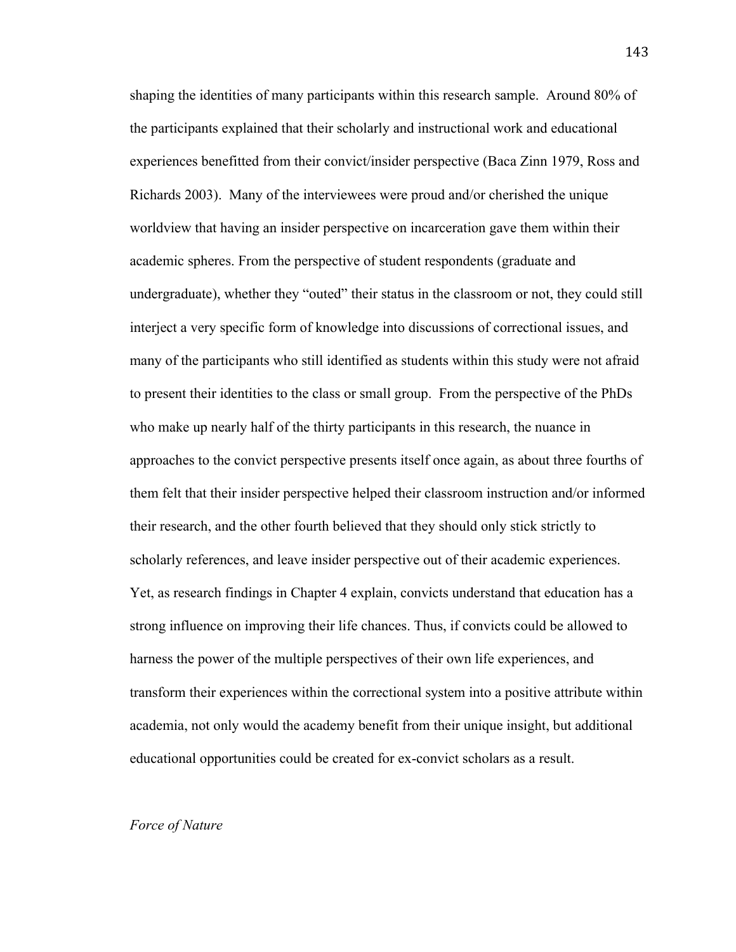shaping the identities of many participants within this research sample. Around 80% of the participants explained that their scholarly and instructional work and educational experiences benefitted from their convict/insider perspective (Baca Zinn 1979, Ross and Richards 2003). Many of the interviewees were proud and/or cherished the unique worldview that having an insider perspective on incarceration gave them within their academic spheres. From the perspective of student respondents (graduate and undergraduate), whether they "outed" their status in the classroom or not, they could still interject a very specific form of knowledge into discussions of correctional issues, and many of the participants who still identified as students within this study were not afraid to present their identities to the class or small group. From the perspective of the PhDs who make up nearly half of the thirty participants in this research, the nuance in approaches to the convict perspective presents itself once again, as about three fourths of them felt that their insider perspective helped their classroom instruction and/or informed their research, and the other fourth believed that they should only stick strictly to scholarly references, and leave insider perspective out of their academic experiences. Yet, as research findings in Chapter 4 explain, convicts understand that education has a strong influence on improving their life chances. Thus, if convicts could be allowed to harness the power of the multiple perspectives of their own life experiences, and transform their experiences within the correctional system into a positive attribute within academia, not only would the academy benefit from their unique insight, but additional educational opportunities could be created for ex-convict scholars as a result.

# *Force of Nature*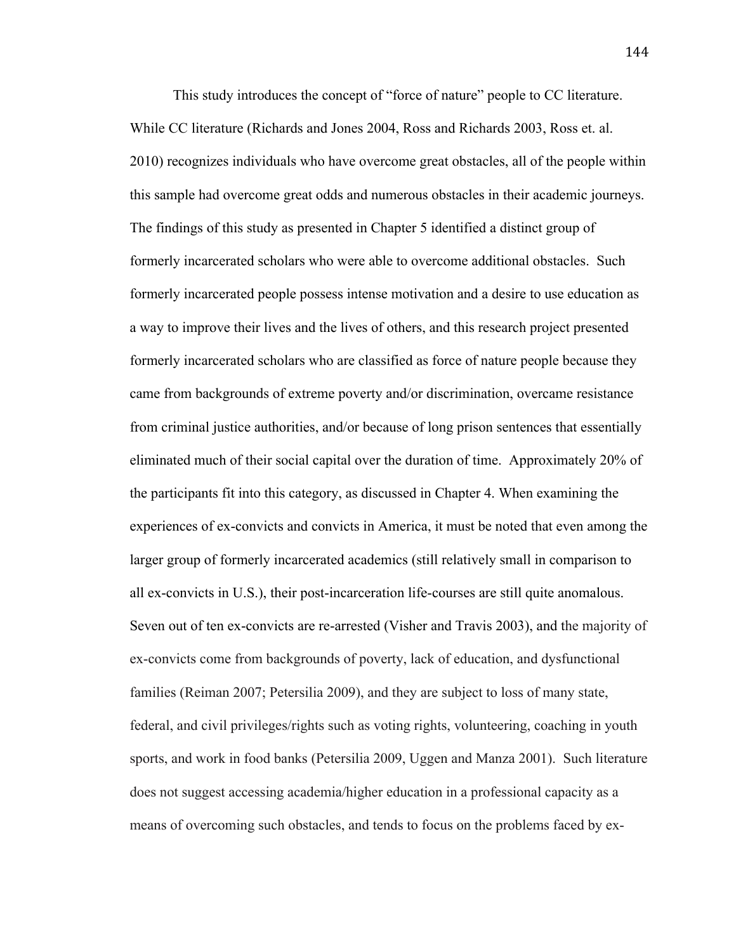This study introduces the concept of "force of nature" people to CC literature. While CC literature (Richards and Jones 2004, Ross and Richards 2003, Ross et. al. 2010) recognizes individuals who have overcome great obstacles, all of the people within this sample had overcome great odds and numerous obstacles in their academic journeys. The findings of this study as presented in Chapter 5 identified a distinct group of formerly incarcerated scholars who were able to overcome additional obstacles. Such formerly incarcerated people possess intense motivation and a desire to use education as a way to improve their lives and the lives of others, and this research project presented formerly incarcerated scholars who are classified as force of nature people because they came from backgrounds of extreme poverty and/or discrimination, overcame resistance from criminal justice authorities, and/or because of long prison sentences that essentially eliminated much of their social capital over the duration of time. Approximately 20% of the participants fit into this category, as discussed in Chapter 4. When examining the experiences of ex-convicts and convicts in America, it must be noted that even among the larger group of formerly incarcerated academics (still relatively small in comparison to all ex-convicts in U.S.), their post-incarceration life-courses are still quite anomalous. Seven out of ten ex-convicts are re-arrested (Visher and Travis 2003), and the majority of ex-convicts come from backgrounds of poverty, lack of education, and dysfunctional families (Reiman 2007; Petersilia 2009), and they are subject to loss of many state, federal, and civil privileges/rights such as voting rights, volunteering, coaching in youth sports, and work in food banks (Petersilia 2009, Uggen and Manza 2001). Such literature does not suggest accessing academia/higher education in a professional capacity as a means of overcoming such obstacles, and tends to focus on the problems faced by ex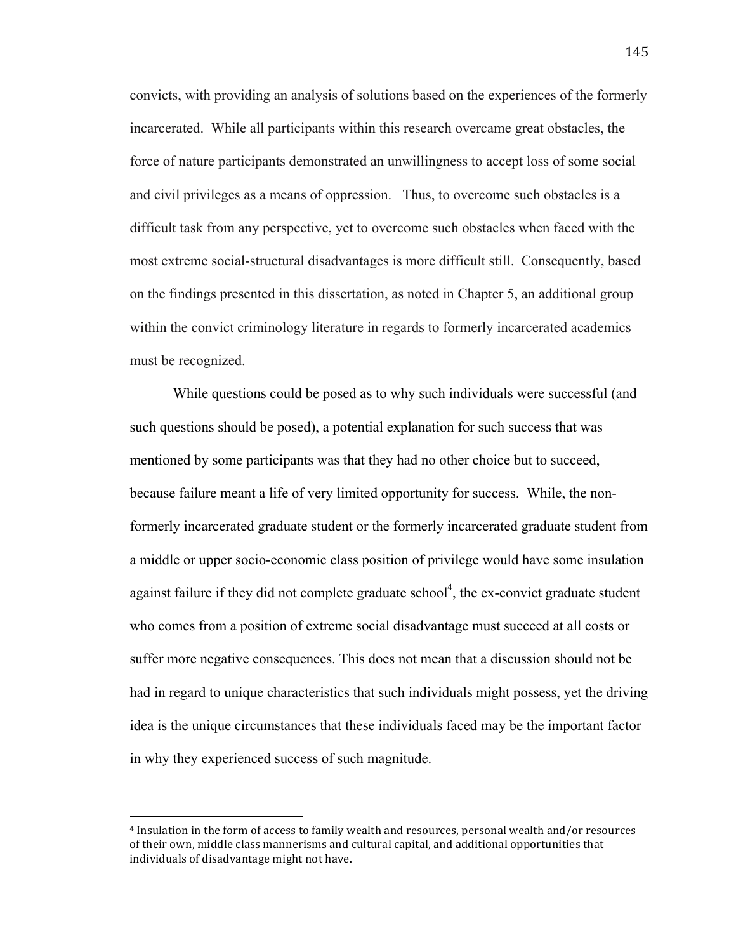convicts, with providing an analysis of solutions based on the experiences of the formerly incarcerated. While all participants within this research overcame great obstacles, the force of nature participants demonstrated an unwillingness to accept loss of some social and civil privileges as a means of oppression. Thus, to overcome such obstacles is a difficult task from any perspective, yet to overcome such obstacles when faced with the most extreme social-structural disadvantages is more difficult still. Consequently, based on the findings presented in this dissertation, as noted in Chapter 5, an additional group within the convict criminology literature in regards to formerly incarcerated academics must be recognized.

While questions could be posed as to why such individuals were successful (and such questions should be posed), a potential explanation for such success that was mentioned by some participants was that they had no other choice but to succeed, because failure meant a life of very limited opportunity for success. While, the nonformerly incarcerated graduate student or the formerly incarcerated graduate student from a middle or upper socio-economic class position of privilege would have some insulation against failure if they did not complete graduate school<sup>4</sup>, the ex-convict graduate student who comes from a position of extreme social disadvantage must succeed at all costs or suffer more negative consequences. This does not mean that a discussion should not be had in regard to unique characteristics that such individuals might possess, yet the driving idea is the unique circumstances that these individuals faced may be the important factor in why they experienced success of such magnitude.

!!!!!!!!!!!!!!!!!!!!!!!!!!!!!!!!!!!!!!!!!!!!!!!!!!!!!!!

<sup>&</sup>lt;sup>4</sup> Insulation in the form of access to family wealth and resources, personal wealth and/or resources of their own, middle class mannerisms and cultural capital, and additional opportunities that individuals of disadvantage might not have.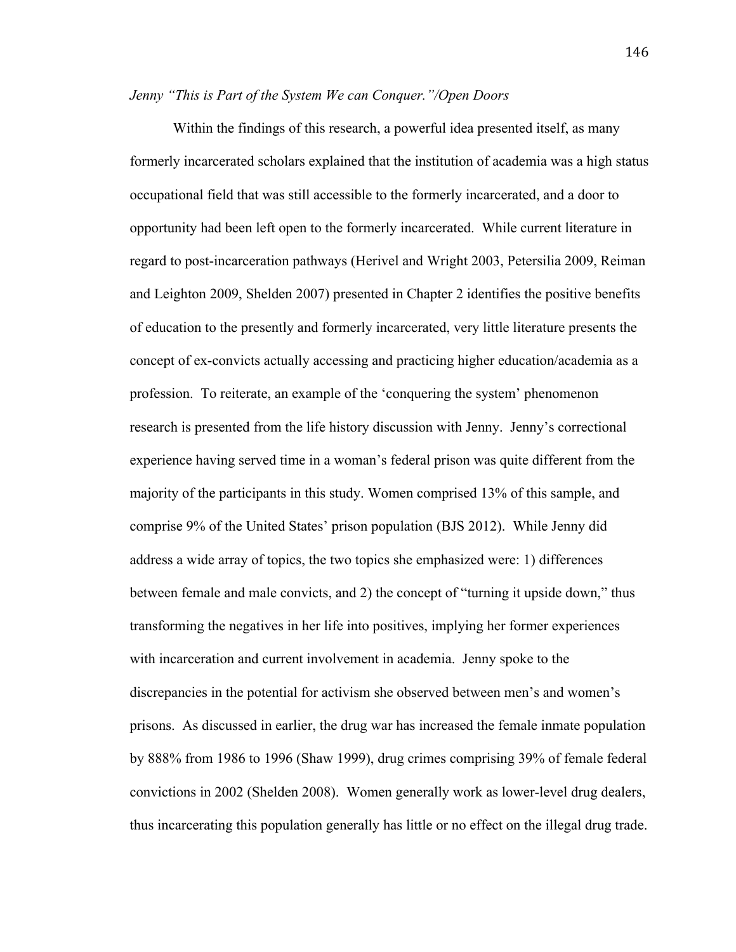### *Jenny "This is Part of the System We can Conquer."/Open Doors*

Within the findings of this research, a powerful idea presented itself, as many formerly incarcerated scholars explained that the institution of academia was a high status occupational field that was still accessible to the formerly incarcerated, and a door to opportunity had been left open to the formerly incarcerated. While current literature in regard to post-incarceration pathways (Herivel and Wright 2003, Petersilia 2009, Reiman and Leighton 2009, Shelden 2007) presented in Chapter 2 identifies the positive benefits of education to the presently and formerly incarcerated, very little literature presents the concept of ex-convicts actually accessing and practicing higher education/academia as a profession. To reiterate, an example of the 'conquering the system' phenomenon research is presented from the life history discussion with Jenny. Jenny's correctional experience having served time in a woman's federal prison was quite different from the majority of the participants in this study. Women comprised 13% of this sample, and comprise 9% of the United States' prison population (BJS 2012). While Jenny did address a wide array of topics, the two topics she emphasized were: 1) differences between female and male convicts, and 2) the concept of "turning it upside down," thus transforming the negatives in her life into positives, implying her former experiences with incarceration and current involvement in academia. Jenny spoke to the discrepancies in the potential for activism she observed between men's and women's prisons. As discussed in earlier, the drug war has increased the female inmate population by 888% from 1986 to 1996 (Shaw 1999), drug crimes comprising 39% of female federal convictions in 2002 (Shelden 2008). Women generally work as lower-level drug dealers, thus incarcerating this population generally has little or no effect on the illegal drug trade.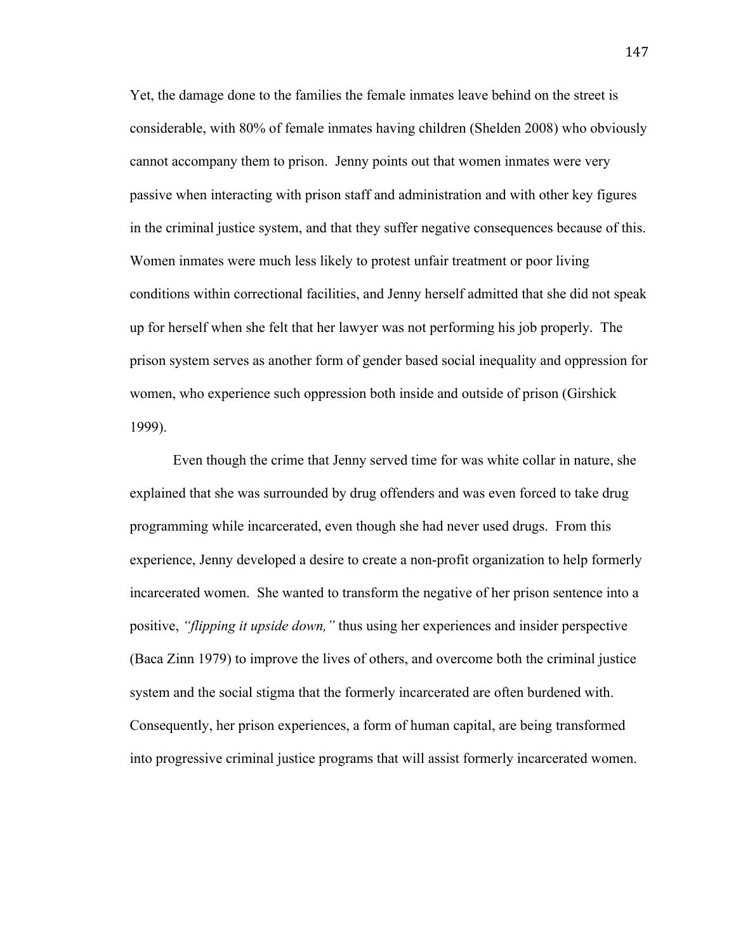Yet, the damage done to the families the female inmates leave behind on the street is considerable, with 80% of female inmates having children (Shelden 2008) who obviously cannot accompany them to prison. Jenny points out that women inmates were very passive when interacting with prison staff and administration and with other key figures in the criminal justice system, and that they suffer negative consequences because of this. Women inmates were much less likely to protest unfair treatment or poor living conditions within correctional facilities, and Jenny herself admitted that she did not speak up for herself when she felt that her lawyer was not performing his job properly. The prison system serves as another form of gender based social inequality and oppression for women, who experience such oppression both inside and outside of prison (Girshick 1999).

Even though the crime that Jenny served time for was white collar in nature, she explained that she was surrounded by drug offenders and was even forced to take drug programming while incarcerated, even though she had never used drugs. From this experience, Jenny developed a desire to create a non-profit organization to help formerly incarcerated women. She wanted to transform the negative of her prison sentence into a positive, *"flipping it upside down,"* thus using her experiences and insider perspective (Baca Zinn 1979) to improve the lives of others, and overcome both the criminal justice system and the social stigma that the formerly incarcerated are often burdened with. Consequently, her prison experiences, a form of human capital, are being transformed into progressive criminal justice programs that will assist formerly incarcerated women.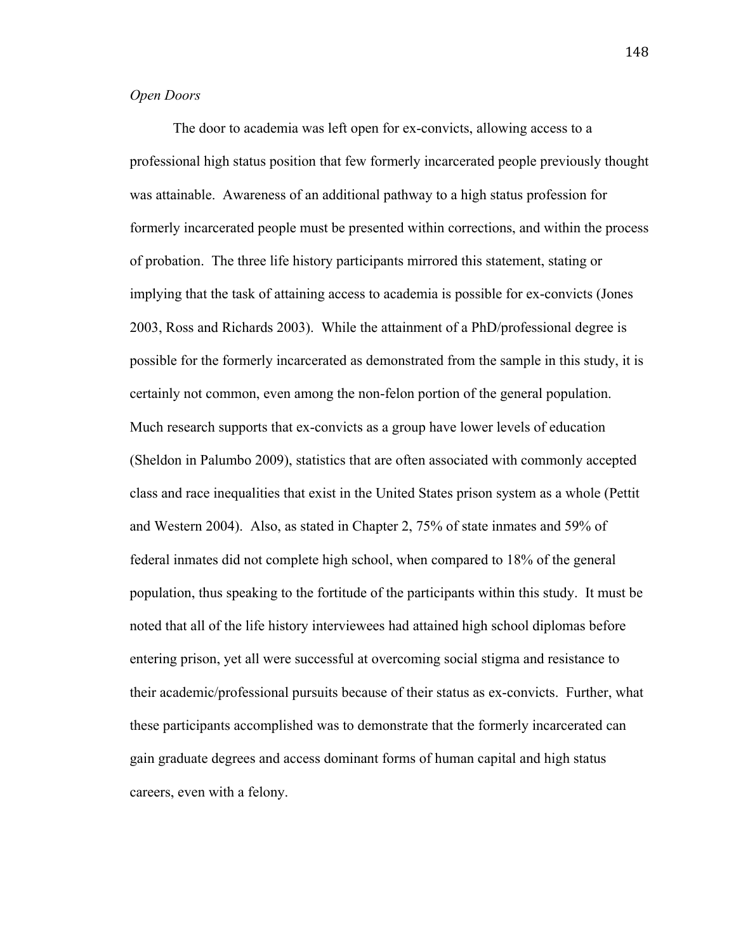# *Open Doors*

The door to academia was left open for ex-convicts, allowing access to a professional high status position that few formerly incarcerated people previously thought was attainable. Awareness of an additional pathway to a high status profession for formerly incarcerated people must be presented within corrections, and within the process of probation. The three life history participants mirrored this statement, stating or implying that the task of attaining access to academia is possible for ex-convicts (Jones 2003, Ross and Richards 2003). While the attainment of a PhD/professional degree is possible for the formerly incarcerated as demonstrated from the sample in this study, it is certainly not common, even among the non-felon portion of the general population. Much research supports that ex-convicts as a group have lower levels of education (Sheldon in Palumbo 2009), statistics that are often associated with commonly accepted class and race inequalities that exist in the United States prison system as a whole (Pettit and Western 2004). Also, as stated in Chapter 2, 75% of state inmates and 59% of federal inmates did not complete high school, when compared to 18% of the general population, thus speaking to the fortitude of the participants within this study. It must be noted that all of the life history interviewees had attained high school diplomas before entering prison, yet all were successful at overcoming social stigma and resistance to their academic/professional pursuits because of their status as ex-convicts. Further, what these participants accomplished was to demonstrate that the formerly incarcerated can gain graduate degrees and access dominant forms of human capital and high status careers, even with a felony.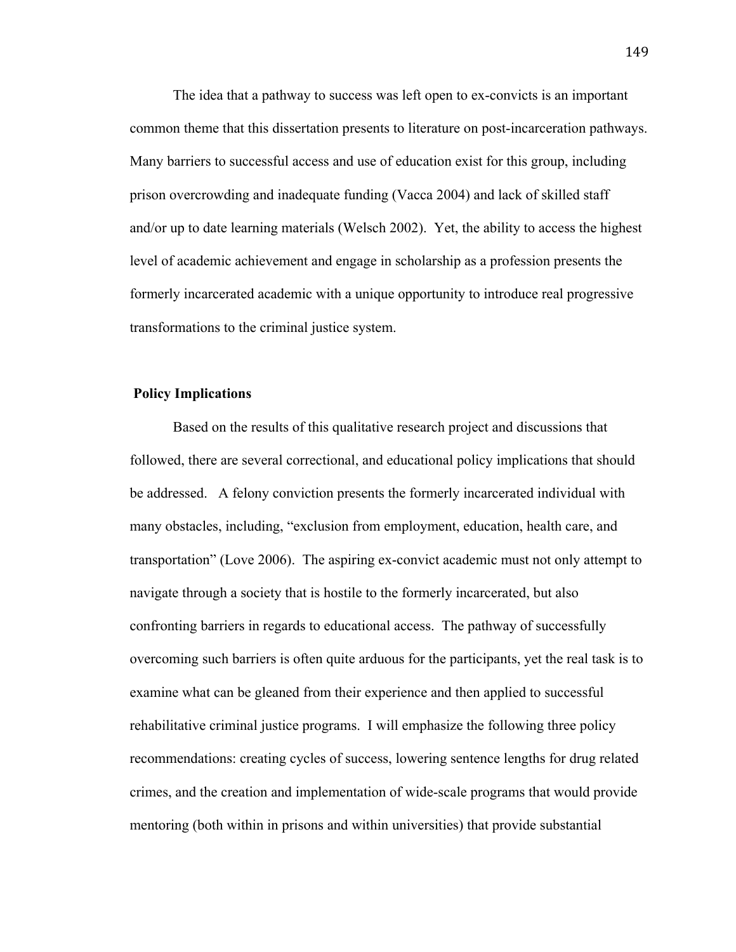The idea that a pathway to success was left open to ex-convicts is an important common theme that this dissertation presents to literature on post-incarceration pathways. Many barriers to successful access and use of education exist for this group, including prison overcrowding and inadequate funding (Vacca 2004) and lack of skilled staff and/or up to date learning materials (Welsch 2002). Yet, the ability to access the highest level of academic achievement and engage in scholarship as a profession presents the formerly incarcerated academic with a unique opportunity to introduce real progressive transformations to the criminal justice system.

### **Policy Implications**

Based on the results of this qualitative research project and discussions that followed, there are several correctional, and educational policy implications that should be addressed. A felony conviction presents the formerly incarcerated individual with many obstacles, including, "exclusion from employment, education, health care, and transportation" (Love 2006). The aspiring ex-convict academic must not only attempt to navigate through a society that is hostile to the formerly incarcerated, but also confronting barriers in regards to educational access. The pathway of successfully overcoming such barriers is often quite arduous for the participants, yet the real task is to examine what can be gleaned from their experience and then applied to successful rehabilitative criminal justice programs. I will emphasize the following three policy recommendations: creating cycles of success, lowering sentence lengths for drug related crimes, and the creation and implementation of wide-scale programs that would provide mentoring (both within in prisons and within universities) that provide substantial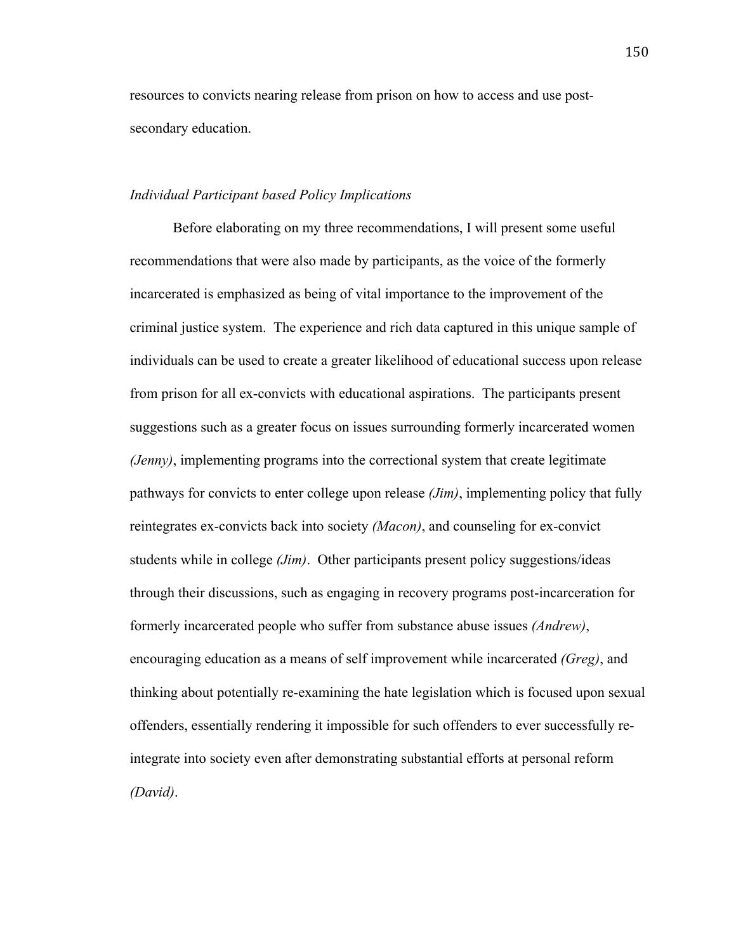resources to convicts nearing release from prison on how to access and use postsecondary education.

# *Individual Participant based Policy Implications*

Before elaborating on my three recommendations, I will present some useful recommendations that were also made by participants, as the voice of the formerly incarcerated is emphasized as being of vital importance to the improvement of the criminal justice system. The experience and rich data captured in this unique sample of individuals can be used to create a greater likelihood of educational success upon release from prison for all ex-convicts with educational aspirations. The participants present suggestions such as a greater focus on issues surrounding formerly incarcerated women *(Jenny)*, implementing programs into the correctional system that create legitimate pathways for convicts to enter college upon release *(Jim)*, implementing policy that fully reintegrates ex-convicts back into society *(Macon)*, and counseling for ex-convict students while in college *(Jim)*. Other participants present policy suggestions/ideas through their discussions, such as engaging in recovery programs post-incarceration for formerly incarcerated people who suffer from substance abuse issues *(Andrew)*, encouraging education as a means of self improvement while incarcerated *(Greg)*, and thinking about potentially re-examining the hate legislation which is focused upon sexual offenders, essentially rendering it impossible for such offenders to ever successfully reintegrate into society even after demonstrating substantial efforts at personal reform *(David)*.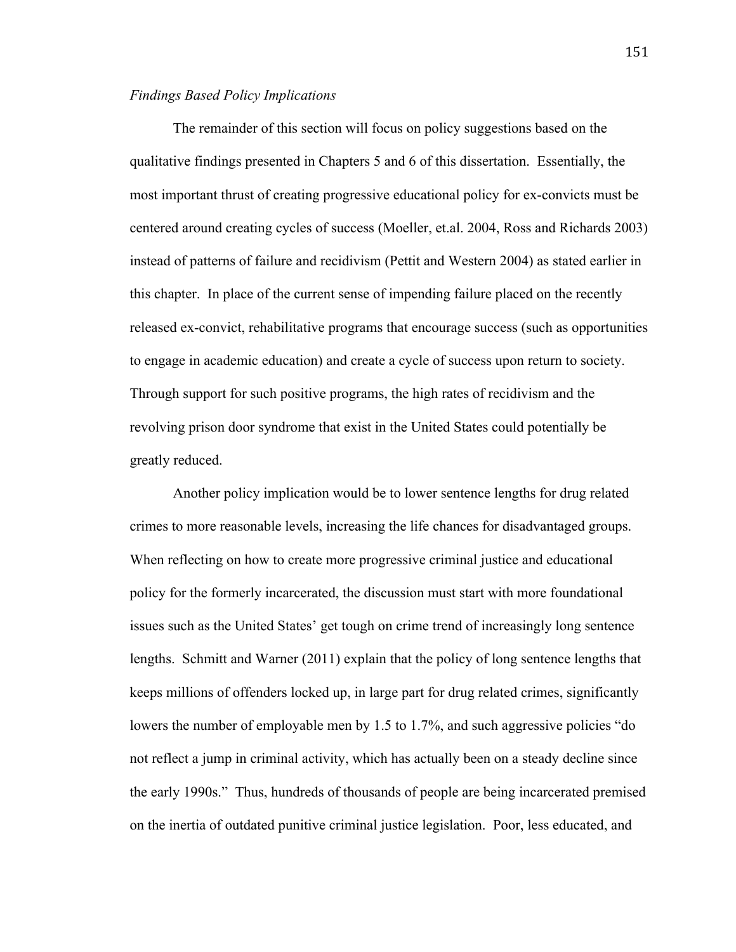# *Findings Based Policy Implications*

The remainder of this section will focus on policy suggestions based on the qualitative findings presented in Chapters 5 and 6 of this dissertation. Essentially, the most important thrust of creating progressive educational policy for ex-convicts must be centered around creating cycles of success (Moeller, et.al. 2004, Ross and Richards 2003) instead of patterns of failure and recidivism (Pettit and Western 2004) as stated earlier in this chapter. In place of the current sense of impending failure placed on the recently released ex-convict, rehabilitative programs that encourage success (such as opportunities to engage in academic education) and create a cycle of success upon return to society. Through support for such positive programs, the high rates of recidivism and the revolving prison door syndrome that exist in the United States could potentially be greatly reduced.

Another policy implication would be to lower sentence lengths for drug related crimes to more reasonable levels, increasing the life chances for disadvantaged groups. When reflecting on how to create more progressive criminal justice and educational policy for the formerly incarcerated, the discussion must start with more foundational issues such as the United States' get tough on crime trend of increasingly long sentence lengths. Schmitt and Warner (2011) explain that the policy of long sentence lengths that keeps millions of offenders locked up, in large part for drug related crimes, significantly lowers the number of employable men by 1.5 to 1.7%, and such aggressive policies "do not reflect a jump in criminal activity, which has actually been on a steady decline since the early 1990s." Thus, hundreds of thousands of people are being incarcerated premised on the inertia of outdated punitive criminal justice legislation. Poor, less educated, and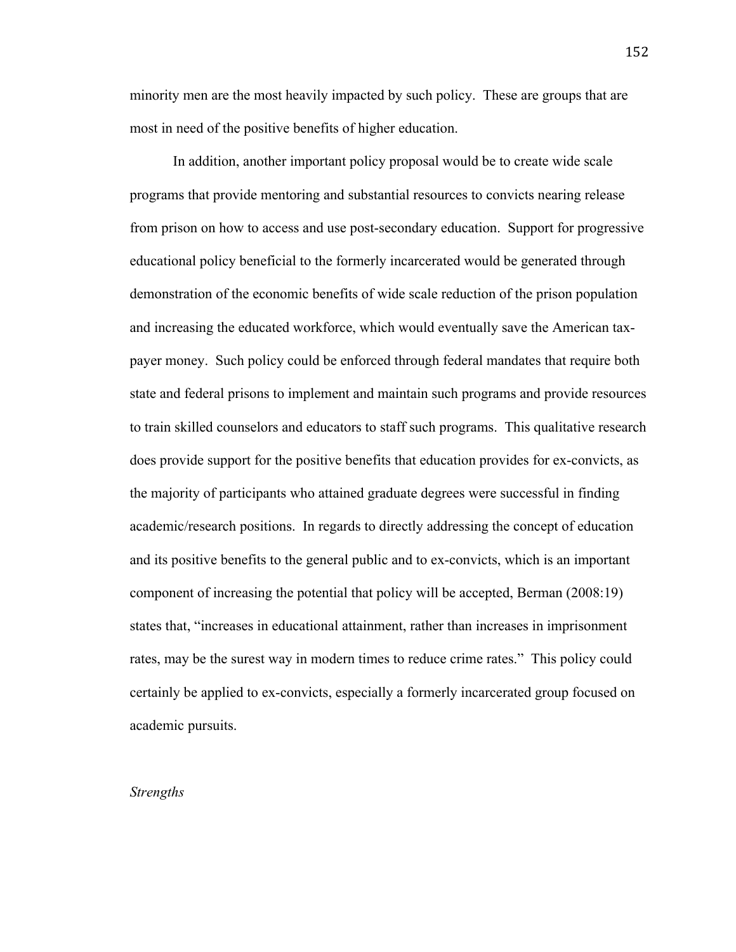minority men are the most heavily impacted by such policy. These are groups that are most in need of the positive benefits of higher education.

In addition, another important policy proposal would be to create wide scale programs that provide mentoring and substantial resources to convicts nearing release from prison on how to access and use post-secondary education. Support for progressive educational policy beneficial to the formerly incarcerated would be generated through demonstration of the economic benefits of wide scale reduction of the prison population and increasing the educated workforce, which would eventually save the American taxpayer money. Such policy could be enforced through federal mandates that require both state and federal prisons to implement and maintain such programs and provide resources to train skilled counselors and educators to staff such programs. This qualitative research does provide support for the positive benefits that education provides for ex-convicts, as the majority of participants who attained graduate degrees were successful in finding academic/research positions. In regards to directly addressing the concept of education and its positive benefits to the general public and to ex-convicts, which is an important component of increasing the potential that policy will be accepted, Berman (2008:19) states that, "increases in educational attainment, rather than increases in imprisonment rates, may be the surest way in modern times to reduce crime rates." This policy could certainly be applied to ex-convicts, especially a formerly incarcerated group focused on academic pursuits.

### *Strengths*

152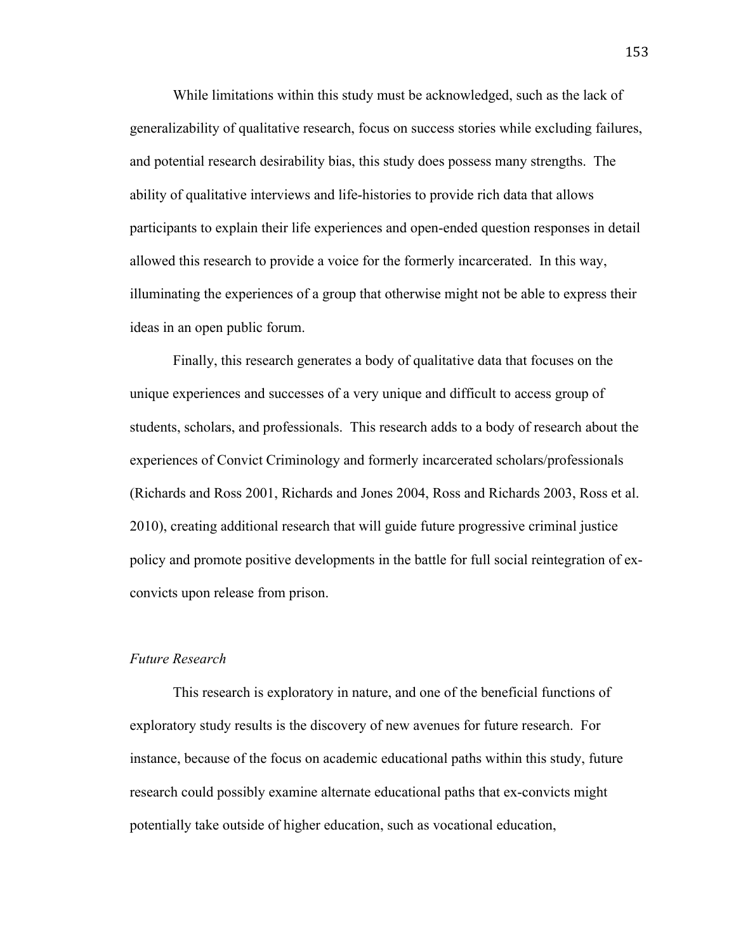While limitations within this study must be acknowledged, such as the lack of generalizability of qualitative research, focus on success stories while excluding failures, and potential research desirability bias, this study does possess many strengths. The ability of qualitative interviews and life-histories to provide rich data that allows participants to explain their life experiences and open-ended question responses in detail allowed this research to provide a voice for the formerly incarcerated. In this way, illuminating the experiences of a group that otherwise might not be able to express their ideas in an open public forum.

Finally, this research generates a body of qualitative data that focuses on the unique experiences and successes of a very unique and difficult to access group of students, scholars, and professionals. This research adds to a body of research about the experiences of Convict Criminology and formerly incarcerated scholars/professionals (Richards and Ross 2001, Richards and Jones 2004, Ross and Richards 2003, Ross et al. 2010), creating additional research that will guide future progressive criminal justice policy and promote positive developments in the battle for full social reintegration of exconvicts upon release from prison.

### *Future Research*

This research is exploratory in nature, and one of the beneficial functions of exploratory study results is the discovery of new avenues for future research. For instance, because of the focus on academic educational paths within this study, future research could possibly examine alternate educational paths that ex-convicts might potentially take outside of higher education, such as vocational education,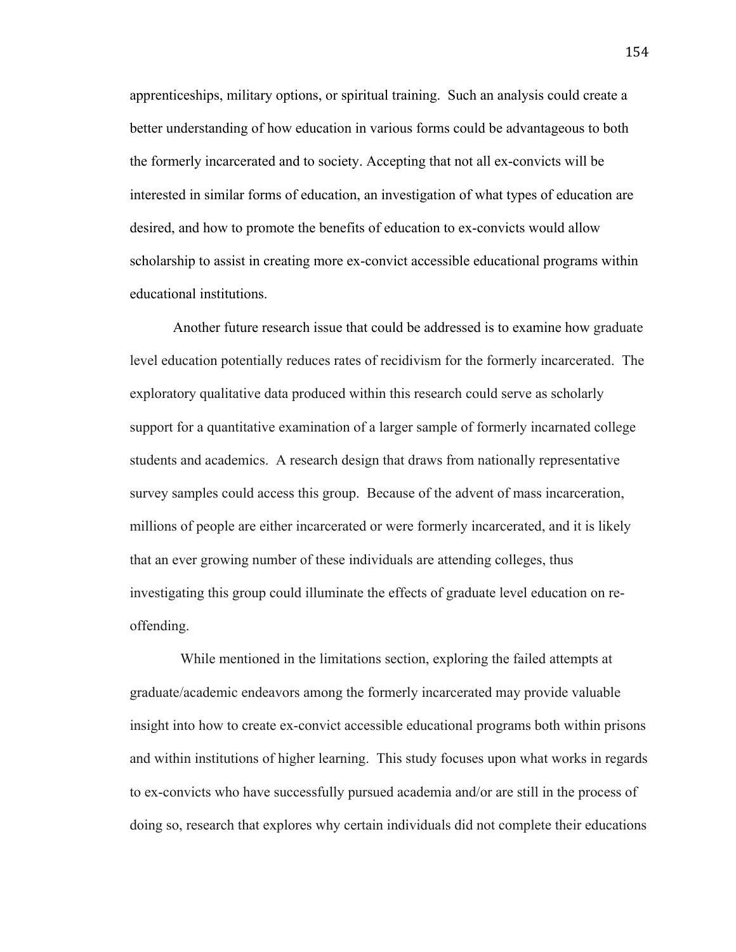apprenticeships, military options, or spiritual training. Such an analysis could create a better understanding of how education in various forms could be advantageous to both the formerly incarcerated and to society. Accepting that not all ex-convicts will be interested in similar forms of education, an investigation of what types of education are desired, and how to promote the benefits of education to ex-convicts would allow scholarship to assist in creating more ex-convict accessible educational programs within educational institutions.

Another future research issue that could be addressed is to examine how graduate level education potentially reduces rates of recidivism for the formerly incarcerated. The exploratory qualitative data produced within this research could serve as scholarly support for a quantitative examination of a larger sample of formerly incarnated college students and academics. A research design that draws from nationally representative survey samples could access this group. Because of the advent of mass incarceration, millions of people are either incarcerated or were formerly incarcerated, and it is likely that an ever growing number of these individuals are attending colleges, thus investigating this group could illuminate the effects of graduate level education on reoffending.

 While mentioned in the limitations section, exploring the failed attempts at graduate/academic endeavors among the formerly incarcerated may provide valuable insight into how to create ex-convict accessible educational programs both within prisons and within institutions of higher learning. This study focuses upon what works in regards to ex-convicts who have successfully pursued academia and/or are still in the process of doing so, research that explores why certain individuals did not complete their educations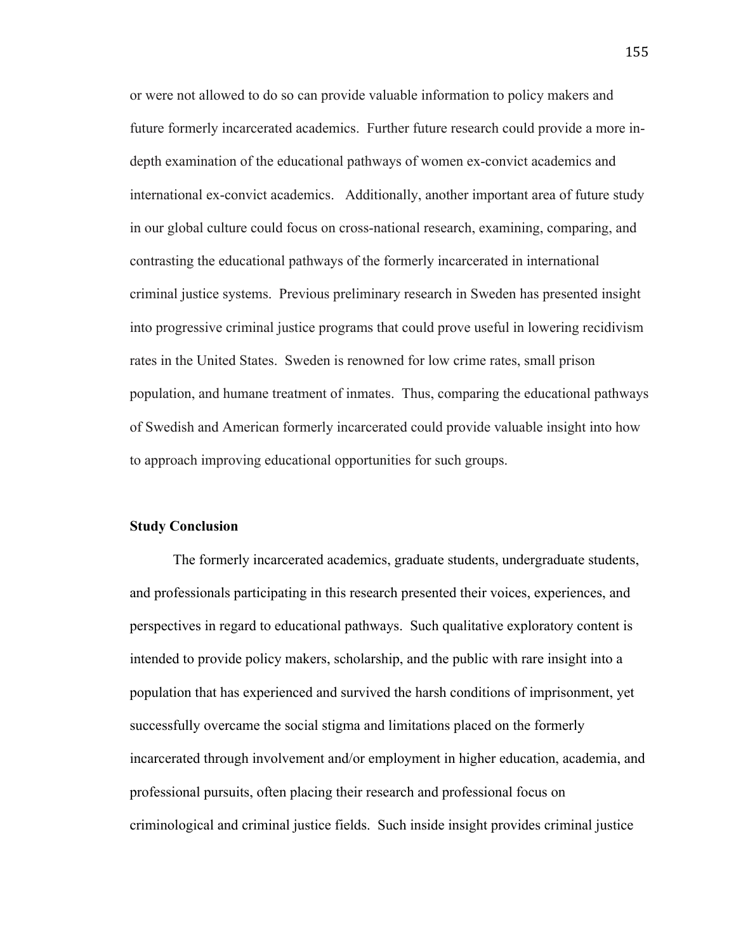or were not allowed to do so can provide valuable information to policy makers and future formerly incarcerated academics. Further future research could provide a more indepth examination of the educational pathways of women ex-convict academics and international ex-convict academics. Additionally, another important area of future study in our global culture could focus on cross-national research, examining, comparing, and contrasting the educational pathways of the formerly incarcerated in international criminal justice systems. Previous preliminary research in Sweden has presented insight into progressive criminal justice programs that could prove useful in lowering recidivism rates in the United States. Sweden is renowned for low crime rates, small prison population, and humane treatment of inmates. Thus, comparing the educational pathways of Swedish and American formerly incarcerated could provide valuable insight into how to approach improving educational opportunities for such groups.

### **Study Conclusion**

The formerly incarcerated academics, graduate students, undergraduate students, and professionals participating in this research presented their voices, experiences, and perspectives in regard to educational pathways. Such qualitative exploratory content is intended to provide policy makers, scholarship, and the public with rare insight into a population that has experienced and survived the harsh conditions of imprisonment, yet successfully overcame the social stigma and limitations placed on the formerly incarcerated through involvement and/or employment in higher education, academia, and professional pursuits, often placing their research and professional focus on criminological and criminal justice fields. Such inside insight provides criminal justice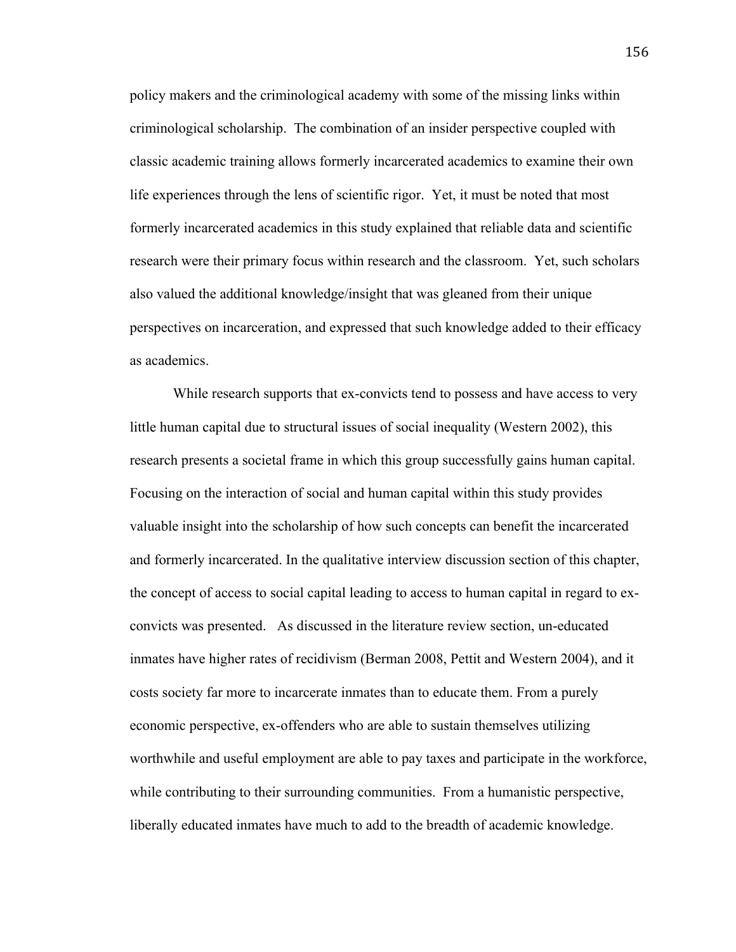policy makers and the criminological academy with some of the missing links within criminological scholarship. The combination of an insider perspective coupled with classic academic training allows formerly incarcerated academics to examine their own life experiences through the lens of scientific rigor. Yet, it must be noted that most formerly incarcerated academics in this study explained that reliable data and scientific research were their primary focus within research and the classroom. Yet, such scholars also valued the additional knowledge/insight that was gleaned from their unique perspectives on incarceration, and expressed that such knowledge added to their efficacy as academics.

While research supports that ex-convicts tend to possess and have access to very little human capital due to structural issues of social inequality (Western 2002), this research presents a societal frame in which this group successfully gains human capital. Focusing on the interaction of social and human capital within this study provides valuable insight into the scholarship of how such concepts can benefit the incarcerated and formerly incarcerated. In the qualitative interview discussion section of this chapter, the concept of access to social capital leading to access to human capital in regard to exconvicts was presented. As discussed in the literature review section, un-educated inmates have higher rates of recidivism (Berman 2008, Pettit and Western 2004), and it costs society far more to incarcerate inmates than to educate them. From a purely economic perspective, ex-offenders who are able to sustain themselves utilizing worthwhile and useful employment are able to pay taxes and participate in the workforce, while contributing to their surrounding communities. From a humanistic perspective, liberally educated inmates have much to add to the breadth of academic knowledge.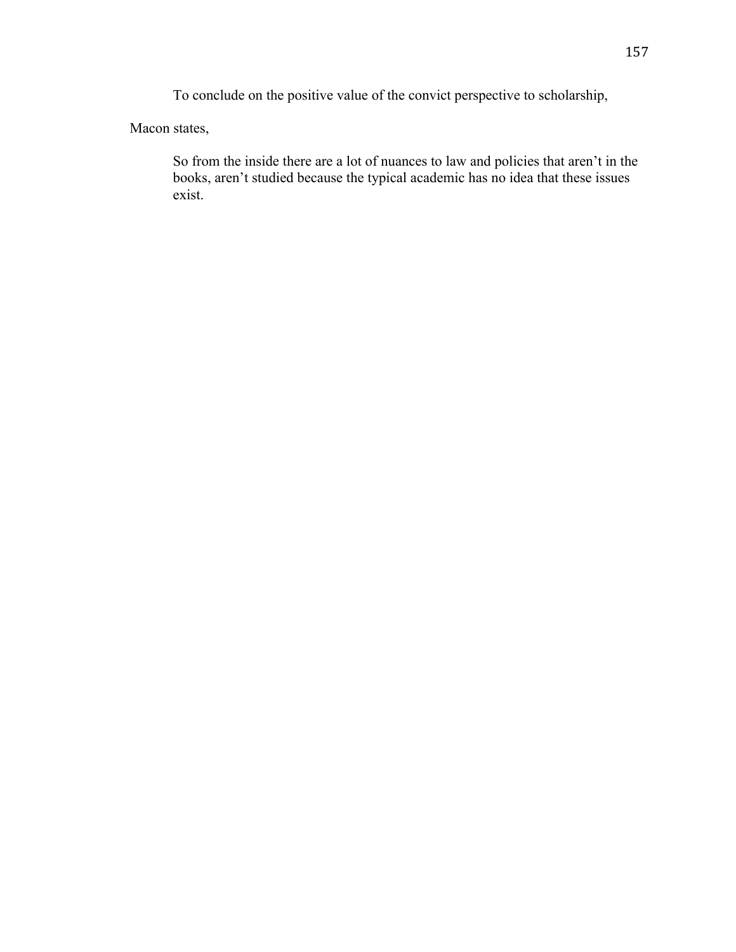To conclude on the positive value of the convict perspective to scholarship,

Macon states,

So from the inside there are a lot of nuances to law and policies that aren't in the books, aren't studied because the typical academic has no idea that these issues exist.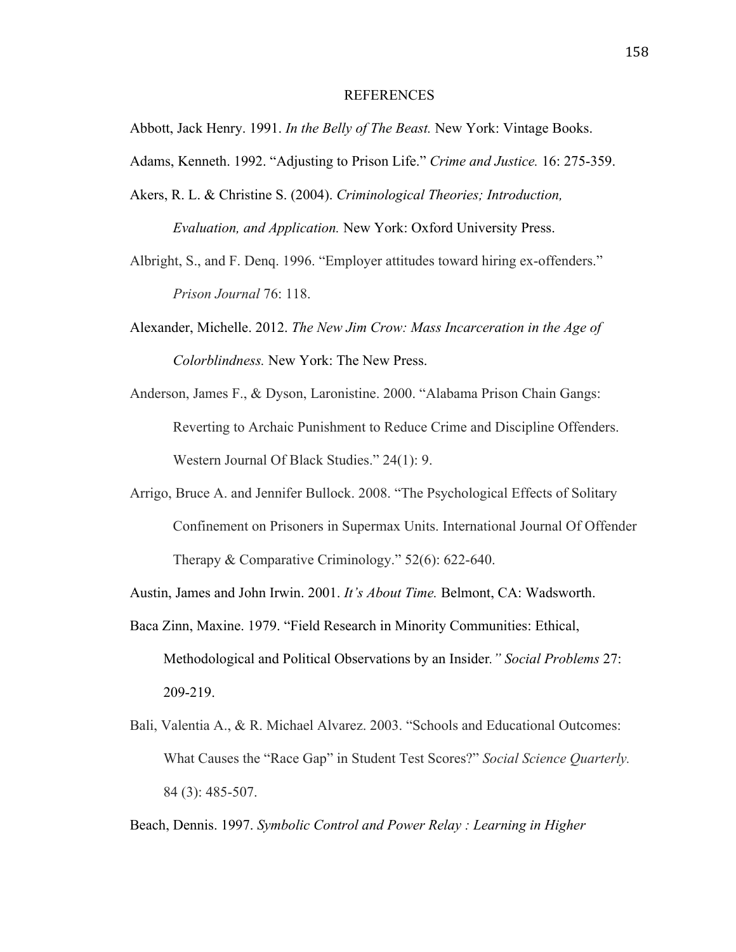#### REFERENCES

Abbott, Jack Henry. 1991. *In the Belly of The Beast.* New York: Vintage Books.

Adams, Kenneth. 1992. "Adjusting to Prison Life." *Crime and Justice.* 16: 275-359.

Akers, R. L. & Christine S. (2004). *Criminological Theories; Introduction, Evaluation, and Application.* New York: Oxford University Press.

Albright, S., and F. Denq. 1996. "Employer attitudes toward hiring ex-offenders." *Prison Journal* 76: 118.

- Alexander, Michelle. 2012. *The New Jim Crow: Mass Incarceration in the Age of Colorblindness.* New York: The New Press.
- Anderson, James F., & Dyson, Laronistine. 2000. "Alabama Prison Chain Gangs: Reverting to Archaic Punishment to Reduce Crime and Discipline Offenders. Western Journal Of Black Studies." 24(1): 9.
- Arrigo, Bruce A. and Jennifer Bullock. 2008. "The Psychological Effects of Solitary Confinement on Prisoners in Supermax Units. International Journal Of Offender Therapy & Comparative Criminology." 52(6): 622-640.

Austin, James and John Irwin. 2001. *It's About Time.* Belmont, CA: Wadsworth.

- Baca Zinn, Maxine. 1979. "Field Research in Minority Communities: Ethical, Methodological and Political Observations by an Insider*." Social Problems* 27: 209-219.
- Bali, Valentia A., & R. Michael Alvarez. 2003. "Schools and Educational Outcomes: What Causes the "Race Gap" in Student Test Scores?" *Social Science Quarterly.* 84 (3): 485-507.

Beach, Dennis. 1997. *Symbolic Control and Power Relay : Learning in Higher*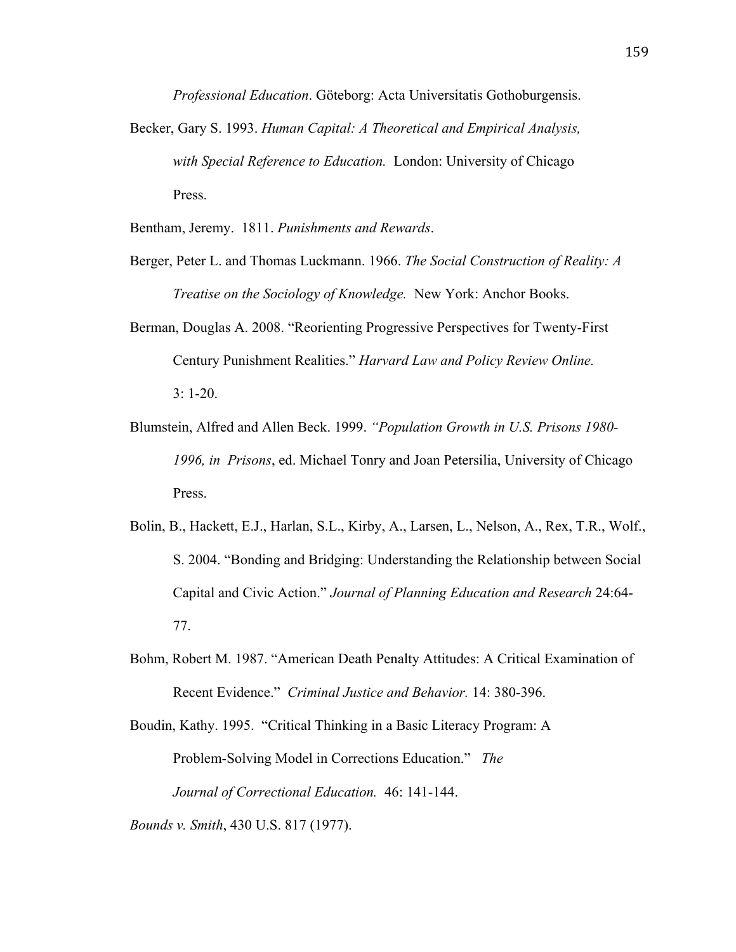*Professional Education*. Göteborg: Acta Universitatis Gothoburgensis.

Becker, Gary S. 1993. *Human Capital: A Theoretical and Empirical Analysis, with Special Reference to Education.* London: University of Chicago Press.

Bentham, Jeremy. 1811. *Punishments and Rewards*.

- Berger, Peter L. and Thomas Luckmann. 1966. *The Social Construction of Reality: A Treatise on the Sociology of Knowledge.* New York: Anchor Books.
- Berman, Douglas A. 2008. "Reorienting Progressive Perspectives for Twenty-First Century Punishment Realities." *Harvard Law and Policy Review Online.* 3: 1-20.
- Blumstein, Alfred and Allen Beck. 1999. *"Population Growth in U.S. Prisons 1980- 1996, in Prisons*, ed. Michael Tonry and Joan Petersilia, University of Chicago Press.
- Bolin, B., Hackett, E.J., Harlan, S.L., Kirby, A., Larsen, L., Nelson, A., Rex, T.R., Wolf., S. 2004. "Bonding and Bridging: Understanding the Relationship between Social Capital and Civic Action." *Journal of Planning Education and Research* 24:64- 77.
- Bohm, Robert M. 1987. "American Death Penalty Attitudes: A Critical Examination of Recent Evidence." *Criminal Justice and Behavior.* 14: 380-396.

Boudin, Kathy. 1995. "Critical Thinking in a Basic Literacy Program: A Problem-Solving Model in Corrections Education." *The Journal of Correctional Education.* 46: 141-144.

*Bounds v. Smith*, 430 U.S. 817 (1977).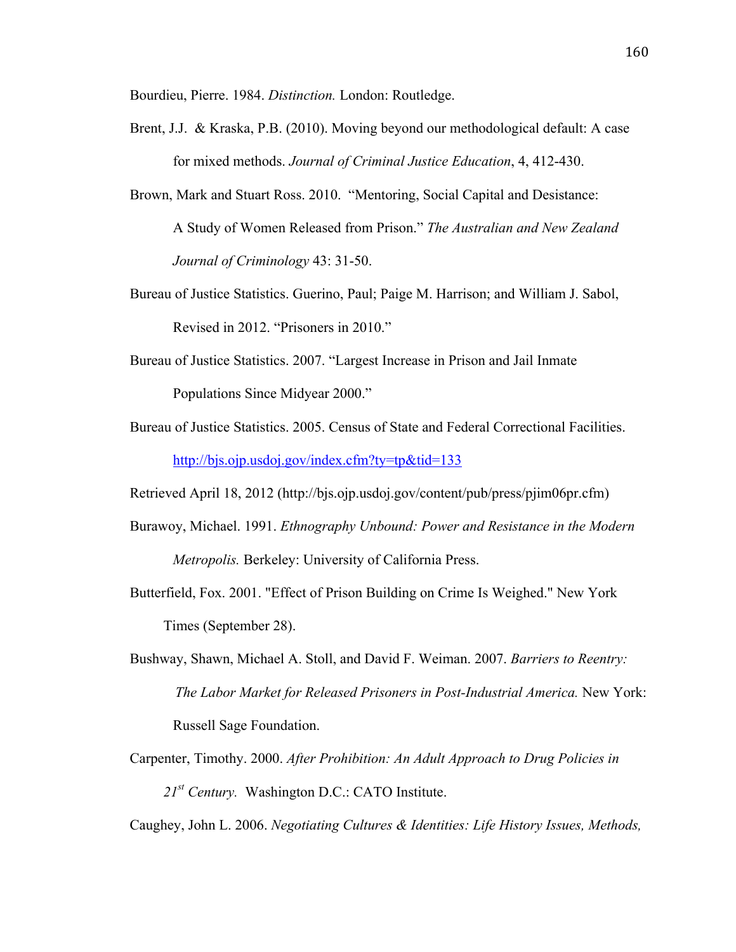Bourdieu, Pierre. 1984. *Distinction.* London: Routledge.

- Brent, J.J. & Kraska, P.B. (2010). Moving beyond our methodological default: A case for mixed methods. *Journal of Criminal Justice Education*, 4, 412-430.
- Brown, Mark and Stuart Ross. 2010. "Mentoring, Social Capital and Desistance: A Study of Women Released from Prison." *The Australian and New Zealand Journal of Criminology* 43: 31-50.
- Bureau of Justice Statistics. Guerino, Paul; Paige M. Harrison; and William J. Sabol, Revised in 2012. "Prisoners in 2010."
- Bureau of Justice Statistics. 2007. "Largest Increase in Prison and Jail Inmate Populations Since Midyear 2000."
- Bureau of Justice Statistics. 2005. Census of State and Federal Correctional Facilities. http://bjs.ojp.usdoj.gov/index.cfm?ty=tp&tid=133
- Retrieved April 18, 2012 (http://bjs.ojp.usdoj.gov/content/pub/press/pjim06pr.cfm)
- Burawoy, Michael. 1991. *Ethnography Unbound: Power and Resistance in the Modern Metropolis.* Berkeley: University of California Press.
- Butterfield, Fox. 2001. "Effect of Prison Building on Crime Is Weighed." New York Times (September 28).
- Bushway, Shawn, Michael A. Stoll, and David F. Weiman. 2007. *Barriers to Reentry: The Labor Market for Released Prisoners in Post-Industrial America.* New York: Russell Sage Foundation.
- Carpenter, Timothy. 2000. *After Prohibition: An Adult Approach to Drug Policies in 21st Century.* Washington D.C.: CATO Institute.

Caughey, John L. 2006. *Negotiating Cultures & Identities: Life History Issues, Methods,*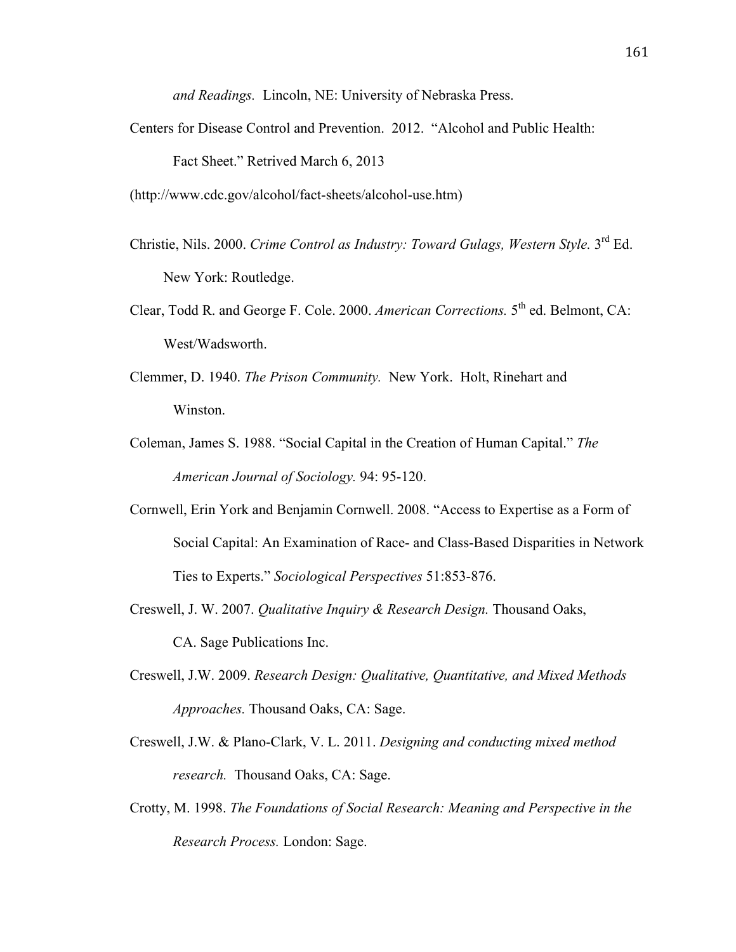*and Readings.* Lincoln, NE: University of Nebraska Press.

Centers for Disease Control and Prevention. 2012. "Alcohol and Public Health: Fact Sheet." Retrived March 6, 2013

(http://www.cdc.gov/alcohol/fact-sheets/alcohol-use.htm)

- Christie, Nils. 2000. *Crime Control as Industry: Toward Gulags, Western Style.* 3<sup>rd</sup> Ed. New York: Routledge.
- Clear, Todd R. and George F. Cole. 2000. *American Corrections.* 5th ed. Belmont, CA: West/Wadsworth.
- Clemmer, D. 1940. *The Prison Community.* New York. Holt, Rinehart and Winston.
- Coleman, James S. 1988. "Social Capital in the Creation of Human Capital." *The American Journal of Sociology.* 94: 95-120.
- Cornwell, Erin York and Benjamin Cornwell. 2008. "Access to Expertise as a Form of Social Capital: An Examination of Race- and Class-Based Disparities in Network Ties to Experts." *Sociological Perspectives* 51:853-876.
- Creswell, J. W. 2007. *Qualitative Inquiry & Research Design.* Thousand Oaks, CA. Sage Publications Inc.
- Creswell, J.W. 2009. *Research Design: Qualitative, Quantitative, and Mixed Methods Approaches.* Thousand Oaks, CA: Sage.
- Creswell, J.W. & Plano-Clark, V. L. 2011. *Designing and conducting mixed method research.* Thousand Oaks, CA: Sage.
- Crotty, M. 1998. *The Foundations of Social Research: Meaning and Perspective in the Research Process.* London: Sage.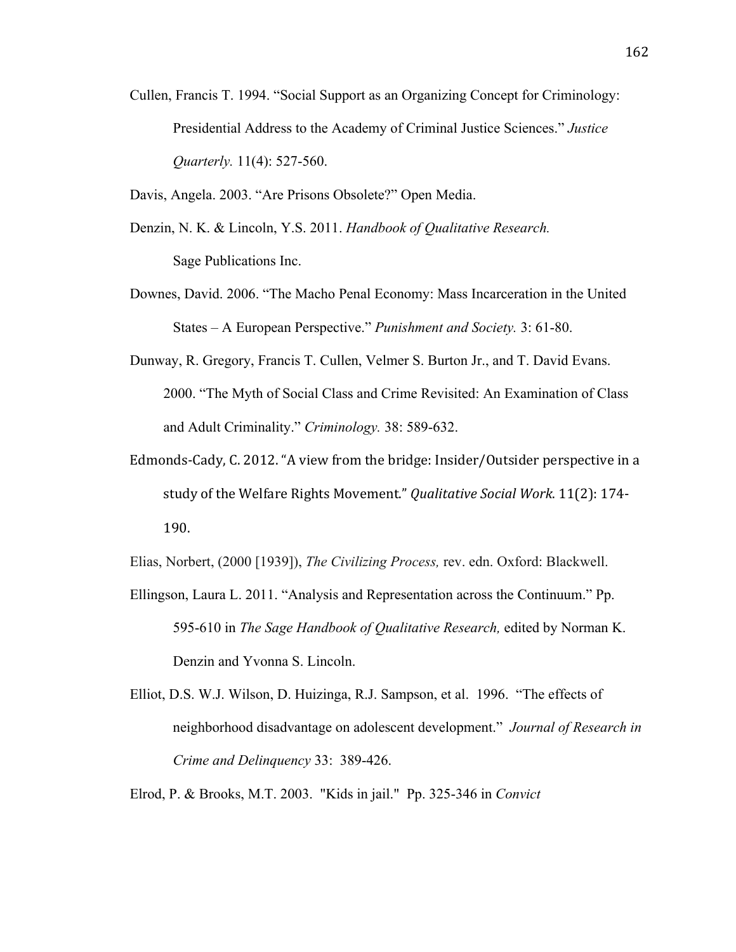- Cullen, Francis T. 1994. "Social Support as an Organizing Concept for Criminology: Presidential Address to the Academy of Criminal Justice Sciences." *Justice Quarterly.* 11(4): 527-560.
- Davis, Angela. 2003. "Are Prisons Obsolete?" Open Media.
- Denzin, N. K. & Lincoln, Y.S. 2011. *Handbook of Qualitative Research.* Sage Publications Inc.
- Downes, David. 2006. "The Macho Penal Economy: Mass Incarceration in the United States – A European Perspective." *Punishment and Society.* 3: 61-80.
- Dunway, R. Gregory, Francis T. Cullen, Velmer S. Burton Jr., and T. David Evans. 2000. "The Myth of Social Class and Crime Revisited: An Examination of Class and Adult Criminality." *Criminology.* 38: 589-632.
- Edmonds-Cady, C. 2012. "A view from the bridge: Insider/Outsider perspective in a study of the Welfare Rights Movement." *Qualitative Social Work*. 11(2): 174-190.

Elias, Norbert, (2000 [1939]), *The Civilizing Process,* rev. edn. Oxford: Blackwell.

- Ellingson, Laura L. 2011. "Analysis and Representation across the Continuum." Pp. 595-610 in *The Sage Handbook of Qualitative Research,* edited by Norman K. Denzin and Yvonna S. Lincoln.
- Elliot, D.S. W.J. Wilson, D. Huizinga, R.J. Sampson, et al. 1996. "The effects of neighborhood disadvantage on adolescent development." *Journal of Research in Crime and Delinquency* 33: 389-426.

Elrod, P. & Brooks, M.T. 2003. "Kids in jail." Pp. 325-346 in *Convict*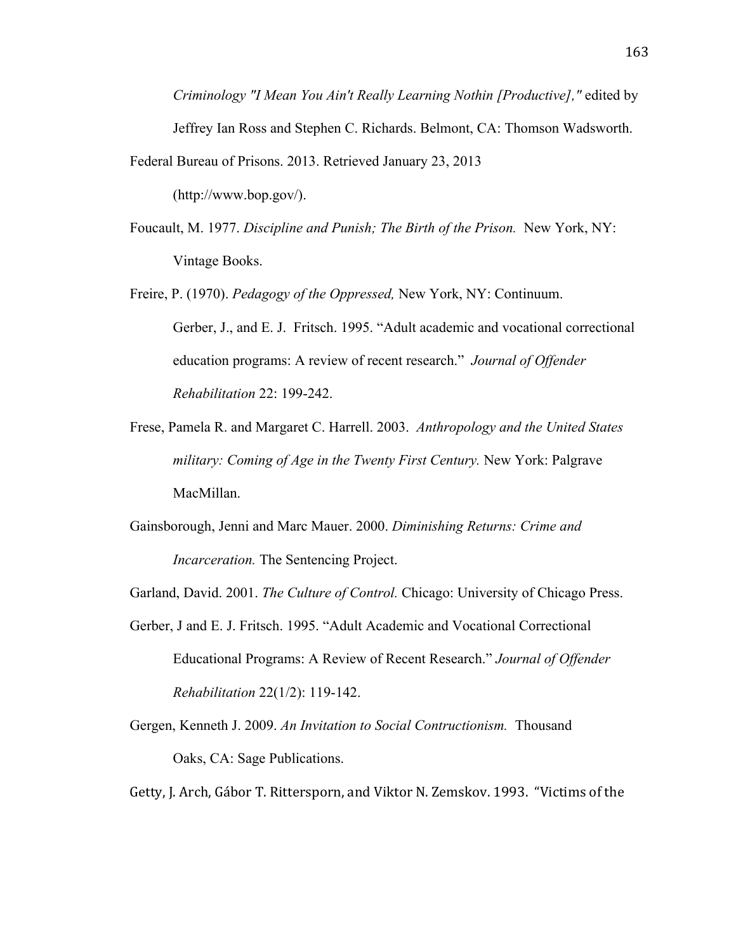*Criminology "I Mean You Ain't Really Learning Nothin [Productive],"* edited by Jeffrey Ian Ross and Stephen C. Richards. Belmont, CA: Thomson Wadsworth.

Federal Bureau of Prisons. 2013. Retrieved January 23, 2013 (http://www.bop.gov/).

Foucault, M. 1977. *Discipline and Punish; The Birth of the Prison.* New York, NY: Vintage Books.

Freire, P. (1970). *Pedagogy of the Oppressed,* New York, NY: Continuum. Gerber, J., and E. J. Fritsch. 1995. "Adult academic and vocational correctional education programs: A review of recent research." *Journal of Offender Rehabilitation* 22: 199-242.

- Frese, Pamela R. and Margaret C. Harrell. 2003. *Anthropology and the United States military: Coming of Age in the Twenty First Century.* New York: Palgrave MacMillan.
- Gainsborough, Jenni and Marc Mauer. 2000. *Diminishing Returns: Crime and Incarceration.* The Sentencing Project.

Garland, David. 2001. *The Culture of Control.* Chicago: University of Chicago Press.

- Gerber, J and E. J. Fritsch. 1995. "Adult Academic and Vocational Correctional Educational Programs: A Review of Recent Research." *Journal of Offender Rehabilitation* 22(1/2): 119-142.
- Gergen, Kenneth J. 2009. *An Invitation to Social Contructionism.* Thousand Oaks, CA: Sage Publications.

Getty, J. Arch, Gábor T. Rittersporn, and Viktor N. Zemskov. 1993. "Victims of the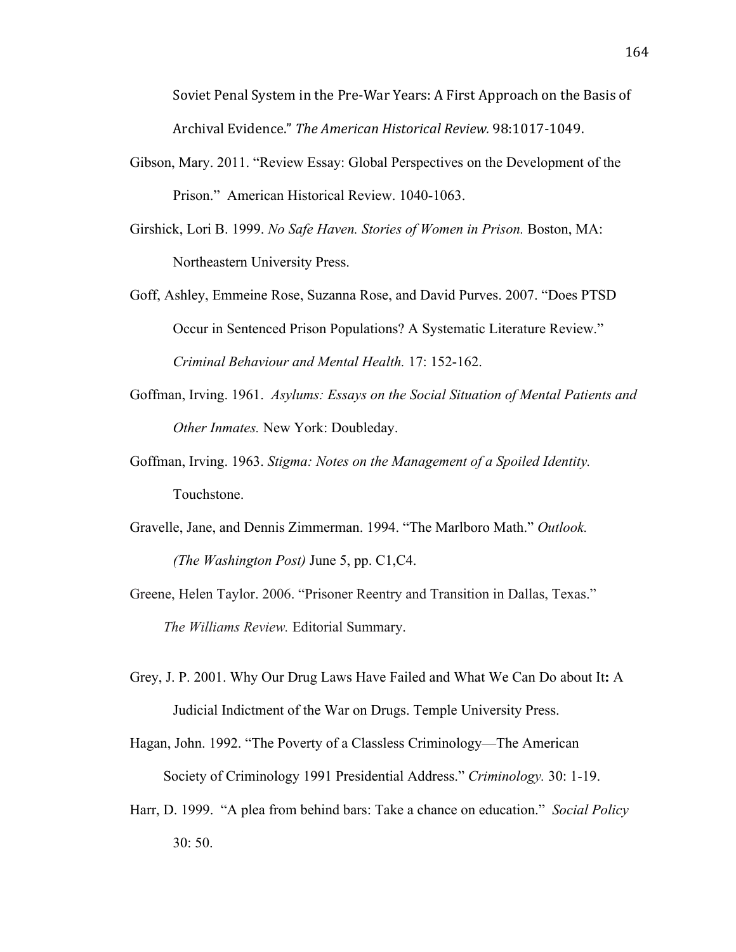Soviet Penal System in the Pre-War Years: A First Approach on the Basis of Archival Evidence." The American Historical Review. 98:1017-1049.

- Gibson, Mary. 2011. "Review Essay: Global Perspectives on the Development of the Prison." American Historical Review. 1040-1063.
- Girshick, Lori B. 1999. *No Safe Haven. Stories of Women in Prison.* Boston, MA: Northeastern University Press.
- Goff, Ashley, Emmeine Rose, Suzanna Rose, and David Purves. 2007. "Does PTSD Occur in Sentenced Prison Populations? A Systematic Literature Review." *Criminal Behaviour and Mental Health.* 17: 152-162.
- Goffman, Irving. 1961. *Asylums: Essays on the Social Situation of Mental Patients and Other Inmates.* New York: Doubleday.
- Goffman, Irving. 1963. *Stigma: Notes on the Management of a Spoiled Identity.*  Touchstone.
- Gravelle, Jane, and Dennis Zimmerman. 1994. "The Marlboro Math." *Outlook. (The Washington Post)* June 5, pp. C1,C4.
- Greene, Helen Taylor. 2006. "Prisoner Reentry and Transition in Dallas, Texas." *The Williams Review.* Editorial Summary.
- Grey, J. P. 2001. Why Our Drug Laws Have Failed and What We Can Do about It**:** A Judicial Indictment of the War on Drugs. Temple University Press.

Hagan, John. 1992. "The Poverty of a Classless Criminology—The American Society of Criminology 1991 Presidential Address." *Criminology.* 30: 1-19.

Harr, D. 1999. "A plea from behind bars: Take a chance on education." *Social Policy* 30: 50.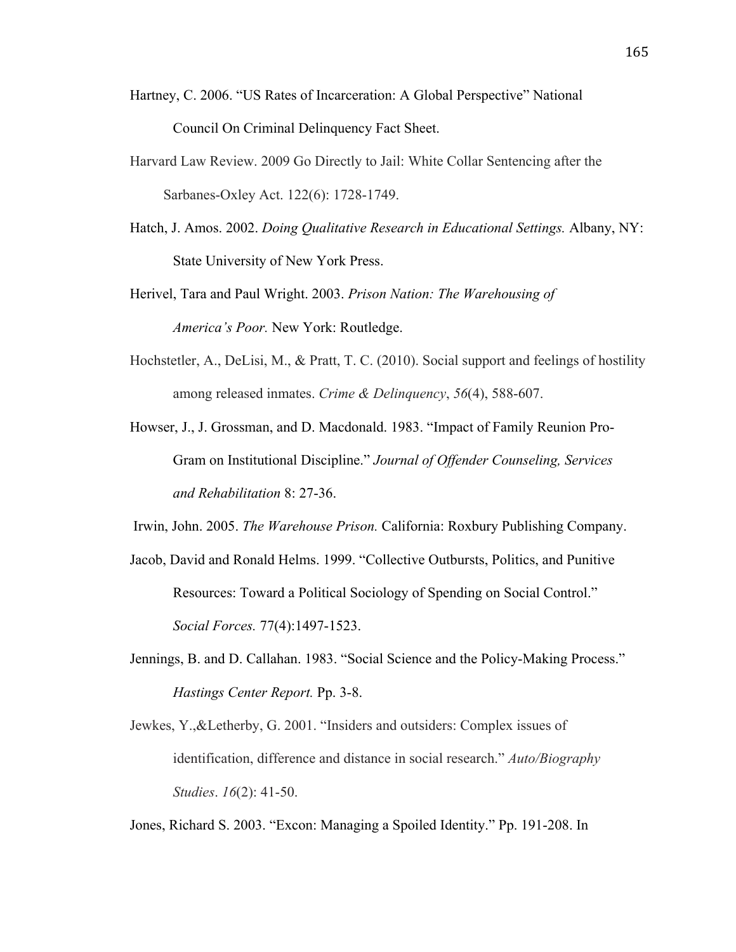- Hartney, C. 2006. "US Rates of Incarceration: A Global Perspective" National Council On Criminal Delinquency Fact Sheet.
- Harvard Law Review. 2009 Go Directly to Jail: White Collar Sentencing after the Sarbanes-Oxley Act. 122(6): 1728-1749.
- Hatch, J. Amos. 2002. *Doing Qualitative Research in Educational Settings.* Albany, NY: State University of New York Press.
- Herivel, Tara and Paul Wright. 2003. *Prison Nation: The Warehousing of America's Poor.* New York: Routledge.
- Hochstetler, A., DeLisi, M., & Pratt, T. C. (2010). Social support and feelings of hostility among released inmates. *Crime & Delinquency*, *56*(4), 588-607.
- Howser, J., J. Grossman, and D. Macdonald. 1983. "Impact of Family Reunion Pro-Gram on Institutional Discipline." *Journal of Offender Counseling, Services and Rehabilitation* 8: 27-36.
- Irwin, John. 2005. *The Warehouse Prison.* California: Roxbury Publishing Company.
- Jacob, David and Ronald Helms. 1999. "Collective Outbursts, Politics, and Punitive Resources: Toward a Political Sociology of Spending on Social Control." *Social Forces.* 77(4):1497-1523.
- Jennings, B. and D. Callahan. 1983. "Social Science and the Policy-Making Process." *Hastings Center Report.* Pp. 3-8.
- Jewkes, Y.,&Letherby, G. 2001. "Insiders and outsiders: Complex issues of identification, difference and distance in social research." *Auto/Biography Studies*. *16*(2): 41-50.

Jones, Richard S. 2003. "Excon: Managing a Spoiled Identity." Pp. 191-208. In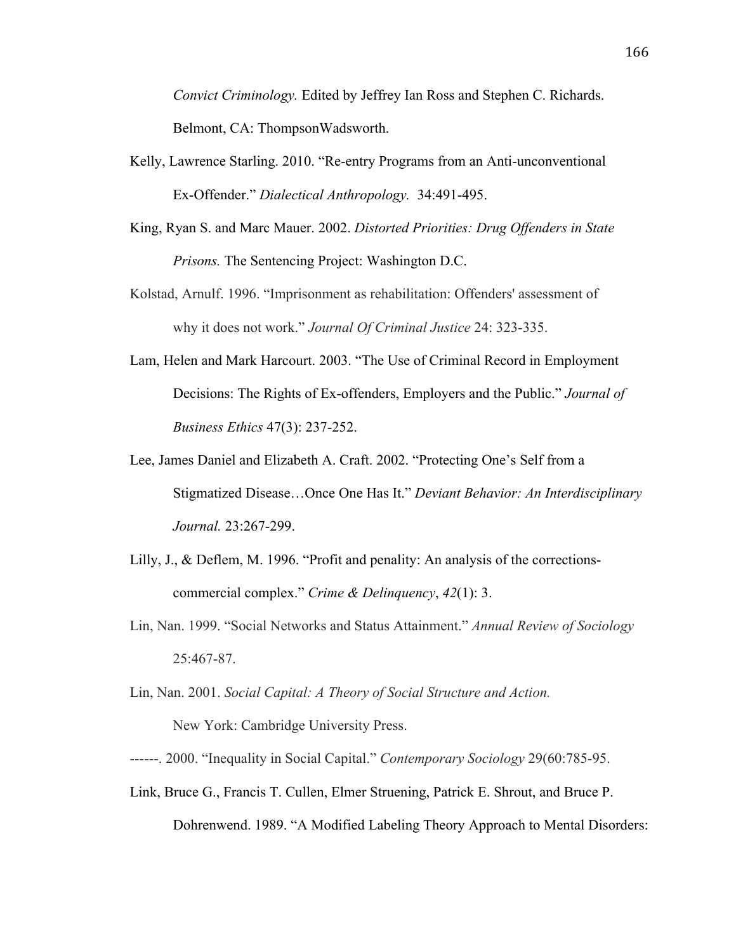*Convict Criminology.* Edited by Jeffrey Ian Ross and Stephen C. Richards. Belmont, CA: ThompsonWadsworth.

- Kelly, Lawrence Starling. 2010. "Re-entry Programs from an Anti-unconventional Ex-Offender." *Dialectical Anthropology.* 34:491-495.
- King, Ryan S. and Marc Mauer. 2002. *Distorted Priorities: Drug Offenders in State Prisons.* The Sentencing Project: Washington D.C.
- Kolstad, Arnulf. 1996. "Imprisonment as rehabilitation: Offenders' assessment of why it does not work." *Journal Of Criminal Justice* 24: 323-335.
- Lam, Helen and Mark Harcourt. 2003. "The Use of Criminal Record in Employment Decisions: The Rights of Ex-offenders, Employers and the Public." *Journal of Business Ethics* 47(3): 237-252.
- Lee, James Daniel and Elizabeth A. Craft. 2002. "Protecting One's Self from a Stigmatized Disease…Once One Has It." *Deviant Behavior: An Interdisciplinary Journal.* 23:267-299.
- Lilly, J., & Deflem, M. 1996. "Profit and penality: An analysis of the correctionscommercial complex." *Crime & Delinquency*, *42*(1): 3.
- Lin, Nan. 1999. "Social Networks and Status Attainment." *Annual Review of Sociology* 25:467-87.
- Lin, Nan. 2001. *Social Capital: A Theory of Social Structure and Action.*

New York: Cambridge University Press.

- ------. 2000. "Inequality in Social Capital." *Contemporary Sociology* 29(60:785-95.
- Link, Bruce G., Francis T. Cullen, Elmer Struening, Patrick E. Shrout, and Bruce P. Dohrenwend. 1989. "A Modified Labeling Theory Approach to Mental Disorders: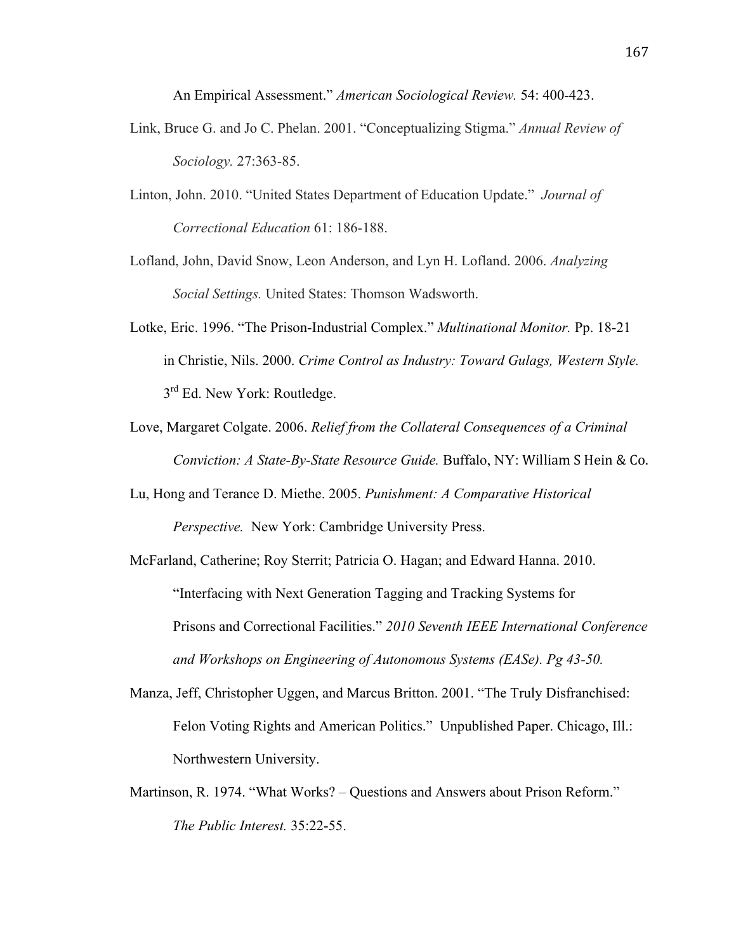An Empirical Assessment." *American Sociological Review.* 54: 400-423.

- Link, Bruce G. and Jo C. Phelan. 2001. "Conceptualizing Stigma." *Annual Review of Sociology.* 27:363-85.
- Linton, John. 2010. "United States Department of Education Update." *Journal of Correctional Education* 61: 186-188.
- Lofland, John, David Snow, Leon Anderson, and Lyn H. Lofland. 2006. *Analyzing Social Settings.* United States: Thomson Wadsworth.
- Lotke, Eric. 1996. "The Prison-Industrial Complex." *Multinational Monitor.* Pp. 18-21 in Christie, Nils. 2000. *Crime Control as Industry: Toward Gulags, Western Style.*   $3<sup>rd</sup>$  Ed. New York: Routledge.
- Love, Margaret Colgate. 2006. *Relief from the Collateral Consequences of a Criminal Conviction: A State-By-State Resource Guide.* Buffalo, NY: William S Hein & Co.
- Lu, Hong and Terance D. Miethe. 2005. *Punishment: A Comparative Historical Perspective.* New York: Cambridge University Press.
- McFarland, Catherine; Roy Sterrit; Patricia O. Hagan; and Edward Hanna. 2010. "Interfacing with Next Generation Tagging and Tracking Systems for Prisons and Correctional Facilities." *2010 Seventh IEEE International Conference and Workshops on Engineering of Autonomous Systems (EASe). Pg 43-50.*
- Manza, Jeff, Christopher Uggen, and Marcus Britton. 2001. "The Truly Disfranchised: Felon Voting Rights and American Politics." Unpublished Paper. Chicago, Ill.: Northwestern University.
- Martinson, R. 1974. "What Works? Questions and Answers about Prison Reform." *The Public Interest.* 35:22-55.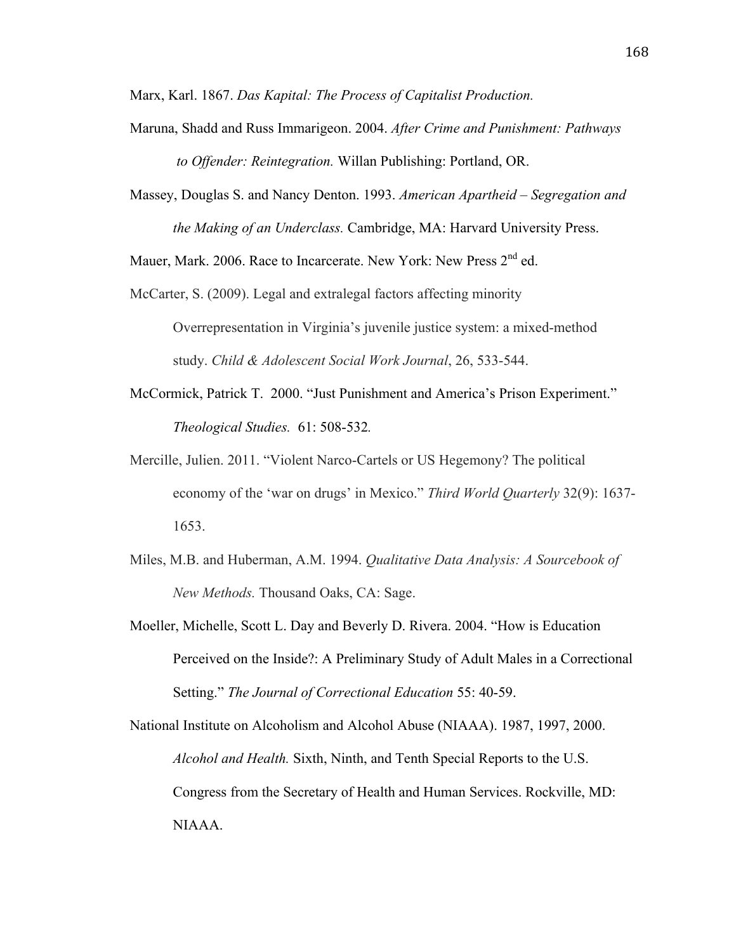Marx, Karl. 1867. *Das Kapital: The Process of Capitalist Production.*

- Maruna, Shadd and Russ Immarigeon. 2004. *After Crime and Punishment: Pathways to Offender: Reintegration.* Willan Publishing: Portland, OR.
- Massey, Douglas S. and Nancy Denton. 1993. *American Apartheid Segregation and the Making of an Underclass.* Cambridge, MA: Harvard University Press.

Mauer, Mark. 2006. Race to Incarcerate. New York: New Press 2<sup>nd</sup> ed.

- McCarter, S. (2009). Legal and extralegal factors affecting minority Overrepresentation in Virginia's juvenile justice system: a mixed-method study. *Child & Adolescent Social Work Journal*, 26, 533-544.
- McCormick, Patrick T. 2000. "Just Punishment and America's Prison Experiment." *Theological Studies.* 61: 508-532*.*
- Mercille, Julien. 2011. "Violent Narco-Cartels or US Hegemony? The political economy of the 'war on drugs' in Mexico." *Third World Quarterly* 32(9): 1637- 1653.
- Miles, M.B. and Huberman, A.M. 1994. *Qualitative Data Analysis: A Sourcebook of New Methods.* Thousand Oaks, CA: Sage.
- Moeller, Michelle, Scott L. Day and Beverly D. Rivera. 2004. "How is Education Perceived on the Inside?: A Preliminary Study of Adult Males in a Correctional Setting." *The Journal of Correctional Education* 55: 40-59.

National Institute on Alcoholism and Alcohol Abuse (NIAAA). 1987, 1997, 2000. *Alcohol and Health.* Sixth, Ninth, and Tenth Special Reports to the U.S. Congress from the Secretary of Health and Human Services. Rockville, MD: NIAAA.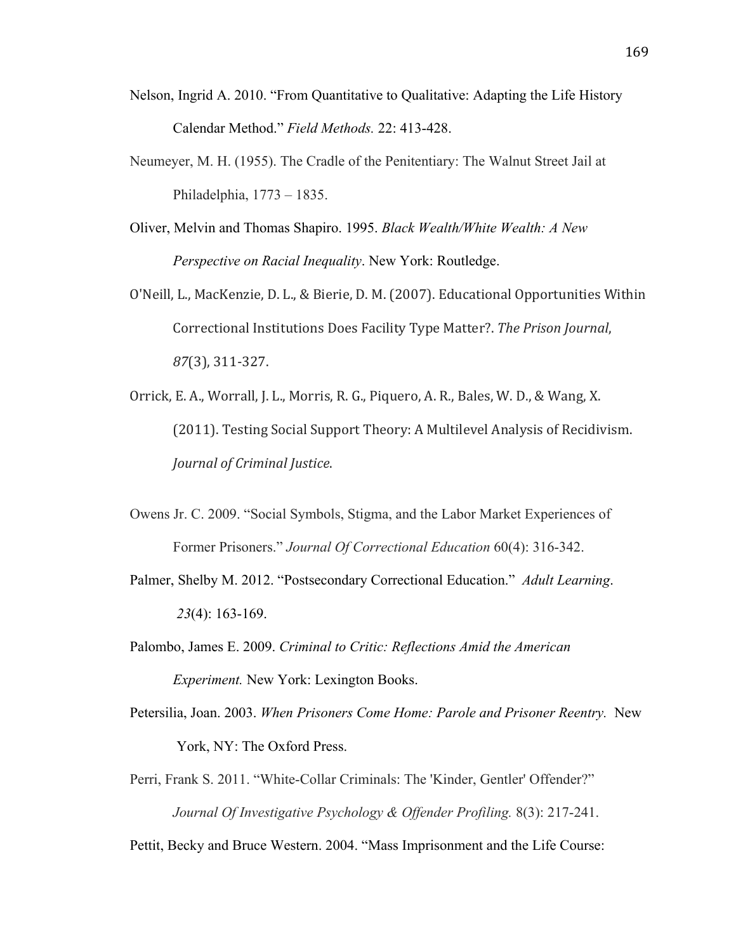- Nelson, Ingrid A. 2010. "From Quantitative to Qualitative: Adapting the Life History Calendar Method." *Field Methods.* 22: 413-428.
- Neumeyer, M. H. (1955). The Cradle of the Penitentiary: The Walnut Street Jail at Philadelphia, 1773 – 1835.
- Oliver, Melvin and Thomas Shapiro. 1995. *Black Wealth/White Wealth: A New Perspective on Racial Inequality*. New York: Routledge.
- O'Neill, L., MacKenzie, D. L., & Bierie, D. M. (2007). Educational Opportunities Within Correctional Institutions Does Facility Type Matter?. The Prison Journal, *87*(3), 311-327.
- Orrick, E. A., Worrall, J. L., Morris, R. G., Piquero, A. R., Bales, W. D., & Wang, X. (2011). Testing Social Support Theory: A Multilevel Analysis of Recidivism. *Journal of Criminal Justice.*
- Owens Jr. C. 2009. "Social Symbols, Stigma, and the Labor Market Experiences of Former Prisoners." *Journal Of Correctional Education* 60(4): 316-342.
- Palmer, Shelby M. 2012. "Postsecondary Correctional Education." *Adult Learning*.  *23*(4): 163-169.
- Palombo, James E. 2009. *Criminal to Critic: Reflections Amid the American Experiment.* New York: Lexington Books.
- Petersilia, Joan. 2003. *When Prisoners Come Home: Parole and Prisoner Reentry.* New York, NY: The Oxford Press.
- Perri, Frank S. 2011. "White-Collar Criminals: The 'Kinder, Gentler' Offender?" *Journal Of Investigative Psychology & Offender Profiling.* 8(3): 217-241.

Pettit, Becky and Bruce Western. 2004. "Mass Imprisonment and the Life Course: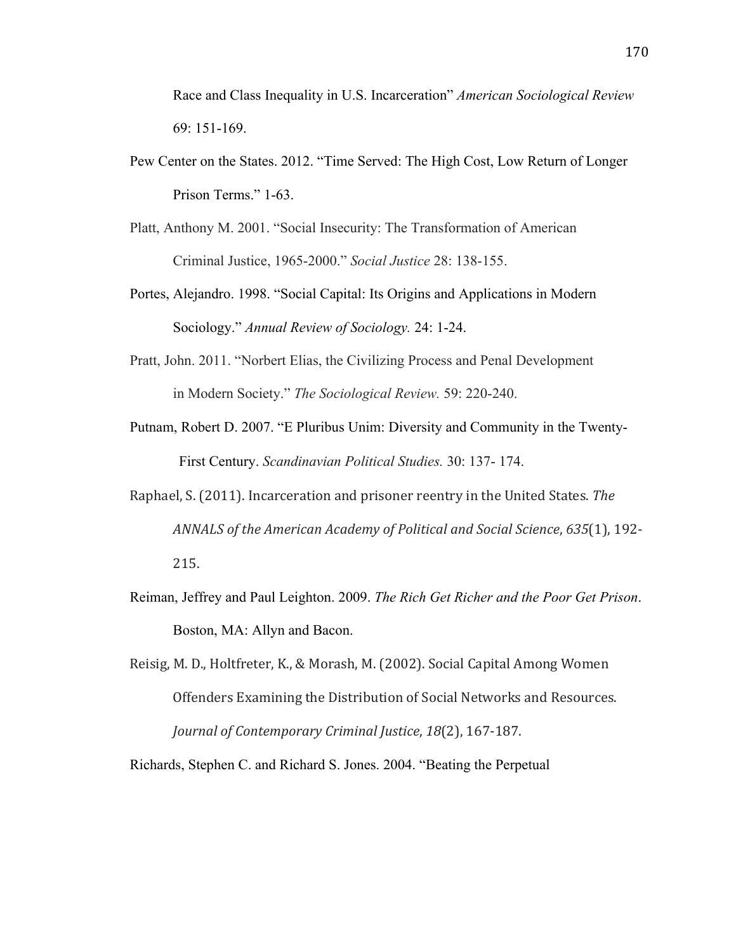Race and Class Inequality in U.S. Incarceration" *American Sociological Review*  69: 151-169.

- Pew Center on the States. 2012. "Time Served: The High Cost, Low Return of Longer Prison Terms." 1-63.
- Platt, Anthony M. 2001. "Social Insecurity: The Transformation of American Criminal Justice, 1965-2000." *Social Justice* 28: 138-155.
- Portes, Alejandro. 1998. "Social Capital: Its Origins and Applications in Modern Sociology." *Annual Review of Sociology.* 24: 1-24.
- Pratt, John. 2011. "Norbert Elias, the Civilizing Process and Penal Development in Modern Society." *The Sociological Review.* 59: 220-240.
- Putnam, Robert D. 2007. "E Pluribus Unim: Diversity and Community in the Twenty- First Century. *Scandinavian Political Studies.* 30: 137- 174.
- Raphael, S. (2011). Incarceration and prisoner reentry in the United States. The *ANNALS of the American Academy of Political and Social Science, 635(1), 192-*215.
- Reiman, Jeffrey and Paul Leighton. 2009. *The Rich Get Richer and the Poor Get Prison*. Boston, MA: Allyn and Bacon.
- Reisig, M. D., Holtfreter, K., & Morash, M. (2002). Social Capital Among Women Offenders Examining the Distribution of Social Networks and Resources. *Journal of Contemporary Criminal Justice, 18*(2), 167-187.

Richards, Stephen C. and Richard S. Jones. 2004. "Beating the Perpetual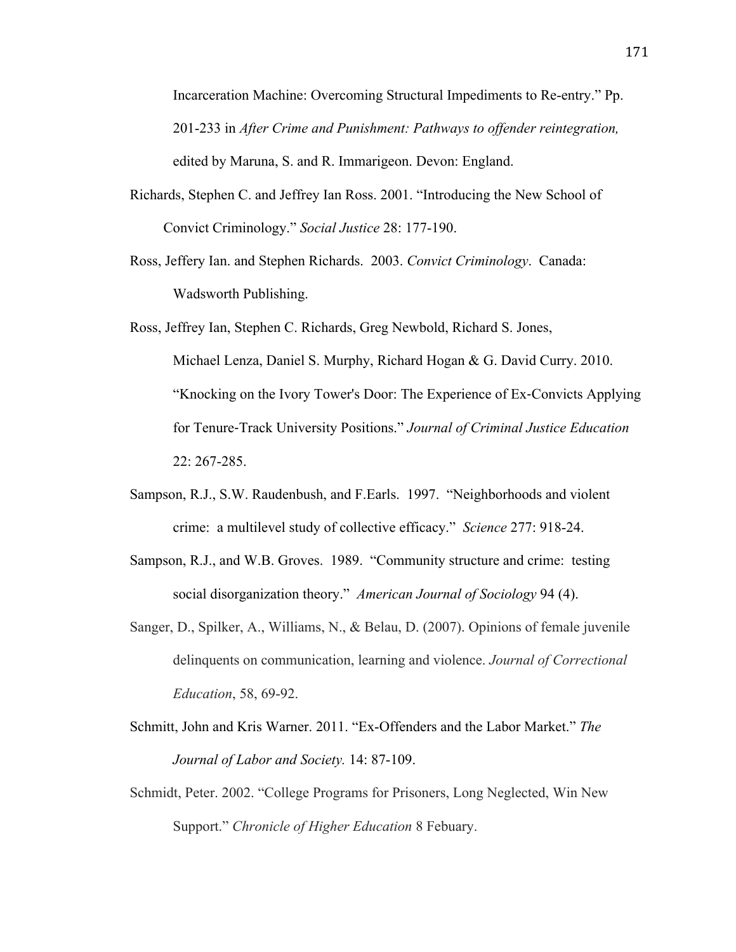Incarceration Machine: Overcoming Structural Impediments to Re-entry." Pp. 201-233 in *After Crime and Punishment: Pathways to offender reintegration,*  edited by Maruna, S. and R. Immarigeon. Devon: England.

- Richards, Stephen C. and Jeffrey Ian Ross. 2001. "Introducing the New School of Convict Criminology." *Social Justice* 28: 177-190.
- Ross, Jeffery Ian. and Stephen Richards. 2003. *Convict Criminology*. Canada: Wadsworth Publishing.
- Ross, Jeffrey Ian, Stephen C. Richards, Greg Newbold, Richard S. Jones, Michael Lenza, Daniel S. Murphy, Richard Hogan & G. David Curry. 2010. "Knocking on the Ivory Tower's Door: The Experience of Ex-Convicts Applying for Tenure-Track University Positions." *Journal of Criminal Justice Education* 22: 267-285.
- Sampson, R.J., S.W. Raudenbush, and F.Earls. 1997. "Neighborhoods and violent crime: a multilevel study of collective efficacy." *Science* 277: 918-24.
- Sampson, R.J., and W.B. Groves. 1989. "Community structure and crime: testing social disorganization theory." *American Journal of Sociology* 94 (4).
- Sanger, D., Spilker, A., Williams, N., & Belau, D. (2007). Opinions of female juvenile delinquents on communication, learning and violence. *Journal of Correctional Education*, 58, 69-92.
- Schmitt, John and Kris Warner. 2011. "Ex-Offenders and the Labor Market." *The Journal of Labor and Society.* 14: 87-109.
- Schmidt, Peter. 2002. "College Programs for Prisoners, Long Neglected, Win New Support." *Chronicle of Higher Education* 8 Febuary.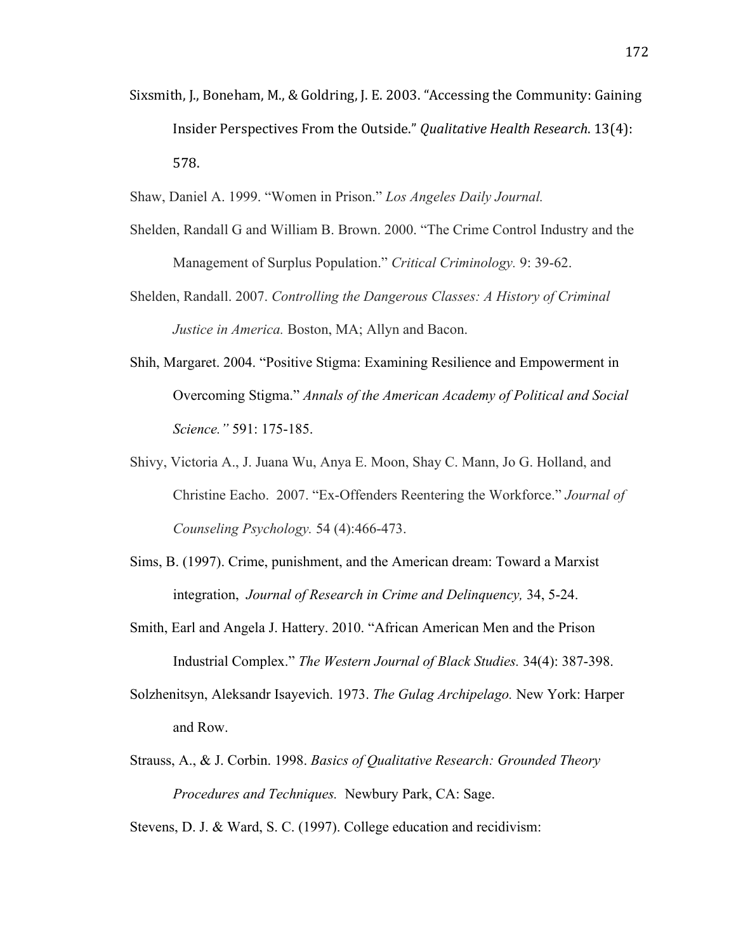- Sixsmith, J., Boneham, M., & Goldring, J. E. 2003. "Accessing the Community: Gaining Insider Perspectives From the Outside." *Qualitative Health Research*. 13(4): 578.
- Shaw, Daniel A. 1999. "Women in Prison." *Los Angeles Daily Journal.*
- Shelden, Randall G and William B. Brown. 2000. "The Crime Control Industry and the Management of Surplus Population." *Critical Criminology.* 9: 39-62.
- Shelden, Randall. 2007. *Controlling the Dangerous Classes: A History of Criminal Justice in America.* Boston, MA; Allyn and Bacon.
- Shih, Margaret. 2004. "Positive Stigma: Examining Resilience and Empowerment in Overcoming Stigma." *Annals of the American Academy of Political and Social Science."* 591: 175-185.
- Shivy, Victoria A., J. Juana Wu, Anya E. Moon, Shay C. Mann, Jo G. Holland, and Christine Eacho. 2007. "Ex-Offenders Reentering the Workforce." *Journal of Counseling Psychology.* 54 (4):466-473.
- Sims, B. (1997). Crime, punishment, and the American dream: Toward a Marxist integration, *Journal of Research in Crime and Delinquency,* 34, 5-24.
- Smith, Earl and Angela J. Hattery. 2010. "African American Men and the Prison Industrial Complex." *The Western Journal of Black Studies.* 34(4): 387-398.
- Solzhenitsyn, Aleksandr Isayevich. 1973. *The Gulag Archipelago.* New York: Harper and Row.
- Strauss, A., & J. Corbin. 1998. *Basics of Qualitative Research: Grounded Theory Procedures and Techniques.* Newbury Park, CA: Sage.

Stevens, D. J. & Ward, S. C. (1997). College education and recidivism: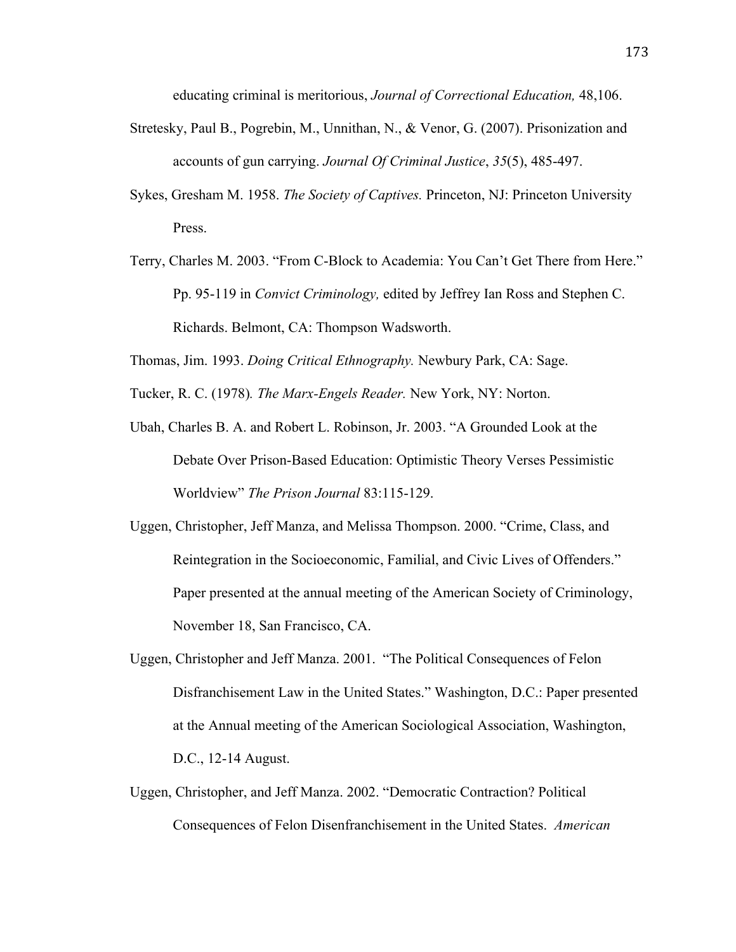educating criminal is meritorious, *Journal of Correctional Education,* 48,106.

- Stretesky, Paul B., Pogrebin, M., Unnithan, N., & Venor, G. (2007). Prisonization and accounts of gun carrying. *Journal Of Criminal Justice*, *35*(5), 485-497.
- Sykes, Gresham M. 1958. *The Society of Captives.* Princeton, NJ: Princeton University Press.
- Terry, Charles M. 2003. "From C-Block to Academia: You Can't Get There from Here." Pp. 95-119 in *Convict Criminology,* edited by Jeffrey Ian Ross and Stephen C. Richards. Belmont, CA: Thompson Wadsworth.
- Thomas, Jim. 1993. *Doing Critical Ethnography.* Newbury Park, CA: Sage.
- Tucker, R. C. (1978)*. The Marx-Engels Reader.* New York, NY: Norton.
- Ubah, Charles B. A. and Robert L. Robinson, Jr. 2003. "A Grounded Look at the Debate Over Prison-Based Education: Optimistic Theory Verses Pessimistic Worldview" *The Prison Journal* 83:115-129.
- Uggen, Christopher, Jeff Manza, and Melissa Thompson. 2000. "Crime, Class, and Reintegration in the Socioeconomic, Familial, and Civic Lives of Offenders." Paper presented at the annual meeting of the American Society of Criminology, November 18, San Francisco, CA.
- Uggen, Christopher and Jeff Manza. 2001. "The Political Consequences of Felon Disfranchisement Law in the United States." Washington, D.C.: Paper presented at the Annual meeting of the American Sociological Association, Washington, D.C., 12-14 August.
- Uggen, Christopher, and Jeff Manza. 2002. "Democratic Contraction? Political Consequences of Felon Disenfranchisement in the United States. *American*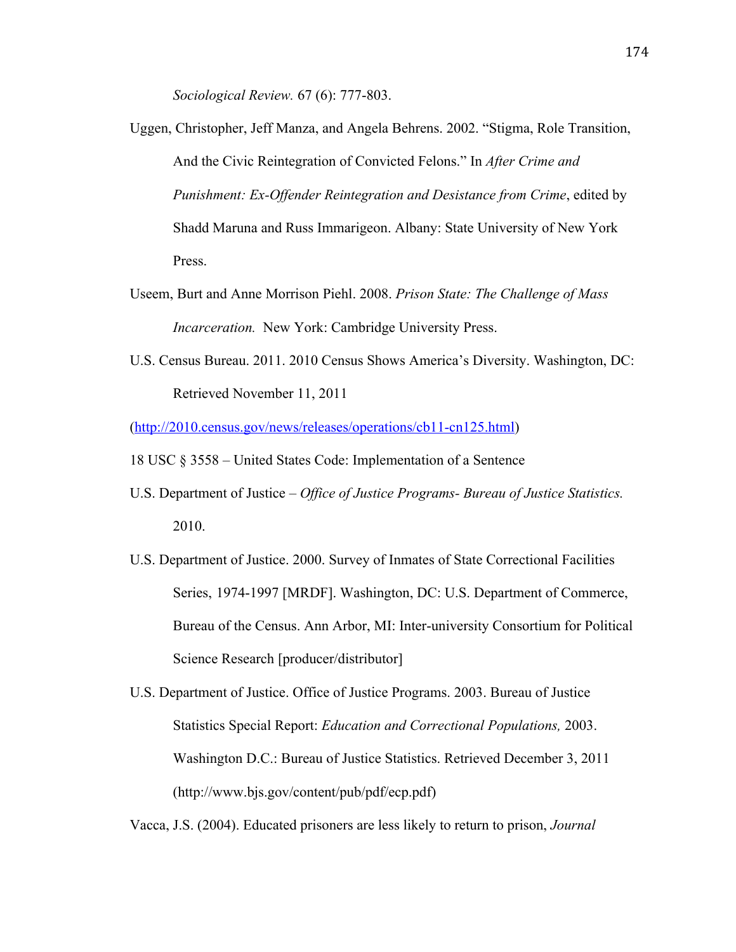*Sociological Review.* 67 (6): 777-803.

- Uggen, Christopher, Jeff Manza, and Angela Behrens. 2002. "Stigma, Role Transition, And the Civic Reintegration of Convicted Felons." In *After Crime and Punishment: Ex-Offender Reintegration and Desistance from Crime*, edited by Shadd Maruna and Russ Immarigeon. Albany: State University of New York Press.
- Useem, Burt and Anne Morrison Piehl. 2008. *Prison State: The Challenge of Mass Incarceration.* New York: Cambridge University Press.
- U.S. Census Bureau. 2011. 2010 Census Shows America's Diversity. Washington, DC: Retrieved November 11, 2011

(http://2010.census.gov/news/releases/operations/cb11-cn125.html)

- 18 USC § 3558 United States Code: Implementation of a Sentence
- U.S. Department of Justice  *Office of Justice Programs- Bureau of Justice Statistics.* 2010.
- U.S. Department of Justice. 2000. Survey of Inmates of State Correctional Facilities Series, 1974-1997 [MRDF]. Washington, DC: U.S. Department of Commerce, Bureau of the Census. Ann Arbor, MI: Inter-university Consortium for Political Science Research [producer/distributor]

U.S. Department of Justice. Office of Justice Programs. 2003. Bureau of Justice Statistics Special Report: *Education and Correctional Populations,* 2003. Washington D.C.: Bureau of Justice Statistics. Retrieved December 3, 2011 (http://www.bjs.gov/content/pub/pdf/ecp.pdf)

Vacca, J.S. (2004). Educated prisoners are less likely to return to prison, *Journal*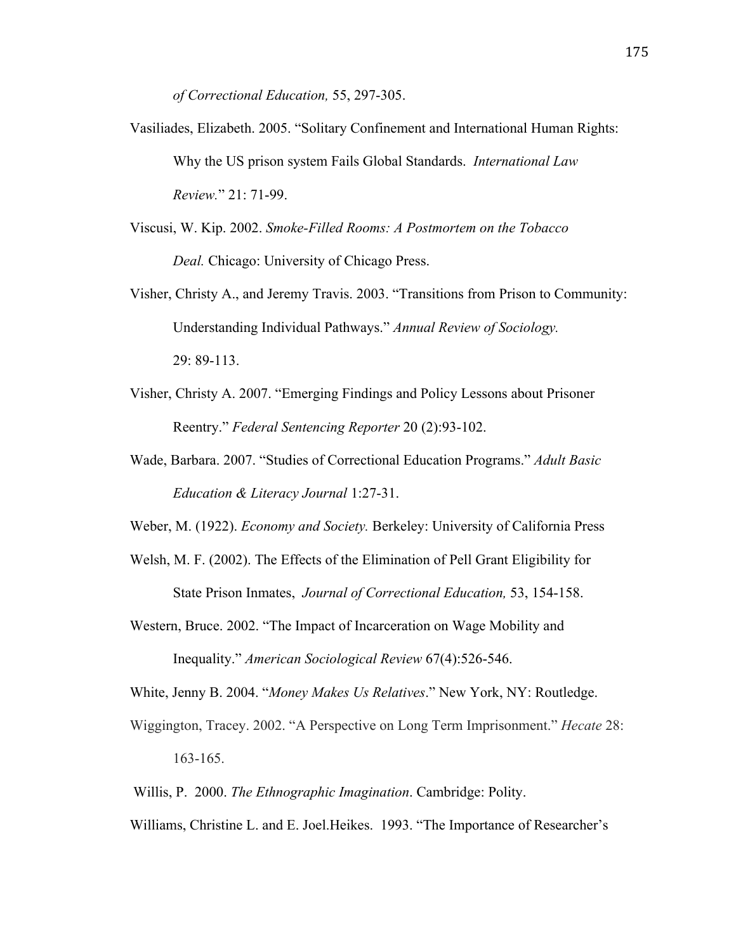*of Correctional Education,* 55, 297-305.

- Vasiliades, Elizabeth. 2005. "Solitary Confinement and International Human Rights: Why the US prison system Fails Global Standards. *International Law Review.*" 21: 71-99.
- Viscusi, W. Kip. 2002. *Smoke-Filled Rooms: A Postmortem on the Tobacco Deal.* Chicago: University of Chicago Press.
- Visher, Christy A., and Jeremy Travis. 2003. "Transitions from Prison to Community: Understanding Individual Pathways." *Annual Review of Sociology.*  29: 89-113.
- Visher, Christy A. 2007. "Emerging Findings and Policy Lessons about Prisoner Reentry." *Federal Sentencing Reporter* 20 (2):93-102.
- Wade, Barbara. 2007. "Studies of Correctional Education Programs." *Adult Basic Education & Literacy Journal* 1:27-31.

Weber, M. (1922). *Economy and Society.* Berkeley: University of California Press

- Welsh, M. F. (2002). The Effects of the Elimination of Pell Grant Eligibility for State Prison Inmates, *Journal of Correctional Education,* 53, 154-158.
- Western, Bruce. 2002. "The Impact of Incarceration on Wage Mobility and Inequality." *American Sociological Review* 67(4):526-546.

White, Jenny B. 2004. "*Money Makes Us Relatives*." New York, NY: Routledge.

- Wiggington, Tracey. 2002. "A Perspective on Long Term Imprisonment." *Hecate* 28: 163-165.
- Willis, P. 2000. *The Ethnographic Imagination*. Cambridge: Polity.
- Williams, Christine L. and E. Joel.Heikes. 1993. "The Importance of Researcher's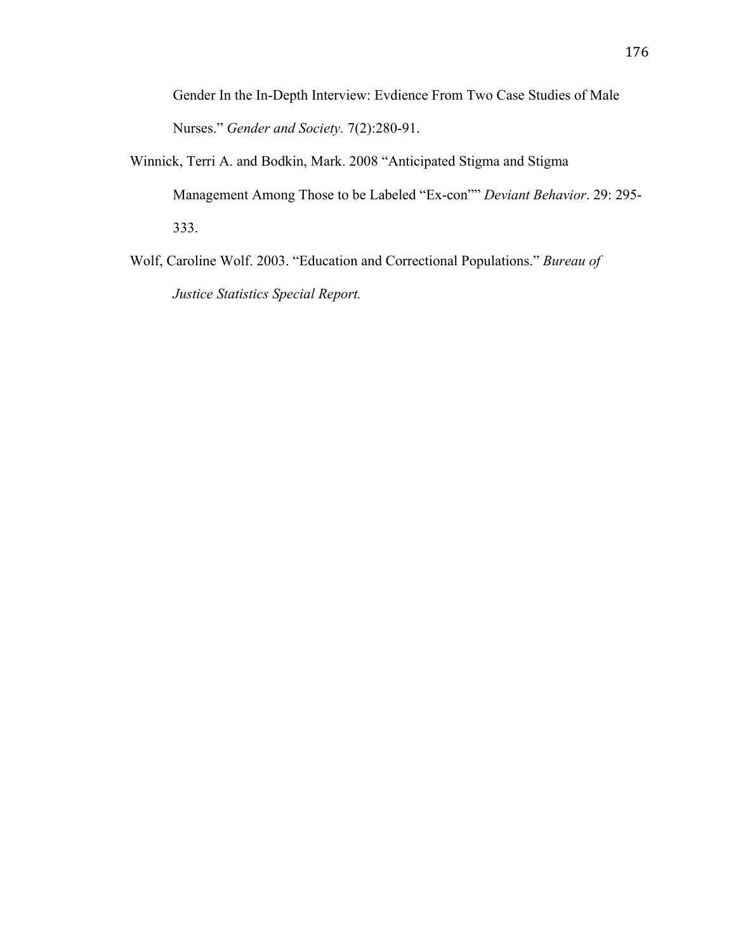Gender In the In-Depth Interview: Evdience From Two Case Studies of Male Nurses." *Gender and Society.* 7(2):280-91.

- Winnick, Terri A. and Bodkin, Mark. 2008 "Anticipated Stigma and Stigma Management Among Those to be Labeled "Ex-con"" *Deviant Behavior*. 29: 295- 333.
- Wolf, Caroline Wolf. 2003. "Education and Correctional Populations." *Bureau of Justice Statistics Special Report.*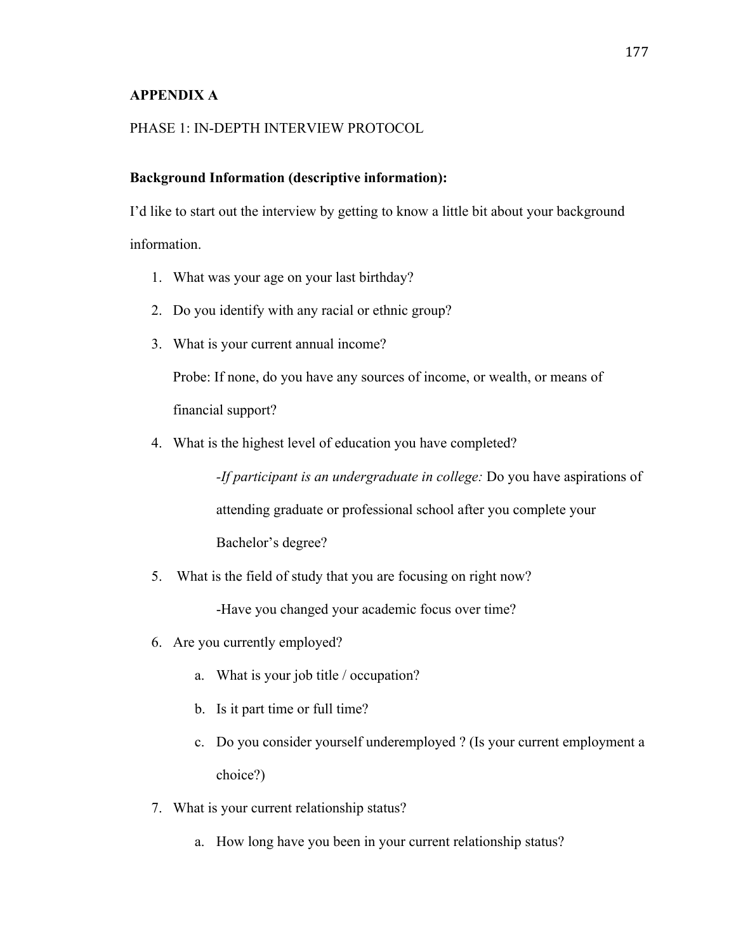### **APPENDIX A**

# PHASE 1: IN-DEPTH INTERVIEW PROTOCOL

### **Background Information (descriptive information):**

I'd like to start out the interview by getting to know a little bit about your background information.

- 1. What was your age on your last birthday?
- 2. Do you identify with any racial or ethnic group?
- 3. What is your current annual income?

Probe: If none, do you have any sources of income, or wealth, or means of financial support?

4. What is the highest level of education you have completed?

*-If participant is an undergraduate in college:* Do you have aspirations of attending graduate or professional school after you complete your Bachelor's degree?

5. What is the field of study that you are focusing on right now?

-Have you changed your academic focus over time?

- 6. Are you currently employed?
	- a. What is your job title / occupation?
	- b. Is it part time or full time?
	- c. Do you consider yourself underemployed ? (Is your current employment a choice?)
- 7. What is your current relationship status?
	- a. How long have you been in your current relationship status?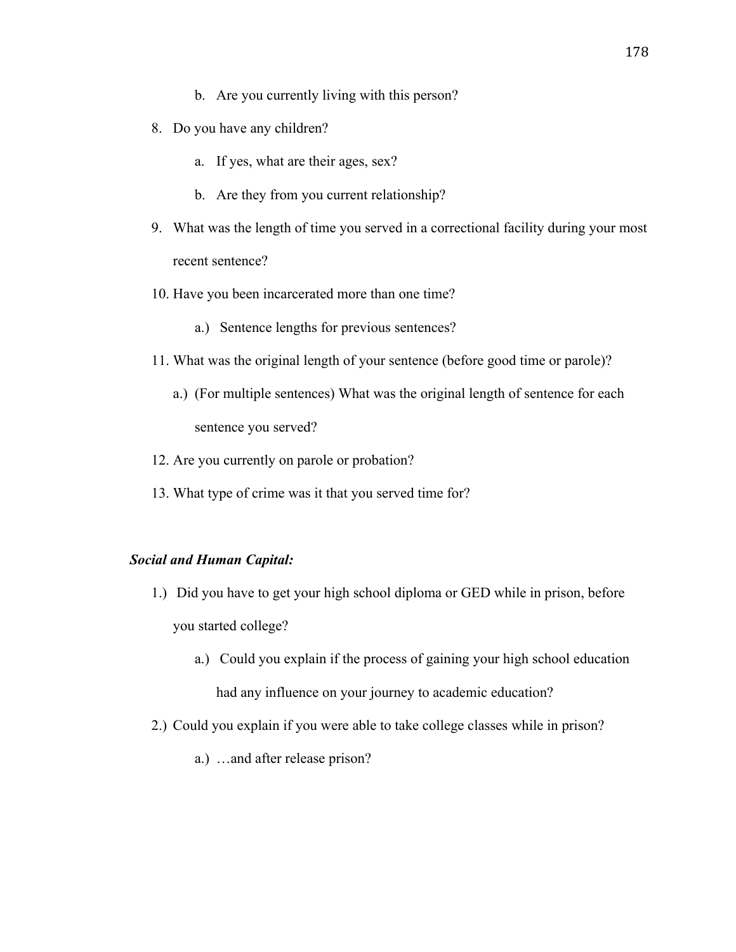- b. Are you currently living with this person?
- 8. Do you have any children?
	- a. If yes, what are their ages, sex?
	- b. Are they from you current relationship?
- 9. What was the length of time you served in a correctional facility during your most recent sentence?
- 10. Have you been incarcerated more than one time?
	- a.) Sentence lengths for previous sentences?
- 11. What was the original length of your sentence (before good time or parole)?
	- a.) (For multiple sentences) What was the original length of sentence for each sentence you served?
- 12. Are you currently on parole or probation?
- 13. What type of crime was it that you served time for?

#### *Social and Human Capital:*

- 1.) Did you have to get your high school diploma or GED while in prison, before you started college?
	- a.) Could you explain if the process of gaining your high school education had any influence on your journey to academic education?
- 2.) Could you explain if you were able to take college classes while in prison?
	- a.) …and after release prison?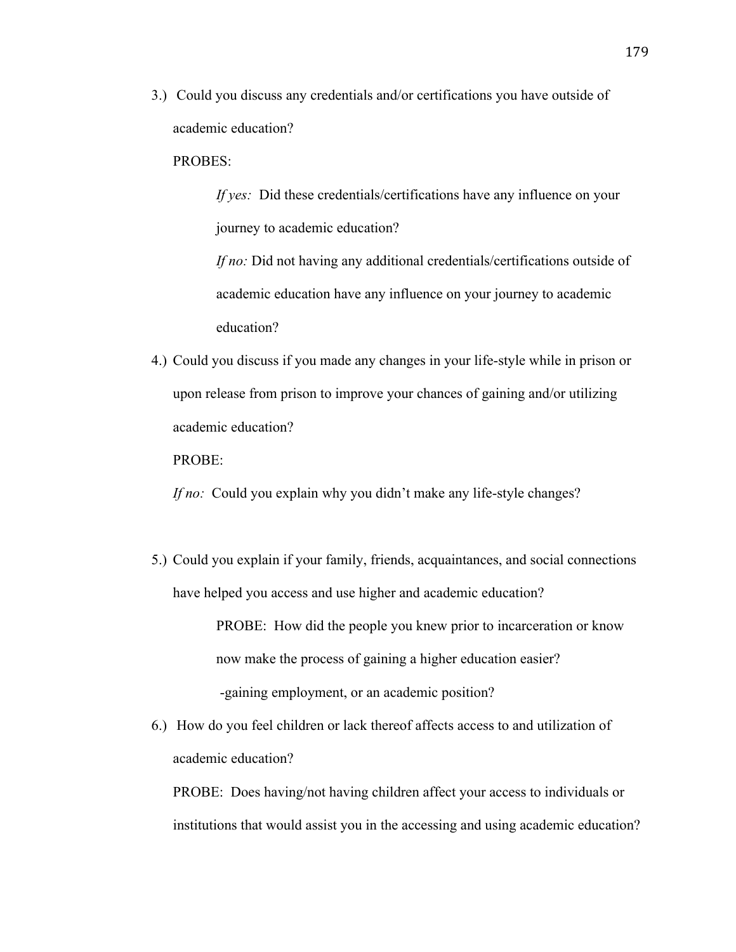3.) Could you discuss any credentials and/or certifications you have outside of academic education?

#### PROBES:

*If yes:* Did these credentials/certifications have any influence on your journey to academic education?

*If no:* Did not having any additional credentials/certifications outside of academic education have any influence on your journey to academic education?

4.) Could you discuss if you made any changes in your life-style while in prison or upon release from prison to improve your chances of gaining and/or utilizing academic education?

PROBE:

*If no:* Could you explain why you didn't make any life-style changes?

5.) Could you explain if your family, friends, acquaintances, and social connections have helped you access and use higher and academic education?

> PROBE: How did the people you knew prior to incarceration or know now make the process of gaining a higher education easier? -gaining employment, or an academic position?

6.) How do you feel children or lack thereof affects access to and utilization of academic education?

PROBE: Does having/not having children affect your access to individuals or institutions that would assist you in the accessing and using academic education?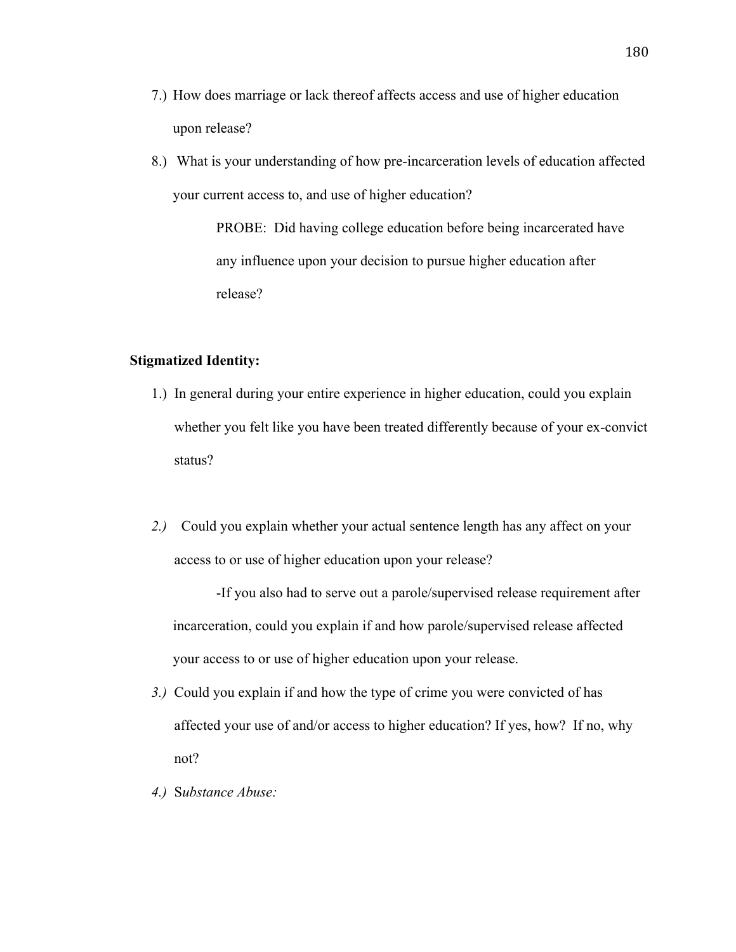- 7.) How does marriage or lack thereof affects access and use of higher education upon release?
- 8.) What is your understanding of how pre-incarceration levels of education affected your current access to, and use of higher education?

PROBE: Did having college education before being incarcerated have any influence upon your decision to pursue higher education after release?

#### **Stigmatized Identity:**

- 1.) In general during your entire experience in higher education, could you explain whether you felt like you have been treated differently because of your ex-convict status?
- *2.)* Could you explain whether your actual sentence length has any affect on your access to or use of higher education upon your release?

-If you also had to serve out a parole/supervised release requirement after incarceration, could you explain if and how parole/supervised release affected your access to or use of higher education upon your release.

- *3.)* Could you explain if and how the type of crime you were convicted of has affected your use of and/or access to higher education? If yes, how? If no, why not?
- *4.)* S*ubstance Abuse:*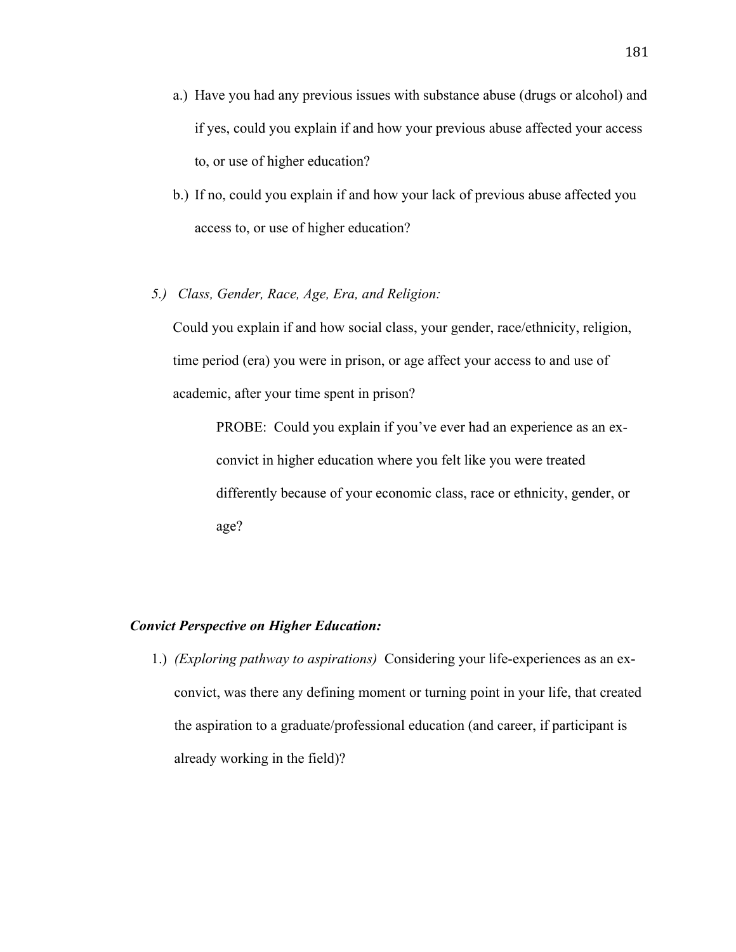- a.) Have you had any previous issues with substance abuse (drugs or alcohol) and if yes, could you explain if and how your previous abuse affected your access to, or use of higher education?
- b.) If no, could you explain if and how your lack of previous abuse affected you access to, or use of higher education?
- *5.) Class, Gender, Race, Age, Era, and Religion:*

Could you explain if and how social class, your gender, race/ethnicity, religion, time period (era) you were in prison, or age affect your access to and use of academic, after your time spent in prison?

PROBE: Could you explain if you've ever had an experience as an exconvict in higher education where you felt like you were treated differently because of your economic class, race or ethnicity, gender, or age?

#### *Convict Perspective on Higher Education:*

1.) *(Exploring pathway to aspirations)* Considering your life-experiences as an exconvict, was there any defining moment or turning point in your life, that created the aspiration to a graduate/professional education (and career, if participant is already working in the field)?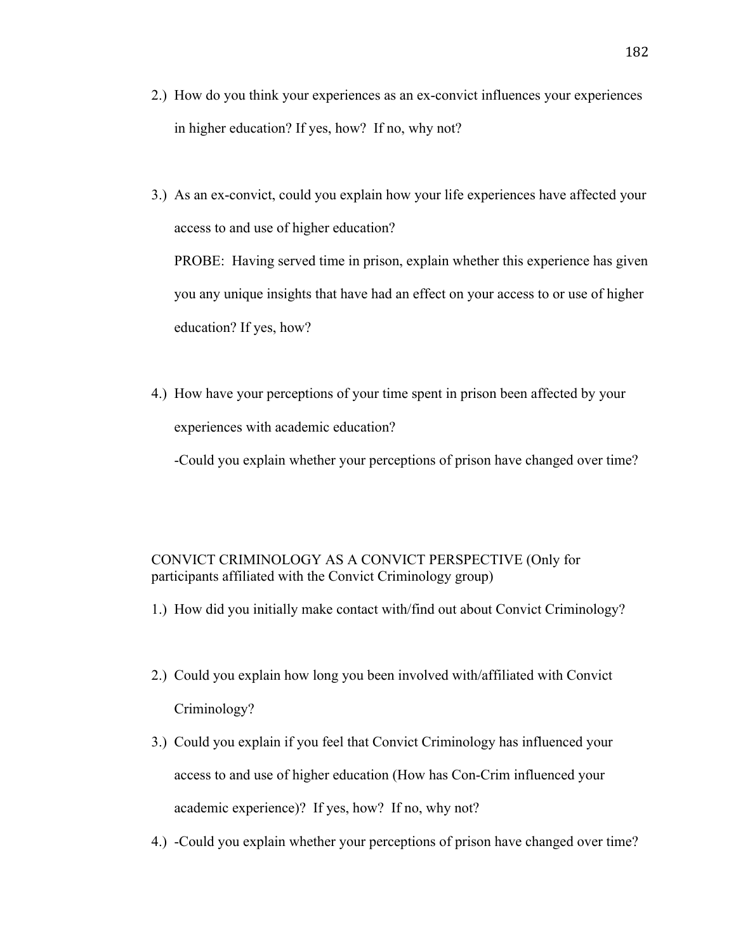- 2.) How do you think your experiences as an ex-convict influences your experiences in higher education? If yes, how? If no, why not?
- 3.) As an ex-convict, could you explain how your life experiences have affected your access to and use of higher education? PROBE: Having served time in prison, explain whether this experience has given you any unique insights that have had an effect on your access to or use of higher education? If yes, how?
- 4.) How have your perceptions of your time spent in prison been affected by your experiences with academic education?

-Could you explain whether your perceptions of prison have changed over time?

# CONVICT CRIMINOLOGY AS A CONVICT PERSPECTIVE (Only for participants affiliated with the Convict Criminology group)

- 1.) How did you initially make contact with/find out about Convict Criminology?
- 2.) Could you explain how long you been involved with/affiliated with Convict Criminology?
- 3.) Could you explain if you feel that Convict Criminology has influenced your access to and use of higher education (How has Con-Crim influenced your academic experience)? If yes, how? If no, why not?
- 4.) -Could you explain whether your perceptions of prison have changed over time?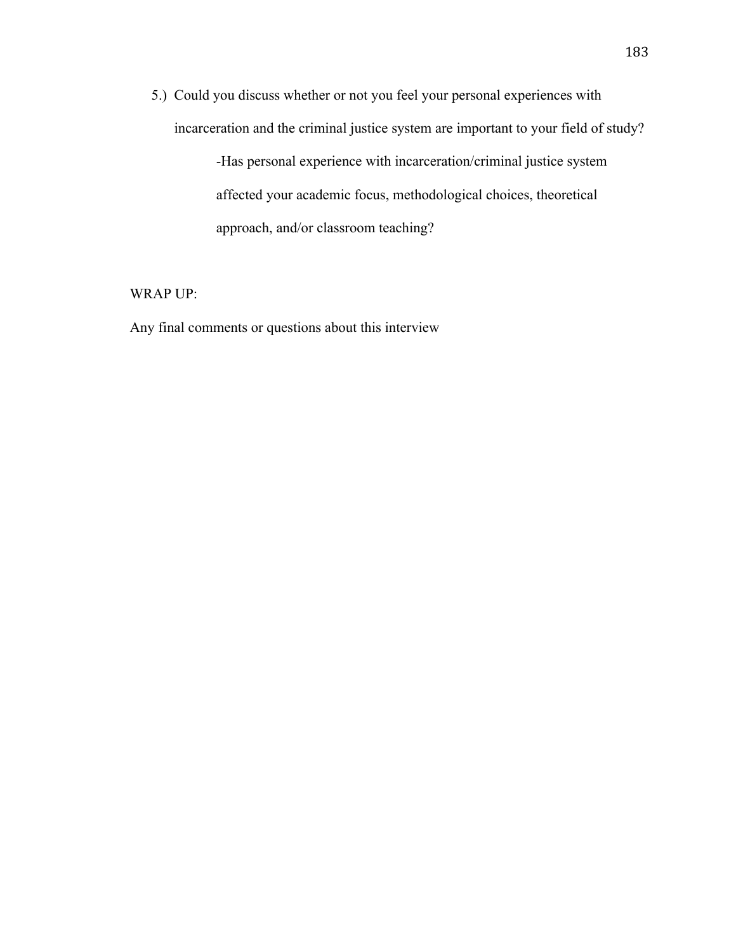5.) Could you discuss whether or not you feel your personal experiences with incarceration and the criminal justice system are important to your field of study?

> -Has personal experience with incarceration/criminal justice system affected your academic focus, methodological choices, theoretical approach, and/or classroom teaching?

WRAP UP:

Any final comments or questions about this interview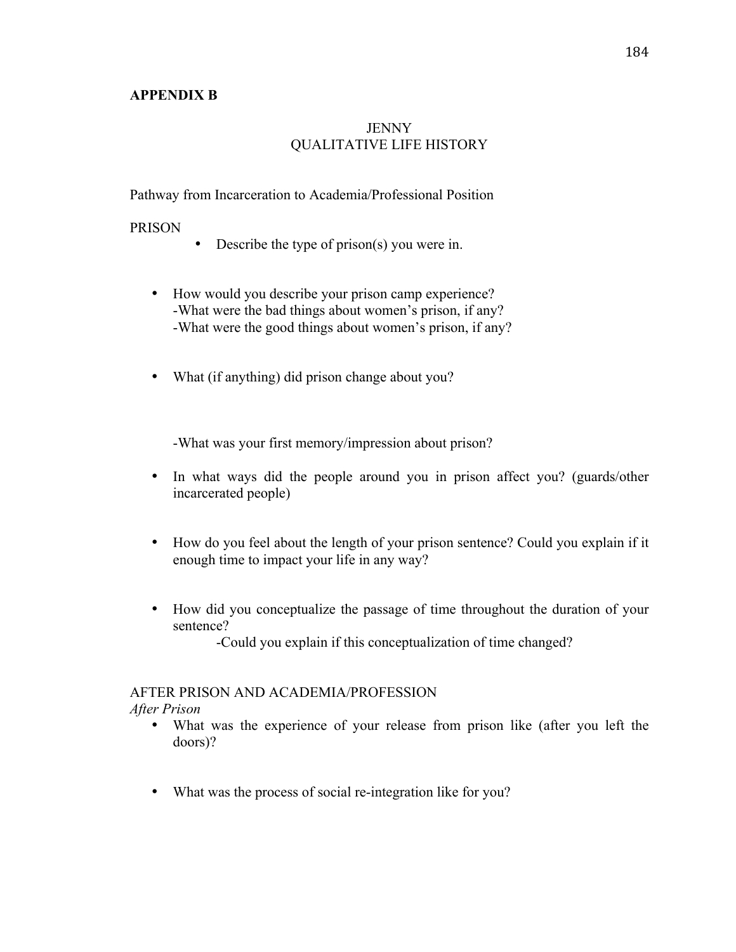#### **APPENDIX B**

# **JENNY** QUALITATIVE LIFE HISTORY

Pathway from Incarceration to Academia/Professional Position

#### PRISON

- Describe the type of prison(s) you were in.
- How would you describe your prison camp experience? -What were the bad things about women's prison, if any? -What were the good things about women's prison, if any?
- What (if anything) did prison change about you?

-What was your first memory/impression about prison?

- In what ways did the people around you in prison affect you? (guards/other incarcerated people)
- How do you feel about the length of your prison sentence? Could you explain if it enough time to impact your life in any way?
- How did you conceptualize the passage of time throughout the duration of your sentence?

-Could you explain if this conceptualization of time changed?

# AFTER PRISON AND ACADEMIA/PROFESSION

*After Prison*

- What was the experience of your release from prison like (after you left the doors)?
- What was the process of social re-integration like for you?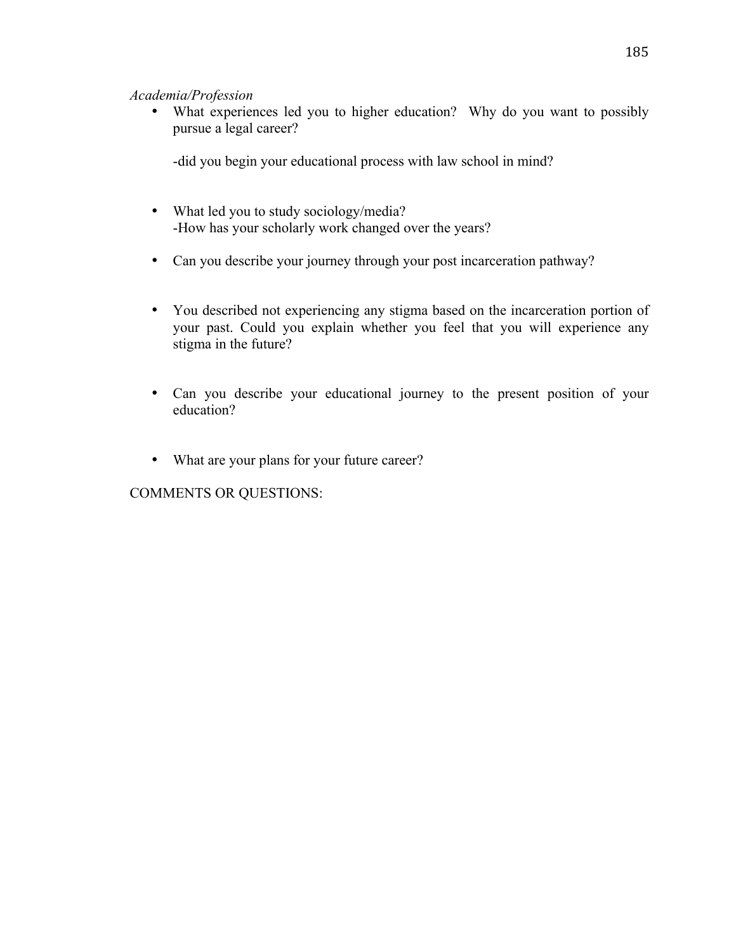# *Academia/Profession*

• What experiences led you to higher education? Why do you want to possibly pursue a legal career?

-did you begin your educational process with law school in mind?

- What led you to study sociology/media? -How has your scholarly work changed over the years?
- Can you describe your journey through your post incarceration pathway?
- You described not experiencing any stigma based on the incarceration portion of your past. Could you explain whether you feel that you will experience any stigma in the future?
- Can you describe your educational journey to the present position of your education?
- What are your plans for your future career?

COMMENTS OR QUESTIONS: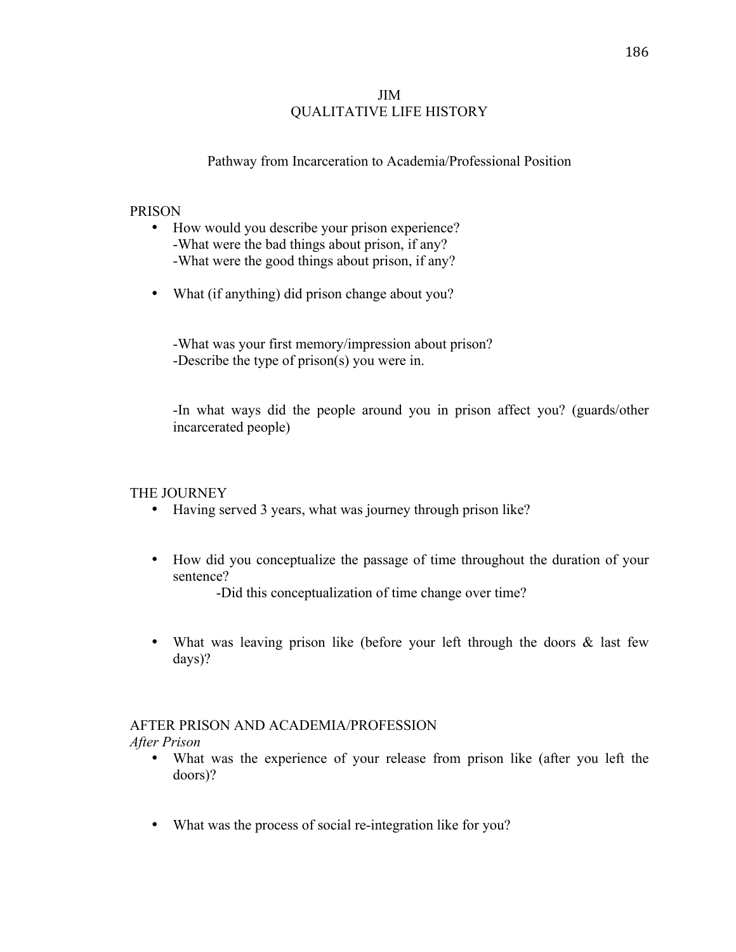### JIM QUALITATIVE LIFE HISTORY

# Pathway from Incarceration to Academia/Professional Position

#### PRISON

- How would you describe your prison experience? -What were the bad things about prison, if any? -What were the good things about prison, if any?
- What (if anything) did prison change about you?

-What was your first memory/impression about prison? -Describe the type of prison(s) you were in.

-In what ways did the people around you in prison affect you? (guards/other incarcerated people)

#### THE JOURNEY

- Having served 3 years, what was journey through prison like?
- How did you conceptualize the passage of time throughout the duration of your sentence?

-Did this conceptualization of time change over time?

• What was leaving prison like (before your left through the doors & last few days)?

# AFTER PRISON AND ACADEMIA/PROFESSION

*After Prison*

- What was the experience of your release from prison like (after you left the doors)?
- What was the process of social re-integration like for you?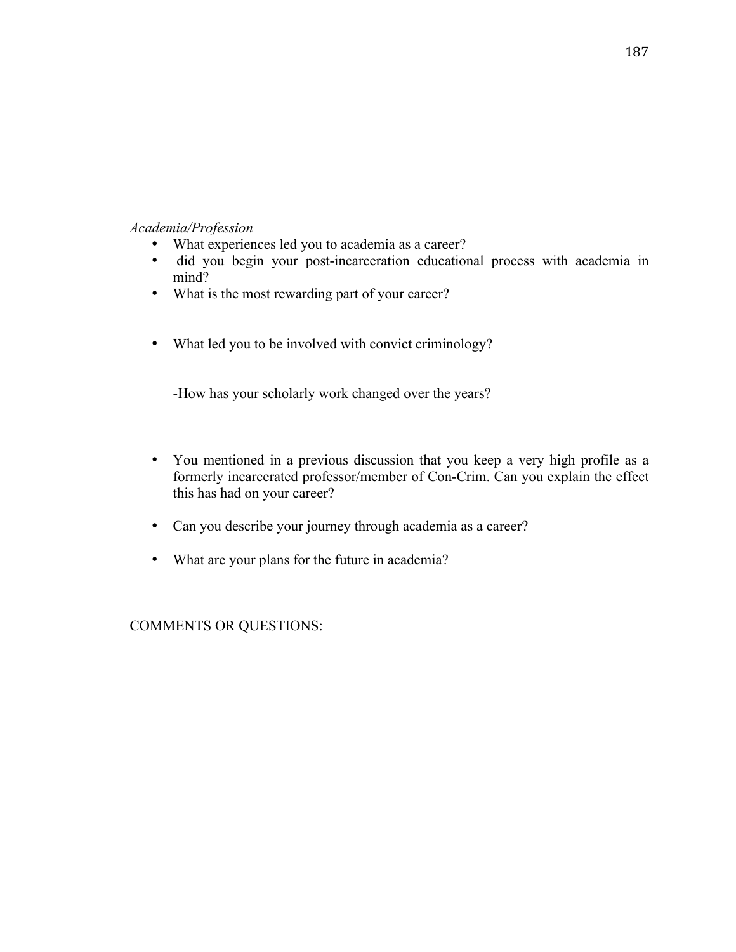### *Academia/Profession*

- What experiences led you to academia as a career?
- did you begin your post-incarceration educational process with academia in mind?
- What is the most rewarding part of your career?
- What led you to be involved with convict criminology?

-How has your scholarly work changed over the years?

- You mentioned in a previous discussion that you keep a very high profile as a formerly incarcerated professor/member of Con-Crim. Can you explain the effect this has had on your career?
- Can you describe your journey through academia as a career?
- What are your plans for the future in academia?

COMMENTS OR QUESTIONS: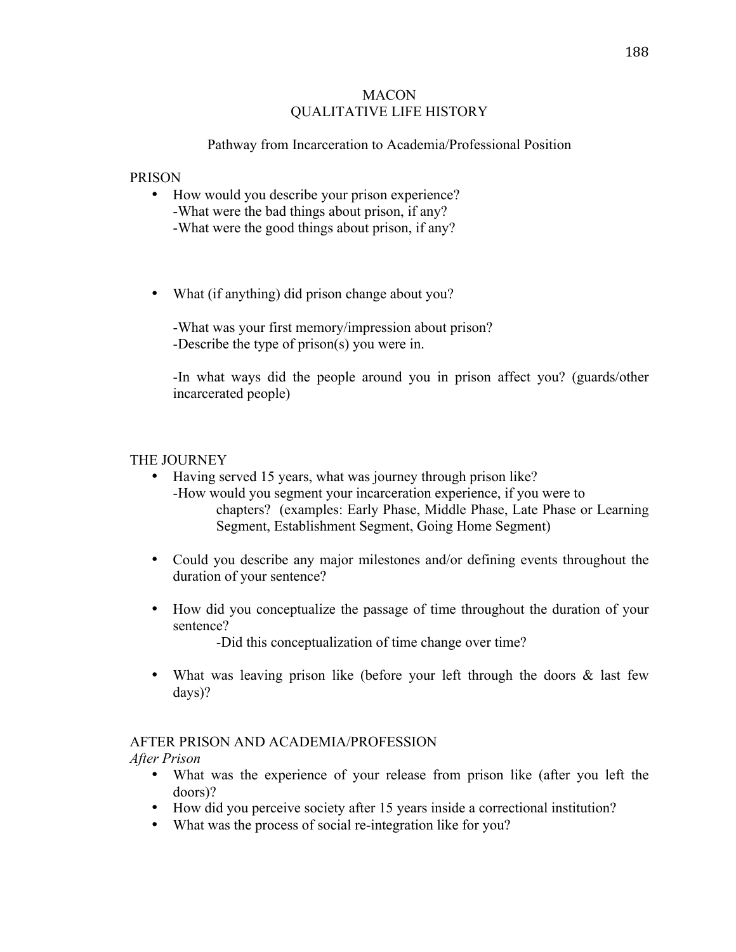#### MACON QUALITATIVE LIFE HISTORY

### Pathway from Incarceration to Academia/Professional Position

#### PRISON

- How would you describe your prison experience? -What were the bad things about prison, if any? -What were the good things about prison, if any?
- What (if anything) did prison change about you?

-What was your first memory/impression about prison? -Describe the type of prison(s) you were in.

-In what ways did the people around you in prison affect you? (guards/other incarcerated people)

# THE JOURNEY

- Having served 15 years, what was journey through prison like? -How would you segment your incarceration experience, if you were to chapters? (examples: Early Phase, Middle Phase, Late Phase or Learning Segment, Establishment Segment, Going Home Segment)
- Could you describe any major milestones and/or defining events throughout the duration of your sentence?
- How did you conceptualize the passage of time throughout the duration of your sentence?

-Did this conceptualization of time change over time?

• What was leaving prison like (before your left through the doors & last few days)?

#### AFTER PRISON AND ACADEMIA/PROFESSION

*After Prison*

- What was the experience of your release from prison like (after you left the doors)?
- How did you perceive society after 15 years inside a correctional institution?
- What was the process of social re-integration like for you?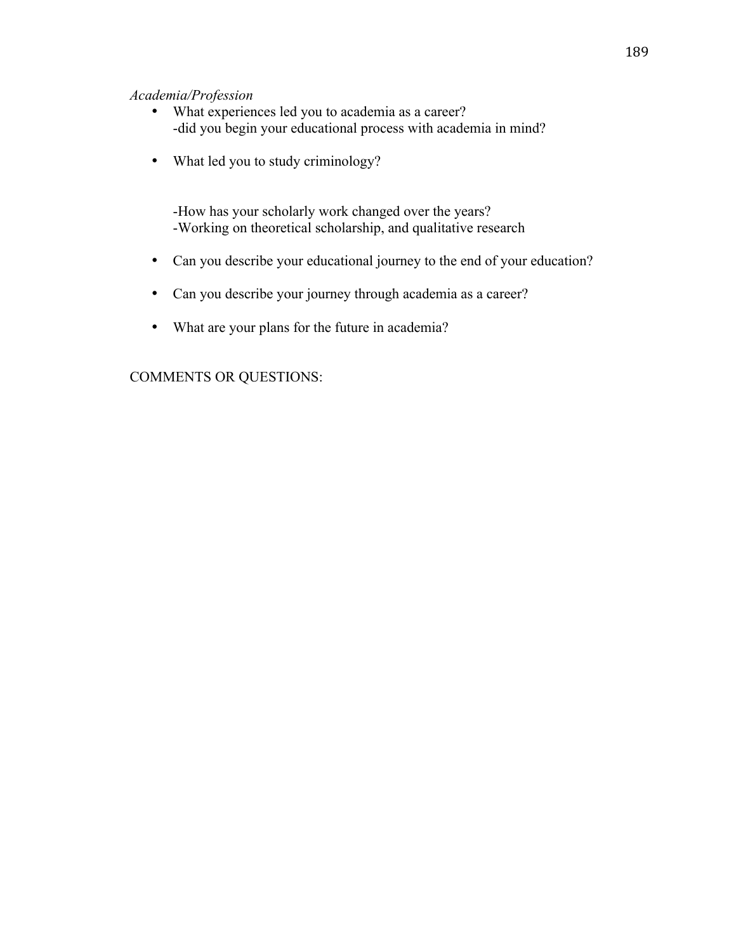#### *Academia/Profession*

- What experiences led you to academia as a career? -did you begin your educational process with academia in mind?
- What led you to study criminology?

-How has your scholarly work changed over the years? -Working on theoretical scholarship, and qualitative research

- Can you describe your educational journey to the end of your education?
- Can you describe your journey through academia as a career?
- What are your plans for the future in academia?

COMMENTS OR QUESTIONS: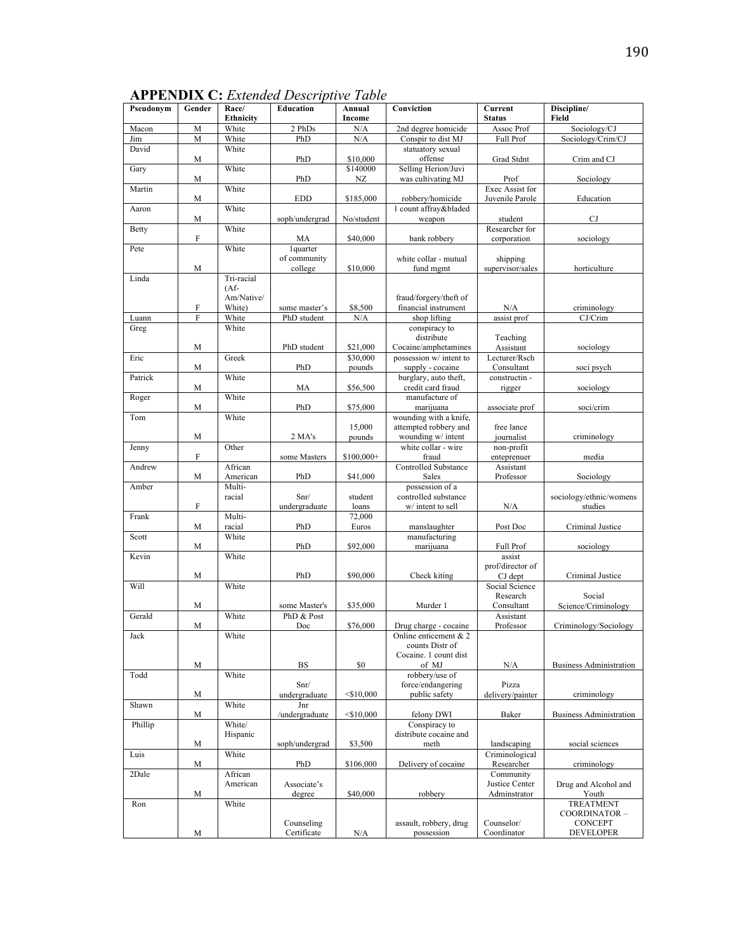| ×<br>I<br>۰.<br>۰. |
|--------------------|
|--------------------|

**APPENDIX C:** *Extended Descriptive Table* 

| Pseudonym    | Gender         | Race/<br><b>Ethnicity</b> | Education               | Annual<br>Income | Conviction                          | Current<br><b>Status</b>       | Discipline/<br>Field               |
|--------------|----------------|---------------------------|-------------------------|------------------|-------------------------------------|--------------------------------|------------------------------------|
| Macon        | M              | White                     | 2 PhDs                  | N/A              | 2nd degree homicide                 | Assoc Prof                     | Sociology/CJ                       |
| Jim          | M              | White                     | PhD                     | N/A              | Conspir to dist MJ                  | <b>Full Prof</b>               | Sociology/Crim/CJ                  |
| David        |                | White                     |                         |                  | statuatory sexual                   |                                |                                    |
|              | M              |                           | PhD                     | \$10,000         | offense                             | Grad Stdnt                     | Crim and CJ                        |
| Gary         |                | White                     |                         | \$140000         | Selling Herion/Juvi                 |                                |                                    |
| Martin       | M              | White                     | PhD                     | NZ               | was cultivating MJ                  | Prof<br>Exec Assist for        | Sociology                          |
|              | M              |                           | <b>EDD</b>              | \$185,000        | robbery/homicide                    | Juvenile Parole                | Education                          |
| Aaron        |                | White                     |                         |                  | 1 count affray&bladed               |                                |                                    |
|              | M              |                           | soph/undergrad          | No/student       | weapon                              | student                        | <b>CJ</b>                          |
| <b>Betty</b> | F              | White                     |                         | \$40,000         | bank robbery                        | Researcher for<br>corporation  | sociology                          |
| Pete         |                | White                     | MA<br>lquarter          |                  |                                     |                                |                                    |
|              | M              |                           | of community<br>college | \$10,000         | white collar - mutual               | shipping                       |                                    |
| Linda        |                | Tri-racial                |                         |                  | fund mgmt                           | supervisor/sales               | horticulture                       |
|              |                | $(Af -$                   |                         |                  |                                     |                                |                                    |
|              |                | Am/Native/                |                         |                  | fraud/forgery/theft of              |                                |                                    |
|              | F              | White)                    | some master's           | \$8,500          | financial instrument                | N/A                            | criminology                        |
| Luann        | $\overline{F}$ | White                     | PhD student             | N/A              | shop lifting                        | assist prof                    | CJ/Crim                            |
| Greg         |                | White                     |                         |                  | conspiracy to                       |                                |                                    |
|              | M              |                           | PhD student             | \$21,000         | distribute<br>Cocaine/amphetamines  | Teaching<br>Assistant          | sociology                          |
| Eric         |                | Greek                     |                         | \$30,000         | possession w/ intent to             | Lecturer/Rsch                  |                                    |
|              | M              |                           | PhD                     | pounds           | supply - cocaine                    | Consultant                     | soci psych                         |
| Patrick      |                | White                     |                         |                  | burglary, auto theft,               | constructin -                  |                                    |
|              | M              | White                     | MA                      | \$56,500         | credit card fraud<br>manufacture of | rigger                         | sociology                          |
| Roger        | M              |                           | PhD                     | \$75,000         | marijuana                           | associate prof                 | soci/crim                          |
| Tom          |                | White                     |                         |                  | wounding with a knife,              |                                |                                    |
|              |                |                           |                         | 15,000           | attempted robbery and               | free lance                     |                                    |
|              | M              |                           | 2 MA's                  | pounds           | wounding w/ intent                  | journalist                     | criminology                        |
| Jenny        |                | Other                     |                         |                  | white collar - wire                 | non-profit                     |                                    |
|              | F              |                           | some Masters            | \$100,000+       | fraud                               | enteprenuer                    | media                              |
| Andrew       |                | African                   |                         |                  | <b>Controlled Substance</b>         | Assistant                      |                                    |
|              | M              | American                  | PhD                     | \$41,000         | Sales                               | Professor                      | Sociology                          |
| Amber        |                | Multi-                    |                         |                  | possession of a                     |                                |                                    |
|              | F              | racial                    | Snr/                    | student<br>loans | controlled substance                | N/A                            | sociology/ethnic/womens<br>studies |
| Frank        |                | Multi-                    | undergraduate           | 72,000           | w/ intent to sell                   |                                |                                    |
|              | M              | racial                    | PhD                     | Euros            | manslaughter                        | Post Doc                       | Criminal Justice                   |
| Scott        |                | White                     |                         |                  | manufacturing                       |                                |                                    |
|              | M              |                           | PhD                     | \$92,000         | marijuana                           | <b>Full Prof</b>               | sociology                          |
| Kevin        |                | White                     |                         |                  |                                     | assist                         |                                    |
|              |                |                           |                         |                  |                                     | prof/director of               |                                    |
|              | M              |                           | PhD                     | \$90,000         | Check kiting                        | CJ dept<br>Social Science      | Criminal Justice                   |
| Will         |                | White                     |                         |                  |                                     |                                |                                    |
|              | M              |                           | some Master's           | \$35,000         | Murder 1                            | Research<br>Consultant         | Social<br>Science/Criminology      |
| Gerald       |                | White                     | PhD & Post              |                  |                                     | Assistant                      |                                    |
|              | M              |                           | Doc                     | \$76,000         | Drug charge - cocaine               | Professor                      | Criminology/Sociology              |
| Jack         |                | White                     |                         |                  | Online enticement $& 2$             |                                |                                    |
|              |                |                           |                         |                  | counts Distr of                     |                                |                                    |
|              |                |                           |                         |                  | Cocaine. 1 count dist               |                                |                                    |
|              | ${\bf M}$      |                           | BS                      | \$0              | of MJ                               | N/A                            | <b>Business Administration</b>     |
| Todd         |                | White                     |                         |                  | robbery/use of                      |                                |                                    |
|              | M              |                           | Snr/<br>undergraduate   | $<$ \$10,000     | force/endangering<br>public safety  | Pizza<br>delivery/painter      | criminology                        |
| Shawn        |                | White                     | Jnr                     |                  |                                     |                                |                                    |
|              | M              |                           | /undergraduate          | $<$ \$10,000     | felony DWI                          | Baker                          | <b>Business Administration</b>     |
| Phillip      |                | White/                    |                         |                  | Conspiracy to                       |                                |                                    |
|              |                | Hispanic                  |                         |                  | distribute cocaine and              |                                |                                    |
|              | M              |                           | soph/undergrad          | \$3,500          | meth                                | landscaping                    | social sciences                    |
| Luis         |                | White                     |                         |                  |                                     | Criminological                 |                                    |
|              | M              |                           | PhD                     | \$106,000        | Delivery of cocaine                 | Researcher                     | criminology                        |
| 2Dale        |                | African                   |                         |                  |                                     | Community                      |                                    |
|              | M              | American                  | Associate's             | \$40,000         | robbery                             | Justice Center<br>Adminstrator | Drug and Alcohol and               |
| Ron          |                | White                     | degree                  |                  |                                     |                                | Youth<br><b>TREATMENT</b>          |
|              |                |                           |                         |                  |                                     |                                | COORDINATOR-                       |
|              |                |                           | Counseling              |                  | assault, robbery, drug              | Counselor/                     | <b>CONCEPT</b>                     |
|              | M              |                           | Certificate             | N/A              | possession                          | Coordinator                    | <b>DEVELOPER</b>                   |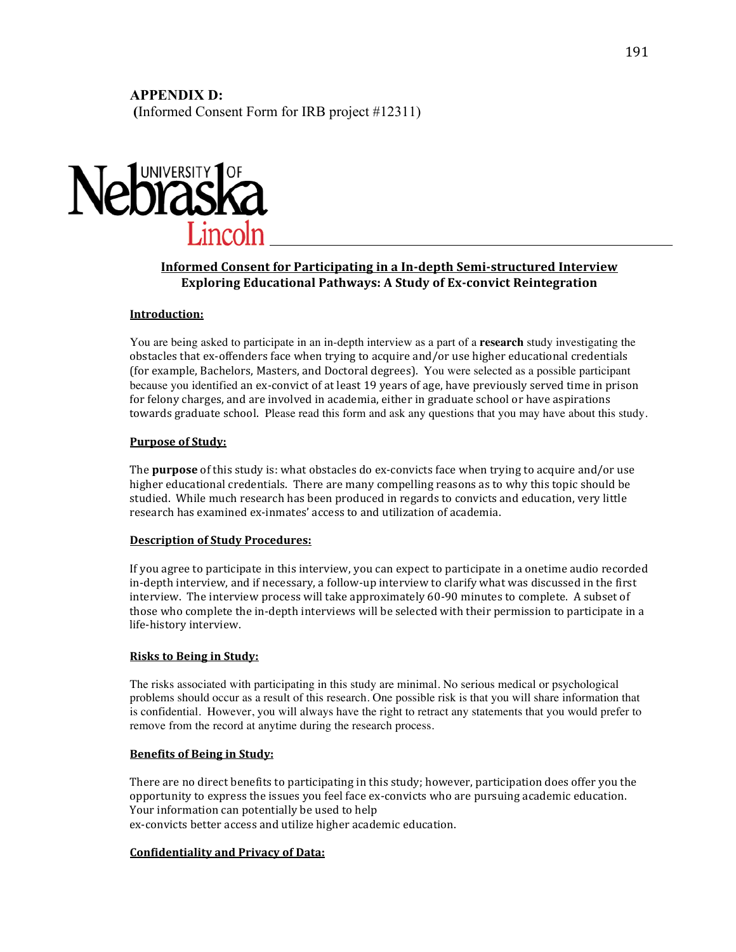# **APPENDIX D:**

**(**Informed Consent Form for IRB project #12311)



#### **Informed Consent for Participating in a In-depth Semi-structured Interview Exploring Educational Pathways: A Study of Ex-convict Reintegration**

#### **Introduction:**

You are being asked to participate in an in-depth interview as a part of a **research** study investigating the obstacles that ex-offenders face when trying to acquire and/or use higher educational credentials (for example, Bachelors, Masters, and Doctoral degrees). You were selected as a possible participant because you identified an ex-convict of at least 19 years of age, have previously served time in prison for felony charges, and are involved in academia, either in graduate school or have aspirations towards graduate school. Please read this form and ask any questions that you may have about this study.

#### **Purpose of Study:**

The **purpose** of this study is: what obstacles do ex-convicts face when trying to acquire and/or use higher educational credentials. There are many compelling reasons as to why this topic should be studied. While much research has been produced in regards to convicts and education, very little research has examined ex-inmates' access to and utilization of academia.

#### **Description of Study Procedures:**

If you agree to participate in this interview, you can expect to participate in a onetime audio recorded in-depth interview, and if necessary, a follow-up interview to clarify what was discussed in the first interview. The interview process will take approximately 60-90 minutes to complete. A subset of those who complete the in-depth interviews will be selected with their permission to participate in a life-history interview.

#### **Risks to Being in Study:**

The risks associated with participating in this study are minimal. No serious medical or psychological problems should occur as a result of this research. One possible risk is that you will share information that is confidential. However, you will always have the right to retract any statements that you would prefer to remove from the record at anytime during the research process.

#### **Benefits of Being in Study:**

There are no direct benefits to participating in this study; however, participation does offer you the opportunity to express the issues you feel face ex-convicts who are pursuing academic education. Your information can potentially be used to help ex-convicts better access and utilize higher academic education.

# **Confidentiality and Privacy of Data:**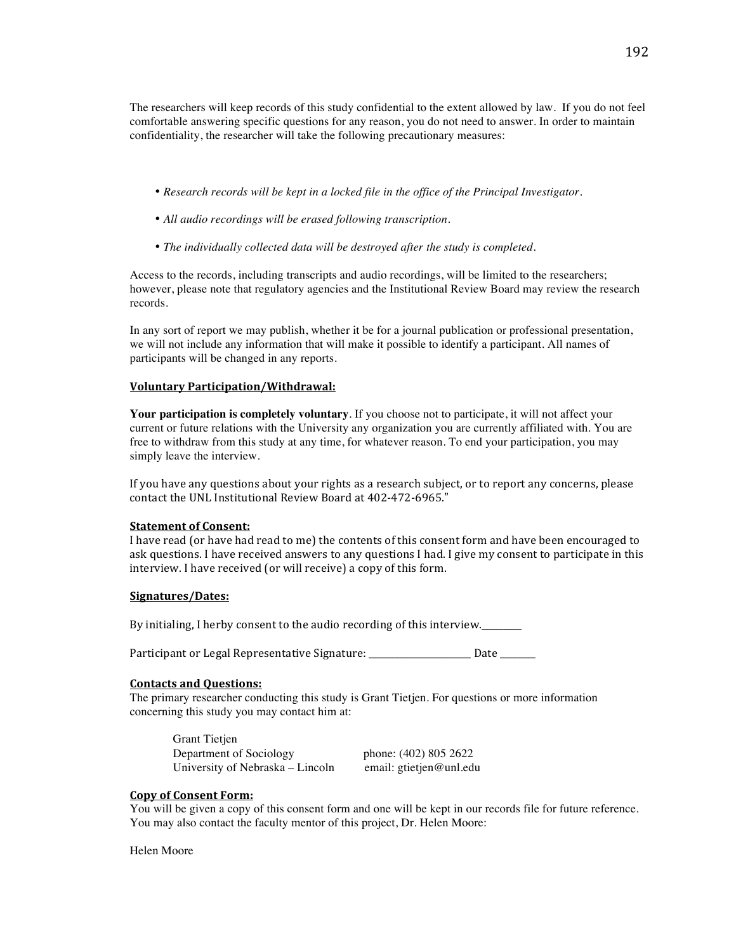The researchers will keep records of this study confidential to the extent allowed by law. If you do not feel comfortable answering specific questions for any reason, you do not need to answer. In order to maintain confidentiality, the researcher will take the following precautionary measures:

- *Research records will be kept in a locked file in the office of the Principal Investigator.*
- *All audio recordings will be erased following transcription.*
- *The individually collected data will be destroyed after the study is completed.*

Access to the records, including transcripts and audio recordings, will be limited to the researchers; however, please note that regulatory agencies and the Institutional Review Board may review the research records.

In any sort of report we may publish, whether it be for a journal publication or professional presentation, we will not include any information that will make it possible to identify a participant. All names of participants will be changed in any reports.

#### **Voluntary!Participation/Withdrawal:**

**Your participation is completely voluntary**. If you choose not to participate, it will not affect your current or future relations with the University any organization you are currently affiliated with. You are free to withdraw from this study at any time, for whatever reason. To end your participation, you may simply leave the interview.

If you have any questions about your rights as a research subject, or to report any concerns, please contact the UNL Institutional Review Board at 402-472-6965."

#### **Statement of Consent:**

I have read (or have had read to me) the contents of this consent form and have been encouraged to ask questions. I have received answers to any questions I had. I give my consent to participate in this interview. I have received (or will receive) a copy of this form.

#### **Signatures/Dates:**

By initialing, I herby consent to the audio recording of this interview.

Participant or Legal Representative Signature: \_\_\_\_\_\_\_\_\_\_\_\_\_\_\_\_\_\_\_\_\_ Date \_\_\_\_\_\_\_

#### **Contacts and Questions:**

The primary researcher conducting this study is Grant Tietjen. For questions or more information concerning this study you may contact him at:

Grant Tietjen Department of Sociology phone: (402) 805 2622 University of Nebraska – Lincoln email: gtietjen@unl.edu

#### **Copy of Consent Form:**

You will be given a copy of this consent form and one will be kept in our records file for future reference. You may also contact the faculty mentor of this project, Dr. Helen Moore:

Helen Moore